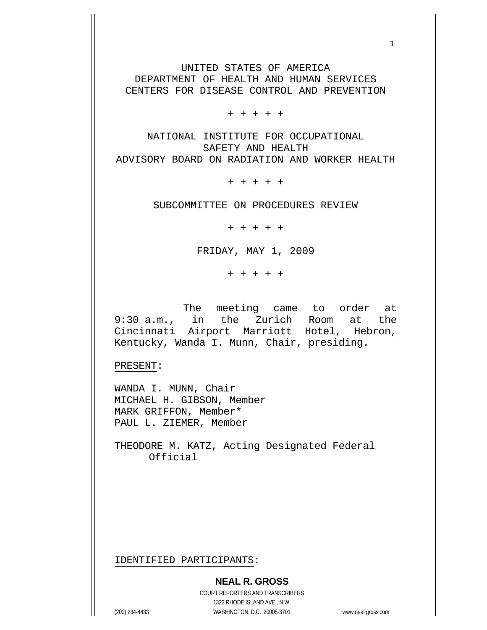UNITED STATES OF AMERICA DEPARTMENT OF HEALTH AND HUMAN SERVICES CENTERS FOR DISEASE CONTROL AND PREVENTION

 $1$ 

+ + + + +

NATIONAL INSTITUTE FOR OCCUPATIONAL SAFETY AND HEALTH ADVISORY BOARD ON RADIATION AND WORKER HEALTH

+ + + + +

SUBCOMMITTEE ON PROCEDURES REVIEW

+ + + + +

FRIDAY, MAY 1, 2009

+ + + + +

 The meeting came to order at 9:30 a.m., in the Zurich Room at the Cincinnati Airport Marriott Hotel, Hebron, Kentucky, Wanda I. Munn, Chair, presiding.

PRESENT:

WANDA I. MUNN, Chair MICHAEL H. GIBSON, Member MARK GRIFFON, Member\* PAUL L. ZIEMER, Member

THEODORE M. KATZ, Acting Designated Federal Official

IDENTIFIED PARTICIPANTS:

COURT REPORTERS AND TRANSCRIBERS 1323 RHODE ISLAND AVE., N.W. (202) 234-4433 WASHINGTON, D.C. 20005-3701 www.nealrgross.com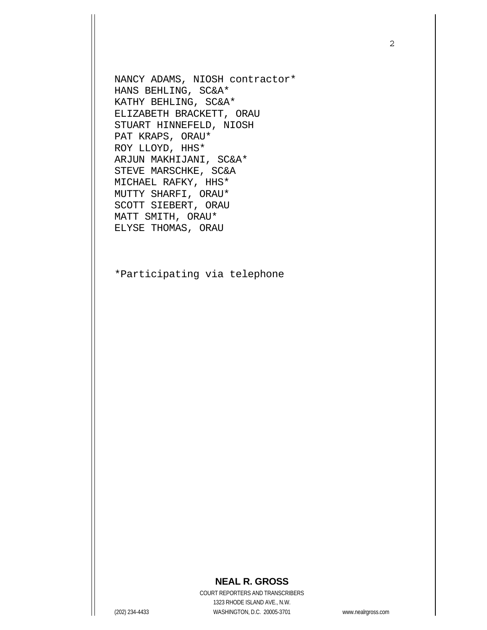NANCY ADAMS, NIOSH contractor\* HANS BEHLING, SC&A\* KATHY BEHLING, SC&A\* ELIZABETH BRACKETT, ORAU STUART HINNEFELD, NIOSH PAT KRAPS, ORAU\* ROY LLOYD, HHS\* ARJUN MAKHIJANI, SC&A\* STEVE MARSCHKE, SC&A MICHAEL RAFKY, HHS\* MUTTY SHARFI, ORAU\* SCOTT SIEBERT, ORAU MATT SMITH, ORAU\* ELYSE THOMAS, ORAU

\*Participating via telephone

## **NEAL R. GROSS**

COURT REPORTERS AND TRANSCRIBERS 1323 RHODE ISLAND AVE., N.W. (202) 234-4433 WASHINGTON, D.C. 20005-3701 www.nealrgross.com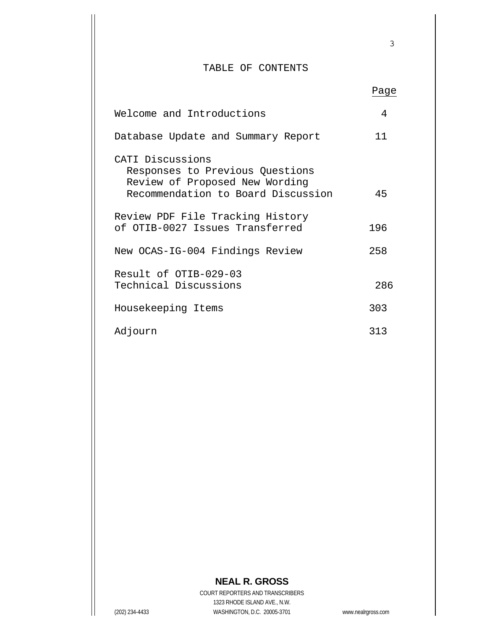## TABLE OF CONTENTS

|                                                                                                                             | Page |
|-----------------------------------------------------------------------------------------------------------------------------|------|
| Welcome and Introductions                                                                                                   | 4    |
| Database Update and Summary Report                                                                                          | 11   |
| CATI Discussions<br>Responses to Previous Questions<br>Review of Proposed New Wording<br>Recommendation to Board Discussion | 45   |
| Review PDF File Tracking History<br>of OTIB-0027 Issues Transferred                                                         | 196  |
| New OCAS-IG-004 Findings Review                                                                                             | 258  |
| Result of OTIB-029-03<br>Technical Discussions                                                                              | 286  |
| Housekeeping Items                                                                                                          | 303  |
| Adjourn                                                                                                                     | 313  |

## **NEAL R. GROSS**

COURT REPORTERS AND TRANSCRIBERS 1323 RHODE ISLAND AVE., N.W. (202) 234-4433 WASHINGTON, D.C. 20005-3701 www.nealrgross.com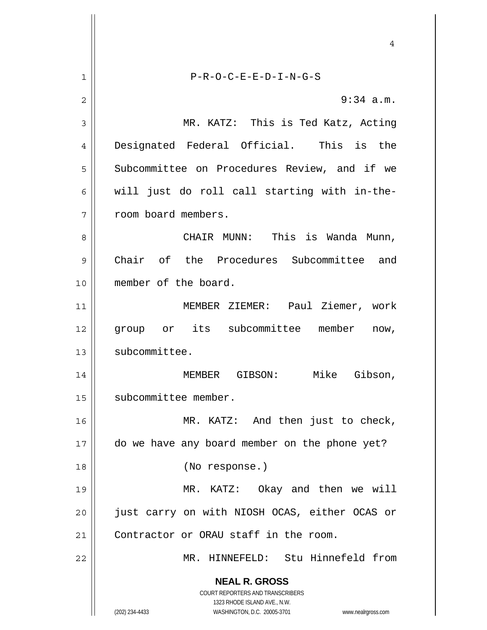**NEAL R. GROSS** COURT REPORTERS AND TRANSCRIBERS 1323 RHODE ISLAND AVE., N.W. (202) 234-4433 WASHINGTON, D.C. 20005-3701 www.nealrgross.com 4 1 2 3 4 5 6 7 8 9 10 11 12 13 14 15 16 17 18 19 20 21 22 P-R-O-C-E-E-D-I-N-G-S 9:34 a.m. MR. KATZ: This is Ted Katz, Acting Designated Federal Official. This is the Subcommittee on Procedures Review, and if we will just do roll call starting with in-theroom board members. CHAIR MUNN: This is Wanda Munn, Chair of the Procedures Subcommittee and member of the board. MEMBER ZIEMER: Paul Ziemer, work group or its subcommittee member now, subcommittee. MEMBER GIBSON: Mike Gibson, subcommittee member. MR. KATZ: And then just to check, do we have any board member on the phone yet? (No response.) MR. KATZ: Okay and then we will just carry on with NIOSH OCAS, either OCAS or Contractor or ORAU staff in the room. MR. HINNEFELD: Stu Hinnefeld from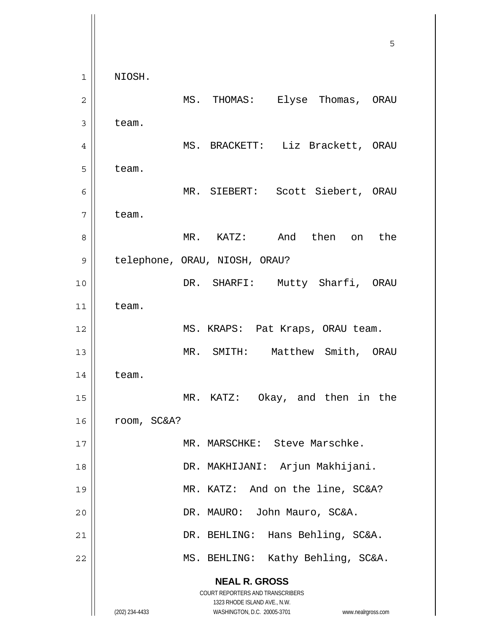**NEAL R. GROSS** COURT REPORTERS AND TRANSCRIBERS 1323 RHODE ISLAND AVE., N.W. (202) 234-4433 WASHINGTON, D.C. 20005-3701 www.nealrgross.com  $\sim$  5  $\sim$  5  $\sim$  5  $\sim$  5  $\sim$  5  $\sim$  5  $\sim$  5  $\sim$  5  $\sim$  5  $\sim$  5  $\sim$  5  $\sim$  5  $\sim$  5  $\sim$  5  $\sim$  5  $\sim$  5  $\sim$  5  $\sim$  5  $\sim$  5  $\sim$  5  $\sim$  5  $\sim$  5  $\sim$  5  $\sim$  5  $\sim$  5  $\sim$  5  $\sim$  5  $\sim$  5  $\sim$  5  $\sim$  5  $\sim$  5  $\sim$ 1 2 3 4 5 6 7 8 9 10 11 12 13 14 15 16 17 18 19 20 21 22 NIOSH. MS. THOMAS: Elyse Thomas, ORAU team. MS. BRACKETT: Liz Brackett, ORAU team. MR. SIEBERT: Scott Siebert, ORAU team. MR. KATZ: And then on the telephone, ORAU, NIOSH, ORAU? DR. SHARFI: Mutty Sharfi, ORAU team. MS. KRAPS: Pat Kraps, ORAU team. MR. SMITH: Matthew Smith, ORAU team. MR. KATZ: Okay, and then in the room, SC&A? MR. MARSCHKE: Steve Marschke. DR. MAKHIJANI: Arjun Makhijani. MR. KATZ: And on the line, SC&A? DR. MAURO: John Mauro, SC&A. DR. BEHLING: Hans Behling, SC&A. MS. BEHLING: Kathy Behling, SC&A.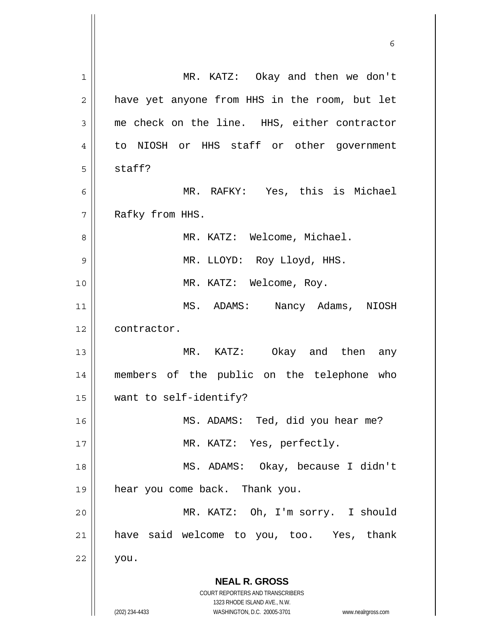**NEAL R. GROSS** COURT REPORTERS AND TRANSCRIBERS 1323 RHODE ISLAND AVE., N.W. (202) 234-4433 WASHINGTON, D.C. 20005-3701 www.nealrgross.com 1 2 3 4 5 6 7 8 9 10 11 12 13 14 15 16 17 18 19 20 21 22 MR. KATZ: Okay and then we don't have yet anyone from HHS in the room, but let me check on the line. HHS, either contractor to NIOSH or HHS staff or other government staff? MR. RAFKY: Yes, this is Michael Rafky from HHS. MR. KATZ: Welcome, Michael. MR. LLOYD: Roy Lloyd, HHS. MR. KATZ: Welcome, Roy. MS. ADAMS: Nancy Adams, NIOSH contractor. MR. KATZ: Okay and then any members of the public on the telephone who want to self-identify? MS. ADAMS: Ted, did you hear me? MR. KATZ: Yes, perfectly. MS. ADAMS: Okay, because I didn't hear you come back. Thank you. MR. KATZ: Oh, I'm sorry. I should have said welcome to you, too. Yes, thank you.

 $\sim$  6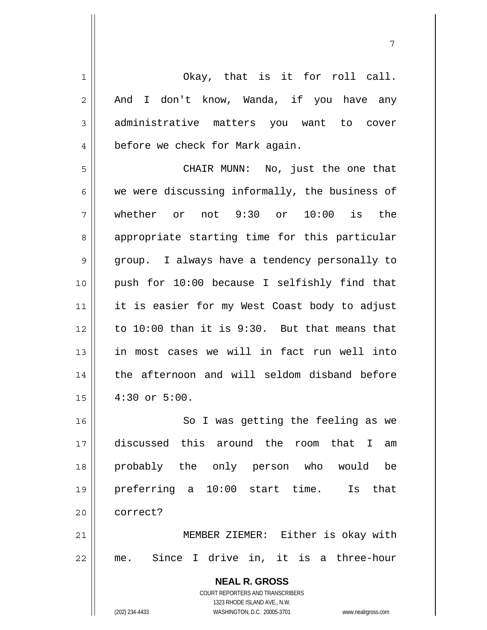| 1              | Okay, that is it for roll call.                                     |
|----------------|---------------------------------------------------------------------|
|                |                                                                     |
| $\overline{2}$ | And I don't know, Wanda, if you have any                            |
| 3              | administrative matters you want to cover                            |
| 4              | before we check for Mark again.                                     |
| 5              | CHAIR MUNN: No, just the one that                                   |
| 6              | we were discussing informally, the business of                      |
| 7              | whether or not $9:30$ or $10:00$ is the                             |
| 8              | appropriate starting time for this particular                       |
| $\mathsf 9$    | group. I always have a tendency personally to                       |
| 10             | push for 10:00 because I selfishly find that                        |
| 11             | it is easier for my West Coast body to adjust                       |
| 12             | to 10:00 than it is 9:30. But that means that                       |
| 13             | in most cases we will in fact run well into                         |
| 14             | the afternoon and will seldom disband before                        |
| 15             | $4:30$ or $5:00$ .                                                  |
| 16             | So I was getting the feeling as we                                  |
| 17             | discussed this around the room that I<br>am                         |
| 18             | probably the only person who would<br>be                            |
| 19             | $10:00$ start time.<br>preferring a<br>that<br>Is                   |
| 20             | correct?                                                            |
| 21             | MEMBER ZIEMER: Either is okay with                                  |
| 22             | me. Since I drive in, it is a three-hour                            |
|                | <b>NEAL R. GROSS</b>                                                |
|                | <b>COURT REPORTERS AND TRANSCRIBERS</b>                             |
|                | 1323 RHODE ISLAND AVE., N.W.                                        |
|                | (202) 234-4433<br>WASHINGTON, D.C. 20005-3701<br>www.nealrgross.com |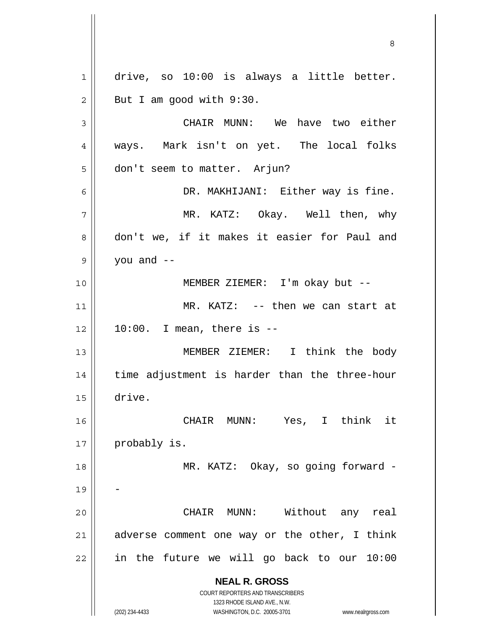**NEAL R. GROSS** COURT REPORTERS AND TRANSCRIBERS 1323 RHODE ISLAND AVE., N.W. (202) 234-4433 WASHINGTON, D.C. 20005-3701 www.nealrgross.com 1 2 3 4 5 6 7 8 9 10 11 12 13 14 15 16 17 18 19 20 21 22 drive, so 10:00 is always a little better. But I am good with 9:30. CHAIR MUNN: We have two either ways. Mark isn't on yet. The local folks don't seem to matter. Arjun? DR. MAKHIJANI: Either way is fine. MR. KATZ: Okay. Well then, why don't we, if it makes it easier for Paul and you and  $-$  MEMBER ZIEMER: I'm okay but -- MR. KATZ: -- then we can start at  $10:00$ . I mean, there is  $-$  MEMBER ZIEMER: I think the body time adjustment is harder than the three-hour drive. CHAIR MUNN: Yes, I think it probably is. MR. KATZ: Okay, so going forward -- CHAIR MUNN: Without any real adverse comment one way or the other, I think in the future we will go back to our 10:00

<u>83 - Santa Carlos de Santa Carlos de Santa Carlos de Santa Carlos de Santa Carlos de Santa Carlos de Santa Ca</u>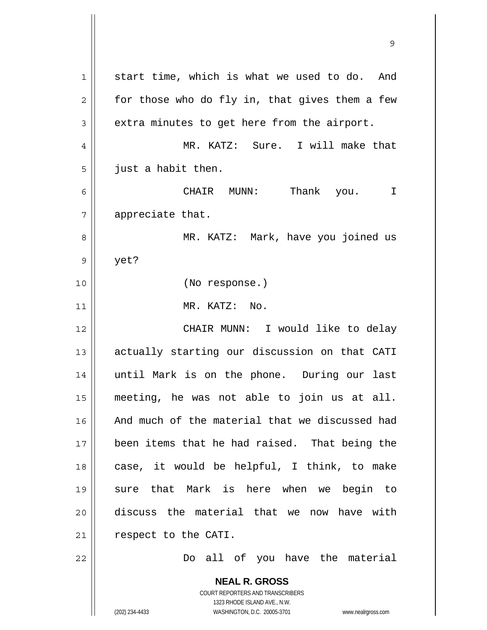**NEAL R. GROSS** COURT REPORTERS AND TRANSCRIBERS 1323 RHODE ISLAND AVE., N.W. 1 2 3 4 5 6 7 8 9 10 11 12 13 14 15 16 17 18 19 20 21 22 start time, which is what we used to do. And for those who do fly in, that gives them a few extra minutes to get here from the airport. MR. KATZ: Sure. I will make that just a habit then. CHAIR MUNN: Thank you. I appreciate that. MR. KATZ: Mark, have you joined us yet? (No response.) MR. KATZ: No. CHAIR MUNN: I would like to delay actually starting our discussion on that CATI until Mark is on the phone. During our last meeting, he was not able to join us at all. And much of the material that we discussed had been items that he had raised. That being the case, it would be helpful, I think, to make sure that Mark is here when we begin to discuss the material that we now have with respect to the CATI. Do all of you have the material

9

(202) 234-4433 WASHINGTON, D.C. 20005-3701 www.nealrgross.com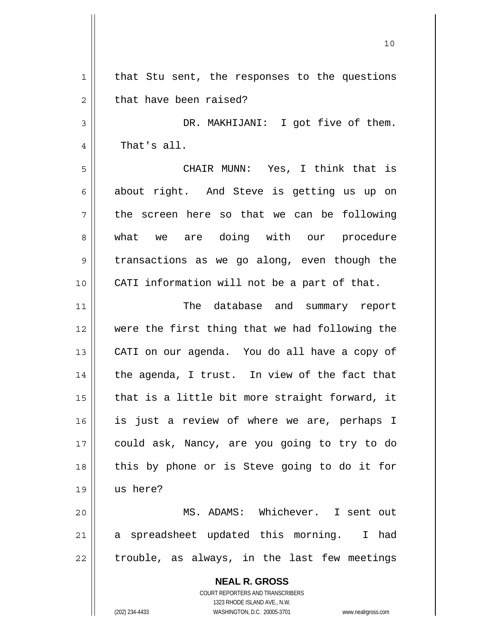**NEAL R. GROSS** COURT REPORTERS AND TRANSCRIBERS 1323 RHODE ISLAND AVE., N.W. 1 2 3 4 5 6 7 8 9 10 11 12 13 14 15 16 17 18 19 20 21 22 that Stu sent, the responses to the questions that have been raised? DR. MAKHIJANI: I got five of them. That's all. CHAIR MUNN: Yes, I think that is about right. And Steve is getting us up on the screen here so that we can be following what we are doing with our procedure transactions as we go along, even though the CATI information will not be a part of that. The database and summary report were the first thing that we had following the CATI on our agenda. You do all have a copy of the agenda, I trust. In view of the fact that that is a little bit more straight forward, it is just a review of where we are, perhaps I could ask, Nancy, are you going to try to do this by phone or is Steve going to do it for us here? MS. ADAMS: Whichever. I sent out a spreadsheet updated this morning. I had trouble, as always, in the last few meetings

10

(202) 234-4433 WASHINGTON, D.C. 20005-3701 www.nealrgross.com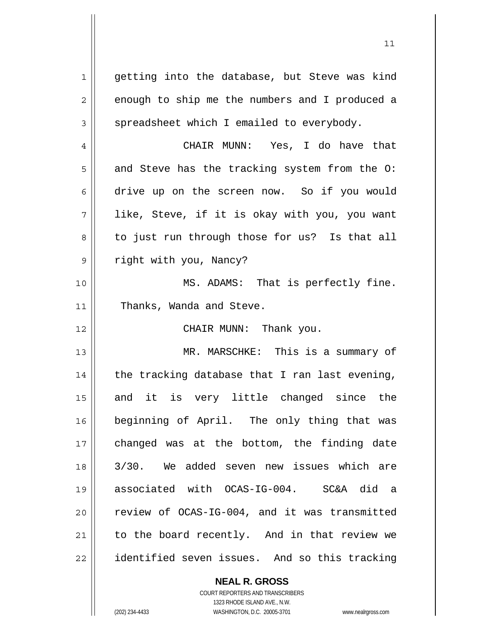1 2 3 4 5 6 7 8 9 10 11 12 13 14 15 16 17 18 19 20 21 22 getting into the database, but Steve was kind enough to ship me the numbers and I produced a spreadsheet which I emailed to everybody. CHAIR MUNN: Yes, I do have that and Steve has the tracking system from the O: drive up on the screen now. So if you would like, Steve, if it is okay with you, you want to just run through those for us? Is that all right with you, Nancy? MS. ADAMS: That is perfectly fine. Thanks, Wanda and Steve. CHAIR MUNN: Thank you. MR. MARSCHKE: This is a summary of the tracking database that I ran last evening, and it is very little changed since the beginning of April. The only thing that was changed was at the bottom, the finding date 3/30. We added seven new issues which are associated with OCAS-IG-004. SC&A did a review of OCAS-IG-004, and it was transmitted to the board recently. And in that review we identified seven issues. And so this tracking

> **NEAL R. GROSS** COURT REPORTERS AND TRANSCRIBERS 1323 RHODE ISLAND AVE., N.W.

(202) 234-4433 WASHINGTON, D.C. 20005-3701 www.nealrgross.com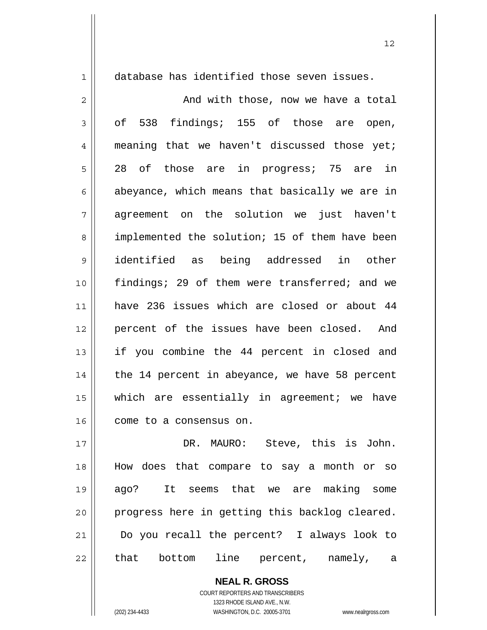1

database has identified those seven issues.

2 3 4 5 6 7 8 9 10 11 12 13 14 15 16 And with those, now we have a total of 538 findings; 155 of those are open, meaning that we haven't discussed those yet; 28 of those are in progress; 75 are in abeyance, which means that basically we are in agreement on the solution we just haven't implemented the solution; 15 of them have been identified as being addressed in other findings; 29 of them were transferred; and we have 236 issues which are closed or about 44 percent of the issues have been closed. And if you combine the 44 percent in closed and the 14 percent in abeyance, we have 58 percent which are essentially in agreement; we have come to a consensus on.

17 18 19 20 21 22 DR. MAURO: Steve, this is John. How does that compare to say a month or so ago? It seems that we are making some progress here in getting this backlog cleared. Do you recall the percent? I always look to that bottom line percent, namely, a

> **NEAL R. GROSS** COURT REPORTERS AND TRANSCRIBERS 1323 RHODE ISLAND AVE., N.W. (202) 234-4433 WASHINGTON, D.C. 20005-3701 www.nealrgross.com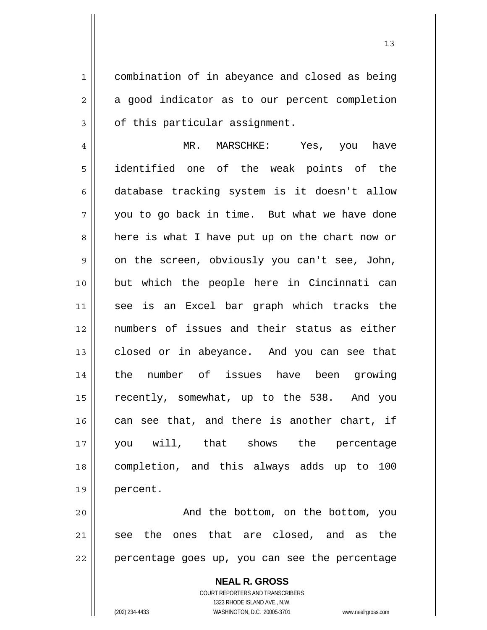combination of in abeyance and closed as being a good indicator as to our percent completion of this particular assignment.

4 5 6 7 8 9 10 11 12 13 14 15 16 17 18 19 MR. MARSCHKE: Yes, you have identified one of the weak points of the database tracking system is it doesn't allow you to go back in time. But what we have done here is what I have put up on the chart now or on the screen, obviously you can't see, John, but which the people here in Cincinnati can see is an Excel bar graph which tracks the numbers of issues and their status as either closed or in abeyance. And you can see that the number of issues have been growing recently, somewhat, up to the 538. And you can see that, and there is another chart, if you will, that shows the percentage completion, and this always adds up to 100 percent.

20 21 22 And the bottom, on the bottom, you see the ones that are closed, and as the percentage goes up, you can see the percentage

> **NEAL R. GROSS** COURT REPORTERS AND TRANSCRIBERS 1323 RHODE ISLAND AVE., N.W. (202) 234-4433 WASHINGTON, D.C. 20005-3701 www.nealrgross.com

1

2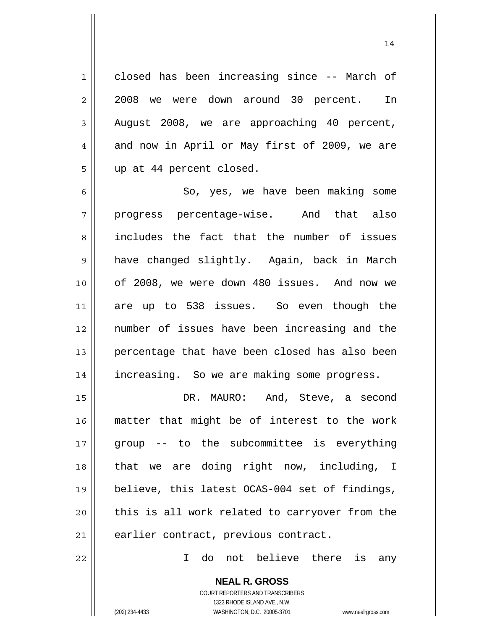closed has been increasing since -- March of 2008 we were down around 30 percent. In August 2008, we are approaching 40 percent, and now in April or May first of 2009, we are up at 44 percent closed.

6 7 8 9 10 11 12 13 14 So, yes, we have been making some progress percentage-wise. And that also includes the fact that the number of issues have changed slightly. Again, back in March of 2008, we were down 480 issues. And now we are up to 538 issues. So even though the number of issues have been increasing and the percentage that have been closed has also been increasing. So we are making some progress.

15 16 17 18 19 20 21 DR. MAURO: And, Steve, a second matter that might be of interest to the work group -- to the subcommittee is everything that we are doing right now, including, I believe, this latest OCAS-004 set of findings, this is all work related to carryover from the earlier contract, previous contract.

I do not believe there is any

**NEAL R. GROSS** COURT REPORTERS AND TRANSCRIBERS 1323 RHODE ISLAND AVE., N.W.

22

1

2

3

4

5

(202) 234-4433 WASHINGTON, D.C. 20005-3701 www.nealrgross.com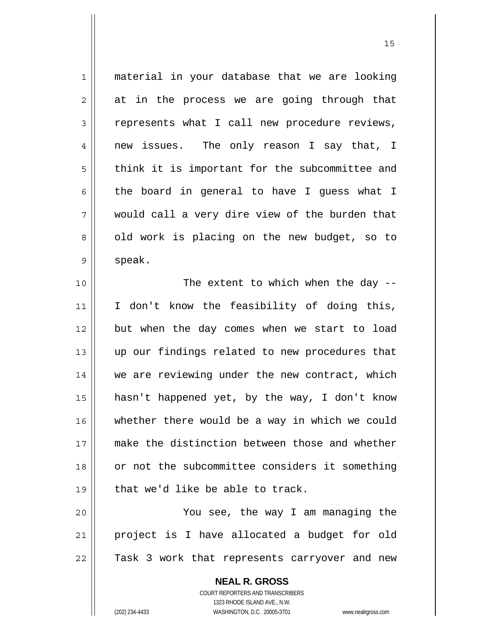| $\mathbf 1$    | material in your database that we are looking  |
|----------------|------------------------------------------------|
| $\overline{2}$ | at in the process we are going through that    |
| $\mathfrak{Z}$ | represents what I call new procedure reviews,  |
| $\overline{4}$ | new issues. The only reason I say that, I      |
| 5              | think it is important for the subcommittee and |
| 6              | the board in general to have I guess what I    |
| 7              | would call a very dire view of the burden that |
| 8              | old work is placing on the new budget, so to   |
| $\mathsf 9$    | speak.                                         |
| 10             | The extent to which when the day $-$           |
| 11             | I don't know the feasibility of doing this,    |
| 12             | but when the day comes when we start to load   |
| 13             | up our findings related to new procedures that |
| 14             | we are reviewing under the new contract, which |
| 15             | hasn't happened yet, by the way, I don't know  |
| 16             | whether there would be a way in which we could |
| 17             | make the distinction between those and whether |
| 18             | or not the subcommittee considers it something |
| 19             | that we'd like be able to track.               |
| 20             | You see, the way I am managing the             |
| 21             | project is I have allocated a budget for old   |
| 22             | Task 3 work that represents carryover and new  |
|                | <b>NEAL R. GROSS</b>                           |

COURT REPORTERS AND TRANSCRIBERS 1323 RHODE ISLAND AVE., N.W.

 $\mathsf{II}$ 

(202) 234-4433 WASHINGTON, D.C. 20005-3701 www.nealrgross.com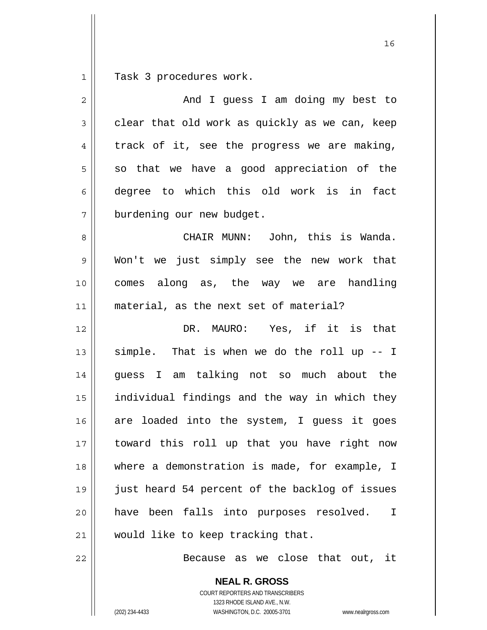1 Task 3 procedures work.

| $\overline{2}$ | And I guess I am doing my best to              |
|----------------|------------------------------------------------|
| 3              | clear that old work as quickly as we can, keep |
| 4              | track of it, see the progress we are making,   |
| 5              | so that we have a good appreciation of the     |
| 6              | degree to which this old work is in fact       |
| 7              | burdening our new budget.                      |
| 8              | CHAIR MUNN: John, this is Wanda.               |
| $\mathsf 9$    | Won't we just simply see the new work that     |
| 10             | comes along as, the way we are handling        |
| 11             | material, as the next set of material?         |
| 12             | DR. MAURO: Yes, if it is that                  |
| 13             | simple. That is when we do the roll up -- I    |
| 14             | guess I am talking not so much about the       |
| 15             | individual findings and the way in which they  |
| 16             | are loaded into the system, I quess it goes    |
| 17             | toward this roll up that you have right now    |
| 18             | where a demonstration is made, for example, I  |
| 19             | just heard 54 percent of the backlog of issues |
| 20             | have been falls into purposes resolved.<br>I.  |
| 21             | would like to keep tracking that.              |
| 22             | Because as we close that out, it               |

**NEAL R. GROSS** COURT REPORTERS AND TRANSCRIBERS 1323 RHODE ISLAND AVE., N.W.

(202) 234-4433 WASHINGTON, D.C. 20005-3701 www.nealrgross.com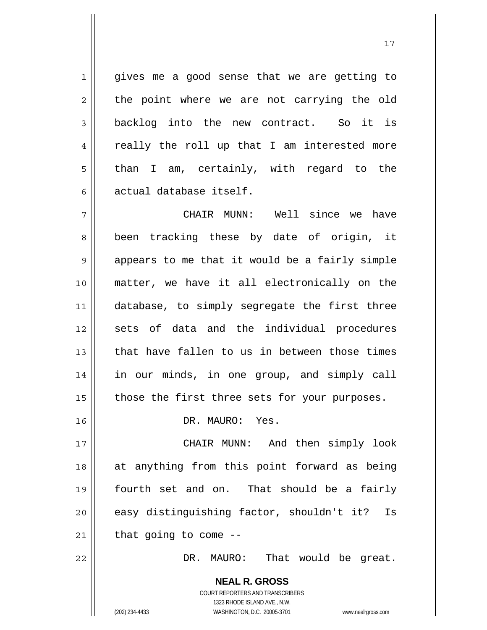gives me a good sense that we are getting to the point where we are not carrying the old backlog into the new contract. So it is really the roll up that I am interested more than I am, certainly, with regard to the actual database itself.

17

7 8 9 10 11 12 13 14 15 CHAIR MUNN: Well since we have been tracking these by date of origin, it appears to me that it would be a fairly simple matter, we have it all electronically on the database, to simply segregate the first three sets of data and the individual procedures that have fallen to us in between those times in our minds, in one group, and simply call those the first three sets for your purposes.

DR. MAURO: Yes.

17 18 19 20 21 CHAIR MUNN: And then simply look at anything from this point forward as being fourth set and on. That should be a fairly easy distinguishing factor, shouldn't it? Is that going to come --

DR. MAURO: That would be great.

**NEAL R. GROSS** COURT REPORTERS AND TRANSCRIBERS 1323 RHODE ISLAND AVE., N.W. (202) 234-4433 WASHINGTON, D.C. 20005-3701 www.nealrgross.com

1

2

3

4

5

6

16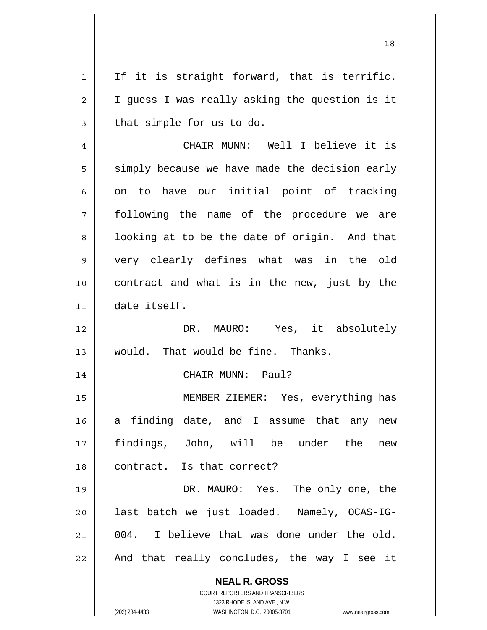**NEAL R. GROSS** COURT REPORTERS AND TRANSCRIBERS 1 2 3 4 5 6 7 8 9 10 11 12 13 14 15 16 17 18 19 20 21 22 If it is straight forward, that is terrific. I guess I was really asking the question is it that simple for us to do. CHAIR MUNN: Well I believe it is simply because we have made the decision early on to have our initial point of tracking following the name of the procedure we are looking at to be the date of origin. And that very clearly defines what was in the old contract and what is in the new, just by the date itself. DR. MAURO: Yes, it absolutely would. That would be fine. Thanks. CHAIR MUNN: Paul? MEMBER ZIEMER: Yes, everything has a finding date, and I assume that any new findings, John, will be under the new contract. Is that correct? DR. MAURO: Yes. The only one, the last batch we just loaded. Namely, OCAS-IG-004. I believe that was done under the old. And that really concludes, the way I see it

1323 RHODE ISLAND AVE., N.W.

(202) 234-4433 WASHINGTON, D.C. 20005-3701 www.nealrgross.com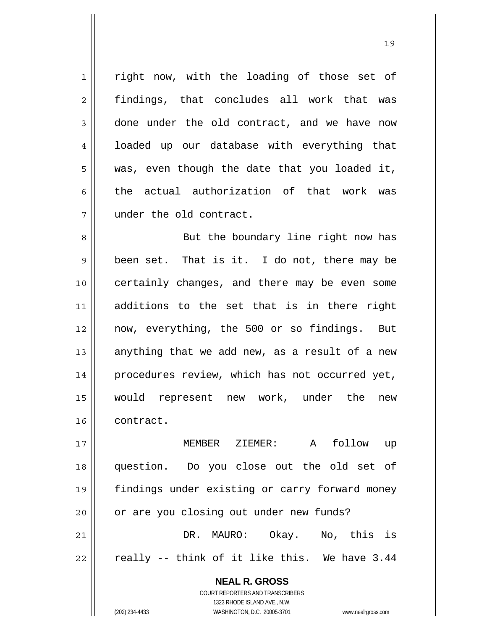right now, with the loading of those set of findings, that concludes all work that was done under the old contract, and we have now loaded up our database with everything that was, even though the date that you loaded it, the actual authorization of that work was under the old contract.

8 9 10 11 12 13 14 15 16 But the boundary line right now has been set. That is it. I do not, there may be certainly changes, and there may be even some additions to the set that is in there right now, everything, the 500 or so findings. But anything that we add new, as a result of a new procedures review, which has not occurred yet, would represent new work, under the new contract.

17 18 19 20 21 22 MEMBER ZIEMER: A follow up question. Do you close out the old set of findings under existing or carry forward money or are you closing out under new funds? DR. MAURO: Okay. No, this is really -- think of it like this. We have 3.44

> **NEAL R. GROSS** COURT REPORTERS AND TRANSCRIBERS 1323 RHODE ISLAND AVE., N.W. (202) 234-4433 WASHINGTON, D.C. 20005-3701 www.nealrgross.com

1

2

3

4

5

6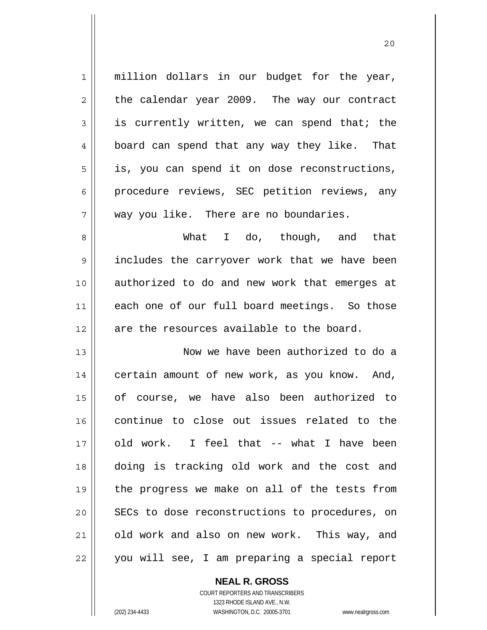| $\mathbf 1$    | million dollars in our budget for the year,    |
|----------------|------------------------------------------------|
| $\overline{2}$ | the calendar year 2009. The way our contract   |
| 3              | is currently written, we can spend that; the   |
| $\overline{4}$ | board can spend that any way they like. That   |
| 5              | is, you can spend it on dose reconstructions,  |
| 6              | procedure reviews, SEC petition reviews, any   |
| 7              | way you like. There are no boundaries.         |
| 8              | What I do, though, and that                    |
| $\mathsf 9$    | includes the carryover work that we have been  |
| 10             | authorized to do and new work that emerges at  |
| 11             | each one of our full board meetings. So those  |
|                |                                                |
| 12             | are the resources available to the board.      |
| 13             | Now we have been authorized to do a            |
| 14             | certain amount of new work, as you know. And,  |
| 15             | of course, we have also been authorized to     |
| 16             | continue to close out issues related to the    |
| 17             | old work. I feel that -- what I have been      |
| 18             | doing is tracking old work and the cost and    |
| 19             | the progress we make on all of the tests from  |
| 20             | SECs to dose reconstructions to procedures, on |
| 21             | old work and also on new work. This way, and   |

20

**NEAL R. GROSS** COURT REPORTERS AND TRANSCRIBERS

1323 RHODE ISLAND AVE., N.W.

(202) 234-4433 WASHINGTON, D.C. 20005-3701 www.nealrgross.com

 $\mathsf{II}$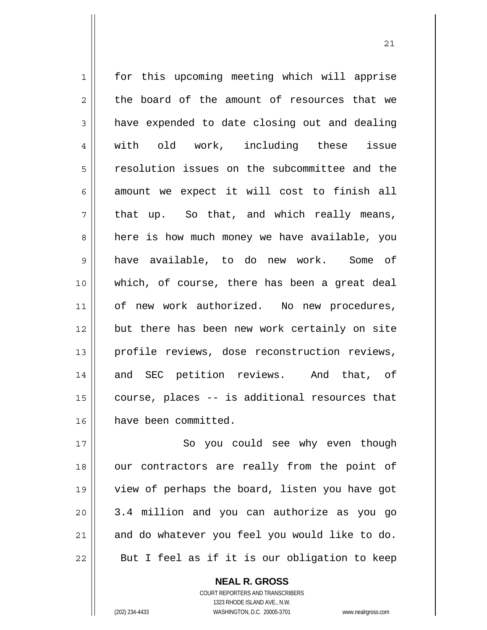1 2 3 4 5 6 7 8 9 10 11 12 13 14 15 16 for this upcoming meeting which will apprise the board of the amount of resources that we have expended to date closing out and dealing with old work, including these issue resolution issues on the subcommittee and the amount we expect it will cost to finish all that up. So that, and which really means, here is how much money we have available, you have available, to do new work. Some of which, of course, there has been a great deal of new work authorized. No new procedures, but there has been new work certainly on site profile reviews, dose reconstruction reviews, and SEC petition reviews. And that, of course, places -- is additional resources that have been committed.

17 18 19 20 21 22 So you could see why even though our contractors are really from the point of view of perhaps the board, listen you have got 3.4 million and you can authorize as you go and do whatever you feel you would like to do. But I feel as if it is our obligation to keep

> COURT REPORTERS AND TRANSCRIBERS 1323 RHODE ISLAND AVE., N.W. (202) 234-4433 WASHINGTON, D.C. 20005-3701 www.nealrgross.com

**NEAL R. GROSS**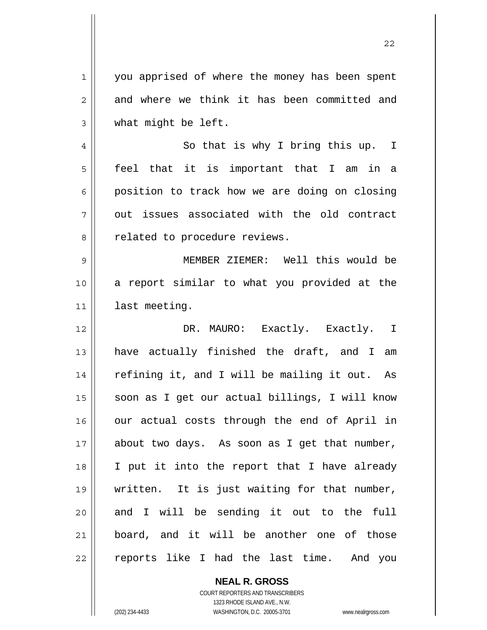1 2 3 you apprised of where the money has been spent and where we think it has been committed and what might be left.

4 5 6 7 8 So that is why I bring this up. I feel that it is important that I am in a position to track how we are doing on closing out issues associated with the old contract related to procedure reviews.

9 10 11 MEMBER ZIEMER: Well this would be a report similar to what you provided at the last meeting.

12 13 14 15 16 17 18 19 20 21 22 DR. MAURO: Exactly. Exactly. I have actually finished the draft, and I am refining it, and I will be mailing it out. As soon as I get our actual billings, I will know our actual costs through the end of April in about two days. As soon as I get that number, I put it into the report that I have already written. It is just waiting for that number, and I will be sending it out to the full board, and it will be another one of those reports like I had the last time. And you

> **NEAL R. GROSS** COURT REPORTERS AND TRANSCRIBERS 1323 RHODE ISLAND AVE., N.W. (202) 234-4433 WASHINGTON, D.C. 20005-3701 www.nealrgross.com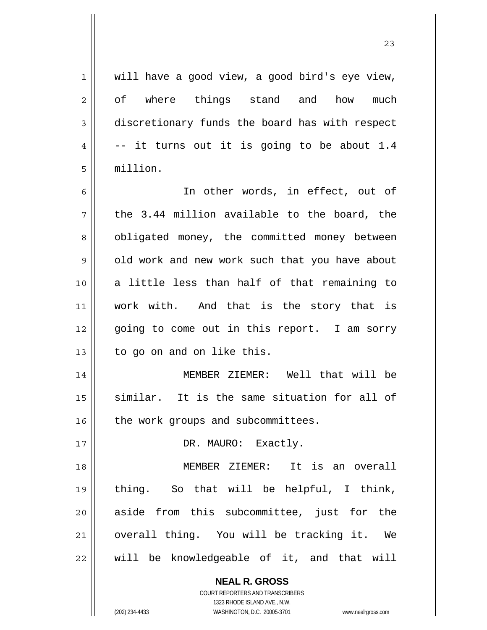| 1              | will have a good view, a good bird's eye view, |
|----------------|------------------------------------------------|
| $\overline{2}$ | of where things stand and<br>how<br>much       |
| 3              | discretionary funds the board has with respect |
| 4              | -- it turns out it is going to be about 1.4    |
| 5              | million.                                       |
| 6              | In other words, in effect, out of              |
| 7              | the 3.44 million available to the board, the   |
| 8              | obligated money, the committed money between   |
| 9              | old work and new work such that you have about |
| 10             | a little less than half of that remaining to   |
| 11             | work with. And that is the story that is       |
| 12             | going to come out in this report. I am sorry   |
| 13             | to go on and on like this.                     |
| 14             | MEMBER ZIEMER: Well that will be               |
| 15             | similar. It is the same situation for all of   |
| 16             | the work groups and subcommittees.             |
| 17             | DR. MAURO: Exactly.                            |
| 18             | MEMBER ZIEMER: It is an overall                |
| 19             | thing. So that will be helpful, I think,       |
| 20             | aside from this subcommittee, just for the     |
| 21             | overall thing. You will be tracking it. We     |
| 22             | will be knowledgeable of it, and that will     |
|                | <b>NEAL R. GROSS</b>                           |

 $\mathsf{II}$ 

1323 RHODE ISLAND AVE., N.W. (202) 234-4433 WASHINGTON, D.C. 20005-3701 www.nealrgross.com

COURT REPORTERS AND TRANSCRIBERS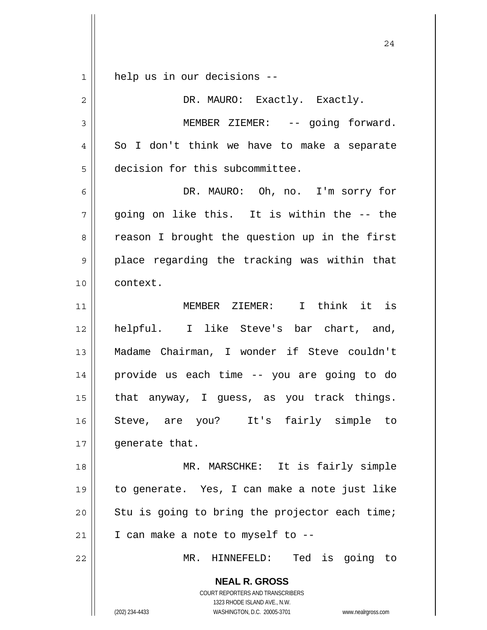| 1              | help us in our decisions --                                                                         |
|----------------|-----------------------------------------------------------------------------------------------------|
| $\overline{2}$ | DR. MAURO: Exactly. Exactly.                                                                        |
| 3              | MEMBER ZIEMER: -- going forward.                                                                    |
| 4              | So I don't think we have to make a separate                                                         |
| 5              | decision for this subcommittee.                                                                     |
| 6              | DR. MAURO: Oh, no. I'm sorry for                                                                    |
| 7              | going on like this. It is within the -- the                                                         |
| 8              | reason I brought the question up in the first                                                       |
| 9              | place regarding the tracking was within that                                                        |
| 10             | context.                                                                                            |
| 11             | MEMBER ZIEMER: I think it is                                                                        |
| 12             | helpful. I like Steve's bar chart, and,                                                             |
| 13             | Madame Chairman, I wonder if Steve couldn't                                                         |
| 14             | provide us each time -- you are going to do                                                         |
| 15             | that anyway, I guess, as you track things.                                                          |
| 16             | Steve, are you? It's fairly simple to                                                               |
| 17             | generate that.                                                                                      |
| 18             | MR. MARSCHKE: It is fairly simple                                                                   |
| 19             | to generate. Yes, I can make a note just like                                                       |
| 20             | Stu is going to bring the projector each time;                                                      |
| 21             | I can make a note to myself to --                                                                   |
| 22             | MR. HINNEFELD: Ted is going to                                                                      |
|                | <b>NEAL R. GROSS</b>                                                                                |
|                | COURT REPORTERS AND TRANSCRIBERS                                                                    |
|                | 1323 RHODE ISLAND AVE., N.W.<br>(202) 234-4433<br>WASHINGTON, D.C. 20005-3701<br>www.nealrgross.com |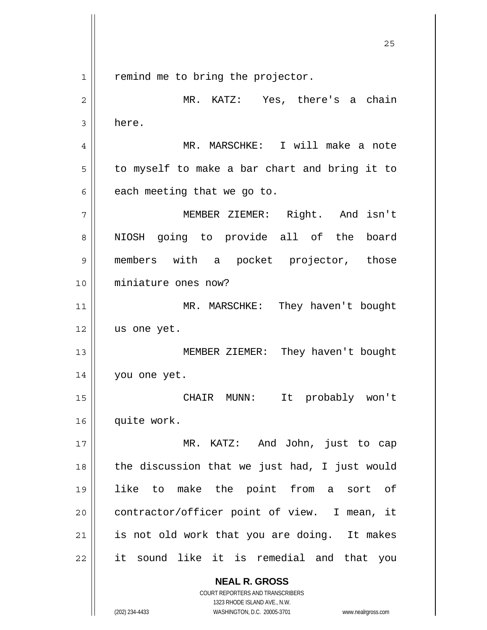**NEAL R. GROSS** COURT REPORTERS AND TRANSCRIBERS 1323 RHODE ISLAND AVE., N.W. 1 2 3 4 5 6 7 8 9 10 11 12 13 14 15 16 17 18 19 20 21 22 remind me to bring the projector. MR. KATZ: Yes, there's a chain here. MR. MARSCHKE: I will make a note to myself to make a bar chart and bring it to each meeting that we go to. MEMBER ZIEMER: Right. And isn't NIOSH going to provide all of the board members with a pocket projector, those miniature ones now? MR. MARSCHKE: They haven't bought us one yet. MEMBER ZIEMER: They haven't bought you one yet. CHAIR MUNN: It probably won't quite work. MR. KATZ: And John, just to cap the discussion that we just had, I just would like to make the point from a sort of contractor/officer point of view. I mean, it is not old work that you are doing. It makes it sound like it is remedial and that you

<u>25</u>

(202) 234-4433 WASHINGTON, D.C. 20005-3701 www.nealrgross.com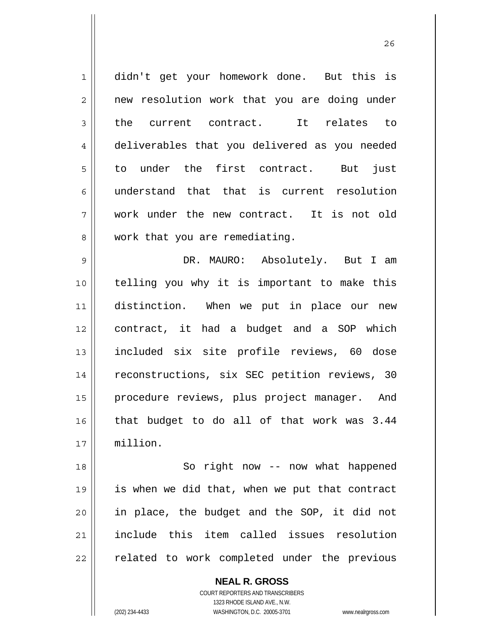1 2 3 4 5 6 7 8 9 10 11 12 13 14 15 16 17 18 19 didn't get your homework done. But this is new resolution work that you are doing under the current contract. It relates to deliverables that you delivered as you needed to under the first contract. But just understand that that is current resolution work under the new contract. It is not old work that you are remediating. DR. MAURO: Absolutely. But I am telling you why it is important to make this distinction. When we put in place our new contract, it had a budget and a SOP which included six site profile reviews, 60 dose reconstructions, six SEC petition reviews, 30 procedure reviews, plus project manager. And that budget to do all of that work was 3.44 million. So right now -- now what happened is when we did that, when we put that contract

<u>26</u>

20 21 22 in place, the budget and the SOP, it did not include this item called issues resolution related to work completed under the previous

> **NEAL R. GROSS** COURT REPORTERS AND TRANSCRIBERS 1323 RHODE ISLAND AVE., N.W. (202) 234-4433 WASHINGTON, D.C. 20005-3701 www.nealrgross.com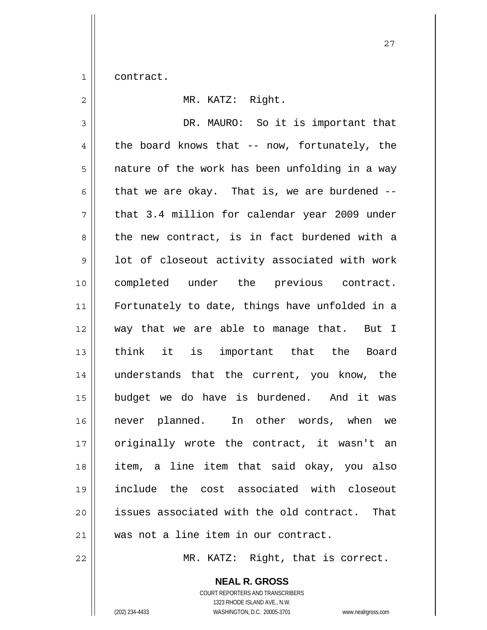1 contract.

| $\overline{2}$ | MR. KATZ: Right.                                 |
|----------------|--------------------------------------------------|
| $\mathfrak{Z}$ | DR. MAURO: So it is important that               |
| $\overline{4}$ | the board knows that -- now, fortunately, the    |
| 5              | nature of the work has been unfolding in a way   |
| 6              | that we are okay. That is, we are burdened $-$ - |
| 7              | that 3.4 million for calendar year 2009 under    |
| 8              | the new contract, is in fact burdened with a     |
| 9              | lot of closeout activity associated with work    |
| 10             | completed under the previous contract.           |
| 11             | Fortunately to date, things have unfolded in a   |
| 12             | way that we are able to manage that. But I       |
| 13             | think it is important that the Board             |
| 14             | understands that the current, you know, the      |
| 15             | budget we do have is burdened. And it was        |
| 16             | never planned. In other words, when we           |
| 17             | originally wrote the contract, it wasn't an      |
| 18             | item, a line item that said okay, you also       |
| 19             | include the cost associated with closeout        |
| 20             | issues associated with the old contract. That    |
| 21             | was not a line item in our contract.             |
| 22             | MR. KATZ: Right, that is correct.                |

**NEAL R. GROSS** COURT REPORTERS AND TRANSCRIBERS 1323 RHODE ISLAND AVE., N.W.

(202) 234-4433 WASHINGTON, D.C. 20005-3701 www.nealrgross.com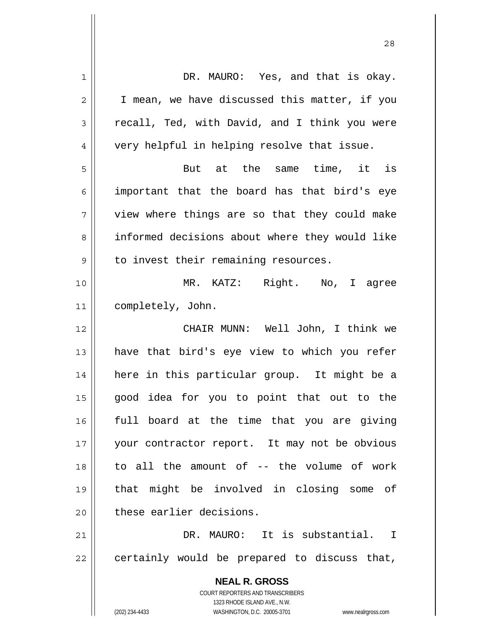| $\mathbf 1$    | DR. MAURO: Yes, and that is okay.                                                                   |
|----------------|-----------------------------------------------------------------------------------------------------|
| $\overline{c}$ | I mean, we have discussed this matter, if you                                                       |
| 3              | recall, Ted, with David, and I think you were                                                       |
| 4              | very helpful in helping resolve that issue.                                                         |
| 5              | But at the same time, it is                                                                         |
| 6              | important that the board has that bird's eye                                                        |
| $\overline{7}$ | view where things are so that they could make                                                       |
| 8              | informed decisions about where they would like                                                      |
| 9              | to invest their remaining resources.                                                                |
| 10             | MR. KATZ: Right. No, I agree                                                                        |
| 11             | completely, John.                                                                                   |
| 12             | CHAIR MUNN: Well John, I think we                                                                   |
| 13             | have that bird's eye view to which you refer                                                        |
| 14             | here in this particular group. It might be a                                                        |
| 15             | good idea for you to point that out to the                                                          |
| 16             | full board at the time that you are giving                                                          |
| 17             | your contractor report. It may not be obvious                                                       |
| 18             | to all the amount of -- the volume of work                                                          |
| 19             | that might be involved in closing some of                                                           |
| 20             | these earlier decisions.                                                                            |
| 21             | DR. MAURO: It is substantial. I                                                                     |
| 22             | certainly would be prepared to discuss that,                                                        |
|                | <b>NEAL R. GROSS</b>                                                                                |
|                | <b>COURT REPORTERS AND TRANSCRIBERS</b>                                                             |
|                | 1323 RHODE ISLAND AVE., N.W.<br>(202) 234-4433<br>WASHINGTON, D.C. 20005-3701<br>www.nealrgross.com |
|                |                                                                                                     |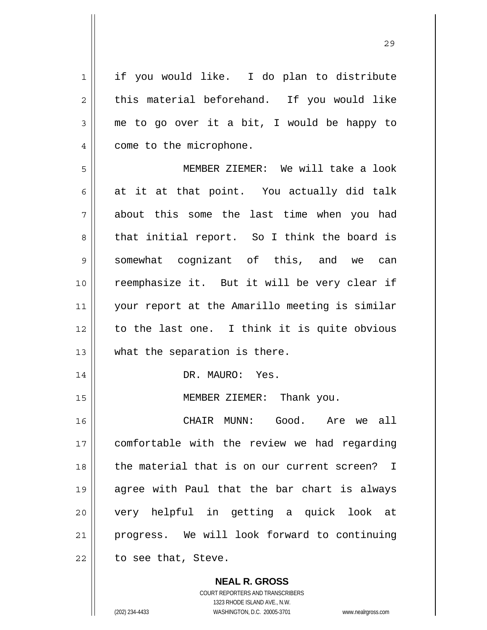1 2 3 4 5 6 7 8 9 10 11 12 13 14 15 16 17 18 19 20 21 22 if you would like. I do plan to distribute this material beforehand. If you would like me to go over it a bit, I would be happy to come to the microphone. MEMBER ZIEMER: We will take a look at it at that point. You actually did talk about this some the last time when you had that initial report. So I think the board is somewhat cognizant of this, and we can reemphasize it. But it will be very clear if your report at the Amarillo meeting is similar to the last one. I think it is quite obvious what the separation is there. DR. MAURO: Yes. MEMBER ZIEMER: Thank you. CHAIR MUNN: Good. Are we all comfortable with the review we had regarding the material that is on our current screen? I agree with Paul that the bar chart is always very helpful in getting a quick look at progress. We will look forward to continuing to see that, Steve.

<u>29</u>

**NEAL R. GROSS** COURT REPORTERS AND TRANSCRIBERS 1323 RHODE ISLAND AVE., N.W. (202) 234-4433 WASHINGTON, D.C. 20005-3701 www.nealrgross.com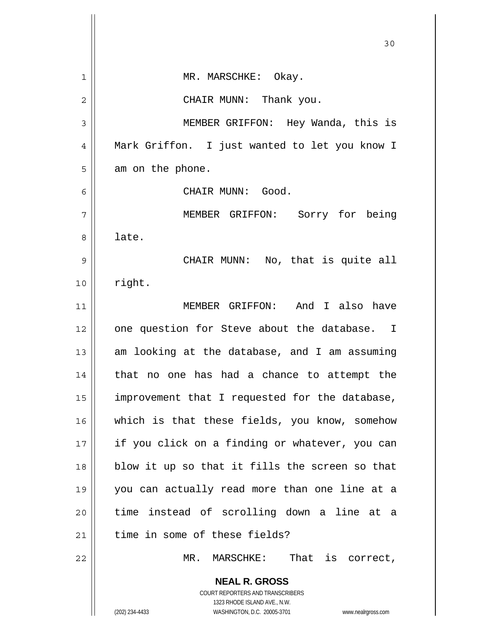|                | 30                                                                                                                                                              |
|----------------|-----------------------------------------------------------------------------------------------------------------------------------------------------------------|
| 1              | MR. MARSCHKE: Okay.                                                                                                                                             |
| $\overline{2}$ | CHAIR MUNN: Thank you.                                                                                                                                          |
| 3              | MEMBER GRIFFON: Hey Wanda, this is                                                                                                                              |
| 4              | Mark Griffon. I just wanted to let you know I                                                                                                                   |
| 5              | am on the phone.                                                                                                                                                |
| 6              | CHAIR MUNN: Good.                                                                                                                                               |
| 7              | MEMBER GRIFFON: Sorry for being                                                                                                                                 |
| 8              | late.                                                                                                                                                           |
| 9              | CHAIR MUNN: No, that is quite all                                                                                                                               |
| 10             | right.                                                                                                                                                          |
| 11             | MEMBER GRIFFON: And I also have                                                                                                                                 |
| 12             | one question for Steve about the database. I                                                                                                                    |
| 13             | am looking at the database, and I am assuming                                                                                                                   |
| 14             | no one has had a chance to attempt the<br>that                                                                                                                  |
| 15             | improvement that I requested for the database,                                                                                                                  |
| 16             | which is that these fields, you know, somehow                                                                                                                   |
| 17             | if you click on a finding or whatever, you can                                                                                                                  |
| 18             | blow it up so that it fills the screen so that                                                                                                                  |
| 19             | you can actually read more than one line at a                                                                                                                   |
| 20             | time instead of scrolling down a line at a                                                                                                                      |
| 21             | time in some of these fields?                                                                                                                                   |
| 22             | That is correct,<br>MR. MARSCHKE:                                                                                                                               |
|                | <b>NEAL R. GROSS</b><br>COURT REPORTERS AND TRANSCRIBERS<br>1323 RHODE ISLAND AVE., N.W.<br>(202) 234-4433<br>WASHINGTON, D.C. 20005-3701<br>www.nealrgross.com |

 $\overline{\phantom{a}}$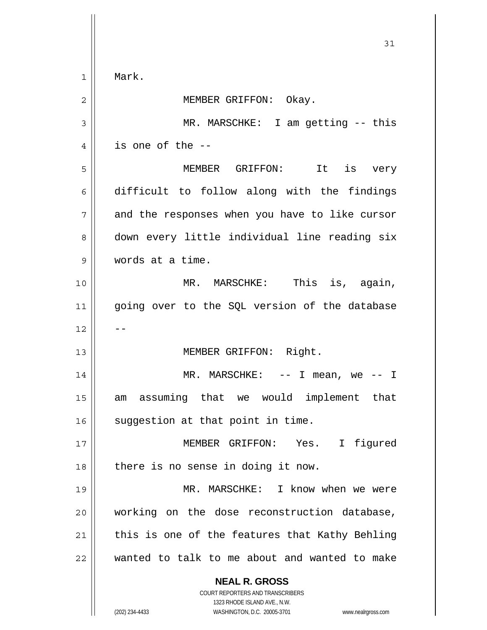**NEAL R. GROSS** COURT REPORTERS AND TRANSCRIBERS 1323 RHODE ISLAND AVE., N.W. (202) 234-4433 WASHINGTON, D.C. 20005-3701 www.nealrgross.com 31 1 2 3 4 5 6 7 8 9 10 11 12 13 14 15 16 17 18 19 20 21 22 Mark. MEMBER GRIFFON: Okay. MR. MARSCHKE: I am getting -- this is one of the -- MEMBER GRIFFON: It is very difficult to follow along with the findings and the responses when you have to like cursor down every little individual line reading six words at a time. MR. MARSCHKE: This is, again, going over to the SQL version of the database -- MEMBER GRIFFON: Right. MR. MARSCHKE:  $--$  I mean, we  $--$  I am assuming that we would implement that suggestion at that point in time. MEMBER GRIFFON: Yes. I figured there is no sense in doing it now. MR. MARSCHKE: I know when we were working on the dose reconstruction database, this is one of the features that Kathy Behling wanted to talk to me about and wanted to make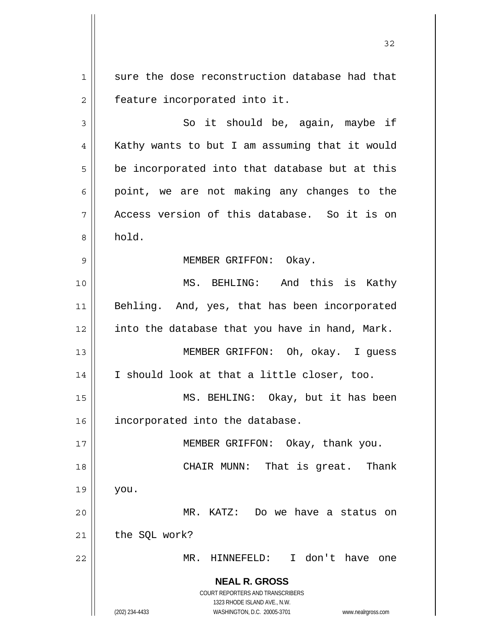1 2 sure the dose reconstruction database had that feature incorporated into it.

3 4 5 6 7 8 So it should be, again, maybe if Kathy wants to but I am assuming that it would be incorporated into that database but at this point, we are not making any changes to the Access version of this database. So it is on hold.

## MEMBER GRIFFON: Okay.

10 11 12 13 14 MS. BEHLING: And this is Kathy Behling. And, yes, that has been incorporated into the database that you have in hand, Mark. MEMBER GRIFFON: Oh, okay. I guess I should look at that a little closer, too.

15 16 MS. BEHLING: Okay, but it has been incorporated into the database.

17 18 19 20 21 22 MEMBER GRIFFON: Okay, thank you. CHAIR MUNN: That is great. Thank you. MR. KATZ: Do we have a status on the SQL work? MR. HINNEFELD: I don't have one

> **NEAL R. GROSS** COURT REPORTERS AND TRANSCRIBERS 1323 RHODE ISLAND AVE., N.W.

9

(202) 234-4433 WASHINGTON, D.C. 20005-3701 www.nealrgross.com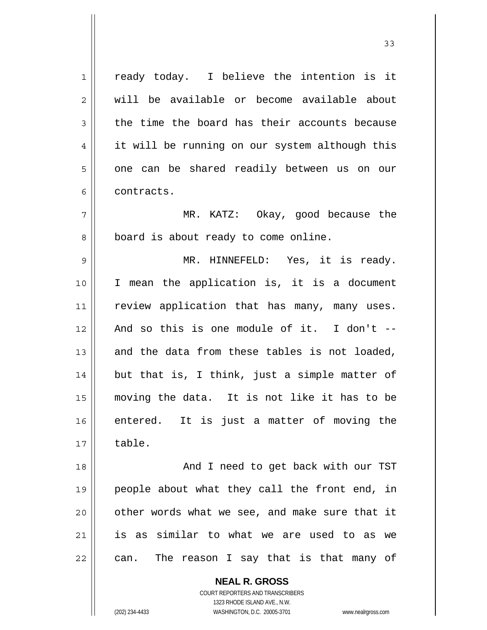1 2 3 4 5 6 7 8 9 10 11 12 13 14 15 16 17 18 19 20 21 22 ready today. I believe the intention is it will be available or become available about the time the board has their accounts because it will be running on our system although this one can be shared readily between us on our contracts. MR. KATZ: Okay, good because the board is about ready to come online. MR. HINNEFELD: Yes, it is ready. I mean the application is, it is a document review application that has many, many uses. And so this is one module of it. I don't - and the data from these tables is not loaded, but that is, I think, just a simple matter of moving the data. It is not like it has to be entered. It is just a matter of moving the table. And I need to get back with our TST people about what they call the front end, in other words what we see, and make sure that it is as similar to what we are used to as we can. The reason I say that is that many of

> **NEAL R. GROSS** COURT REPORTERS AND TRANSCRIBERS 1323 RHODE ISLAND AVE., N.W.

(202) 234-4433 WASHINGTON, D.C. 20005-3701 www.nealrgross.com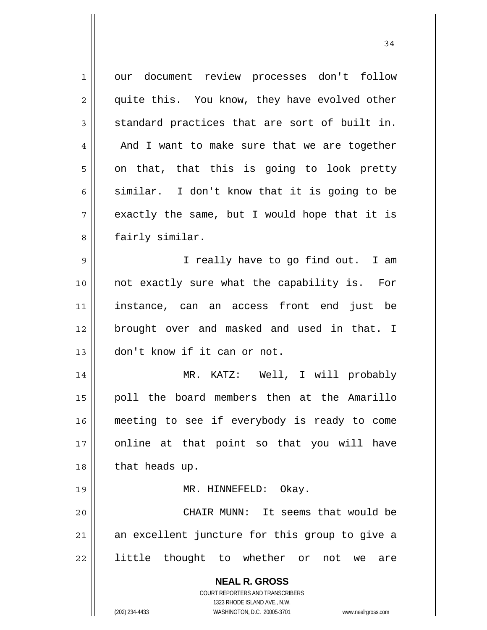**NEAL R. GROSS** COURT REPORTERS AND TRANSCRIBERS 1323 RHODE ISLAND AVE., N.W. 1 2 3 4 5 6 7 8 9 10 11 12 13 14 15 16 17 18 19 20 21 22 our document review processes don't follow quite this. You know, they have evolved other standard practices that are sort of built in. And I want to make sure that we are together on that, that this is going to look pretty similar. I don't know that it is going to be exactly the same, but I would hope that it is fairly similar. I really have to go find out. I am not exactly sure what the capability is. For instance, can an access front end just be brought over and masked and used in that. I don't know if it can or not. MR. KATZ: Well, I will probably poll the board members then at the Amarillo meeting to see if everybody is ready to come online at that point so that you will have that heads up. MR. HINNEFELD: Okay. CHAIR MUNN: It seems that would be an excellent juncture for this group to give a little thought to whether or not we are

34

(202) 234-4433 WASHINGTON, D.C. 20005-3701 www.nealrgross.com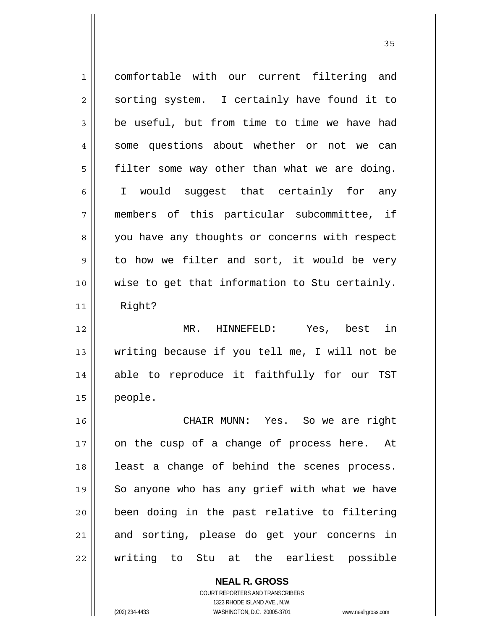1 2 3 4 5 6 7 8 9 10 11 12 13 14 15 16 17 18 19 20 21 22 comfortable with our current filtering and sorting system. I certainly have found it to be useful, but from time to time we have had some questions about whether or not we can filter some way other than what we are doing. I would suggest that certainly for any members of this particular subcommittee, if you have any thoughts or concerns with respect to how we filter and sort, it would be very wise to get that information to Stu certainly. Right? MR. HINNEFELD: Yes, best in writing because if you tell me, I will not be able to reproduce it faithfully for our TST people. CHAIR MUNN: Yes. So we are right on the cusp of a change of process here. At least a change of behind the scenes process. So anyone who has any grief with what we have been doing in the past relative to filtering and sorting, please do get your concerns in writing to Stu at the earliest possible

> COURT REPORTERS AND TRANSCRIBERS 1323 RHODE ISLAND AVE., N.W. (202) 234-4433 WASHINGTON, D.C. 20005-3701 www.nealrgross.com

**NEAL R. GROSS**

<u>35</u>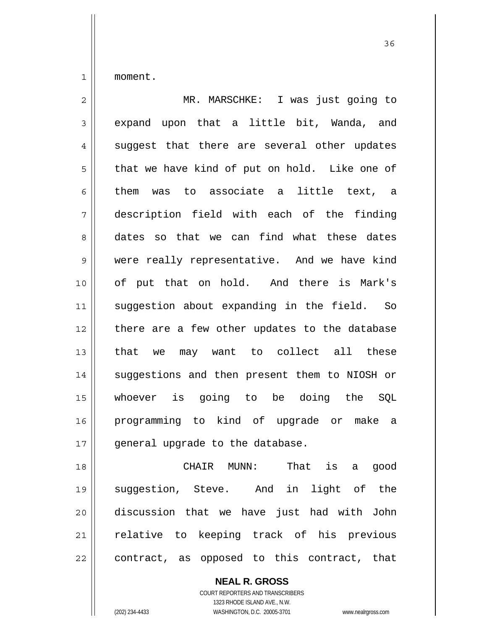1 moment.

| $\overline{2}$ | MR. MARSCHKE: I was just going to             |
|----------------|-----------------------------------------------|
| 3              | expand upon that a little bit, Wanda, and     |
| $\overline{4}$ | suggest that there are several other updates  |
| 5              | that we have kind of put on hold. Like one of |
| 6              | them<br>was to associate a little text, a     |
| 7              | description field with each of the finding    |
| 8              | dates so that we can find what these dates    |
| 9              | were really representative. And we have kind  |
| 10             | of put that on hold. And there is Mark's      |
| 11             | suggestion about expanding in the field. So   |
| 12             | there are a few other updates to the database |
| 13             | that we may want to collect all these         |
| 14             | suggestions and then present them to NIOSH or |
| 15             | whoever is going to be doing the SQL          |
| 16             | programming to kind of upgrade or make a      |
| 17             | general upgrade to the database.              |

18 19 20 21 22 CHAIR MUNN: That is a good suggestion, Steve. And in light of the discussion that we have just had with John relative to keeping track of his previous contract, as opposed to this contract, that

> **NEAL R. GROSS** COURT REPORTERS AND TRANSCRIBERS 1323 RHODE ISLAND AVE., N.W. (202) 234-4433 WASHINGTON, D.C. 20005-3701 www.nealrgross.com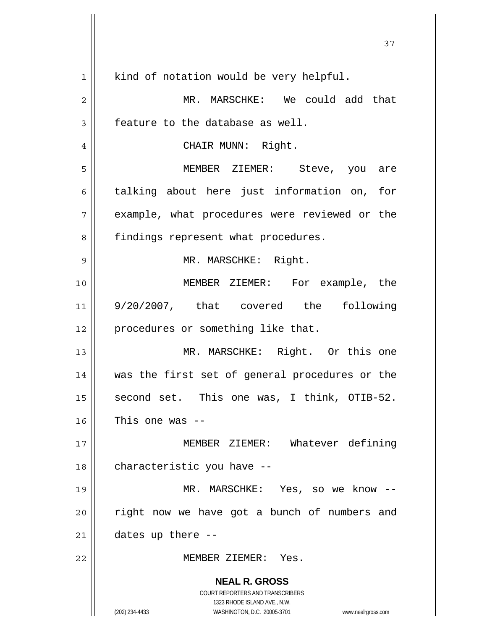|                | 37                                                                                                  |
|----------------|-----------------------------------------------------------------------------------------------------|
| $\mathbf 1$    | kind of notation would be very helpful.                                                             |
| $\overline{c}$ | MR. MARSCHKE: We could add that                                                                     |
| 3              | feature to the database as well.                                                                    |
| $\overline{4}$ | CHAIR MUNN: Right.                                                                                  |
| 5              | MEMBER ZIEMER: Steve, you are                                                                       |
| 6              | talking about here just information on, for                                                         |
| 7              | example, what procedures were reviewed or the                                                       |
| 8              | findings represent what procedures.                                                                 |
| 9              | MR. MARSCHKE: Right.                                                                                |
| 10             | MEMBER ZIEMER: For example, the                                                                     |
| 11             | 9/20/2007, that covered the following                                                               |
| 12             | procedures or something like that.                                                                  |
| 13             | MR. MARSCHKE: Right. Or this one                                                                    |
| 14             | was the first set of general procedures or the                                                      |
| 15             | second set. This one was, I think, OTIB-52.                                                         |
| 16             | This one was -                                                                                      |
| 17             | MEMBER ZIEMER: Whatever defining                                                                    |
| 18             | characteristic you have --                                                                          |
| 19             | MR. MARSCHKE: Yes, so we know --                                                                    |
| 20             | right now we have got a bunch of numbers and                                                        |
| 21             | dates up there --                                                                                   |
| 22             | MEMBER ZIEMER: Yes.                                                                                 |
|                | <b>NEAL R. GROSS</b>                                                                                |
|                | COURT REPORTERS AND TRANSCRIBERS                                                                    |
|                | 1323 RHODE ISLAND AVE., N.W.<br>(202) 234-4433<br>WASHINGTON, D.C. 20005-3701<br>www.nealrgross.com |

Ш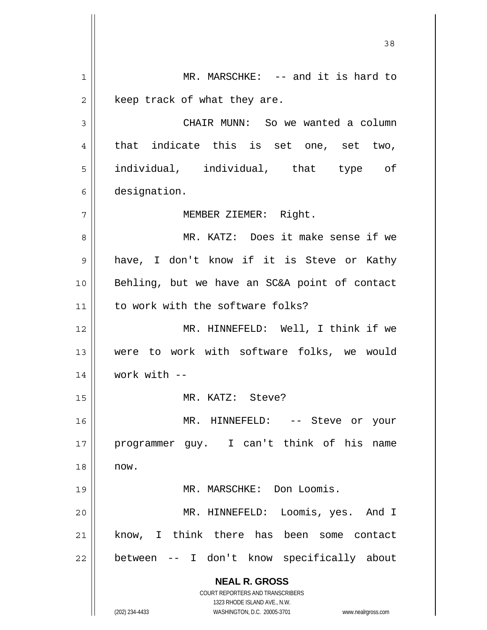**NEAL R. GROSS** COURT REPORTERS AND TRANSCRIBERS 1323 RHODE ISLAND AVE., N.W. (202) 234-4433 WASHINGTON, D.C. 20005-3701 www.nealrgross.com 1 2 3 4 5 6 7 8 9 10 11 12 13 14 15 16 17 18 19 20 21 22 MR. MARSCHKE: -- and it is hard to keep track of what they are. CHAIR MUNN: So we wanted a column that indicate this is set one, set two, individual, individual, that type of designation. MEMBER ZIEMER: Right. MR. KATZ: Does it make sense if we have, I don't know if it is Steve or Kathy Behling, but we have an SC&A point of contact to work with the software folks? MR. HINNEFELD: Well, I think if we were to work with software folks, we would work with -- MR. KATZ: Steve? MR. HINNEFELD: -- Steve or your programmer guy. I can't think of his name now. MR. MARSCHKE: Don Loomis. MR. HINNEFELD: Loomis, yes. And I know, I think there has been some contact between -- I don't know specifically about

<u>38</u>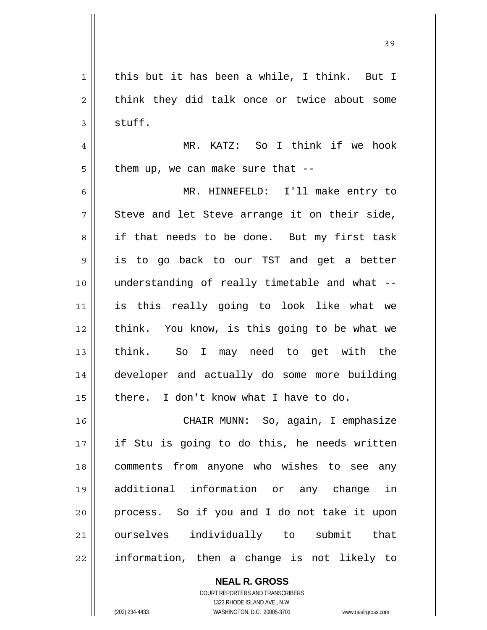39

1 2 3 4 5 6 7 8 9 10 11 12 13 14 15 16 17 18 19 20 21 22 this but it has been a while, I think. But I think they did talk once or twice about some stuff. MR. KATZ: So I think if we hook them up, we can make sure that -- MR. HINNEFELD: I'll make entry to Steve and let Steve arrange it on their side, if that needs to be done. But my first task is to go back to our TST and get a better understanding of really timetable and what - is this really going to look like what we think. You know, is this going to be what we think. So I may need to get with the developer and actually do some more building there. I don't know what I have to do. CHAIR MUNN: So, again, I emphasize if Stu is going to do this, he needs written comments from anyone who wishes to see any additional information or any change in process. So if you and I do not take it upon ourselves individually to submit that information, then a change is not likely to

> **NEAL R. GROSS** COURT REPORTERS AND TRANSCRIBERS

> > 1323 RHODE ISLAND AVE., N.W.

(202) 234-4433 WASHINGTON, D.C. 20005-3701 www.nealrgross.com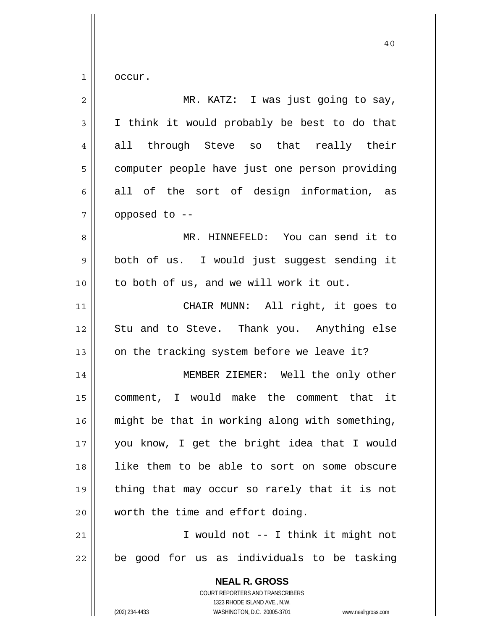$1$ occur.

| $\overline{c}$ | MR. KATZ: I was just going to say,                                                                                                                              |
|----------------|-----------------------------------------------------------------------------------------------------------------------------------------------------------------|
| 3              | I think it would probably be best to do that                                                                                                                    |
| $\overline{4}$ | all through Steve so that really their                                                                                                                          |
| 5              | computer people have just one person providing                                                                                                                  |
| 6              | all of the sort of design information, as                                                                                                                       |
| 7              | opposed to --                                                                                                                                                   |
| 8              | MR. HINNEFELD: You can send it to                                                                                                                               |
| 9              | both of us. I would just suggest sending it                                                                                                                     |
| 10             | to both of us, and we will work it out.                                                                                                                         |
| 11             | CHAIR MUNN: All right, it goes to                                                                                                                               |
| 12             | Stu and to Steve. Thank you. Anything else                                                                                                                      |
| 13             | on the tracking system before we leave it?                                                                                                                      |
| 14             | MEMBER ZIEMER: Well the only other                                                                                                                              |
| 15             | comment, I would make the comment that it                                                                                                                       |
| 16             | might be that in working along with something,                                                                                                                  |
| 17             | you know, I get the bright idea that I would                                                                                                                    |
| 18             | like them to be able to sort on some obscure                                                                                                                    |
| 19             | thing that may occur so rarely that it is not                                                                                                                   |
| 20             | worth the time and effort doing.                                                                                                                                |
| 21             | I would not -- I think it might not                                                                                                                             |
| 22             | be good for us as individuals to be tasking                                                                                                                     |
|                | <b>NEAL R. GROSS</b><br>COURT REPORTERS AND TRANSCRIBERS<br>1323 RHODE ISLAND AVE., N.W.<br>(202) 234-4433<br>WASHINGTON, D.C. 20005-3701<br>www.nealrgross.com |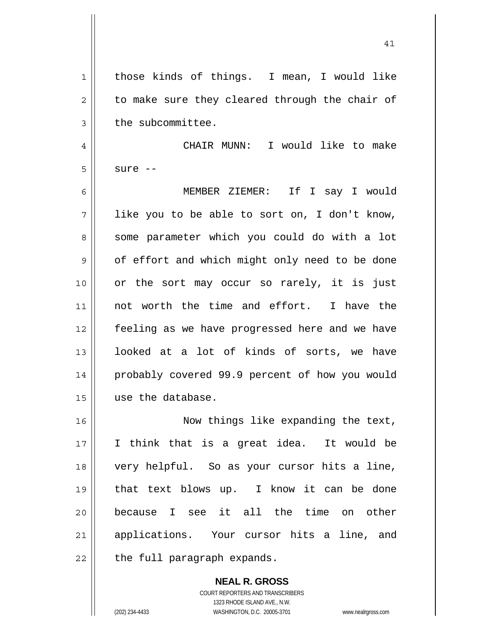41

1 2 3 4 5 6 7 8 9 10 11 12 13 14 15 16 17 18 19 20 21 those kinds of things. I mean, I would like to make sure they cleared through the chair of the subcommittee. CHAIR MUNN: I would like to make sure -- MEMBER ZIEMER: If I say I would like you to be able to sort on, I don't know, some parameter which you could do with a lot of effort and which might only need to be done or the sort may occur so rarely, it is just not worth the time and effort. I have the feeling as we have progressed here and we have looked at a lot of kinds of sorts, we have probably covered 99.9 percent of how you would use the database. Now things like expanding the text, I think that is a great idea. It would be very helpful. So as your cursor hits a line, that text blows up. I know it can be done because I see it all the time on other applications. Your cursor hits a line, and

22 the full paragraph expands.

> **NEAL R. GROSS** COURT REPORTERS AND TRANSCRIBERS 1323 RHODE ISLAND AVE., N.W. (202) 234-4433 WASHINGTON, D.C. 20005-3701 www.nealrgross.com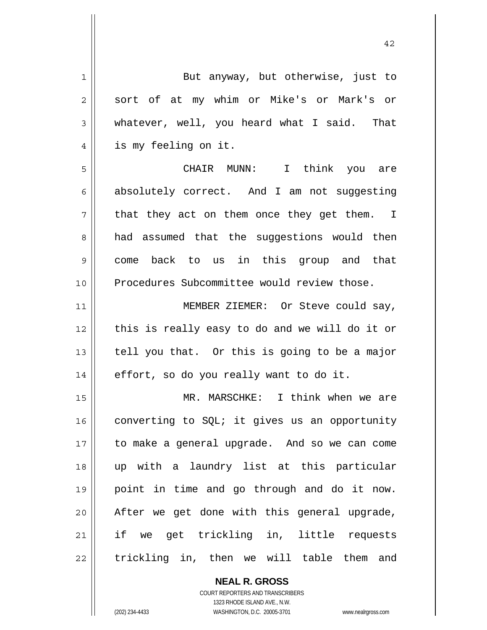| 1           | But anyway, but otherwise, just to             |
|-------------|------------------------------------------------|
| 2           | sort of at my whim or Mike's or Mark's or      |
| 3           | whatever, well, you heard what I said. That    |
| 4           | is my feeling on it.                           |
| 5           | CHAIR MUNN: I think you are                    |
| 6           | absolutely correct. And I am not suggesting    |
| 7           | that they act on them once they get them. I    |
| 8           | had assumed that the suggestions would then    |
| $\mathsf 9$ | come back to us in this group and that         |
| 10          | Procedures Subcommittee would review those.    |
| 11          | MEMBER ZIEMER: Or Steve could say,             |
| 12          | this is really easy to do and we will do it or |
| 13          | tell you that. Or this is going to be a major  |
| 14          | effort, so do you really want to do it.        |
| 15          | MR. MARSCHKE: I think when we are              |
| 16          | converting to SQL; it gives us an opportunity  |
| 17          | to make a general upgrade. And so we can come  |
| 18          | up with a laundry list at this particular      |
| 19          | point in time and go through and do it now.    |
| 20          | After we get done with this general upgrade,   |
| 21          | if we get trickling in, little requests        |
| 22          | trickling in, then we will table them and      |

**NEAL R. GROSS** COURT REPORTERS AND TRANSCRIBERS

1323 RHODE ISLAND AVE., N.W.

(202) 234-4433 WASHINGTON, D.C. 20005-3701 www.nealrgross.com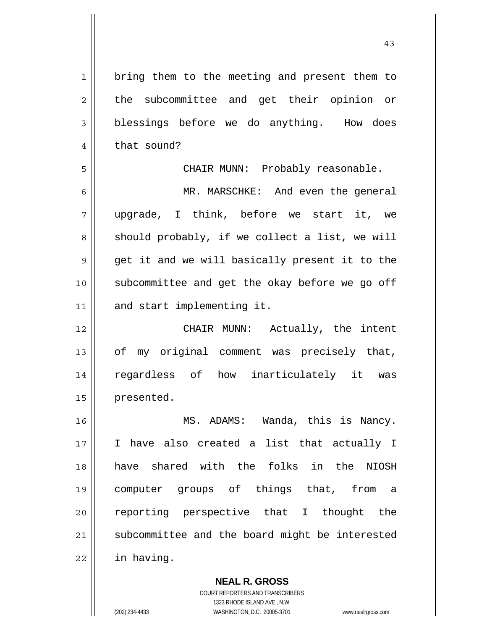1 2 3 4 5 6 7 8 9 10 11 12 13 14 15 16 17 18 19 20 21 22 bring them to the meeting and present them to the subcommittee and get their opinion or blessings before we do anything. How does that sound? CHAIR MUNN: Probably reasonable. MR. MARSCHKE: And even the general upgrade, I think, before we start it, we should probably, if we collect a list, we will get it and we will basically present it to the subcommittee and get the okay before we go off and start implementing it. CHAIR MUNN: Actually, the intent of my original comment was precisely that, regardless of how inarticulately it was presented. MS. ADAMS: Wanda, this is Nancy. I have also created a list that actually I have shared with the folks in the NIOSH computer groups of things that, from a reporting perspective that I thought the subcommittee and the board might be interested in having.

43

**NEAL R. GROSS** COURT REPORTERS AND TRANSCRIBERS 1323 RHODE ISLAND AVE., N.W. (202) 234-4433 WASHINGTON, D.C. 20005-3701 www.nealrgross.com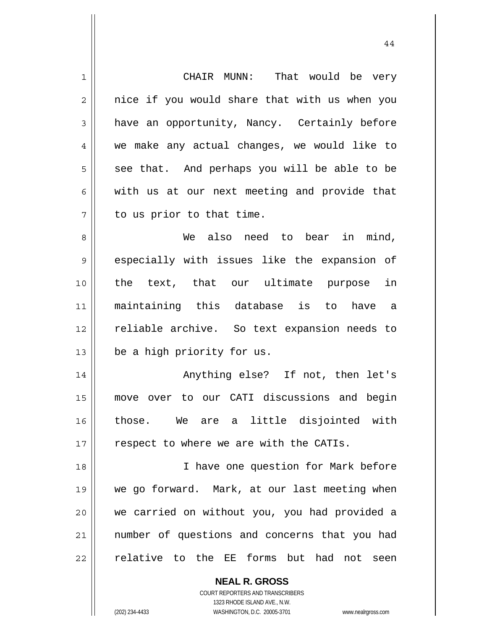| $\mathbf 1$    | That would be very<br>CHAIR MUNN:              |
|----------------|------------------------------------------------|
| $\overline{2}$ | nice if you would share that with us when you  |
| 3              | have an opportunity, Nancy. Certainly before   |
| $\overline{4}$ | we make any actual changes, we would like to   |
| 5              | see that. And perhaps you will be able to be   |
| 6              | with us at our next meeting and provide that   |
| 7              | to us prior to that time.                      |
| 8              | We also need to bear in mind,                  |
| 9              | especially with issues like the expansion of   |
| 10             | the text, that our ultimate purpose in         |
| 11             | maintaining this database is to have a         |
| 12             | reliable archive. So text expansion needs to   |
| 13             | be a high priority for us.                     |
| 14             | Anything else? If not, then let's              |
| 15             | over to our CATI discussions and begin<br>move |
| 16             | those. We are a little disjointed with         |
| 17             | respect to where we are with the CATIs.        |
| 18             | I have one question for Mark before            |
| 19             | we go forward. Mark, at our last meeting when  |
| 20             | we carried on without you, you had provided a  |
| 21             | number of questions and concerns that you had  |
| 22             | relative to the EE forms but had not seen      |
|                | <b>NEAL R. GROSS</b>                           |

44

COURT REPORTERS AND TRANSCRIBERS 1323 RHODE ISLAND AVE., N.W.

 $\prod$ 

(202) 234-4433 WASHINGTON, D.C. 20005-3701 www.nealrgross.com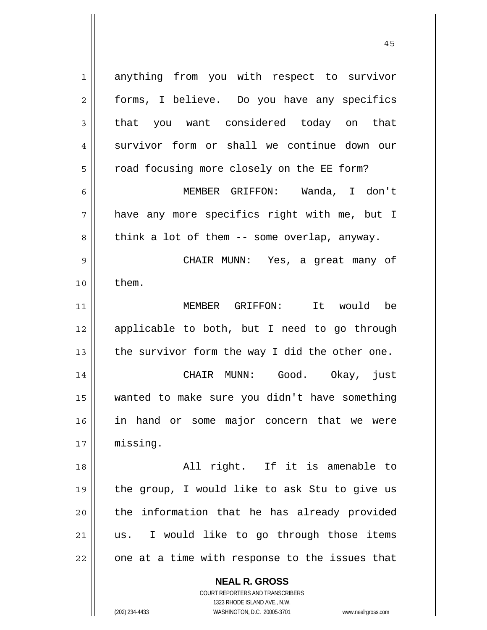1 2 3 4 5 6 7 8 9 10 11 12 13 14 15 16 17 18 19 20 21 22 anything from you with respect to survivor forms, I believe. Do you have any specifics that you want considered today on that survivor form or shall we continue down our road focusing more closely on the EE form? MEMBER GRIFFON: Wanda, I don't have any more specifics right with me, but I think a lot of them -- some overlap, anyway. CHAIR MUNN: Yes, a great many of them. MEMBER GRIFFON: It would be applicable to both, but I need to go through the survivor form the way I did the other one. CHAIR MUNN: Good. Okay, just wanted to make sure you didn't have something in hand or some major concern that we were missing. All right. If it is amenable to the group, I would like to ask Stu to give us the information that he has already provided us. I would like to go through those items one at a time with response to the issues that

45

**NEAL R. GROSS** COURT REPORTERS AND TRANSCRIBERS

1323 RHODE ISLAND AVE., N.W.

(202) 234-4433 WASHINGTON, D.C. 20005-3701 www.nealrgross.com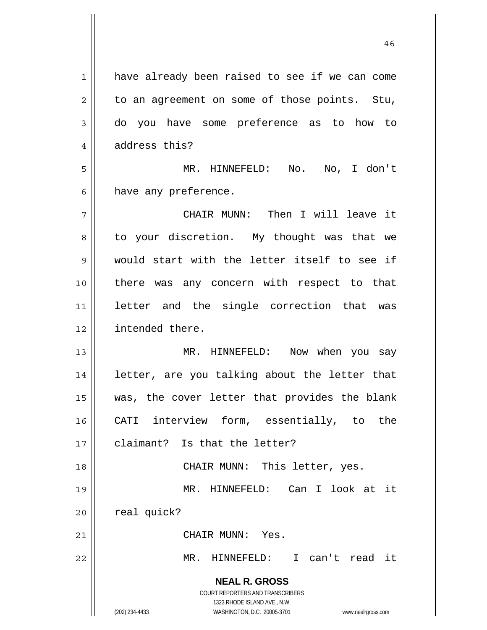**NEAL R. GROSS** COURT REPORTERS AND TRANSCRIBERS 1323 RHODE ISLAND AVE., N.W. (202) 234-4433 WASHINGTON, D.C. 20005-3701 www.nealrgross.com 1 2 3 4 5 6 7 8 9 10 11 12 13 14 15 16 17 18 19 20 21 22 have already been raised to see if we can come to an agreement on some of those points. Stu, do you have some preference as to how to address this? MR. HINNEFELD: No. No, I don't have any preference. CHAIR MUNN: Then I will leave it to your discretion. My thought was that we would start with the letter itself to see if there was any concern with respect to that letter and the single correction that was intended there. MR. HINNEFELD: Now when you say letter, are you talking about the letter that was, the cover letter that provides the blank CATI interview form, essentially, to the claimant? Is that the letter? CHAIR MUNN: This letter, yes. MR. HINNEFELD: Can I look at it real quick? CHAIR MUNN: Yes. MR. HINNEFELD: I can't read it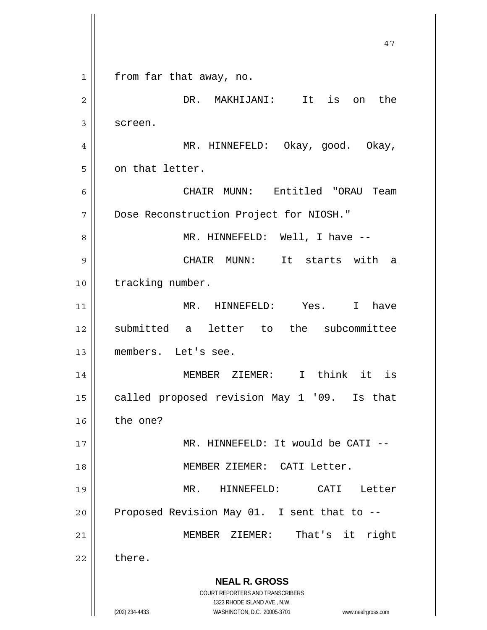**NEAL R. GROSS** COURT REPORTERS AND TRANSCRIBERS 1323 RHODE ISLAND AVE., N.W. (202) 234-4433 WASHINGTON, D.C. 20005-3701 www.nealrgross.com 47 1 2 3 4 5 6 7 8 9 10 11 12 13 14 15 16 17 18 19 20 21 22 from far that away, no. DR. MAKHIJANI: It is on the screen. MR. HINNEFELD: Okay, good. Okay, on that letter. CHAIR MUNN: Entitled "ORAU Team Dose Reconstruction Project for NIOSH." MR. HINNEFELD: Well, I have -- CHAIR MUNN: It starts with a tracking number. MR. HINNEFELD: Yes. I have submitted a letter to the subcommittee members. Let's see. MEMBER ZIEMER: I think it is called proposed revision May 1 '09. Is that the one? MR. HINNEFELD: It would be CATI -- MEMBER ZIEMER: CATI Letter. MR. HINNEFELD: CATI Letter Proposed Revision May 01. I sent that to -- MEMBER ZIEMER: That's it right there.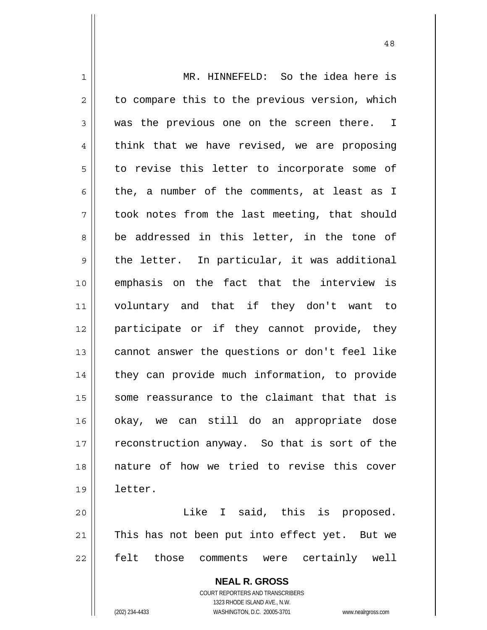1 2 3 4 5 6 7 8 9 10 11 12 13 14 15 16 17 18 19 20 21 MR. HINNEFELD: So the idea here is to compare this to the previous version, which was the previous one on the screen there. I think that we have revised, we are proposing to revise this letter to incorporate some of the, a number of the comments, at least as I took notes from the last meeting, that should be addressed in this letter, in the tone of the letter. In particular, it was additional emphasis on the fact that the interview is voluntary and that if they don't want to participate or if they cannot provide, they cannot answer the questions or don't feel like they can provide much information, to provide some reassurance to the claimant that that is okay, we can still do an appropriate dose reconstruction anyway. So that is sort of the nature of how we tried to revise this cover letter. Like I said, this is proposed. This has not been put into effect yet. But we

felt those comments were certainly well

22

**NEAL R. GROSS** COURT REPORTERS AND TRANSCRIBERS 1323 RHODE ISLAND AVE., N.W.

(202) 234-4433 WASHINGTON, D.C. 20005-3701 www.nealrgross.com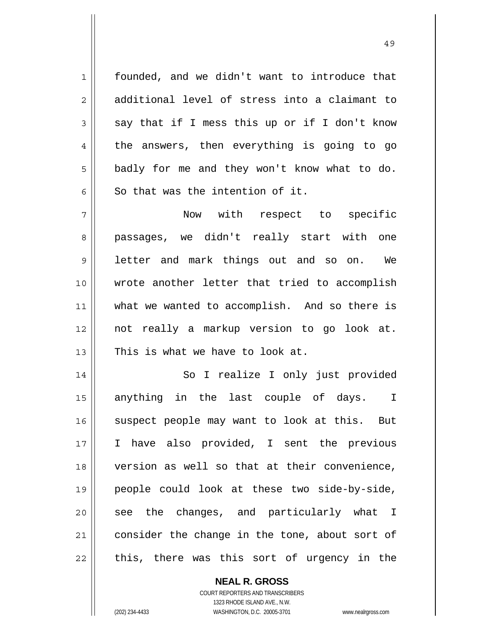1 founded, and we didn't want to introduce that additional level of stress into a claimant to say that if I mess this up or if I don't know the answers, then everything is going to go badly for me and they won't know what to do. So that was the intention of it.

7 8 9 10 11 12 13 Now with respect to specific passages, we didn't really start with one letter and mark things out and so on. We wrote another letter that tried to accomplish what we wanted to accomplish. And so there is not really a markup version to go look at. This is what we have to look at.

14 15 16 17 18 19 20 21 22 So I realize I only just provided anything in the last couple of days. I suspect people may want to look at this. But I have also provided, I sent the previous version as well so that at their convenience, people could look at these two side-by-side, see the changes, and particularly what I consider the change in the tone, about sort of this, there was this sort of urgency in the

> **NEAL R. GROSS** COURT REPORTERS AND TRANSCRIBERS 1323 RHODE ISLAND AVE., N.W.

2

3

4

5

6

(202) 234-4433 WASHINGTON, D.C. 20005-3701 www.nealrgross.com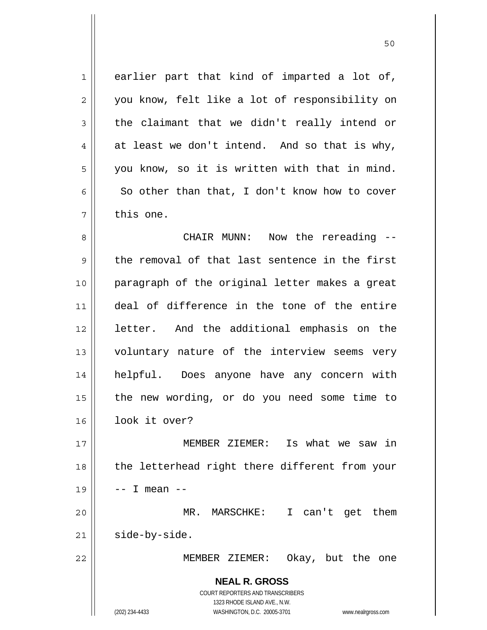1 7 earlier part that kind of imparted a lot of, you know, felt like a lot of responsibility on the claimant that we didn't really intend or at least we don't intend. And so that is why, you know, so it is written with that in mind. So other than that, I don't know how to cover this one.

50

8 9 10 11 12 13 14 15 16 CHAIR MUNN: Now the rereading - the removal of that last sentence in the first paragraph of the original letter makes a great deal of difference in the tone of the entire letter. And the additional emphasis on the voluntary nature of the interview seems very helpful. Does anyone have any concern with the new wording, or do you need some time to look it over?

17 18 19 20 21 MEMBER ZIEMER: Is what we saw in the letterhead right there different from your -- I mean -- MR. MARSCHKE: I can't get them side-by-side.

MEMBER ZIEMER: Okay, but the one

**NEAL R. GROSS** COURT REPORTERS AND TRANSCRIBERS 1323 RHODE ISLAND AVE., N.W.

22

2

3

4

5

6

(202) 234-4433 WASHINGTON, D.C. 20005-3701 www.nealrgross.com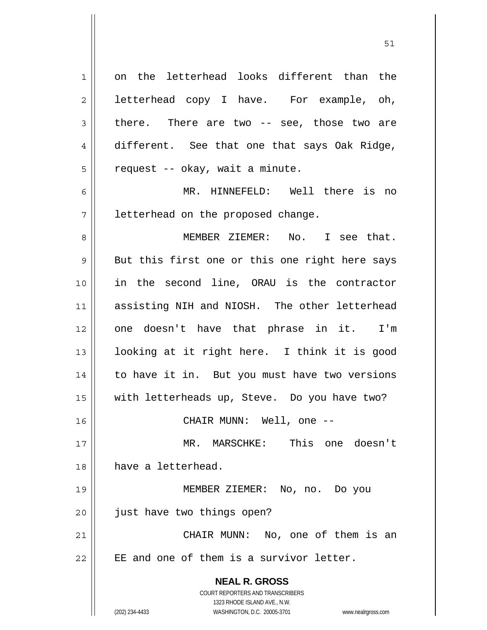**NEAL R. GROSS** COURT REPORTERS AND TRANSCRIBERS 1323 RHODE ISLAND AVE., N.W. (202) 234-4433 WASHINGTON, D.C. 20005-3701 www.nealrgross.com 1 2 3 4 5 6 7 8 9 10 11 12 13 14 15 16 17 18 19 20 21 22 on the letterhead looks different than the letterhead copy I have. For example, oh, there. There are two -- see, those two are different. See that one that says Oak Ridge, request -- okay, wait a minute. MR. HINNEFELD: Well there is no letterhead on the proposed change. MEMBER ZIEMER: No. I see that. But this first one or this one right here says in the second line, ORAU is the contractor assisting NIH and NIOSH. The other letterhead one doesn't have that phrase in it. I'm looking at it right here. I think it is good to have it in. But you must have two versions with letterheads up, Steve. Do you have two? CHAIR MUNN: Well, one -- MR. MARSCHKE: This one doesn't have a letterhead. MEMBER ZIEMER: No, no. Do you just have two things open? CHAIR MUNN: No, one of them is an EE and one of them is a survivor letter.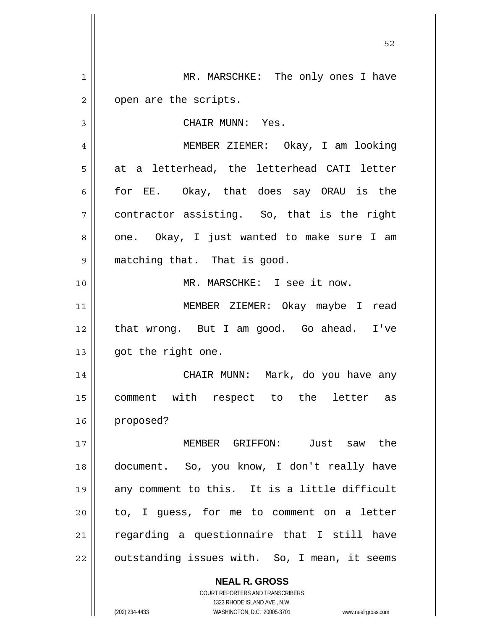**NEAL R. GROSS** COURT REPORTERS AND TRANSCRIBERS 1323 RHODE ISLAND AVE., N.W. 1 2 3 4 5 6 7 8 9 10 11 12 13 14 15 16 17 18 19 20 21 22 MR. MARSCHKE: The only ones I have open are the scripts. CHAIR MUNN: Yes. MEMBER ZIEMER: Okay, I am looking at a letterhead, the letterhead CATI letter for EE. Okay, that does say ORAU is the contractor assisting. So, that is the right one. Okay, I just wanted to make sure I am matching that. That is good. MR. MARSCHKE: I see it now. MEMBER ZIEMER: Okay maybe I read that wrong. But I am good. Go ahead. I've got the right one. CHAIR MUNN: Mark, do you have any comment with respect to the letter as proposed? MEMBER GRIFFON: Just saw the document. So, you know, I don't really have any comment to this. It is a little difficult to, I guess, for me to comment on a letter regarding a questionnaire that I still have outstanding issues with. So, I mean, it seems

(202) 234-4433 WASHINGTON, D.C. 20005-3701 www.nealrgross.com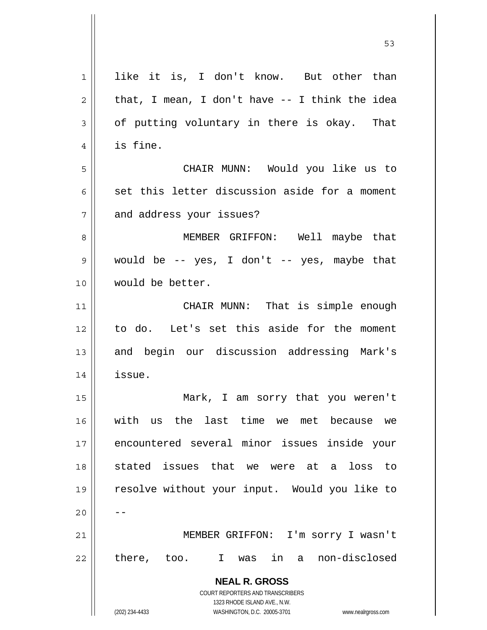| 1  | like it is, I don't know. But other than                            |
|----|---------------------------------------------------------------------|
| 2  | that, I mean, I don't have $-$ I think the idea                     |
| 3  | of putting voluntary in there is okay. That                         |
| 4  | is fine.                                                            |
| 5  | CHAIR MUNN: Would you like us to                                    |
| 6  | set this letter discussion aside for a moment                       |
| 7  | and address your issues?                                            |
| 8  | MEMBER GRIFFON: Well maybe that                                     |
| 9  | would be $-$ yes, I don't $-$ yes, maybe that                       |
| 10 | would be better.                                                    |
| 11 | CHAIR MUNN: That is simple enough                                   |
| 12 | to do. Let's set this aside for the moment                          |
| 13 | and begin our discussion addressing Mark's                          |
| 14 | issue.                                                              |
| 15 | Mark, I am sorry that you weren't                                   |
| 16 | us the last time<br>with<br>we met<br>because<br>we                 |
| 17 | encountered several minor issues inside your                        |
| 18 | stated issues that we were at a loss<br>to                          |
| 19 | resolve without your input. Would you like to                       |
| 20 |                                                                     |
| 21 | MEMBER GRIFFON: I'm sorry I wasn't                                  |
| 22 | there, too. I was in a non-disclosed                                |
|    | <b>NEAL R. GROSS</b>                                                |
|    | COURT REPORTERS AND TRANSCRIBERS                                    |
|    | 1323 RHODE ISLAND AVE., N.W.                                        |
|    | (202) 234-4433<br>WASHINGTON, D.C. 20005-3701<br>www.nealrgross.com |

 $\sim$  53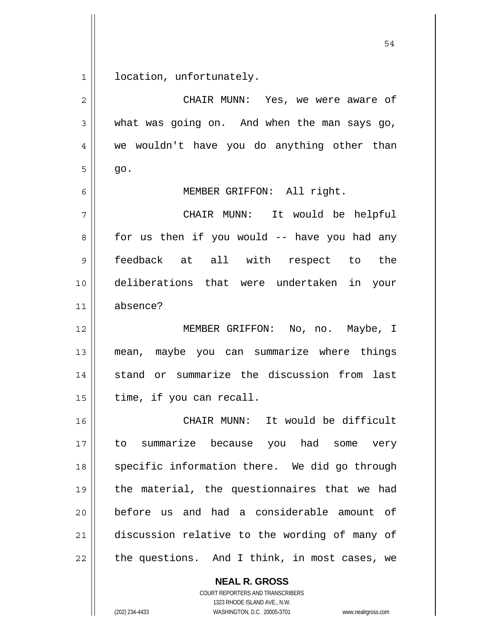1 location, unfortunately.

| CHAIR MUNN: Yes, we were aware of             |
|-----------------------------------------------|
| what was going on. And when the man says go,  |
| we wouldn't have you do anything other than   |
| go.                                           |
| MEMBER GRIFFON: All right.                    |
| CHAIR MUNN: It would be helpful               |
| for us then if you would -- have you had any  |
| feedback at all with respect to the           |
| deliberations that were undertaken in your    |
| absence?                                      |
| MEMBER GRIFFON: No, no. Maybe, I              |
| mean, maybe you can summarize where things    |
| stand or summarize the discussion from last   |
| time, if you can recall.                      |
| CHAIR MUNN: It would be difficult             |
| to summarize because you had some very        |
| specific information there. We did go through |
| the material, the questionnaires that we had  |
| before us and had a considerable amount of    |
| discussion relative to the wording of many of |
|                                               |
|                                               |

**NEAL R. GROSS**

COURT REPORTERS AND TRANSCRIBERS 1323 RHODE ISLAND AVE., N.W. (202) 234-4433 WASHINGTON, D.C. 20005-3701 www.nealrgross.com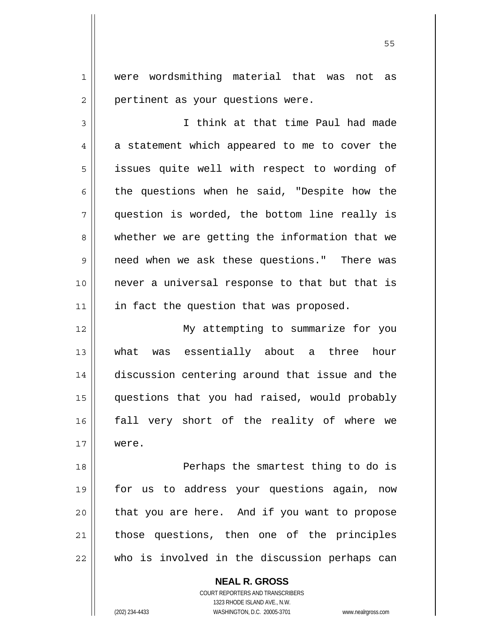were wordsmithing material that was not as pertinent as your questions were.

3 4 5 6 7 8 9 10 11 I think at that time Paul had made a statement which appeared to me to cover the issues quite well with respect to wording of the questions when he said, "Despite how the question is worded, the bottom line really is whether we are getting the information that we need when we ask these questions." There was never a universal response to that but that is in fact the question that was proposed.

12 13 14 15 16 17 My attempting to summarize for you what was essentially about a three hour discussion centering around that issue and the questions that you had raised, would probably fall very short of the reality of where we were.

18 19 20 21 22 Perhaps the smartest thing to do is for us to address your questions again, now that you are here. And if you want to propose those questions, then one of the principles who is involved in the discussion perhaps can

**NEAL R. GROSS**

COURT REPORTERS AND TRANSCRIBERS 1323 RHODE ISLAND AVE., N.W. (202) 234-4433 WASHINGTON, D.C. 20005-3701 www.nealrgross.com

1

2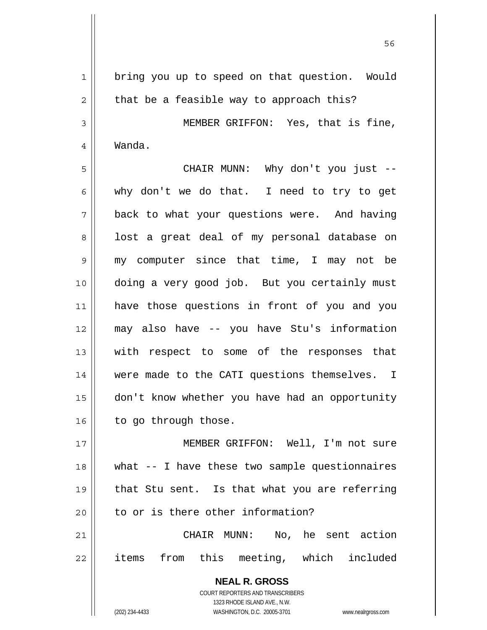**NEAL R. GROSS** 1 2 3 4 5 6 7 8 9 10 11 12 13 14 15 16 17 18 19 20 21 22 bring you up to speed on that question. Would that be a feasible way to approach this? MEMBER GRIFFON: Yes, that is fine, Wanda. CHAIR MUNN: Why don't you just - why don't we do that. I need to try to get back to what your questions were. And having lost a great deal of my personal database on my computer since that time, I may not be doing a very good job. But you certainly must have those questions in front of you and you may also have -- you have Stu's information with respect to some of the responses that were made to the CATI questions themselves. I don't know whether you have had an opportunity to go through those. MEMBER GRIFFON: Well, I'm not sure what -- I have these two sample questionnaires that Stu sent. Is that what you are referring to or is there other information? CHAIR MUNN: No, he sent action items from this meeting, which included

 $56$ 

COURT REPORTERS AND TRANSCRIBERS 1323 RHODE ISLAND AVE., N.W.

(202) 234-4433 WASHINGTON, D.C. 20005-3701 www.nealrgross.com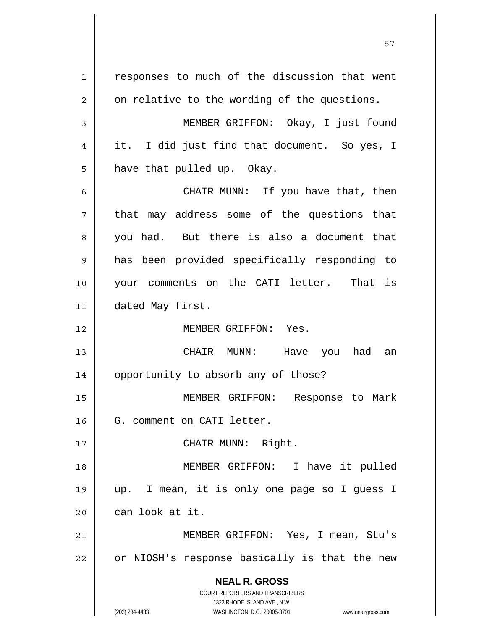**NEAL R. GROSS** COURT REPORTERS AND TRANSCRIBERS 1323 RHODE ISLAND AVE., N.W. (202) 234-4433 WASHINGTON, D.C. 20005-3701 www.nealrgross.com 1 2 3 4 5 6 7 8 9 10 11 12 13 14 15 16 17 18 19 20 21 22 responses to much of the discussion that went on relative to the wording of the questions. MEMBER GRIFFON: Okay, I just found it. I did just find that document. So yes, I have that pulled up. Okay. CHAIR MUNN: If you have that, then that may address some of the questions that you had. But there is also a document that has been provided specifically responding to your comments on the CATI letter. That is dated May first. MEMBER GRIFFON: Yes. CHAIR MUNN: Have you had an opportunity to absorb any of those? MEMBER GRIFFON: Response to Mark G. comment on CATI letter. CHAIR MUNN: Right. MEMBER GRIFFON: I have it pulled up. I mean, it is only one page so I guess I can look at it. MEMBER GRIFFON: Yes, I mean, Stu's or NIOSH's response basically is that the new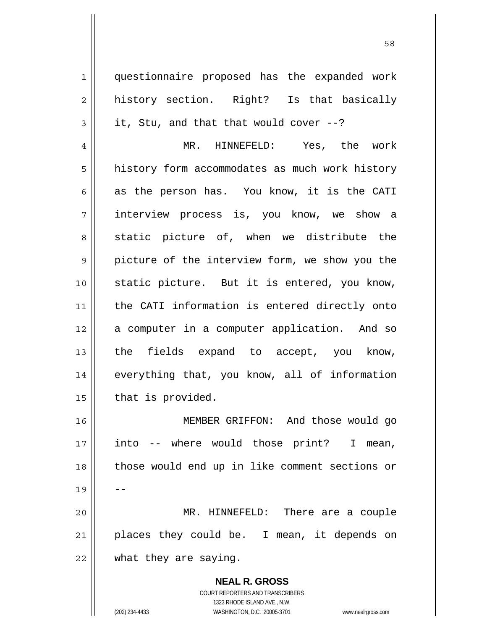1 2 3 4 5 6 7 8 9 10 11 12 13 14 15 16 17 18 19 20 21 22 questionnaire proposed has the expanded work history section. Right? Is that basically it, Stu, and that that would cover --? MR. HINNEFELD: Yes, the work history form accommodates as much work history as the person has. You know, it is the CATI interview process is, you know, we show a static picture of, when we distribute the picture of the interview form, we show you the static picture. But it is entered, you know, the CATI information is entered directly onto a computer in a computer application. And so the fields expand to accept, you know, everything that, you know, all of information that is provided. MEMBER GRIFFON: And those would go into -- where would those print? I mean, those would end up in like comment sections or -- MR. HINNEFELD: There are a couple places they could be. I mean, it depends on what they are saying.

58

**NEAL R. GROSS** COURT REPORTERS AND TRANSCRIBERS 1323 RHODE ISLAND AVE., N.W. (202) 234-4433 WASHINGTON, D.C. 20005-3701 www.nealrgross.com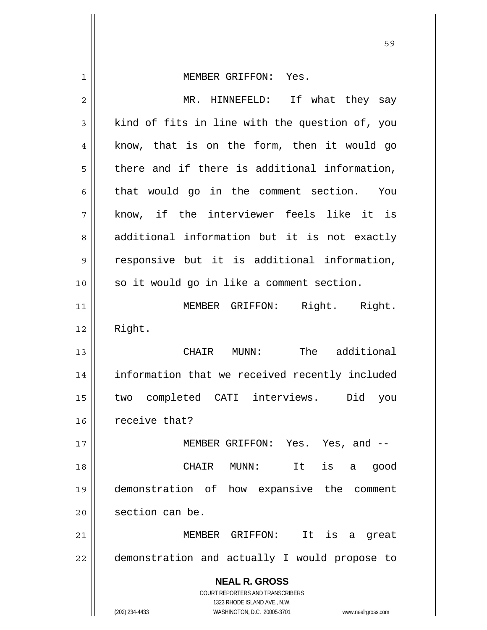| 1  | MEMBER GRIFFON: Yes.                                                                                |
|----|-----------------------------------------------------------------------------------------------------|
| 2  | MR. HINNEFELD: If what they say                                                                     |
| 3  | kind of fits in line with the question of, you                                                      |
| 4  | know, that is on the form, then it would go                                                         |
| 5  | there and if there is additional information,                                                       |
| 6  | that would go in the comment section. You                                                           |
| 7  | know, if the interviewer feels like it is                                                           |
| 8  | additional information but it is not exactly                                                        |
| 9  | responsive but it is additional information,                                                        |
| 10 | so it would go in like a comment section.                                                           |
| 11 | MEMBER GRIFFON: Right. Right.                                                                       |
| 12 | Right.                                                                                              |
| 13 | CHAIR MUNN: The additional                                                                          |
| 14 | information that we received recently included                                                      |
| 15 | two completed CATI interviews.<br>Did<br>you                                                        |
| 16 | receive that?                                                                                       |
| 17 | MEMBER GRIFFON: Yes. Yes, and --                                                                    |
| 18 | $MUNN$ :<br>is<br>CHAIR<br>It<br>good<br>a                                                          |
| 19 | demonstration of how expansive the<br>comment                                                       |
| 20 | section can be.                                                                                     |
| 21 | MEMBER GRIFFON:<br>It<br>is<br>great<br>а                                                           |
| 22 | demonstration and actually I would propose to                                                       |
|    | <b>NEAL R. GROSS</b>                                                                                |
|    | <b>COURT REPORTERS AND TRANSCRIBERS</b>                                                             |
|    | 1323 RHODE ISLAND AVE., N.W.<br>(202) 234-4433<br>WASHINGTON, D.C. 20005-3701<br>www.nealrgross.com |

<u>59 September 2005 September 2005 September 2005 September 2005 September 2005 September 2005 September 2005 S</u>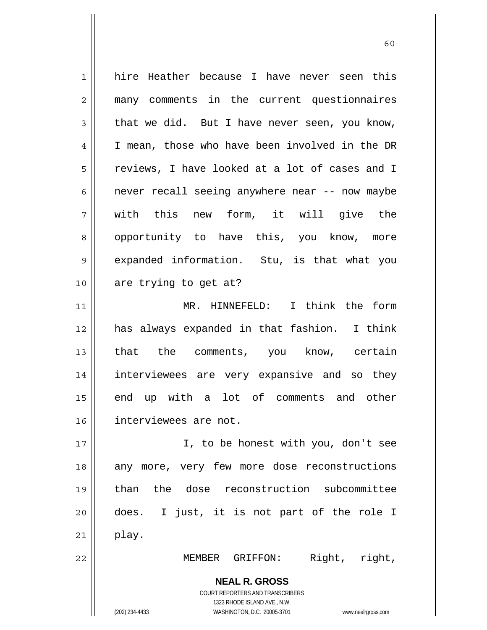**NEAL R. GROSS** COURT REPORTERS AND TRANSCRIBERS 1323 RHODE ISLAND AVE., N.W. (202) 234-4433 WASHINGTON, D.C. 20005-3701 www.nealrgross.com 1 2 3 4 5 6 7 8 9 10 11 12 13 14 15 16 17 18 19 20 21 22 hire Heather because I have never seen this many comments in the current questionnaires that we did. But I have never seen, you know, I mean, those who have been involved in the DR reviews, I have looked at a lot of cases and I never recall seeing anywhere near -- now maybe with this new form, it will give the opportunity to have this, you know, more expanded information. Stu, is that what you are trying to get at? MR. HINNEFELD: I think the form has always expanded in that fashion. I think that the comments, you know, certain interviewees are very expansive and so they end up with a lot of comments and other interviewees are not. I, to be honest with you, don't see any more, very few more dose reconstructions than the dose reconstruction subcommittee does. I just, it is not part of the role I play. MEMBER GRIFFON: Right, right,

 $\sim$  60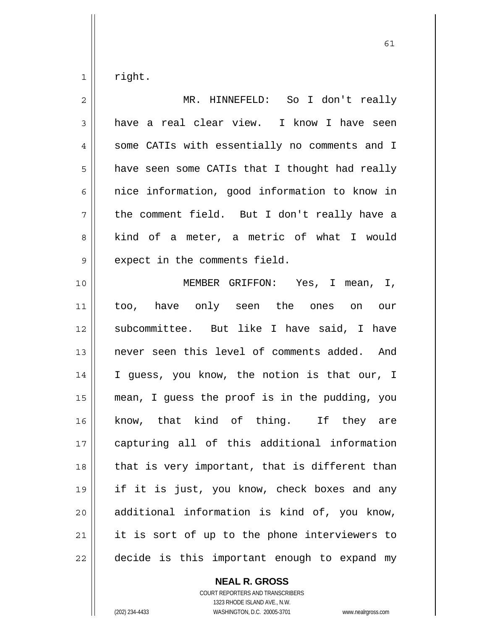1 right.

| $\overline{c}$ | MR. HINNEFELD: So I don't really               |
|----------------|------------------------------------------------|
| 3              | have a real clear view. I know I have seen     |
| $\overline{4}$ | some CATIs with essentially no comments and I  |
| 5              | have seen some CATIs that I thought had really |
| 6              | nice information, good information to know in  |
| 7              | the comment field. But I don't really have a   |
| 8              | kind of a meter, a metric of what I would      |
| 9              | expect in the comments field.                  |
| 10             | MEMBER GRIFFON: Yes, I mean, I,                |
| 11             | too, have only seen the ones on our            |
| 12             | subcommittee. But like I have said, I have     |
| 13             | never seen this level of comments added. And   |
| 14             | I guess, you know, the notion is that our, I   |
| 15             | mean, I guess the proof is in the pudding, you |
| 16             | know, that kind of thing. If they are          |
| 17             | capturing all of this additional information   |
| 18             | that is very important, that is different than |
| 19             | if it is just, you know, check boxes and any   |
| 20             | additional information is kind of, you know,   |
| 21             | it is sort of up to the phone interviewers to  |
| 22             | decide is this important enough to expand my   |

**NEAL R. GROSS**

COURT REPORTERS AND TRANSCRIBERS 1323 RHODE ISLAND AVE., N.W. (202) 234-4433 WASHINGTON, D.C. 20005-3701 www.nealrgross.com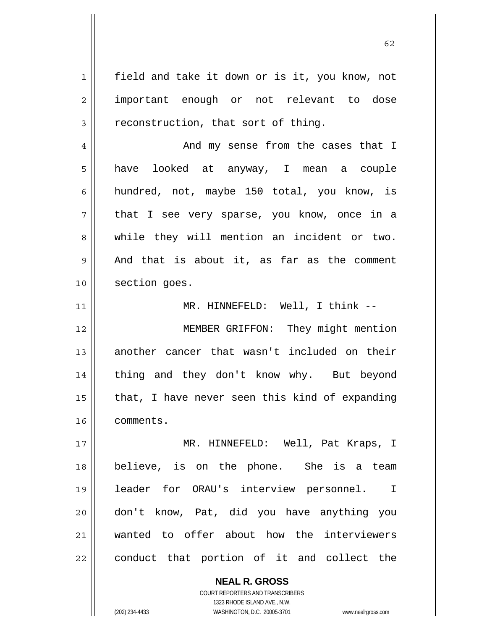1 2 3 4 5 6 7 8 9 10 11 12 13 14 15 16 17 18 19 20 21 22 field and take it down or is it, you know, not important enough or not relevant to dose reconstruction, that sort of thing. And my sense from the cases that I have looked at anyway, I mean a couple hundred, not, maybe 150 total, you know, is that I see very sparse, you know, once in a while they will mention an incident or two. And that is about it, as far as the comment section goes. MR. HINNEFELD: Well, I think -- MEMBER GRIFFON: They might mention another cancer that wasn't included on their thing and they don't know why. But beyond that, I have never seen this kind of expanding comments. MR. HINNEFELD: Well, Pat Kraps, I believe, is on the phone. She is a team leader for ORAU's interview personnel. I don't know, Pat, did you have anything you wanted to offer about how the interviewers conduct that portion of it and collect the

> **NEAL R. GROSS** COURT REPORTERS AND TRANSCRIBERS 1323 RHODE ISLAND AVE., N.W.

(202) 234-4433 WASHINGTON, D.C. 20005-3701 www.nealrgross.com

 $\sim$  62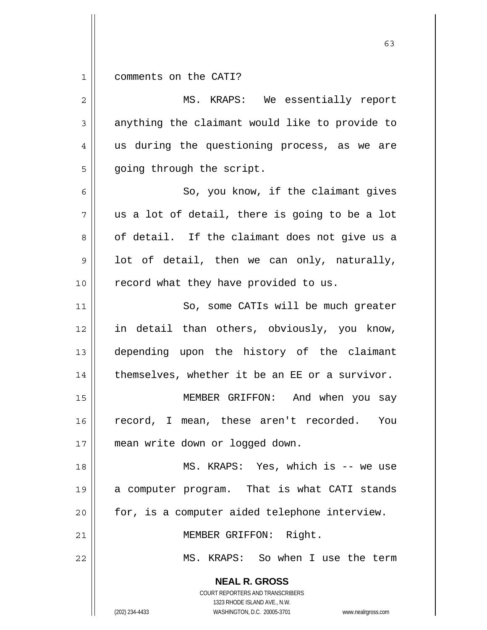1 comments on the CATI?

| $\mathbf{2}$   | MS. KRAPS: We essentially report                                                                                                                                       |
|----------------|------------------------------------------------------------------------------------------------------------------------------------------------------------------------|
| $\mathfrak{Z}$ | anything the claimant would like to provide to                                                                                                                         |
| 4              | us during the questioning process, as we are                                                                                                                           |
| 5              | going through the script.                                                                                                                                              |
| 6              | So, you know, if the claimant gives                                                                                                                                    |
| 7              | us a lot of detail, there is going to be a lot                                                                                                                         |
| 8              | of detail. If the claimant does not give us a                                                                                                                          |
| $\mathsf 9$    | lot of detail, then we can only, naturally,                                                                                                                            |
| 10             | record what they have provided to us.                                                                                                                                  |
| 11             | So, some CATIs will be much greater                                                                                                                                    |
| 12             | in detail than others, obviously, you know,                                                                                                                            |
| 13             | depending upon the history of the claimant                                                                                                                             |
| 14             | themselves, whether it be an EE or a survivor.                                                                                                                         |
| 15             | MEMBER GRIFFON: And when you say                                                                                                                                       |
| 16             | record, I mean, these aren't recorded.<br>You                                                                                                                          |
| 17             | mean write down or logged down.                                                                                                                                        |
| 18             | MS. KRAPS: Yes, which is -- we use                                                                                                                                     |
| 19             | a computer program. That is what CATI stands                                                                                                                           |
| 20             | for, is a computer aided telephone interview.                                                                                                                          |
| 21             | MEMBER GRIFFON: Right.                                                                                                                                                 |
| 22             | MS. KRAPS: So when I use the term                                                                                                                                      |
|                | <b>NEAL R. GROSS</b><br><b>COURT REPORTERS AND TRANSCRIBERS</b><br>1323 RHODE ISLAND AVE., N.W.<br>(202) 234-4433<br>WASHINGTON, D.C. 20005-3701<br>www.nealrgross.com |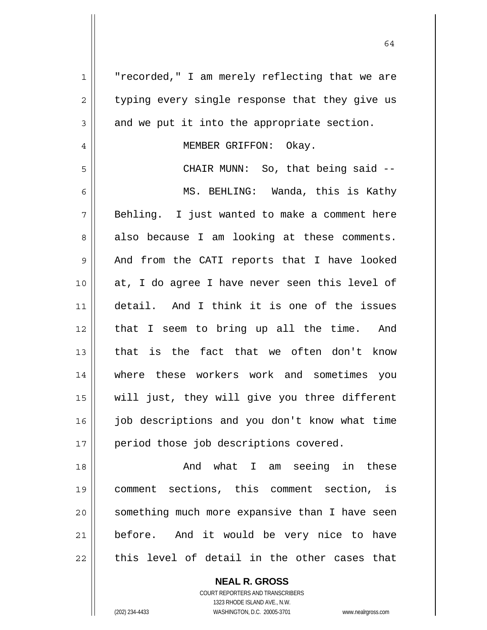| $\mathbf{1}$   | "recorded," I am merely reflecting that we are |
|----------------|------------------------------------------------|
| $\overline{2}$ | typing every single response that they give us |
| 3              | and we put it into the appropriate section.    |
| $\overline{4}$ | MEMBER GRIFFON: Okay.                          |
| 5              | CHAIR MUNN: So, that being said --             |
| 6              | MS. BEHLING: Wanda, this is Kathy              |
| 7              | Behling. I just wanted to make a comment here  |
| 8              | also because I am looking at these comments.   |
| $\mathsf 9$    | And from the CATI reports that I have looked   |
| 10             | at, I do agree I have never seen this level of |
| 11             | detail. And I think it is one of the issues    |
| 12             | that I seem to bring up all the time. And      |
| 13             | that is the fact that we often don't know      |
| 14             | where these workers work and sometimes you     |
| 15             | will just, they will give you three different  |
| 16             | job descriptions and you don't know what time  |
| 17             | period those job descriptions covered.         |
| 18             | And what I am seeing in these                  |
| 19             | comment sections, this comment section, is     |
| 20             | something much more expansive than I have seen |
| 21             | before. And it would be very nice to have      |
| 22             | this level of detail in the other cases that   |

64

COURT REPORTERS AND TRANSCRIBERS 1323 RHODE ISLAND AVE., N.W. (202) 234-4433 WASHINGTON, D.C. 20005-3701 www.nealrgross.com

**NEAL R. GROSS**

 $\mathsf{II}$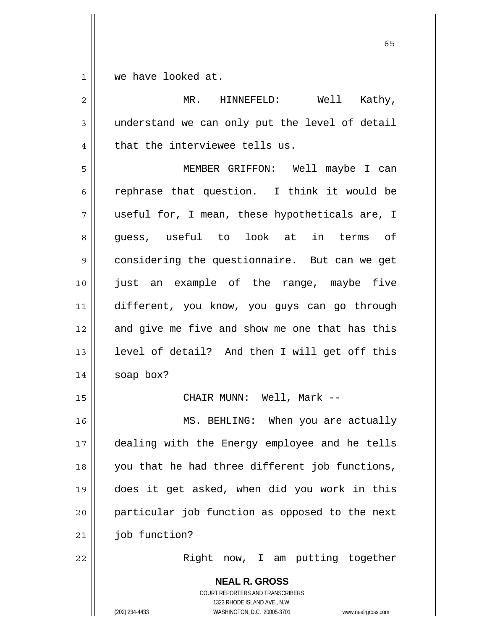1 we have looked at.

| $\overline{2}$ | MR. HINNEFELD: Well<br>Kathy,                                                                                                                                   |
|----------------|-----------------------------------------------------------------------------------------------------------------------------------------------------------------|
| $\mathsf 3$    | understand we can only put the level of detail                                                                                                                  |
| $\overline{4}$ | that the interviewee tells us.                                                                                                                                  |
| 5              | MEMBER GRIFFON: Well maybe I can                                                                                                                                |
| 6              | rephrase that question. I think it would be                                                                                                                     |
| 7              | useful for, I mean, these hypotheticals are, I                                                                                                                  |
| 8              | guess, useful to look at in terms of                                                                                                                            |
| 9              | considering the questionnaire. But can we get                                                                                                                   |
| 10             | just an example of the range, maybe five                                                                                                                        |
| 11             | different, you know, you guys can go through                                                                                                                    |
| 12             | and give me five and show me one that has this                                                                                                                  |
| 13             | level of detail? And then I will get off this                                                                                                                   |
| 14             | soap box?                                                                                                                                                       |
| 15             | CHAIR MUNN: Well, Mark --                                                                                                                                       |
| 16             | MS. BEHLING: When you are actually                                                                                                                              |
| 17             | dealing with the Energy employee and he tells                                                                                                                   |
| 18             | you that he had three different job functions,                                                                                                                  |
| 19             | does it get asked, when did you work in this                                                                                                                    |
| 20             | particular job function as opposed to the next                                                                                                                  |
| 21             | job function?                                                                                                                                                   |
| 22             | Right now, I am putting together                                                                                                                                |
|                | <b>NEAL R. GROSS</b><br>COURT REPORTERS AND TRANSCRIBERS<br>1323 RHODE ISLAND AVE., N.W.<br>(202) 234-4433<br>WASHINGTON, D.C. 20005-3701<br>www.nealrgross.com |

 $\sim$  65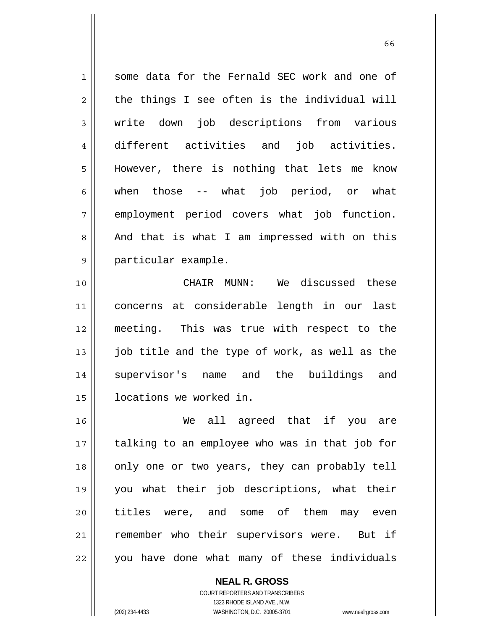1 2 3 4 5 6 7 8 9 some data for the Fernald SEC work and one of the things I see often is the individual will write down job descriptions from various different activities and job activities. However, there is nothing that lets me know when those -- what job period, or what employment period covers what job function. And that is what I am impressed with on this particular example.

10 11 12 13 14 15 CHAIR MUNN: We discussed these concerns at considerable length in our last meeting. This was true with respect to the job title and the type of work, as well as the supervisor's name and the buildings and locations we worked in.

16 17 18 19 20 21 22 We all agreed that if you are talking to an employee who was in that job for only one or two years, they can probably tell you what their job descriptions, what their titles were, and some of them may even remember who their supervisors were. But if you have done what many of these individuals

> **NEAL R. GROSS** COURT REPORTERS AND TRANSCRIBERS 1323 RHODE ISLAND AVE., N.W. (202) 234-4433 WASHINGTON, D.C. 20005-3701 www.nealrgross.com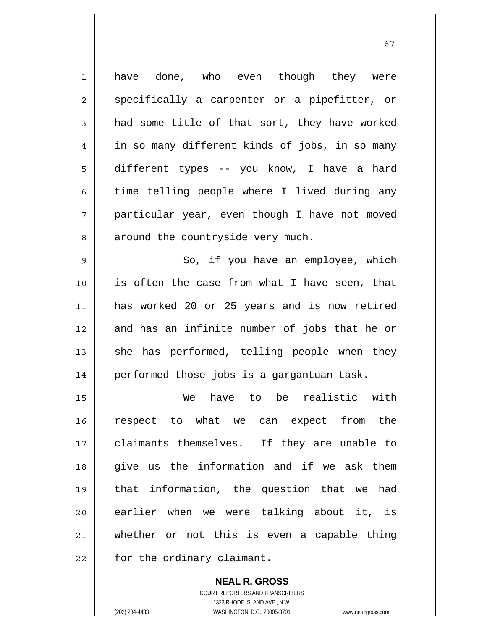1 2 3 4 5 6 7 8 9 10 11 12 13 14 15 16 17 18 19 20 21 22 have done, who even though they were specifically a carpenter or a pipefitter, or had some title of that sort, they have worked in so many different kinds of jobs, in so many different types -- you know, I have a hard time telling people where I lived during any particular year, even though I have not moved around the countryside very much. So, if you have an employee, which is often the case from what I have seen, that has worked 20 or 25 years and is now retired and has an infinite number of jobs that he or she has performed, telling people when they performed those jobs is a gargantuan task. We have to be realistic with respect to what we can expect from the claimants themselves. If they are unable to give us the information and if we ask them that information, the question that we had earlier when we were talking about it, is whether or not this is even a capable thing for the ordinary claimant.

67

**NEAL R. GROSS** COURT REPORTERS AND TRANSCRIBERS 1323 RHODE ISLAND AVE., N.W. (202) 234-4433 WASHINGTON, D.C. 20005-3701 www.nealrgross.com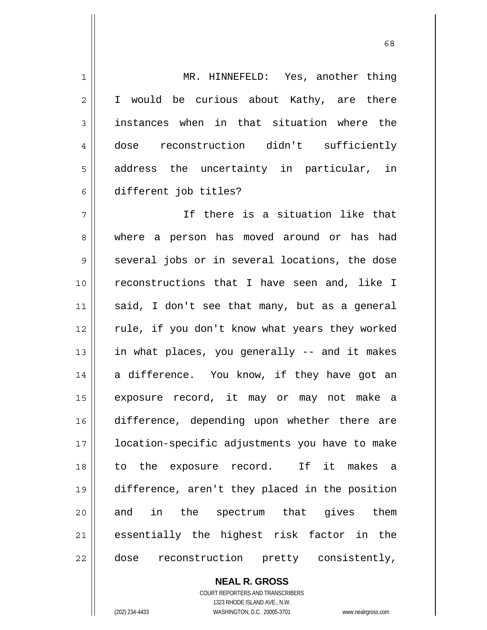1 2 3 4 5 6 7 8 9 10 11 12 13 14 15 16 17 18 19 20 21 22 MR. HINNEFELD: Yes, another thing I would be curious about Kathy, are there instances when in that situation where the dose reconstruction didn't sufficiently address the uncertainty in particular, in different job titles? If there is a situation like that where a person has moved around or has had several jobs or in several locations, the dose reconstructions that I have seen and, like I said, I don't see that many, but as a general rule, if you don't know what years they worked in what places, you generally -- and it makes a difference. You know, if they have got an exposure record, it may or may not make a difference, depending upon whether there are location-specific adjustments you have to make to the exposure record. If it makes a difference, aren't they placed in the position and in the spectrum that gives them essentially the highest risk factor in the dose reconstruction pretty consistently,

> **NEAL R. GROSS** COURT REPORTERS AND TRANSCRIBERS 1323 RHODE ISLAND AVE., N.W.

(202) 234-4433 WASHINGTON, D.C. 20005-3701 www.nealrgross.com

 $\sim$  68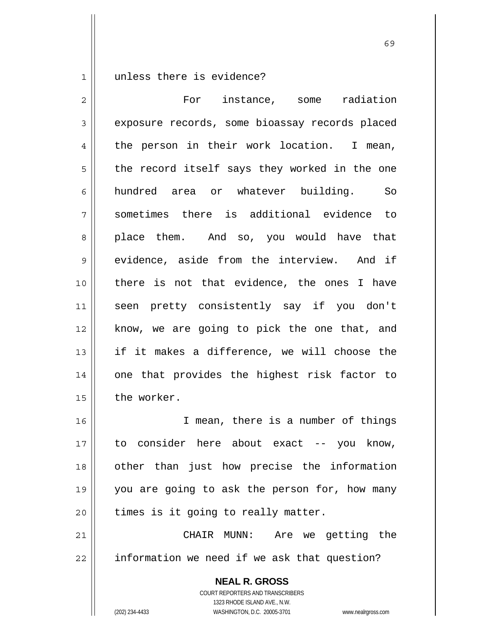1 unless there is evidence?

**NEAL R. GROSS** 2 3 4 5 6 7 8 9 10 11 12 13 14 15 16 17 18 19 20 21 22 For instance, some radiation exposure records, some bioassay records placed the person in their work location. I mean, the record itself says they worked in the one hundred area or whatever building. So sometimes there is additional evidence to place them. And so, you would have that evidence, aside from the interview. And if there is not that evidence, the ones I have seen pretty consistently say if you don't know, we are going to pick the one that, and if it makes a difference, we will choose the one that provides the highest risk factor to the worker. I mean, there is a number of things to consider here about exact -- you know, other than just how precise the information you are going to ask the person for, how many times is it going to really matter. CHAIR MUNN: Are we getting the information we need if we ask that question?

 $\sim$  69

COURT REPORTERS AND TRANSCRIBERS 1323 RHODE ISLAND AVE., N.W.

(202) 234-4433 WASHINGTON, D.C. 20005-3701 www.nealrgross.com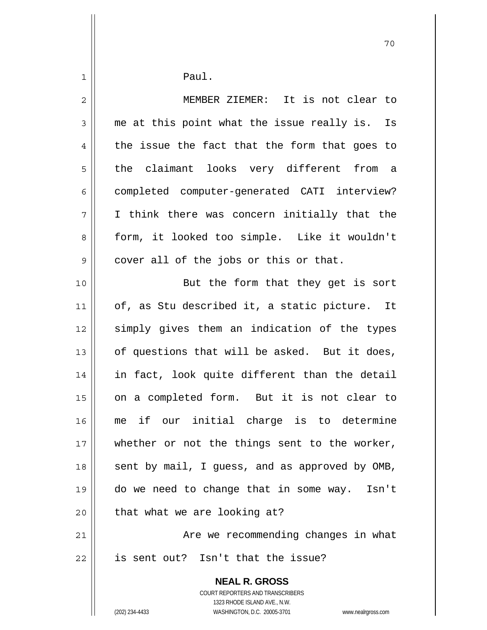| $\mathbf 1$    | Paul.                                                                                               |
|----------------|-----------------------------------------------------------------------------------------------------|
| 2              | MEMBER ZIEMER: It is not clear to                                                                   |
| $\mathfrak{Z}$ | me at this point what the issue really is. Is                                                       |
|                |                                                                                                     |
| 4              | the issue the fact that the form that goes to                                                       |
| 5              | the claimant looks very different from a                                                            |
| 6              | completed computer-generated CATI interview?                                                        |
| 7              | I think there was concern initially that the                                                        |
| 8              | form, it looked too simple. Like it wouldn't                                                        |
| 9              | cover all of the jobs or this or that.                                                              |
| 10             | But the form that they get is sort                                                                  |
| 11             | of, as Stu described it, a static picture. It                                                       |
| 12             | simply gives them an indication of the types                                                        |
| 13             | of questions that will be asked. But it does,                                                       |
| 14             | in fact, look quite different than the detail                                                       |
| 15             | on a completed form. But it is not clear to                                                         |
| 16             | me if our initial charge is to determine                                                            |
| 17             | whether or not the things sent to the worker,                                                       |
| 18             | sent by mail, I guess, and as approved by OMB,                                                      |
| 19             | do we need to change that in some way. Isn't                                                        |
| 20             | that what we are looking at?                                                                        |
| 21             | Are we recommending changes in what                                                                 |
| 22             | is sent out? Isn't that the issue?                                                                  |
|                | <b>NEAL R. GROSS</b>                                                                                |
|                | COURT REPORTERS AND TRANSCRIBERS                                                                    |
|                | 1323 RHODE ISLAND AVE., N.W.<br>(202) 234-4433<br>WASHINGTON, D.C. 20005-3701<br>www.nealrgross.com |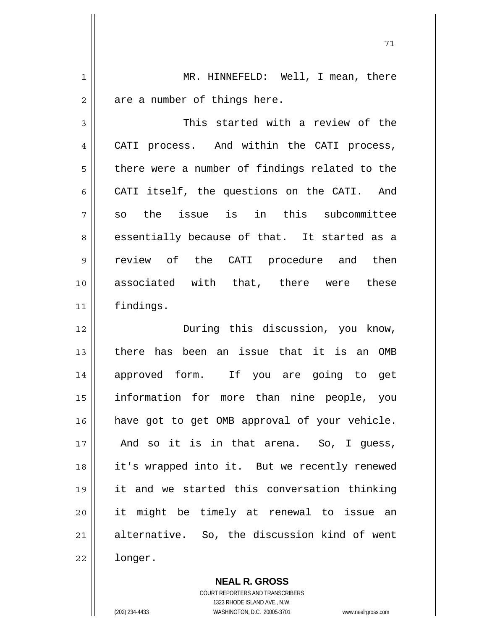1 2 MR. HINNEFELD: Well, I mean, there are a number of things here.

3 4 5 6 7 8 9 10 11 This started with a review of the CATI process. And within the CATI process, there were a number of findings related to the CATI itself, the questions on the CATI. And so the issue is in this subcommittee essentially because of that. It started as a review of the CATI procedure and then associated with that, there were these findings.

12 13 14 15 16 17 18 19 20 21 22 During this discussion, you know, there has been an issue that it is an OMB approved form. If you are going to get information for more than nine people, you have got to get OMB approval of your vehicle. And so it is in that arena. So, I guess, it's wrapped into it. But we recently renewed it and we started this conversation thinking it might be timely at renewal to issue an alternative. So, the discussion kind of went longer.

> **NEAL R. GROSS** COURT REPORTERS AND TRANSCRIBERS

> > 1323 RHODE ISLAND AVE., N.W.

(202) 234-4433 WASHINGTON, D.C. 20005-3701 www.nealrgross.com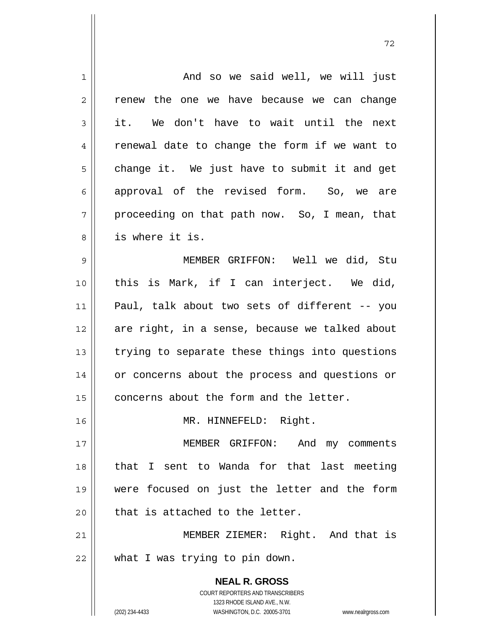| $\mathbf 1$ | And so we said well, we will just                                   |
|-------------|---------------------------------------------------------------------|
| 2           | renew the one we have because we can change                         |
| 3           | it. We don't have to wait until the next                            |
| 4           | renewal date to change the form if we want to                       |
| 5           | change it. We just have to submit it and get                        |
| 6           | approval of the revised form. So, we are                            |
| 7           | proceeding on that path now. So, I mean, that                       |
| 8           | is where it is.                                                     |
| $\mathsf 9$ | MEMBER GRIFFON: Well we did, Stu                                    |
| 10          | this is Mark, if I can interject. We did,                           |
| 11          | Paul, talk about two sets of different -- you                       |
| 12          | are right, in a sense, because we talked about                      |
| 13          | trying to separate these things into questions                      |
| 14          | or concerns about the process and questions or                      |
| 15          | concerns about the form and the letter.                             |
| 16          | MR. HINNEFELD: Right.                                               |
| 17          | MEMBER GRIFFON: And my comments                                     |
| 18          | that I sent to Wanda for that last meeting                          |
| 19          | were focused on just the letter and the form                        |
| 20          | that is attached to the letter.                                     |
| 21          | MEMBER ZIEMER: Right. And that is                                   |
| 22          | what I was trying to pin down.                                      |
|             | <b>NEAL R. GROSS</b>                                                |
|             | COURT REPORTERS AND TRANSCRIBERS                                    |
|             | 1323 RHODE ISLAND AVE., N.W.                                        |
|             | (202) 234-4433<br>WASHINGTON, D.C. 20005-3701<br>www.nealrgross.com |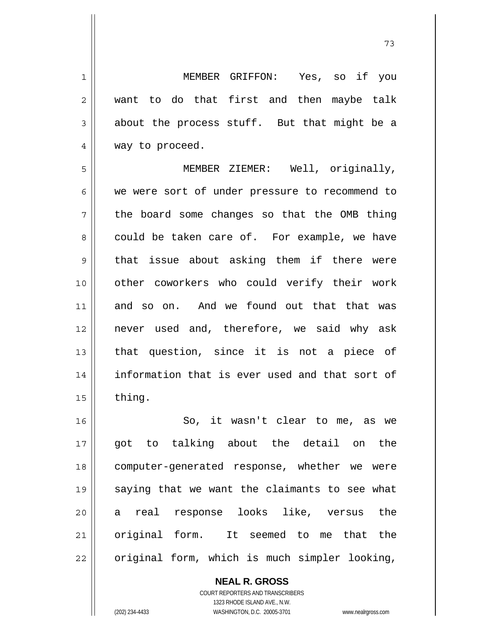MEMBER GRIFFON: Yes, so if you want to do that first and then maybe talk about the process stuff. But that might be a way to proceed.

5 6 7 8 9 10 11 12 13 14 15 MEMBER ZIEMER: Well, originally, we were sort of under pressure to recommend to the board some changes so that the OMB thing could be taken care of. For example, we have that issue about asking them if there were other coworkers who could verify their work and so on. And we found out that that was never used and, therefore, we said why ask that question, since it is not a piece of information that is ever used and that sort of thing.

16 17 18 19 20 21 22 So, it wasn't clear to me, as we got to talking about the detail on the computer-generated response, whether we were saying that we want the claimants to see what a real response looks like, versus the original form. It seemed to me that the original form, which is much simpler looking,

> **NEAL R. GROSS** COURT REPORTERS AND TRANSCRIBERS 1323 RHODE ISLAND AVE., N.W. (202) 234-4433 WASHINGTON, D.C. 20005-3701 www.nealrgross.com

1

2

3

4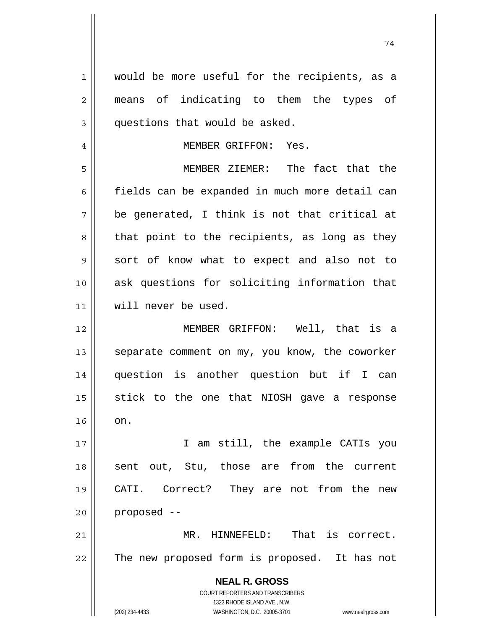**NEAL R. GROSS** COURT REPORTERS AND TRANSCRIBERS 1323 RHODE ISLAND AVE., N.W. (202) 234-4433 WASHINGTON, D.C. 20005-3701 www.nealrgross.com 1 2 3 4 5 6 7 8 9 10 11 12 13 14 15 16 17 18 19 20 21 22 would be more useful for the recipients, as a means of indicating to them the types of questions that would be asked. MEMBER GRIFFON: Yes. MEMBER ZIEMER: The fact that the fields can be expanded in much more detail can be generated, I think is not that critical at that point to the recipients, as long as they sort of know what to expect and also not to ask questions for soliciting information that will never be used. MEMBER GRIFFON: Well, that is a separate comment on my, you know, the coworker question is another question but if I can stick to the one that NIOSH gave a response on. I am still, the example CATIs you sent out, Stu, those are from the current CATI. Correct? They are not from the new proposed -- MR. HINNEFELD: That is correct. The new proposed form is proposed. It has not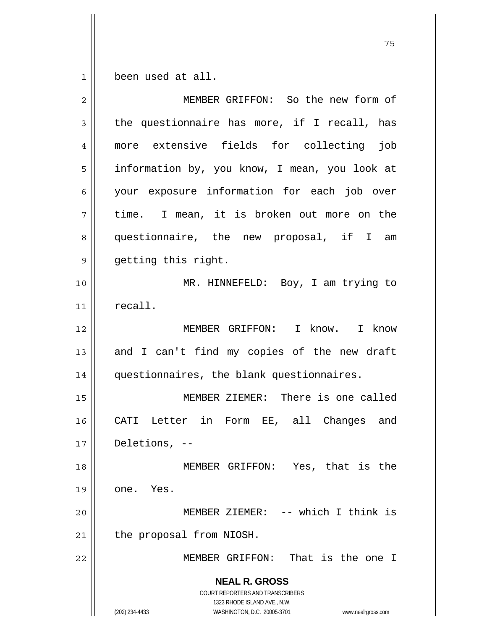$\begin{array}{c|c} 1 & 1 \end{array}$ been used at all.

| 2  | MEMBER GRIFFON: So the new form of                                                                                                                                     |
|----|------------------------------------------------------------------------------------------------------------------------------------------------------------------------|
| 3  | the questionnaire has more, if I recall, has                                                                                                                           |
| 4  | more extensive fields for collecting<br>job                                                                                                                            |
| 5  | information by, you know, I mean, you look at                                                                                                                          |
| 6  | your exposure information for each job over                                                                                                                            |
| 7  | time. I mean, it is broken out more on the                                                                                                                             |
| 8  | questionnaire, the new proposal, if I<br>am                                                                                                                            |
| 9  | getting this right.                                                                                                                                                    |
| 10 | MR. HINNEFELD: Boy, I am trying to                                                                                                                                     |
| 11 | recall.                                                                                                                                                                |
| 12 | MEMBER GRIFFON: I know. I know                                                                                                                                         |
| 13 | and I can't find my copies of the new draft                                                                                                                            |
| 14 | questionnaires, the blank questionnaires.                                                                                                                              |
| 15 | MEMBER ZIEMER: There is one called                                                                                                                                     |
| 16 | CATI Letter in Form EE, all Changes and                                                                                                                                |
| 17 | Deletions, $--$                                                                                                                                                        |
| 18 | MEMBER GRIFFON: Yes, that is the                                                                                                                                       |
| 19 | one. Yes.                                                                                                                                                              |
| 20 | MEMBER ZIEMER: -- which I think is                                                                                                                                     |
| 21 | the proposal from NIOSH.                                                                                                                                               |
| 22 | MEMBER GRIFFON: That is the one I                                                                                                                                      |
|    | <b>NEAL R. GROSS</b><br><b>COURT REPORTERS AND TRANSCRIBERS</b><br>1323 RHODE ISLAND AVE., N.W.<br>(202) 234-4433<br>WASHINGTON, D.C. 20005-3701<br>www.nealrgross.com |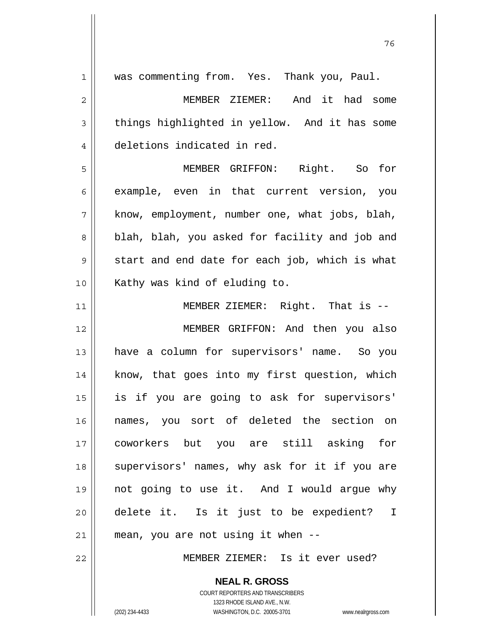| $\mathbf 1$ | was commenting from. Yes. Thank you, Paul.     |
|-------------|------------------------------------------------|
| $\mathbf 2$ | MEMBER ZIEMER: And it had some                 |
| 3           | things highlighted in yellow. And it has some  |
| 4           | deletions indicated in red.                    |
| 5           | MEMBER GRIFFON: Right. So<br>for               |
| 6           | example, even in that current version, you     |
| 7           | know, employment, number one, what jobs, blah, |
| 8           | blah, blah, you asked for facility and job and |
| $\mathsf 9$ | start and end date for each job, which is what |
| 10          | Kathy was kind of eluding to.                  |
| 11          | MEMBER ZIEMER: Right. That is --               |
| 12          | MEMBER GRIFFON: And then you also              |
| 13          | have a column for supervisors' name. So you    |
| 14          | know, that goes into my first question, which  |
| 15          | is if you are going to ask for supervisors'    |
| 16          | names, you sort of deleted the section on      |
| 17          | coworkers but you are still asking for         |
| 18          | supervisors' names, why ask for it if you are  |
| 19          | not going to use it. And I would argue why     |
| 20          | delete it. Is it just to be expedient? I       |
| $2\,1$      | mean, you are not using it when --             |
| 22          | MEMBER ZIEMER: Is it ever used?                |
|             | <b>NEAL R. GROSS</b>                           |

и процесс в политическиот представление в 176 године. В 176 године в 176 године. В 176 године в 176 године в 1<br>В 176 године в 176 године в 176 године в 176 године в 176 године в 176 године в 176 године в 176 године в 176

1323 RHODE ISLAND AVE., N.W. (202) 234-4433 WASHINGTON, D.C. 20005-3701 www.nealrgross.com

COURT REPORTERS AND TRANSCRIBERS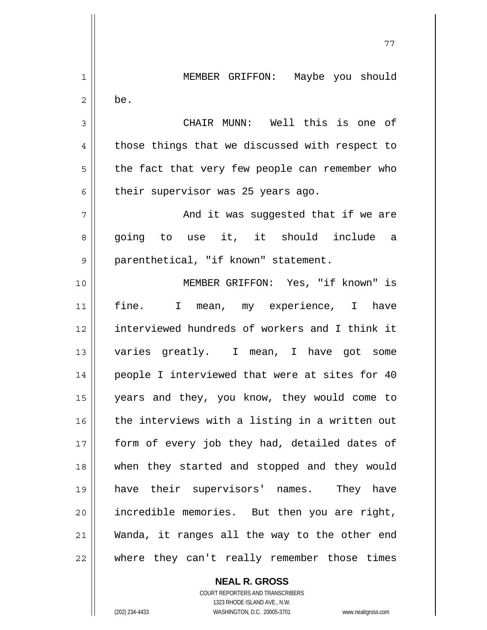1 2 3 4 5 6 7 8 9 10 11 12 13 14 15 16 17 18 19 20 21 22 MEMBER GRIFFON: Maybe you should be. CHAIR MUNN: Well this is one of those things that we discussed with respect to the fact that very few people can remember who their supervisor was 25 years ago. And it was suggested that if we are going to use it, it should include a parenthetical, "if known" statement. MEMBER GRIFFON: Yes, "if known" is fine. I mean, my experience, I have interviewed hundreds of workers and I think it varies greatly. I mean, I have got some people I interviewed that were at sites for 40 years and they, you know, they would come to the interviews with a listing in a written out form of every job they had, detailed dates of when they started and stopped and they would have their supervisors' names. They have incredible memories. But then you are right, Wanda, it ranges all the way to the other end where they can't really remember those times

77

**NEAL R. GROSS** COURT REPORTERS AND TRANSCRIBERS 1323 RHODE ISLAND AVE., N.W. (202) 234-4433 WASHINGTON, D.C. 20005-3701 www.nealrgross.com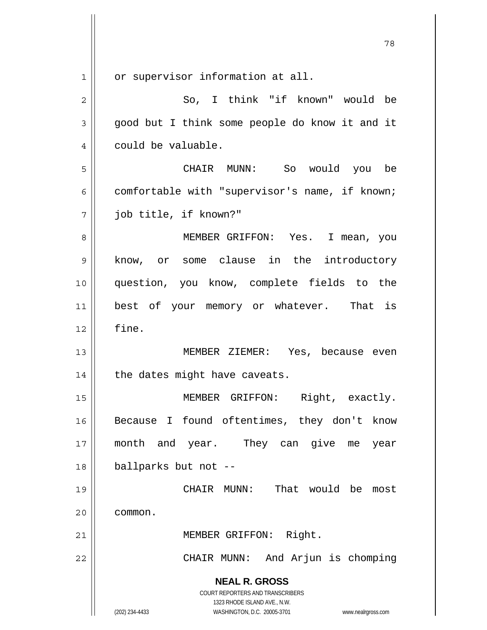**NEAL R. GROSS** COURT REPORTERS AND TRANSCRIBERS 1323 RHODE ISLAND AVE., N.W. (202) 234-4433 WASHINGTON, D.C. 20005-3701 www.nealrgross.com 1 2 3 4 5 6 7 8 9 10 11 12 13 14 15 16 17 18 19 20 21 22 or supervisor information at all. So, I think "if known" would be good but I think some people do know it and it could be valuable. CHAIR MUNN: So would you be comfortable with "supervisor's name, if known; job title, if known?" MEMBER GRIFFON: Yes. I mean, you know, or some clause in the introductory question, you know, complete fields to the best of your memory or whatever. That is fine. MEMBER ZIEMER: Yes, because even the dates might have caveats. MEMBER GRIFFON: Right, exactly. Because I found oftentimes, they don't know month and year. They can give me year ballparks but not -- CHAIR MUNN: That would be most common. MEMBER GRIFFON: Right. CHAIR MUNN: And Arjun is chomping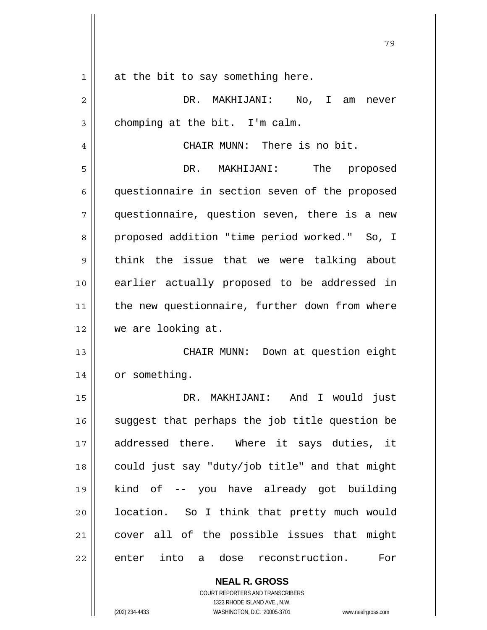| 1  | at the bit to say something here.              |
|----|------------------------------------------------|
| 2  | DR. MAKHIJANI: No, I am<br>never               |
| 3  | chomping at the bit. I'm calm.                 |
| 4  | CHAIR MUNN: There is no bit.                   |
| 5  | DR. MAKHIJANI:<br>The proposed                 |
| 6  | questionnaire in section seven of the proposed |
| 7  | questionnaire, question seven, there is a new  |
| 8  | proposed addition "time period worked." So, I  |
| 9  | think the issue that we were talking about     |
| 10 | earlier actually proposed to be addressed in   |
| 11 | the new questionnaire, further down from where |
| 12 | we are looking at.                             |
| 13 | CHAIR MUNN: Down at question eight             |
| 14 | or something.                                  |
| 15 | DR. MAKHIJANI: And I would<br>just             |
| 16 | suggest that perhaps the job title question be |
| 17 | addressed there. Where it says duties, it      |
| 18 | could just say "duty/job title" and that might |
| 19 | kind of -- you have already got building       |
| 20 | location. So I think that pretty much would    |
| 21 | cover all of the possible issues that might    |
| 22 | enter into a dose reconstruction.<br>For       |
|    | <b>NEAL R. GROSS</b>                           |

79

COURT REPORTERS AND TRANSCRIBERS 1323 RHODE ISLAND AVE., N.W.

 $\mathsf{I}$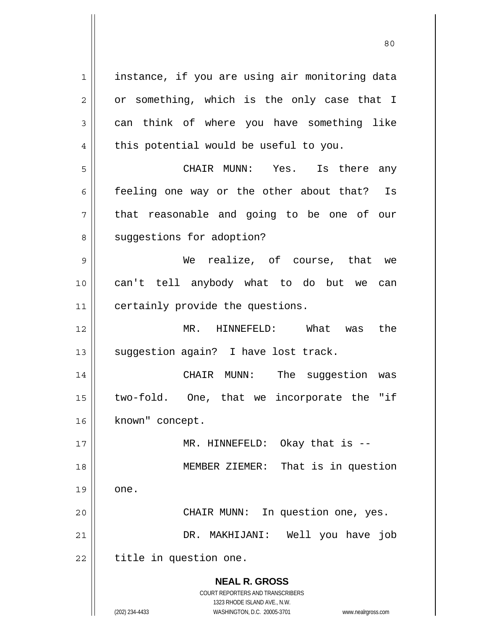**NEAL R. GROSS** COURT REPORTERS AND TRANSCRIBERS 1323 RHODE ISLAND AVE., N.W. (202) 234-4433 WASHINGTON, D.C. 20005-3701 www.nealrgross.com 1 2 3 4 5 6 7 8 9 10 11 12 13 14 15 16 17 18 19 20 21 22 instance, if you are using air monitoring data or something, which is the only case that I can think of where you have something like this potential would be useful to you. CHAIR MUNN: Yes. Is there any feeling one way or the other about that? Is that reasonable and going to be one of our suggestions for adoption? We realize, of course, that we can't tell anybody what to do but we can certainly provide the questions. MR. HINNEFELD: What was the suggestion again? I have lost track. CHAIR MUNN: The suggestion was two-fold. One, that we incorporate the "if known" concept. MR. HINNEFELD: Okay that is -- MEMBER ZIEMER: That is in question one. CHAIR MUNN: In question one, yes. DR. MAKHIJANI: Well you have job title in question one.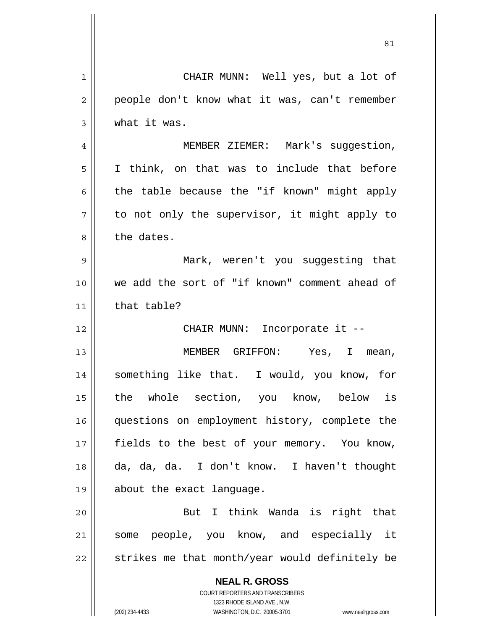| 1              | CHAIR MUNN: Well yes, but a lot of                                                                  |
|----------------|-----------------------------------------------------------------------------------------------------|
| $\overline{2}$ | people don't know what it was, can't remember                                                       |
| 3              | what it was.                                                                                        |
| 4              | MEMBER ZIEMER: Mark's suggestion,                                                                   |
| 5              | I think, on that was to include that before                                                         |
| 6              | the table because the "if known" might apply                                                        |
| 7              | to not only the supervisor, it might apply to                                                       |
| 8              | the dates.                                                                                          |
| 9              | Mark, weren't you suggesting that                                                                   |
| 10             | we add the sort of "if known" comment ahead of                                                      |
| 11             | that table?                                                                                         |
| 12             | CHAIR MUNN: Incorporate it --                                                                       |
| 13             | MEMBER GRIFFON: Yes, I mean,                                                                        |
| 14             | something like that. I would, you know, for                                                         |
| 15             | the whole section, you know, below is                                                               |
| 16             | questions on employment history, complete the                                                       |
| 17             | fields to the best of your memory. You know,                                                        |
| 18             | da, da, da. I don't know. I haven't thought                                                         |
| 19             | about the exact language.                                                                           |
| 20             | But I think Wanda is right that                                                                     |
| 21             | some people, you know, and especially it                                                            |
| 22             | strikes me that month/year would definitely be                                                      |
|                | <b>NEAL R. GROSS</b>                                                                                |
|                | COURT REPORTERS AND TRANSCRIBERS                                                                    |
|                | 1323 RHODE ISLAND AVE., N.W.<br>(202) 234-4433<br>WASHINGTON, D.C. 20005-3701<br>www.nealrgross.com |

<u>81</u>

 $\mathsf{I}$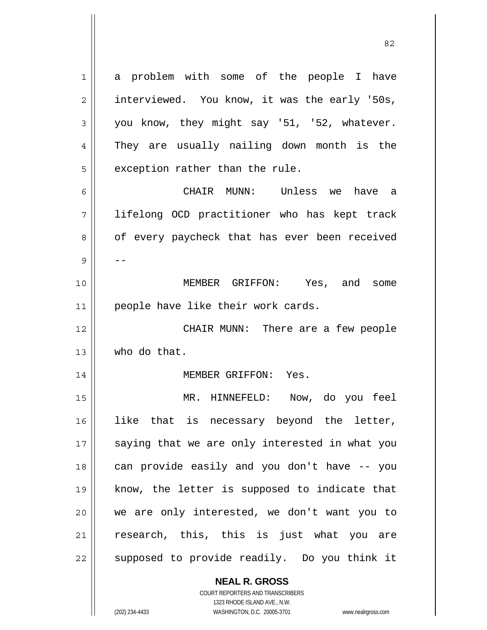a problem with some of the people I have interviewed. You know, it was the early '50s, you know, they might say '51, '52, whatever. They are usually nailing down month is the exception rather than the rule.

CHAIR MUNN: Unless we have a

7 8 9 10 11 lifelong OCD practitioner who has kept track of every paycheck that has ever been received -- MEMBER GRIFFON: Yes, and some people have like their work cards.

12 13 CHAIR MUNN: There are a few people who do that.

## MEMBER GRIFFON: Yes.

15 16 17 18 19 20 21 22 MR. HINNEFELD: Now, do you feel like that is necessary beyond the letter, saying that we are only interested in what you can provide easily and you don't have -- you know, the letter is supposed to indicate that we are only interested, we don't want you to research, this, this is just what you are supposed to provide readily. Do you think it

## **NEAL R. GROSS**

COURT REPORTERS AND TRANSCRIBERS 1323 RHODE ISLAND AVE., N.W. (202) 234-4433 WASHINGTON, D.C. 20005-3701 www.nealrgross.com

1

2

3

4

5

6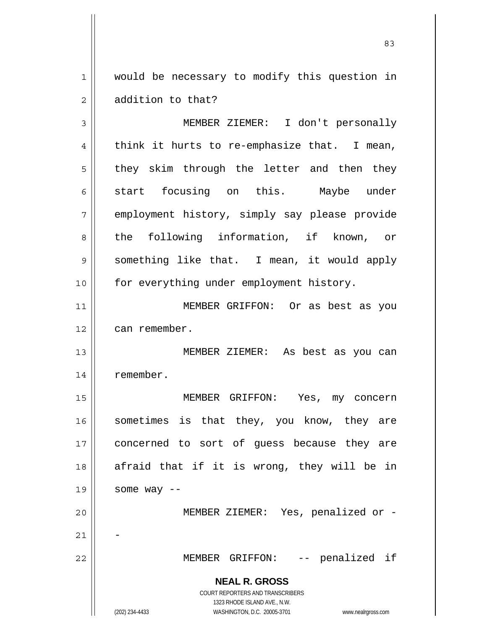1 2 would be necessary to modify this question in addition to that?

**NEAL R. GROSS** COURT REPORTERS AND TRANSCRIBERS 1323 RHODE ISLAND AVE., N.W. (202) 234-4433 WASHINGTON, D.C. 20005-3701 www.nealrgross.com 3 4 5 6 7 8 9 10 11 12 13 14 15 16 17 18 19 20 21 22 MEMBER ZIEMER: I don't personally think it hurts to re-emphasize that. I mean, they skim through the letter and then they start focusing on this. Maybe under employment history, simply say please provide the following information, if known, or something like that. I mean, it would apply for everything under employment history. MEMBER GRIFFON: Or as best as you can remember. MEMBER ZIEMER: As best as you can remember. MEMBER GRIFFON: Yes, my concern sometimes is that they, you know, they are concerned to sort of guess because they are afraid that if it is wrong, they will be in some way -- MEMBER ZIEMER: Yes, penalized or - - MEMBER GRIFFON: -- penalized if

<u>83</u>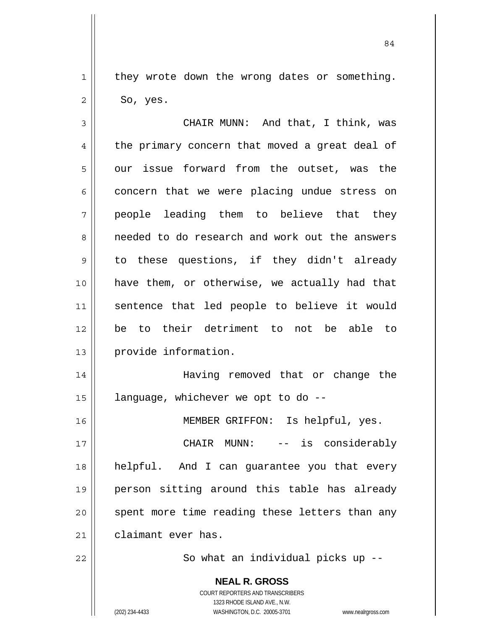they wrote down the wrong dates or something. So, yes.

3 4 5 6 7 8 9 10 11 12 13 14 15 16 17 18 19 20 21 CHAIR MUNN: And that, I think, was the primary concern that moved a great deal of our issue forward from the outset, was the concern that we were placing undue stress on people leading them to believe that they needed to do research and work out the answers to these questions, if they didn't already have them, or otherwise, we actually had that sentence that led people to believe it would be to their detriment to not be able to provide information. Having removed that or change the language, whichever we opt to do -- MEMBER GRIFFON: Is helpful, yes. CHAIR MUNN: -- is considerably helpful. And I can guarantee you that every person sitting around this table has already spent more time reading these letters than any

claimant ever has.

22

1

2

So what an individual picks up --

**NEAL R. GROSS** COURT REPORTERS AND TRANSCRIBERS

1323 RHODE ISLAND AVE., N.W.

(202) 234-4433 WASHINGTON, D.C. 20005-3701 www.nealrgross.com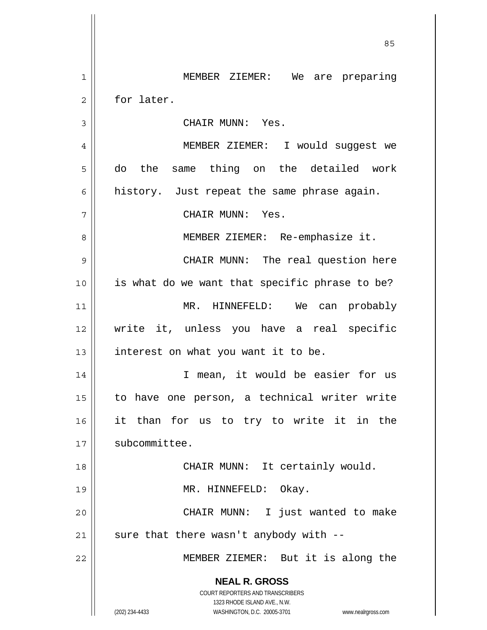**NEAL R. GROSS** COURT REPORTERS AND TRANSCRIBERS 1323 RHODE ISLAND AVE., N.W. (202) 234-4433 WASHINGTON, D.C. 20005-3701 www.nealrgross.com 1 2 3 4 5 6 7 8 9 10 11 12 13 14 15 16 17 18 19 20 21 22 MEMBER ZIEMER: We are preparing for later. CHAIR MUNN: Yes. MEMBER ZIEMER: I would suggest we do the same thing on the detailed work history. Just repeat the same phrase again. CHAIR MUNN: Yes. MEMBER ZIEMER: Re-emphasize it. CHAIR MUNN: The real question here is what do we want that specific phrase to be? MR. HINNEFELD: We can probably write it, unless you have a real specific interest on what you want it to be. I mean, it would be easier for us to have one person, a technical writer write it than for us to try to write it in the subcommittee. CHAIR MUNN: It certainly would. MR. HINNEFELD: Okay. CHAIR MUNN: I just wanted to make sure that there wasn't anybody with --MEMBER ZIEMER: But it is along the

<u>85 and 2001 and 2001 and 2001 and 2001 and 2001 and 2001 and 2001 and 2001 and 2001 and 2001 and 2001 and 200</u>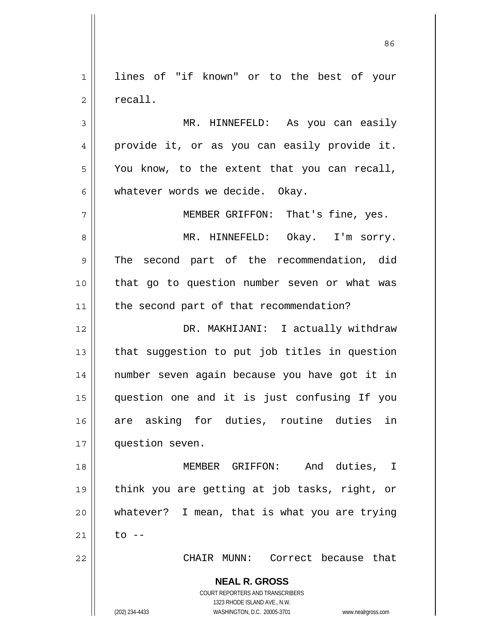1 2 lines of "if known" or to the best of your recall.

3 4 5 6 MR. HINNEFELD: As you can easily provide it, or as you can easily provide it. You know, to the extent that you can recall, whatever words we decide. Okay.

7 8 9 10 11 MEMBER GRIFFON: That's fine, yes. MR. HINNEFELD: Okay. I'm sorry. The second part of the recommendation, did that go to question number seven or what was the second part of that recommendation?

12 13 14 15 16 17 DR. MAKHIJANI: I actually withdraw that suggestion to put job titles in question number seven again because you have got it in question one and it is just confusing If you are asking for duties, routine duties in question seven.

18 19 20 21 MEMBER GRIFFON: And duties, I think you are getting at job tasks, right, or whatever? I mean, that is what you are trying  $to$   $-$ 

CHAIR MUNN: Correct because that

**NEAL R. GROSS** COURT REPORTERS AND TRANSCRIBERS

1323 RHODE ISLAND AVE., N.W.

(202) 234-4433 WASHINGTON, D.C. 20005-3701 www.nealrgross.com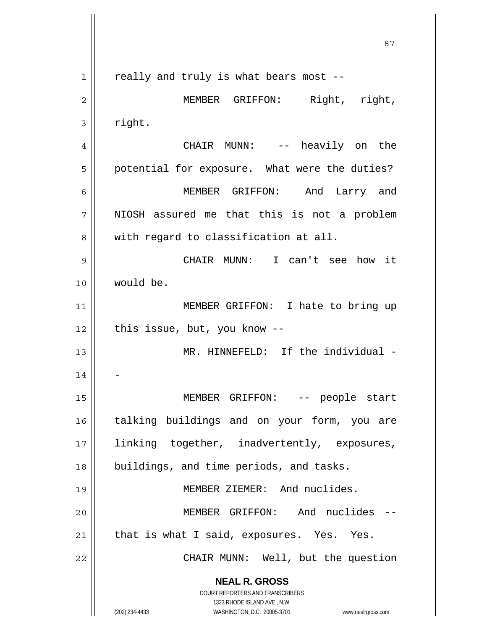**NEAL R. GROSS** COURT REPORTERS AND TRANSCRIBERS 1323 RHODE ISLAND AVE., N.W. (202) 234-4433 WASHINGTON, D.C. 20005-3701 www.nealrgross.com <u>87 and 2014 and 2014 and 2014 and 2014 and 2014 and 2014 and 2014 and 2014 and 2014 and 2014 and 2014 and 201</u> 1 2 3 4 5 6 7 8 9 10 11 12 13 14 15 16 17 18 19 20 21 22 really and truly is what bears most -- MEMBER GRIFFON: Right, right, right. CHAIR MUNN: -- heavily on the potential for exposure. What were the duties? MEMBER GRIFFON: And Larry and NIOSH assured me that this is not a problem with regard to classification at all. CHAIR MUNN: I can't see how it would be. MEMBER GRIFFON: I hate to bring up this issue, but, you know -- MR. HINNEFELD: If the individual -- MEMBER GRIFFON: -- people start talking buildings and on your form, you are linking together, inadvertently, exposures, buildings, and time periods, and tasks. MEMBER ZIEMER: And nuclides. MEMBER GRIFFON: And nuclides - that is what I said, exposures. Yes. Yes. CHAIR MUNN: Well, but the question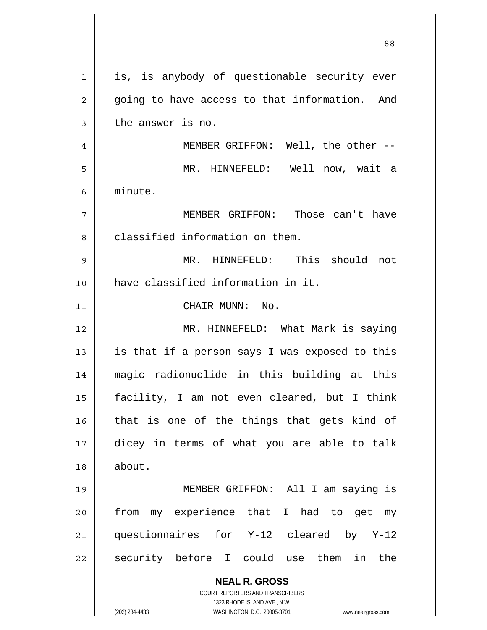| 1  | is, is anybody of questionable security ever                        |
|----|---------------------------------------------------------------------|
| 2  | going to have access to that information. And                       |
| 3  | the answer is no.                                                   |
| 4  | MEMBER GRIFFON: Well, the other --                                  |
| 5  | MR. HINNEFELD: Well now, wait a                                     |
| 6  | minute.                                                             |
| 7  | MEMBER GRIFFON: Those can't have                                    |
| 8  | classified information on them.                                     |
| 9  | MR. HINNEFELD: This should not                                      |
| 10 | have classified information in it.                                  |
| 11 | CHAIR MUNN: No.                                                     |
| 12 | MR. HINNEFELD: What Mark is saying                                  |
| 13 | is that if a person says I was exposed to this                      |
| 14 | magic radionuclide in this building at this                         |
| 15 | facility, I am not even cleared, but I think                        |
| 16 | that is one of the things that gets kind of                         |
| 17 | dicey in terms of what you are able to talk                         |
| 18 | about.                                                              |
| 19 | MEMBER GRIFFON: All I am saying is                                  |
| 20 | my experience that I had to get my<br>from                          |
| 21 | questionnaires for Y-12 cleared by Y-12                             |
| 22 | security before I could use them in the                             |
|    | <b>NEAL R. GROSS</b>                                                |
|    | <b>COURT REPORTERS AND TRANSCRIBERS</b>                             |
|    | 1323 RHODE ISLAND AVE., N.W.                                        |
|    | (202) 234-4433<br>WASHINGTON, D.C. 20005-3701<br>www.nealrgross.com |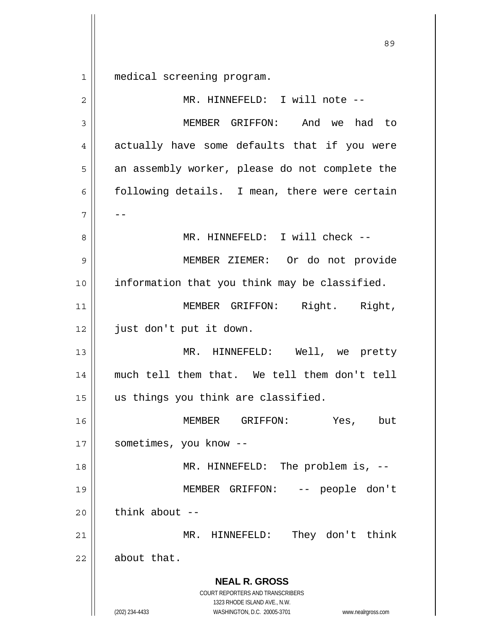1 medical screening program.

**NEAL R. GROSS** COURT REPORTERS AND TRANSCRIBERS 1323 RHODE ISLAND AVE., N.W. (202) 234-4433 WASHINGTON, D.C. 20005-3701 www.nealrgross.com 2 3 4 5 6 7 8 9 10 11 12 13 14 15 16 17 18 19 20 21 22 MR. HINNEFELD: I will note -- MEMBER GRIFFON: And we had to actually have some defaults that if you were an assembly worker, please do not complete the following details. I mean, there were certain -- MR. HINNEFELD: I will check -- MEMBER ZIEMER: Or do not provide information that you think may be classified. MEMBER GRIFFON: Right. Right, just don't put it down. MR. HINNEFELD: Well, we pretty much tell them that. We tell them don't tell us things you think are classified. MEMBER GRIFFON: Yes, but sometimes, you know -- MR. HINNEFELD: The problem is, -- MEMBER GRIFFON: -- people don't think about  $--$  MR. HINNEFELD: They don't think about that.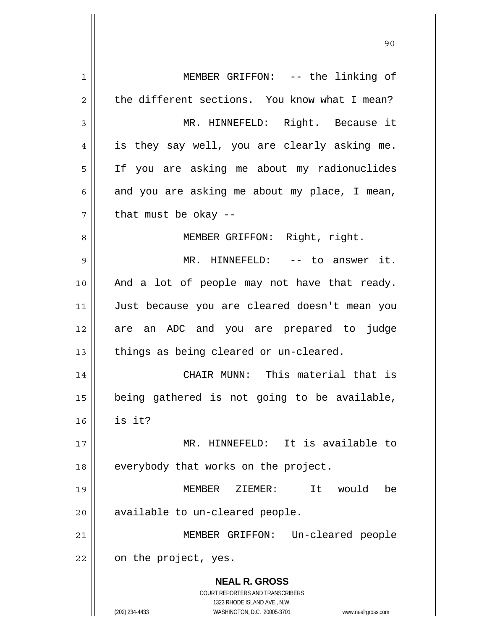**NEAL R. GROSS** COURT REPORTERS AND TRANSCRIBERS 1323 RHODE ISLAND AVE., N.W. (202) 234-4433 WASHINGTON, D.C. 20005-3701 www.nealrgross.com 1 2 3 4 5 6 7 8 9 10 11 12 13 14 15 16 17 18 19 20 21 22 MEMBER GRIFFON: -- the linking of the different sections. You know what I mean? MR. HINNEFELD: Right. Because it is they say well, you are clearly asking me. If you are asking me about my radionuclides and you are asking me about my place, I mean, that must be okay -- MEMBER GRIFFON: Right, right. MR. HINNEFELD: -- to answer it. And a lot of people may not have that ready. Just because you are cleared doesn't mean you are an ADC and you are prepared to judge things as being cleared or un-cleared. CHAIR MUNN: This material that is being gathered is not going to be available, is it? MR. HINNEFELD: It is available to everybody that works on the project. MEMBER ZIEMER: It would be available to un-cleared people. MEMBER GRIFFON: Un-cleared people on the project, yes.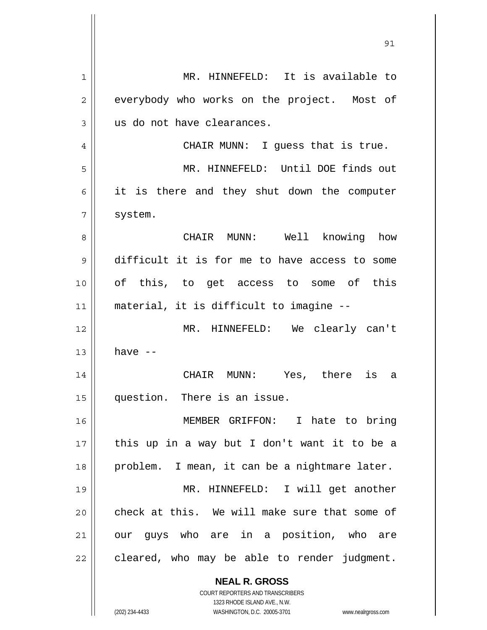**NEAL R. GROSS** COURT REPORTERS AND TRANSCRIBERS 1323 RHODE ISLAND AVE., N.W. 1 2 3 4 5 6 7 8 9 10 11 12 13 14 15 16 17 18 19 20 21 22 MR. HINNEFELD: It is available to everybody who works on the project. Most of us do not have clearances. CHAIR MUNN: I guess that is true. MR. HINNEFELD: Until DOE finds out it is there and they shut down the computer system. CHAIR MUNN: Well knowing how difficult it is for me to have access to some of this, to get access to some of this material, it is difficult to imagine -- MR. HINNEFELD: We clearly can't have -- CHAIR MUNN: Yes, there is a question. There is an issue. MEMBER GRIFFON: I hate to bring this up in a way but I don't want it to be a problem. I mean, it can be a nightmare later. MR. HINNEFELD: I will get another check at this. We will make sure that some of our guys who are in a position, who are cleared, who may be able to render judgment.

<u>91</u>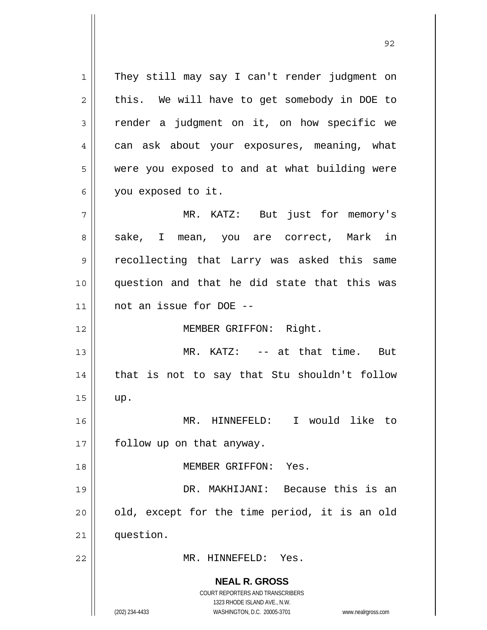**NEAL R. GROSS** COURT REPORTERS AND TRANSCRIBERS 1323 RHODE ISLAND AVE., N.W. (202) 234-4433 WASHINGTON, D.C. 20005-3701 www.nealrgross.com 1 2 3 4 5 6 7 8 9 10 11 12 13 14 15 16 17 18 19 20 21 22 They still may say I can't render judgment on this. We will have to get somebody in DOE to render a judgment on it, on how specific we can ask about your exposures, meaning, what were you exposed to and at what building were you exposed to it. MR. KATZ: But just for memory's sake, I mean, you are correct, Mark in recollecting that Larry was asked this same question and that he did state that this was not an issue for DOE -- MEMBER GRIFFON: Right. MR. KATZ: -- at that time. But that is not to say that Stu shouldn't follow up. MR. HINNEFELD: I would like to follow up on that anyway. MEMBER GRIFFON: Yes. DR. MAKHIJANI: Because this is an old, except for the time period, it is an old question. MR. HINNEFELD: Yes.

<u>92 and 2014 and 2014 and 2014 and 2014 and 2014 and 2014 and 2014 and 2014 and 2014 and 2014 and 2014 and 201</u>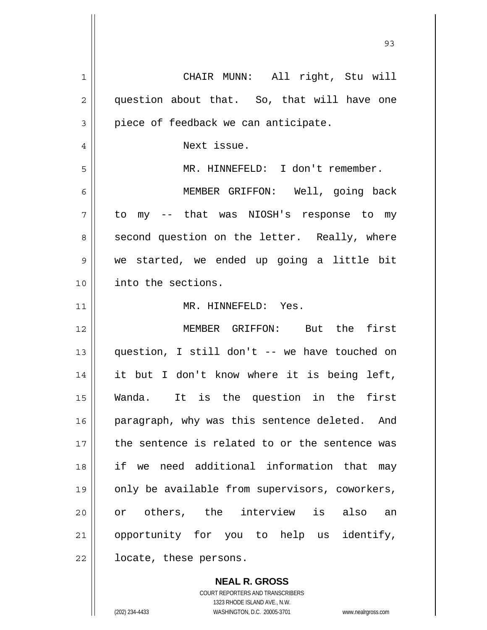| 1  | CHAIR MUNN: All right, Stu will                |
|----|------------------------------------------------|
| 2  | question about that. So, that will have one    |
| 3  | piece of feedback we can anticipate.           |
| 4  | Next issue.                                    |
| 5  | MR. HINNEFELD: I don't remember.               |
| 6  | MEMBER GRIFFON: Well, going back               |
| 7  | to my -- that was NIOSH's response to my       |
| 8  | second question on the letter. Really, where   |
| 9  | we started, we ended up going a little bit     |
| 10 | into the sections.                             |
| 11 | MR. HINNEFELD: Yes.                            |
| 12 | MEMBER GRIFFON: But the first                  |
| 13 | question, I still don't -- we have touched on  |
| 14 | it but I don't know where it is being left,    |
| 15 | Wanda. It is the question in the first         |
| 16 | paragraph, why was this sentence deleted. And  |
| 17 | the sentence is related to or the sentence was |
| 18 | if we need additional information that may     |
| 19 | only be available from supervisors, coworkers, |
| 20 | or others, the interview is also an            |
| 21 | opportunity for you to help us identify,       |
| 22 | locate, these persons.                         |
|    |                                                |

<u>93 and 200 and 200 and 200 and 200 and 200 and 200 and 200 and 200 and 200 and 200 and 200 and 200 and 200 an</u>

**NEAL R. GROSS** COURT REPORTERS AND TRANSCRIBERS 1323 RHODE ISLAND AVE., N.W. (202) 234-4433 WASHINGTON, D.C. 20005-3701 www.nealrgross.com

 $\mathbf{I}$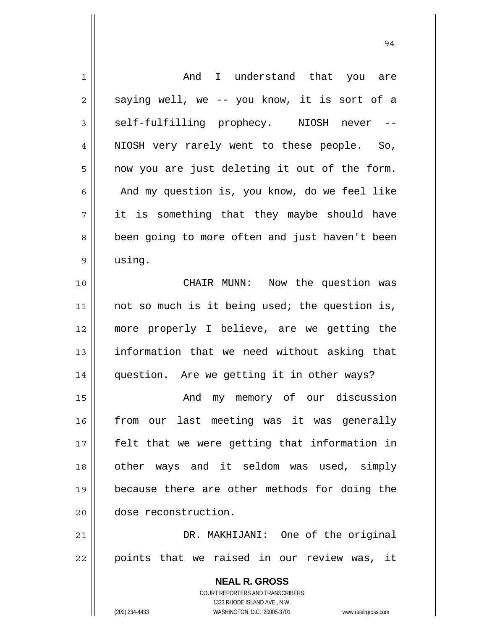| 1  | I understand that you are<br>And                                    |
|----|---------------------------------------------------------------------|
| 2  | saying well, we -- you know, it is sort of a                        |
| 3  | self-fulfilling prophecy. NIOSH<br>never<br>$- -$                   |
| 4  | NIOSH very rarely went to these people. So,                         |
| 5  | now you are just deleting it out of the form.                       |
| 6  | And my question is, you know, do we feel like                       |
| 7  | it is something that they maybe should have                         |
| 8  | been going to more often and just haven't been                      |
| 9  | using.                                                              |
| 10 | CHAIR MUNN:<br>Now the question was                                 |
| 11 | not so much is it being used; the question is,                      |
| 12 | more properly I believe, are we getting the                         |
| 13 | information that we need without asking that                        |
| 14 | question. Are we getting it in other ways?                          |
| 15 | my memory of our discussion<br>And                                  |
| 16 | from our last meeting was it was generally                          |
| 17 | felt that we were getting that information in                       |
|    |                                                                     |
| 18 | other ways and it seldom was used, simply                           |
| 19 | because there are other methods for doing the                       |
| 20 | dose reconstruction.                                                |
| 21 | DR. MAKHIJANI: One of the original                                  |
| 22 | points that we raised in our review was, it                         |
|    | <b>NEAL R. GROSS</b>                                                |
|    | <b>COURT REPORTERS AND TRANSCRIBERS</b>                             |
|    | 1323 RHODE ISLAND AVE., N.W.                                        |
|    | (202) 234-4433<br>WASHINGTON, D.C. 20005-3701<br>www.nealrgross.com |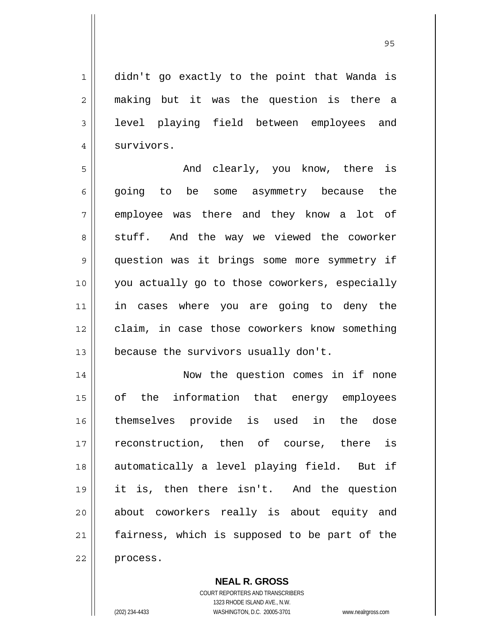<u>95 and 2001 and 2001 and 2001 and 2001 and 2001 and 2001 and 2001 and 2001 and 2001 and 2001 and 2001 and 200</u>

1 2 3 4 didn't go exactly to the point that Wanda is making but it was the question is there a level playing field between employees and survivors.

5 6 7 8 9 10 11 12 13 And clearly, you know, there is going to be some asymmetry because the employee was there and they know a lot of stuff. And the way we viewed the coworker question was it brings some more symmetry if you actually go to those coworkers, especially in cases where you are going to deny the claim, in case those coworkers know something because the survivors usually don't.

14 15 16 17 18 19 20 21 22 Now the question comes in if none of the information that energy employees themselves provide is used in the dose reconstruction, then of course, there is automatically a level playing field. But if it is, then there isn't. And the question about coworkers really is about equity and fairness, which is supposed to be part of the process.

> **NEAL R. GROSS** COURT REPORTERS AND TRANSCRIBERS

> > 1323 RHODE ISLAND AVE., N.W.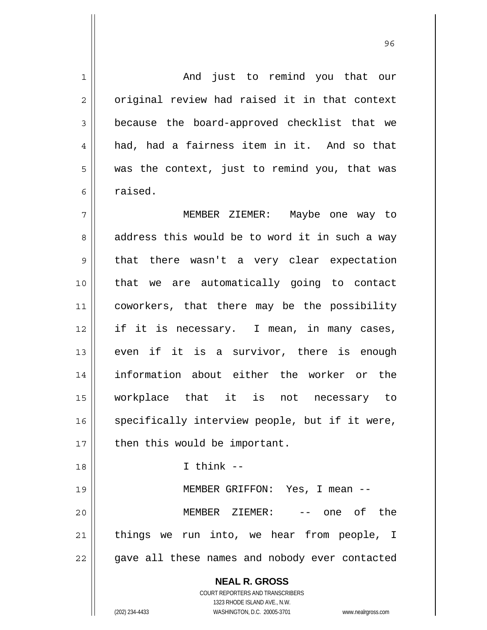**NEAL R. GROSS** COURT REPORTERS AND TRANSCRIBERS 1323 RHODE ISLAND AVE., N.W. 1 2 3 4 5 6 7 8 9 10 11 12 13 14 15 16 17 18 19 20 21 22 And just to remind you that our original review had raised it in that context because the board-approved checklist that we had, had a fairness item in it. And so that was the context, just to remind you, that was raised. MEMBER ZIEMER: Maybe one way to address this would be to word it in such a way that there wasn't a very clear expectation that we are automatically going to contact coworkers, that there may be the possibility if it is necessary. I mean, in many cases, even if it is a survivor, there is enough information about either the worker or the workplace that it is not necessary to specifically interview people, but if it were, then this would be important.  $I$  think  $-$  MEMBER GRIFFON: Yes, I mean -- MEMBER ZIEMER: -- one of the things we run into, we hear from people, I gave all these names and nobody ever contacted

<u>96 and 200 million and 200 million and 200 million and 200 million and 200 million and 200 million and 200 million and 200 million and 200 million and 200 million and 200 million and 200 million and 200 million and 200 mi</u>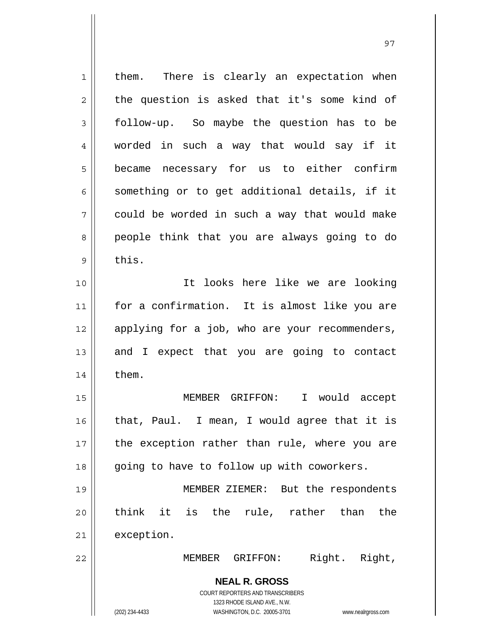| 1              | There is clearly an expectation when<br>them.                       |
|----------------|---------------------------------------------------------------------|
| $\overline{c}$ | the question is asked that it's some kind of                        |
| 3              | follow-up. So maybe the question has to be                          |
| 4              | worded in such a way that would say if it                           |
| 5              | became necessary for us to either confirm                           |
| 6              | something or to get additional details, if it                       |
| 7              | could be worded in such a way that would make                       |
| 8              | people think that you are always going to do                        |
| 9              | this.                                                               |
| 10             | It looks here like we are looking                                   |
| 11             | for a confirmation. It is almost like you are                       |
| 12             | applying for a job, who are your recommenders,                      |
| 13             | and I expect that you are going to contact                          |
| 14             | them.                                                               |
| 15             | MEMBER GRIFFON:<br>$\mathbf I$<br>would accept                      |
| 16             | that, Paul. I mean, I would agree that it is                        |
| 17             | the exception rather than rule, where you are                       |
| 18             | going to have to follow up with coworkers.                          |
| 19             | MEMBER ZIEMER: But the respondents                                  |
| 20             | think it is the rule, rather than<br>the                            |
| 21             | exception.                                                          |
| 22             | Right. Right,<br>MEMBER GRIFFON:                                    |
|                | <b>NEAL R. GROSS</b>                                                |
|                | <b>COURT REPORTERS AND TRANSCRIBERS</b>                             |
|                | 1323 RHODE ISLAND AVE., N.W.                                        |
|                | (202) 234-4433<br>WASHINGTON, D.C. 20005-3701<br>www.nealrgross.com |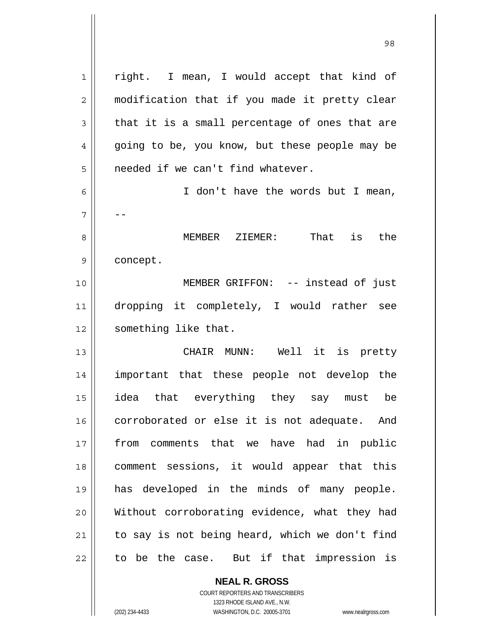1 2 3 4 5 6 7 8 9 10 11 12 13 14 15 16 17 18 19 20 21 22 right. I mean, I would accept that kind of modification that if you made it pretty clear that it is a small percentage of ones that are going to be, you know, but these people may be needed if we can't find whatever. I don't have the words but I mean, -- MEMBER ZIEMER: That is the concept. MEMBER GRIFFON: -- instead of just dropping it completely, I would rather see something like that. CHAIR MUNN: Well it is pretty important that these people not develop the idea that everything they say must be corroborated or else it is not adequate. And from comments that we have had in public comment sessions, it would appear that this has developed in the minds of many people. Without corroborating evidence, what they had to say is not being heard, which we don't find to be the case. But if that impression is

98

COURT REPORTERS AND TRANSCRIBERS 1323 RHODE ISLAND AVE., N.W. (202) 234-4433 WASHINGTON, D.C. 20005-3701 www.nealrgross.com

**NEAL R. GROSS**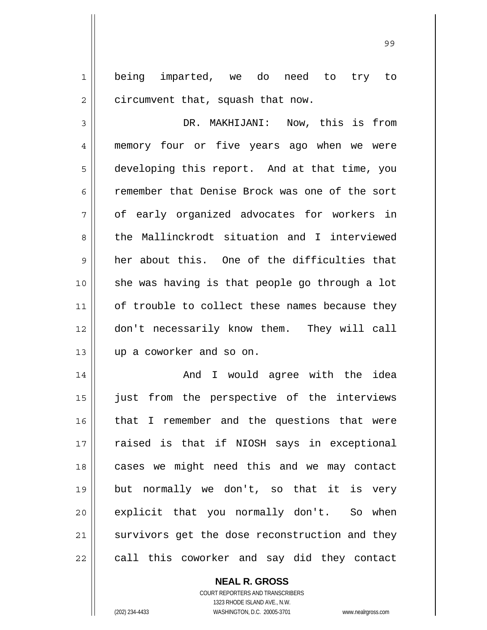1 2 being imparted, we do need to try to circumvent that, squash that now.

3 4 5 6 7 8 9 10 11 12 13 DR. MAKHIJANI: Now, this is from memory four or five years ago when we were developing this report. And at that time, you remember that Denise Brock was one of the sort of early organized advocates for workers in the Mallinckrodt situation and I interviewed her about this. One of the difficulties that she was having is that people go through a lot of trouble to collect these names because they don't necessarily know them. They will call up a coworker and so on.

14 15 16 17 18 19 20 21 22 And I would agree with the idea just from the perspective of the interviews that I remember and the questions that were raised is that if NIOSH says in exceptional cases we might need this and we may contact but normally we don't, so that it is very explicit that you normally don't. So when survivors get the dose reconstruction and they call this coworker and say did they contact

> **NEAL R. GROSS** COURT REPORTERS AND TRANSCRIBERS 1323 RHODE ISLAND AVE., N.W. (202) 234-4433 WASHINGTON, D.C. 20005-3701 www.nealrgross.com

99 - Paul Barbara, poeta e a contra de 1999 - Paul Barbara, español de 1999 - Paul Barbara, español de 1999 -<br>1990 - Paul Barbara, poeta español de 1990 - Paul Barbara, español de 1990 - Paul Barbara, español de 1990 -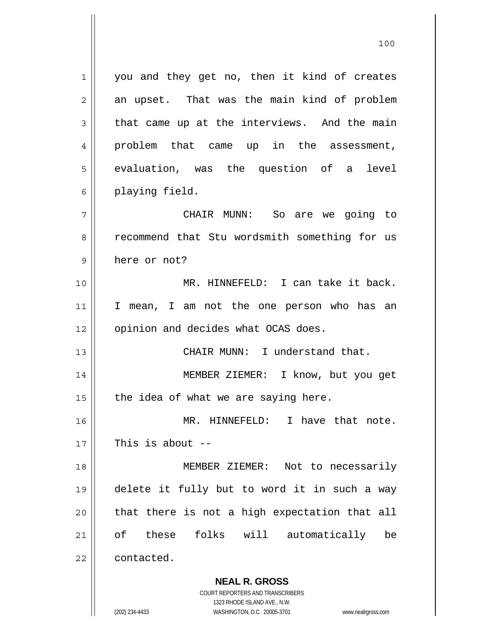1 2 3 4 5 6 7 8 9 10 11 12 13 14 15 16 17 18 19 20 21 22 you and they get no, then it kind of creates an upset. That was the main kind of problem that came up at the interviews. And the main problem that came up in the assessment, evaluation, was the question of a level playing field. CHAIR MUNN: So are we going to recommend that Stu wordsmith something for us here or not? MR. HINNEFELD: I can take it back. I mean, I am not the one person who has an opinion and decides what OCAS does. CHAIR MUNN: I understand that. MEMBER ZIEMER: I know, but you get the idea of what we are saying here. MR. HINNEFELD: I have that note. This is about  $-$  MEMBER ZIEMER: Not to necessarily delete it fully but to word it in such a way that there is not a high expectation that all of these folks will automatically be contacted.

100

**NEAL R. GROSS** COURT REPORTERS AND TRANSCRIBERS 1323 RHODE ISLAND AVE., N.W.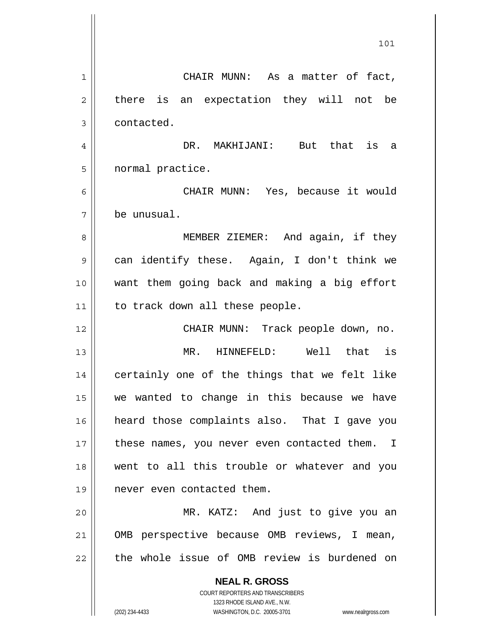**NEAL R. GROSS** COURT REPORTERS AND TRANSCRIBERS 1323 RHODE ISLAND AVE., N.W. 101 1 2 3 4 5 6 7 8 9 10 11 12 13 14 15 16 17 18 19 20 21 22 CHAIR MUNN: As a matter of fact, there is an expectation they will not be contacted. DR. MAKHIJANI: But that is a normal practice. CHAIR MUNN: Yes, because it would be unusual. MEMBER ZIEMER: And again, if they can identify these. Again, I don't think we want them going back and making a big effort to track down all these people. CHAIR MUNN: Track people down, no. MR. HINNEFELD: Well that is certainly one of the things that we felt like we wanted to change in this because we have heard those complaints also. That I gave you these names, you never even contacted them. I went to all this trouble or whatever and you never even contacted them. MR. KATZ: And just to give you an OMB perspective because OMB reviews, I mean, the whole issue of OMB review is burdened on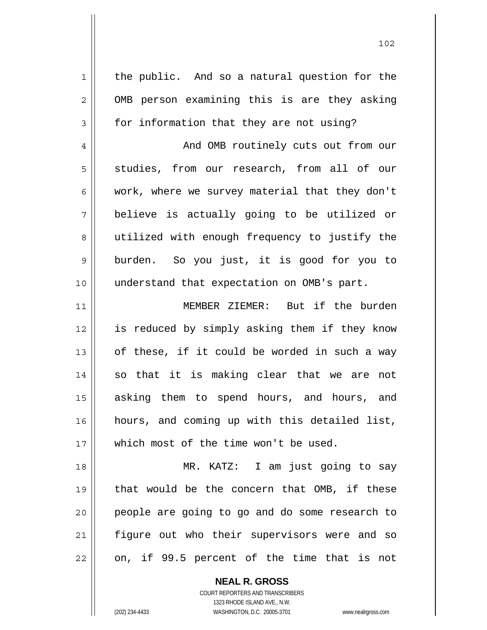1 2 3 4 5 6 7 8 9 10 11 12 13 14 15 16 17 18 19 20 21 22 the public. And so a natural question for the OMB person examining this is are they asking for information that they are not using? And OMB routinely cuts out from our studies, from our research, from all of our work, where we survey material that they don't believe is actually going to be utilized or utilized with enough frequency to justify the burden. So you just, it is good for you to understand that expectation on OMB's part. MEMBER ZIEMER: But if the burden is reduced by simply asking them if they know of these, if it could be worded in such a way so that it is making clear that we are not asking them to spend hours, and hours, and hours, and coming up with this detailed list, which most of the time won't be used. MR. KATZ: I am just going to say that would be the concern that OMB, if these people are going to go and do some research to figure out who their supervisors were and so on, if 99.5 percent of the time that is not

> **NEAL R. GROSS** COURT REPORTERS AND TRANSCRIBERS

> > 1323 RHODE ISLAND AVE., N.W.

(202) 234-4433 WASHINGTON, D.C. 20005-3701 www.nealrgross.com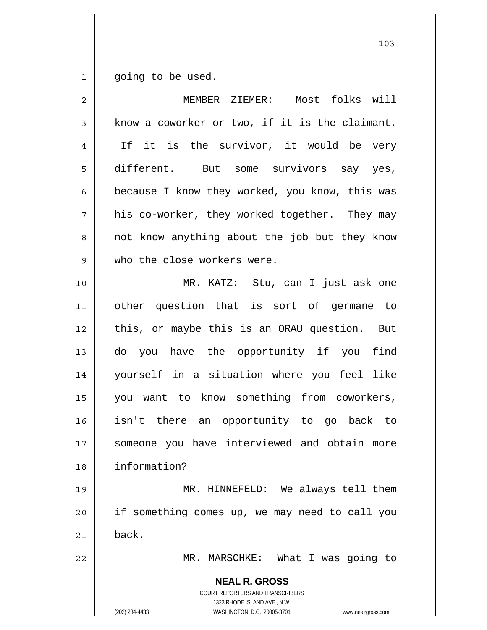$\begin{array}{c} 1 \end{array}$ going to be used.

| $\overline{2}$ | Most folks will<br>MEMBER ZIEMER:                                                                                                                                      |
|----------------|------------------------------------------------------------------------------------------------------------------------------------------------------------------------|
| 3              | know a coworker or two, if it is the claimant.                                                                                                                         |
| $\overline{4}$ | If it is the survivor, it would be very                                                                                                                                |
| 5              | different. But some survivors say yes,                                                                                                                                 |
| 6              | because I know they worked, you know, this was                                                                                                                         |
| 7              | his co-worker, they worked together. They may                                                                                                                          |
| 8              | not know anything about the job but they know                                                                                                                          |
| $\mathsf 9$    | who the close workers were.                                                                                                                                            |
| 10             | MR. KATZ: Stu, can I just ask one                                                                                                                                      |
| 11             | other question that is sort of germane to                                                                                                                              |
| 12             | this, or maybe this is an ORAU question. But                                                                                                                           |
| 13             | do you have the opportunity if you find                                                                                                                                |
| 14             | yourself in a situation where you feel like                                                                                                                            |
| 15             | you want to know something from coworkers,                                                                                                                             |
| 16             | isn't there an opportunity to go back to                                                                                                                               |
| 17             | someone you have interviewed and obtain more                                                                                                                           |
| 18             | information?                                                                                                                                                           |
| 19             | MR. HINNEFELD: We always tell them                                                                                                                                     |
| 20             | if something comes up, we may need to call you                                                                                                                         |
| 21             | back.                                                                                                                                                                  |
| 22             | MR. MARSCHKE: What I was going to                                                                                                                                      |
|                | <b>NEAL R. GROSS</b><br><b>COURT REPORTERS AND TRANSCRIBERS</b><br>1323 RHODE ISLAND AVE., N.W.<br>(202) 234-4433<br>WASHINGTON, D.C. 20005-3701<br>www.nealrgross.com |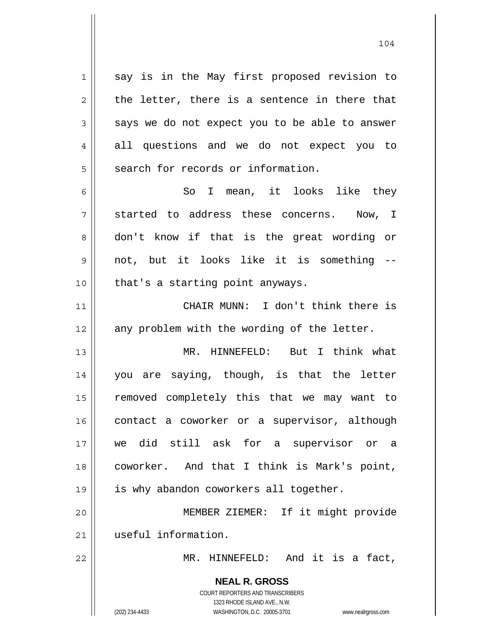1 2 3 4 5 say is in the May first proposed revision to the letter, there is a sentence in there that says we do not expect you to be able to answer all questions and we do not expect you to search for records or information.

6 7 8 9 10 So I mean, it looks like they started to address these concerns. Now, I don't know if that is the great wording or not, but it looks like it is something - that's a starting point anyways.

11 12 CHAIR MUNN: I don't think there is any problem with the wording of the letter.

13 14 15 16 17 18 19 20 MR. HINNEFELD: But I think what you are saying, though, is that the letter removed completely this that we may want to contact a coworker or a supervisor, although we did still ask for a supervisor or a coworker. And that I think is Mark's point, is why abandon coworkers all together. MEMBER ZIEMER: If it might provide

useful information.

MR. HINNEFELD: And it is a fact,

**NEAL R. GROSS** COURT REPORTERS AND TRANSCRIBERS 1323 RHODE ISLAND AVE., N.W.

21

22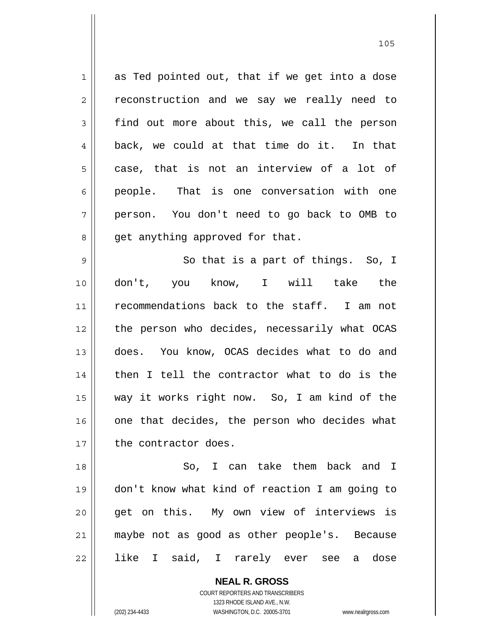1 2 3 4 5 6 7 8 as Ted pointed out, that if we get into a dose reconstruction and we say we really need to find out more about this, we call the person back, we could at that time do it. In that case, that is not an interview of a lot of people. That is one conversation with one person. You don't need to go back to OMB to get anything approved for that.

105

9 10 11 12 13 14 15 16 17 So that is a part of things. So, I don't, you know, I will take the recommendations back to the staff. I am not the person who decides, necessarily what OCAS does. You know, OCAS decides what to do and then I tell the contractor what to do is the way it works right now. So, I am kind of the one that decides, the person who decides what the contractor does.

18 19 20 21 22 So, I can take them back and I don't know what kind of reaction I am going to get on this. My own view of interviews is maybe not as good as other people's. Because like I said, I rarely ever see a dose

> **NEAL R. GROSS** COURT REPORTERS AND TRANSCRIBERS 1323 RHODE ISLAND AVE., N.W. (202) 234-4433 WASHINGTON, D.C. 20005-3701 www.nealrgross.com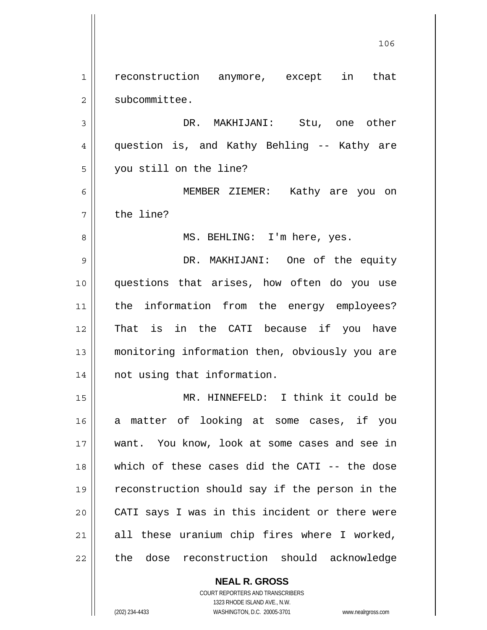1 2 3 4 5 6 7 8 9 10 11 12 13 14 15 16 17 18 19 20 21 22 reconstruction anymore, except in that subcommittee. DR. MAKHIJANI: Stu, one other question is, and Kathy Behling -- Kathy are you still on the line? MEMBER ZIEMER: Kathy are you on the line? MS. BEHLING: I'm here, yes. DR. MAKHIJANI: One of the equity questions that arises, how often do you use the information from the energy employees? That is in the CATI because if you have monitoring information then, obviously you are not using that information. MR. HINNEFELD: I think it could be a matter of looking at some cases, if you want. You know, look at some cases and see in which of these cases did the CATI -- the dose reconstruction should say if the person in the CATI says I was in this incident or there were all these uranium chip fires where I worked, the dose reconstruction should acknowledge

106

COURT REPORTERS AND TRANSCRIBERS 1323 RHODE ISLAND AVE., N.W.

**NEAL R. GROSS**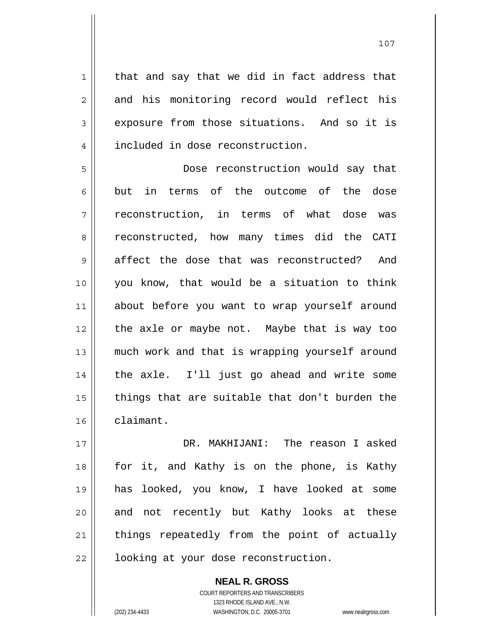that and say that we did in fact address that and his monitoring record would reflect his exposure from those situations. And so it is included in dose reconstruction.

5 6 7 8 9 10 11 12 13 14 15 16 Dose reconstruction would say that but in terms of the outcome of the dose reconstruction, in terms of what dose was reconstructed, how many times did the CATI affect the dose that was reconstructed? And you know, that would be a situation to think about before you want to wrap yourself around the axle or maybe not. Maybe that is way too much work and that is wrapping yourself around the axle. I'll just go ahead and write some things that are suitable that don't burden the claimant.

17 18 19 20 21 22 DR. MAKHIJANI: The reason I asked for it, and Kathy is on the phone, is Kathy has looked, you know, I have looked at some and not recently but Kathy looks at these things repeatedly from the point of actually looking at your dose reconstruction.

> COURT REPORTERS AND TRANSCRIBERS 1323 RHODE ISLAND AVE., N.W. (202) 234-4433 WASHINGTON, D.C. 20005-3701 www.nealrgross.com

**NEAL R. GROSS**

1

2

3

 <sup>107</sup>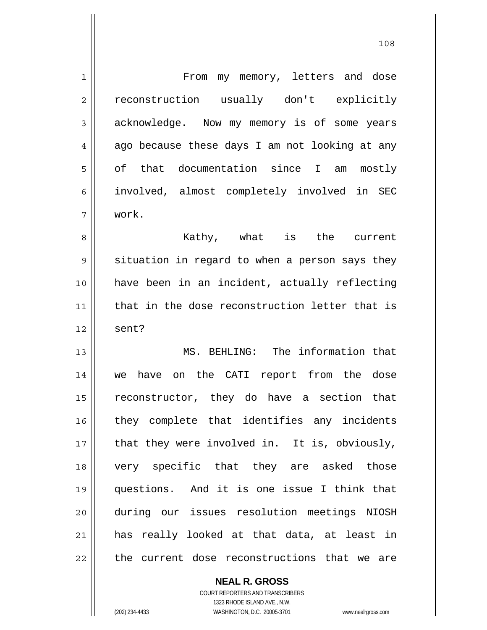| $\mathbf 1$    | From my memory, letters and dose               |
|----------------|------------------------------------------------|
| $\overline{2}$ | reconstruction usually don't explicitly        |
| 3              | acknowledge. Now my memory is of some years    |
| $\overline{4}$ | ago because these days I am not looking at any |
| 5              | of that documentation since I am mostly        |
| 6              | involved, almost completely involved in SEC    |
| 7              | work.                                          |
| 8              | Kathy, what is the current                     |
| 9              | situation in regard to when a person says they |
| 10             | have been in an incident, actually reflecting  |
| 11             | that in the dose reconstruction letter that is |
| 12             | sent?                                          |
| 13             | MS. BEHLING: The information that              |
| 14             | we have on the CATI report from the dose       |
| 15             | reconstructor, they do have a section that     |
| 16             | they complete that identifies any incidents    |
| 17             | that they were involved in. It is, obviously,  |
| 18             | very specific that they are asked those        |
| 19             | questions. And it is one issue I think that    |
| 20             | during our issues resolution meetings NIOSH    |
| 21             | has really looked at that data, at least in    |
| 22             | the current dose reconstructions that we are   |

**NEAL R. GROSS** COURT REPORTERS AND TRANSCRIBERS

1323 RHODE ISLAND AVE., N.W.

(202) 234-4433 WASHINGTON, D.C. 20005-3701 www.nealrgross.com

 $\mathsf{II}$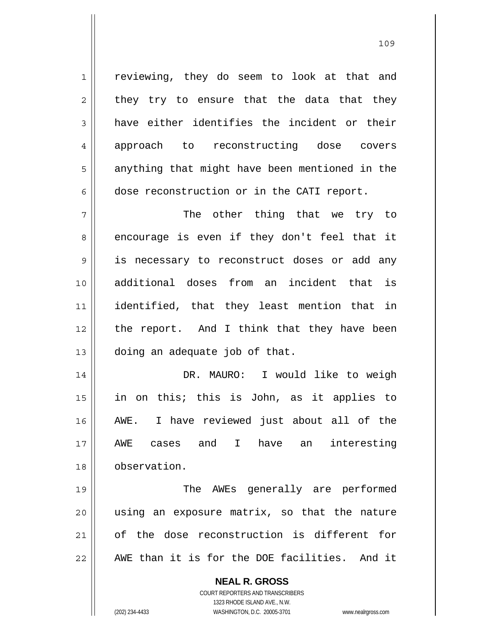reviewing, they do seem to look at that and they try to ensure that the data that they have either identifies the incident or their approach to reconstructing dose covers anything that might have been mentioned in the dose reconstruction or in the CATI report.

7 8 9 10 11 12 13 The other thing that we try to encourage is even if they don't feel that it is necessary to reconstruct doses or add any additional doses from an incident that is identified, that they least mention that in the report. And I think that they have been doing an adequate job of that.

14 15 16 17 18 DR. MAURO: I would like to weigh in on this; this is John, as it applies to AWE. I have reviewed just about all of the AWE cases and I have an interesting observation.

19 20 21 22 The AWEs generally are performed using an exposure matrix, so that the nature of the dose reconstruction is different for AWE than it is for the DOE facilities. And it

> **NEAL R. GROSS** COURT REPORTERS AND TRANSCRIBERS 1323 RHODE ISLAND AVE., N.W.

1

2

3

4

5

6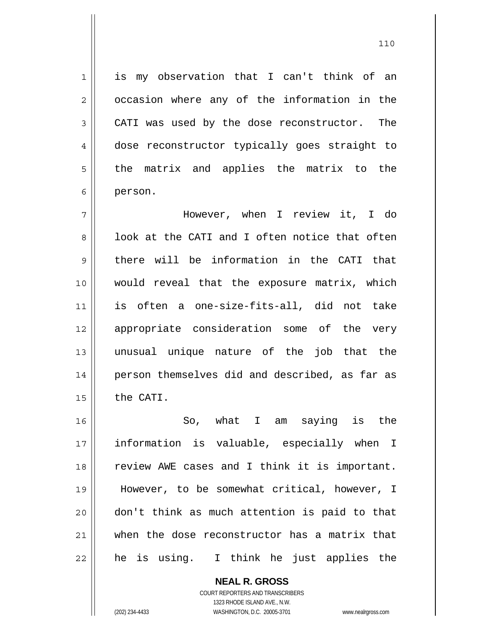is my observation that I can't think of an occasion where any of the information in the CATI was used by the dose reconstructor. The dose reconstructor typically goes straight to the matrix and applies the matrix to the person.

7 8 9 10 11 12 13 14 15 However, when I review it, I do look at the CATI and I often notice that often there will be information in the CATI that would reveal that the exposure matrix, which is often a one-size-fits-all, did not take appropriate consideration some of the very unusual unique nature of the job that the person themselves did and described, as far as the CATI.

16 17 18 19 20 21 22 So, what I am saying is the information is valuable, especially when I review AWE cases and I think it is important. However, to be somewhat critical, however, I don't think as much attention is paid to that when the dose reconstructor has a matrix that he is using. I think he just applies the

> **NEAL R. GROSS** COURT REPORTERS AND TRANSCRIBERS 1323 RHODE ISLAND AVE., N.W. (202) 234-4433 WASHINGTON, D.C. 20005-3701 www.nealrgross.com

1

2

3

4

5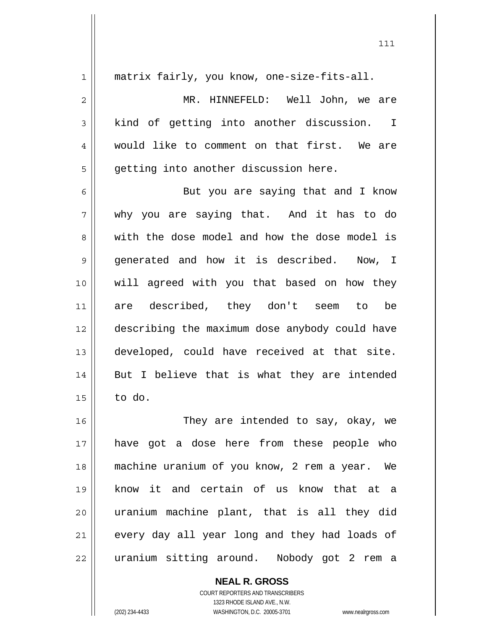| matrix fairly, you know, one-size-fits-all.    |
|------------------------------------------------|
| MR. HINNEFELD: Well John, we are               |
| kind of getting into another discussion. I     |
| would like to comment on that first. We are    |
| getting into another discussion here.          |
| But you are saying that and I know             |
| why you are saying that. And it has to do      |
| with the dose model and how the dose model is  |
| generated and how it is described. Now, I      |
| will agreed with you that based on how they    |
| are described, they don't seem to be           |
| describing the maximum dose anybody could have |
| developed, could have received at that site.   |
| But I believe that is what they are intended   |
| 15<br>to do.                                   |
| 16<br>They are intended to say, okay, we       |
| have got a dose here from these people who     |
| machine uranium of you know, 2 rem a year. We  |
| know it and certain of us know that at a       |
| uranium machine plant, that is all they did    |
| every day all year long and they had loads of  |
| uranium sitting around. Nobody got 2 rem a     |
|                                                |

COURT REPORTERS AND TRANSCRIBERS 1323 RHODE ISLAND AVE., N.W. (202) 234-4433 WASHINGTON, D.C. 20005-3701 www.nealrgross.com

**NEAL R. GROSS**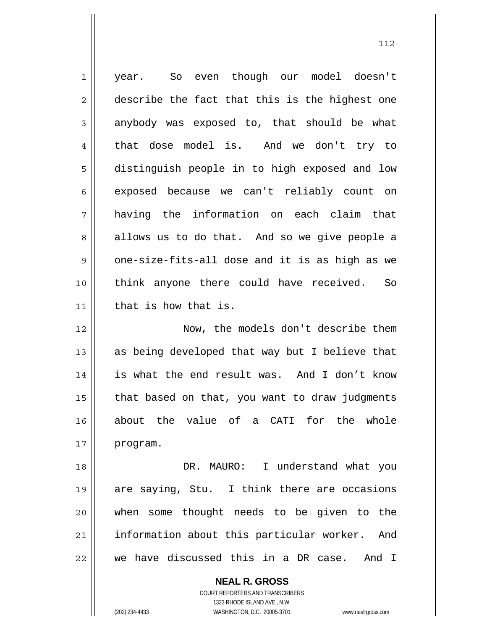1 2 3 4 5 6 7 8 9 10 11 12 13 14 15 16 17 18 19 20 21 22 year. So even though our model doesn't describe the fact that this is the highest one anybody was exposed to, that should be what that dose model is. And we don't try to distinguish people in to high exposed and low exposed because we can't reliably count on having the information on each claim that allows us to do that. And so we give people a one-size-fits-all dose and it is as high as we think anyone there could have received. So that is how that is. Now, the models don't describe them as being developed that way but I believe that is what the end result was. And I don't know that based on that, you want to draw judgments about the value of a CATI for the whole program. DR. MAURO: I understand what you are saying, Stu. I think there are occasions when some thought needs to be given to the information about this particular worker. And we have discussed this in a DR case. And I

112

COURT REPORTERS AND TRANSCRIBERS 1323 RHODE ISLAND AVE., N.W. (202) 234-4433 WASHINGTON, D.C. 20005-3701 www.nealrgross.com

**NEAL R. GROSS**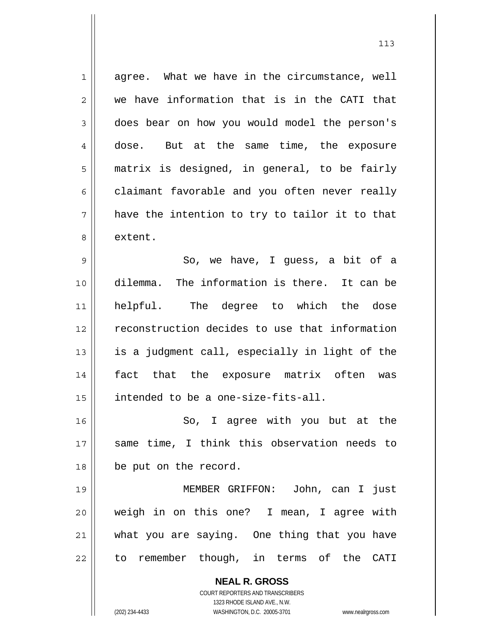1 2 3 4 5 6 7 8 agree. What we have in the circumstance, well we have information that is in the CATI that does bear on how you would model the person's dose. But at the same time, the exposure matrix is designed, in general, to be fairly claimant favorable and you often never really have the intention to try to tailor it to that extent.

9 10 11 12 13 14 15 So, we have, I guess, a bit of a dilemma. The information is there. It can be helpful. The degree to which the dose reconstruction decides to use that information is a judgment call, especially in light of the fact that the exposure matrix often was intended to be a one-size-fits-all.

16 17 18 So, I agree with you but at the same time, I think this observation needs to be put on the record.

19 20 21 22 MEMBER GRIFFON: John, can I just weigh in on this one? I mean, I agree with what you are saying. One thing that you have to remember though, in terms of the CATI

> **NEAL R. GROSS** COURT REPORTERS AND TRANSCRIBERS 1323 RHODE ISLAND AVE., N.W. (202) 234-4433 WASHINGTON, D.C. 20005-3701 www.nealrgross.com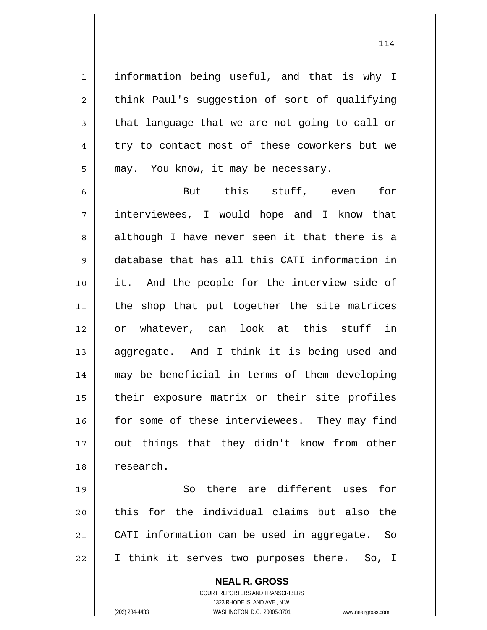information being useful, and that is why I think Paul's suggestion of sort of qualifying that language that we are not going to call or try to contact most of these coworkers but we may. You know, it may be necessary.

6 7 8 9 10 11 12 13 14 15 16 17 18 But this stuff, even for interviewees, I would hope and I know that although I have never seen it that there is a database that has all this CATI information in it. And the people for the interview side of the shop that put together the site matrices or whatever, can look at this stuff in aggregate. And I think it is being used and may be beneficial in terms of them developing their exposure matrix or their site profiles for some of these interviewees. They may find out things that they didn't know from other research.

19 20 21 22 So there are different uses for this for the individual claims but also the CATI information can be used in aggregate. So I think it serves two purposes there. So, I

> **NEAL R. GROSS** COURT REPORTERS AND TRANSCRIBERS 1323 RHODE ISLAND AVE., N.W. (202) 234-4433 WASHINGTON, D.C. 20005-3701 www.nealrgross.com

1

2

3

4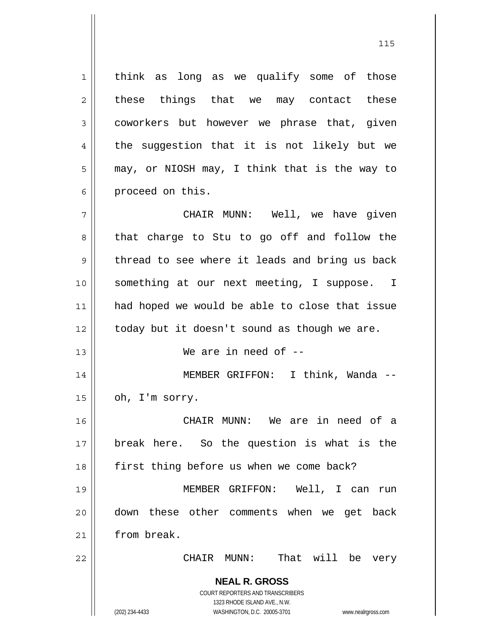1 2 3 4 5 6 think as long as we qualify some of those these things that we may contact these coworkers but however we phrase that, given the suggestion that it is not likely but we may, or NIOSH may, I think that is the way to proceed on this.

7 8 9 10 11 12 CHAIR MUNN: Well, we have given that charge to Stu to go off and follow the thread to see where it leads and bring us back something at our next meeting, I suppose. I had hoped we would be able to close that issue today but it doesn't sound as though we are.

We are in need of  $-$ 

14 15 MEMBER GRIFFON: I think, Wanda - oh, I'm sorry.

 CHAIR MUNN: We are in need of a break here. So the question is what is the first thing before us when we come back?

19 20 21 MEMBER GRIFFON: Well, I can run down these other comments when we get back from break.

CHAIR MUNN: That will be very

**NEAL R. GROSS** COURT REPORTERS AND TRANSCRIBERS 1323 RHODE ISLAND AVE., N.W.

13

16

17

18

22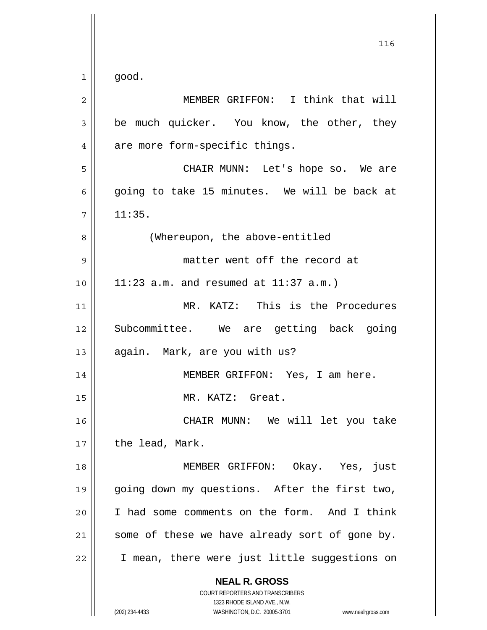| $\overline{c}$ | MEMBER GRIFFON: I think that will                                                                                                                               |
|----------------|-----------------------------------------------------------------------------------------------------------------------------------------------------------------|
| $\mathfrak{Z}$ | be much quicker. You know, the other, they                                                                                                                      |
| 4              | are more form-specific things.                                                                                                                                  |
| 5              | CHAIR MUNN: Let's hope so. We are                                                                                                                               |
| 6              | going to take 15 minutes. We will be back at                                                                                                                    |
| 7              | 11:35.                                                                                                                                                          |
| 8              | (Whereupon, the above-entitled                                                                                                                                  |
| $\mathsf 9$    | matter went off the record at                                                                                                                                   |
| 10             | 11:23 a.m. and resumed at $11:37$ a.m.)                                                                                                                         |
| 11             | MR. KATZ: This is the Procedures                                                                                                                                |
| 12             | Subcommittee. We are getting back going                                                                                                                         |
| 13             | again. Mark, are you with us?                                                                                                                                   |
| 14             | MEMBER GRIFFON: Yes, I am here.                                                                                                                                 |
| 15             | MR. KATZ: Great.                                                                                                                                                |
| 16             | CHAIR MUNN: We will let you take                                                                                                                                |
| 17             | the lead, Mark.                                                                                                                                                 |
| 18             | MEMBER GRIFFON: Okay. Yes, just                                                                                                                                 |
| 19             | going down my questions. After the first two,                                                                                                                   |
| 20             | I had some comments on the form. And I think                                                                                                                    |
| 21             | some of these we have already sort of gone by.                                                                                                                  |
| 22             | I mean, there were just little suggestions on                                                                                                                   |
|                | <b>NEAL R. GROSS</b><br>COURT REPORTERS AND TRANSCRIBERS<br>1323 RHODE ISLAND AVE., N.W.<br>(202) 234-4433<br>WASHINGTON, D.C. 20005-3701<br>www.nealrgross.com |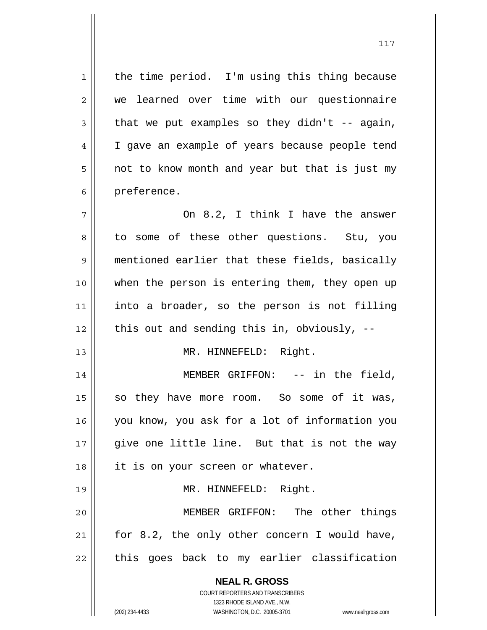**NEAL R. GROSS** COURT REPORTERS AND TRANSCRIBERS 1323 RHODE ISLAND AVE., N.W. 1 2 3 4 5 6 7 8 9 10 11 12 13 14 15 16 17 18 19 20 21 22 the time period. I'm using this thing because we learned over time with our questionnaire that we put examples so they  $d$ idn't -- again, I gave an example of years because people tend not to know month and year but that is just my preference. On 8.2, I think I have the answer to some of these other questions. Stu, you mentioned earlier that these fields, basically when the person is entering them, they open up into a broader, so the person is not filling this out and sending this in, obviously, -- MR. HINNEFELD: Right. MEMBER GRIFFON: -- in the field, so they have more room. So some of it was, you know, you ask for a lot of information you give one little line. But that is not the way it is on your screen or whatever. MR. HINNEFELD: Right. MEMBER GRIFFON: The other things for 8.2, the only other concern I would have, this goes back to my earlier classification

(202) 234-4433 WASHINGTON, D.C. 20005-3701 www.nealrgross.com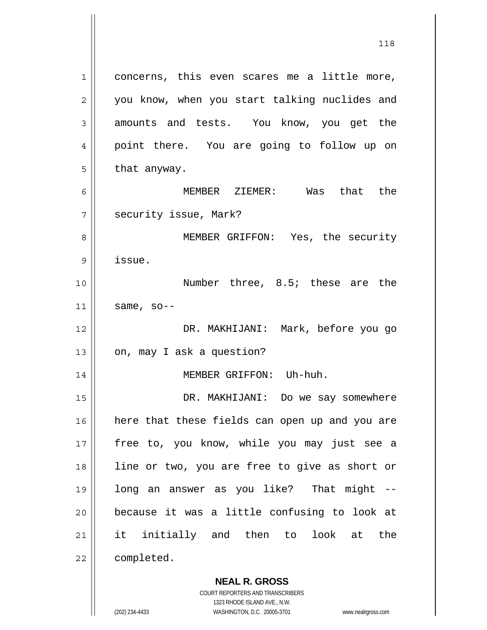1 2 3 4 5 6 7 8 9 10 11 12 13 14 concerns, this even scares me a little more, you know, when you start talking nuclides and amounts and tests. You know, you get the point there. You are going to follow up on that anyway. MEMBER ZIEMER: Was that the security issue, Mark? MEMBER GRIFFON: Yes, the security issue. Number three, 8.5; these are the same, so-- DR. MAKHIJANI: Mark, before you go on, may I ask a question? MEMBER GRIFFON: Uh-huh.

15 16 17 18 19 20 21 22 DR. MAKHIJANI: Do we say somewhere here that these fields can open up and you are free to, you know, while you may just see a line or two, you are free to give as short or long an answer as you like? That might - because it was a little confusing to look at it initially and then to look at the completed.

> **NEAL R. GROSS** COURT REPORTERS AND TRANSCRIBERS

> > 1323 RHODE ISLAND AVE., N.W.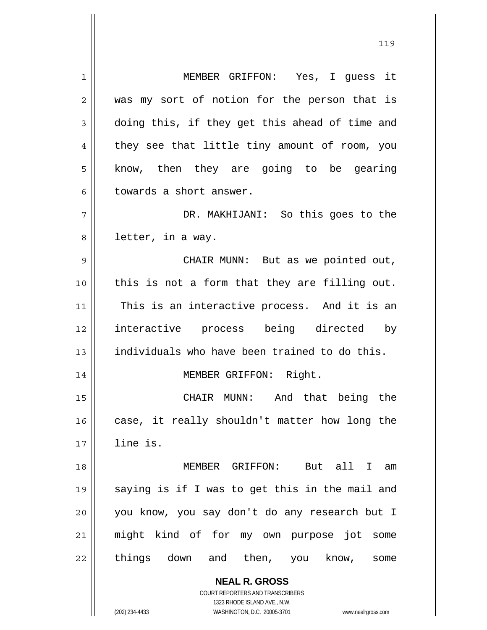1 2 3 4 5 6 7 8 9 10 11 12 13 14 15 16 17 18 19 20 21 22 MEMBER GRIFFON: Yes, I guess it was my sort of notion for the person that is doing this, if they get this ahead of time and they see that little tiny amount of room, you know, then they are going to be gearing towards a short answer. DR. MAKHIJANI: So this goes to the letter, in a way. CHAIR MUNN: But as we pointed out, this is not a form that they are filling out. This is an interactive process. And it is an interactive process being directed by individuals who have been trained to do this. MEMBER GRIFFON: Right. CHAIR MUNN: And that being the case, it really shouldn't matter how long the line is. MEMBER GRIFFON: But all I am saying is if I was to get this in the mail and you know, you say don't do any research but I might kind of for my own purpose jot some things down and then, you know, some

119

**NEAL R. GROSS** COURT REPORTERS AND TRANSCRIBERS 1323 RHODE ISLAND AVE., N.W.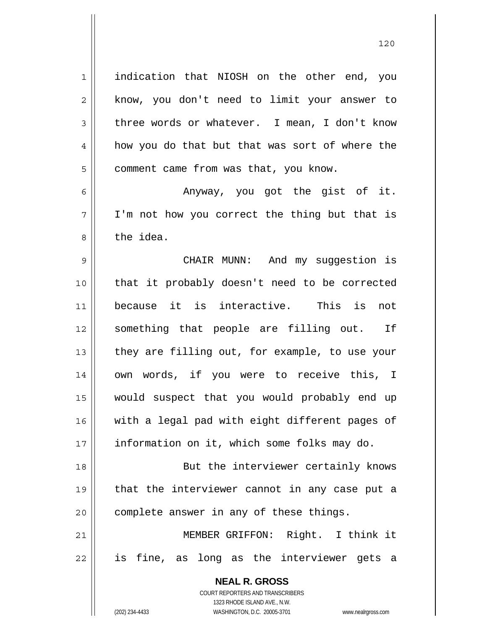**NEAL R. GROSS** COURT REPORTERS AND TRANSCRIBERS 1 2 3 4 5 6 7 8 9 10 11 12 13 14 15 16 17 18 19 20 21 22 indication that NIOSH on the other end, you know, you don't need to limit your answer to three words or whatever. I mean, I don't know how you do that but that was sort of where the comment came from was that, you know. Anyway, you got the gist of it. I'm not how you correct the thing but that is the idea. CHAIR MUNN: And my suggestion is that it probably doesn't need to be corrected because it is interactive. This is not something that people are filling out. If they are filling out, for example, to use your own words, if you were to receive this, I would suspect that you would probably end up with a legal pad with eight different pages of information on it, which some folks may do. But the interviewer certainly knows that the interviewer cannot in any case put a complete answer in any of these things. MEMBER GRIFFON: Right. I think it is fine, as long as the interviewer gets a

1323 RHODE ISLAND AVE., N.W.

(202) 234-4433 WASHINGTON, D.C. 20005-3701 www.nealrgross.com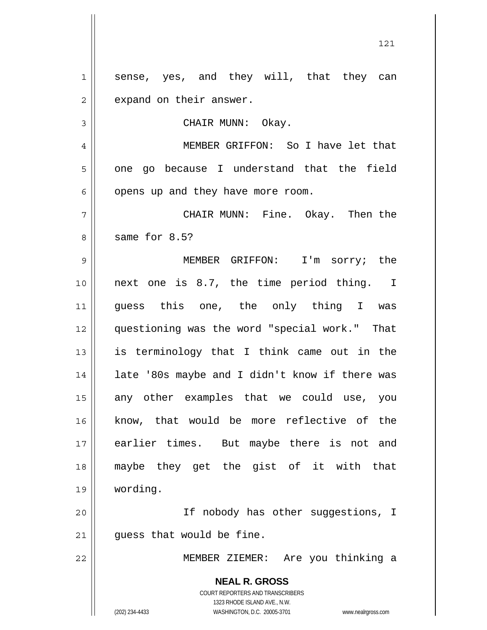**NEAL R. GROSS** COURT REPORTERS AND TRANSCRIBERS 1323 RHODE ISLAND AVE., N.W. (202) 234-4433 WASHINGTON, D.C. 20005-3701 www.nealrgross.com 1 2 3 4 5 6 7 8 9 10 11 12 13 14 15 16 17 18 19 20 21 22 sense, yes, and they will, that they can expand on their answer. CHAIR MUNN: Okay. MEMBER GRIFFON: So I have let that one go because I understand that the field opens up and they have more room. CHAIR MUNN: Fine. Okay. Then the same for 8.5? MEMBER GRIFFON: I'm sorry; the next one is 8.7, the time period thing. I guess this one, the only thing I was questioning was the word "special work." That is terminology that I think came out in the late '80s maybe and I didn't know if there was any other examples that we could use, you know, that would be more reflective of the earlier times. But maybe there is not and maybe they get the gist of it with that wording. If nobody has other suggestions, I guess that would be fine. MEMBER ZIEMER: Are you thinking a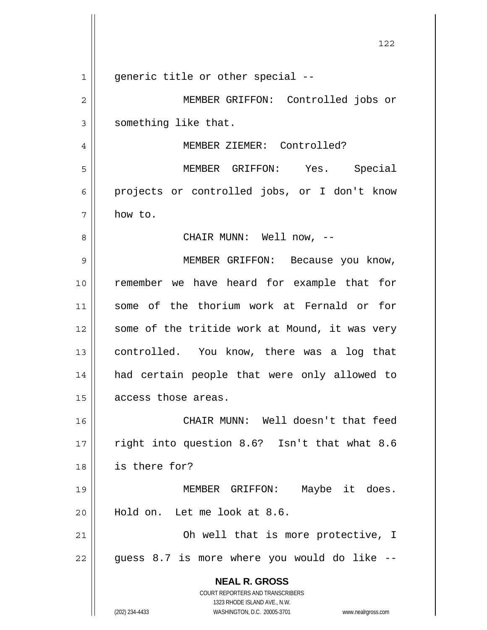**NEAL R. GROSS** COURT REPORTERS AND TRANSCRIBERS 1323 RHODE ISLAND AVE., N.W. (202) 234-4433 WASHINGTON, D.C. 20005-3701 www.nealrgross.com 122 1 2 3 4 5 6 7 8 9 10 11 12 13 14 15 16 17 18 19 20 21 22 generic title or other special -- MEMBER GRIFFON: Controlled jobs or something like that. MEMBER ZIEMER: Controlled? MEMBER GRIFFON: Yes. Special projects or controlled jobs, or I don't know how to. CHAIR MUNN: Well now, -- MEMBER GRIFFON: Because you know, remember we have heard for example that for some of the thorium work at Fernald or for some of the tritide work at Mound, it was very controlled. You know, there was a log that had certain people that were only allowed to access those areas. CHAIR MUNN: Well doesn't that feed right into question 8.6? Isn't that what 8.6 is there for? MEMBER GRIFFON: Maybe it does. Hold on. Let me look at 8.6. Oh well that is more protective, I guess 8.7 is more where you would do like --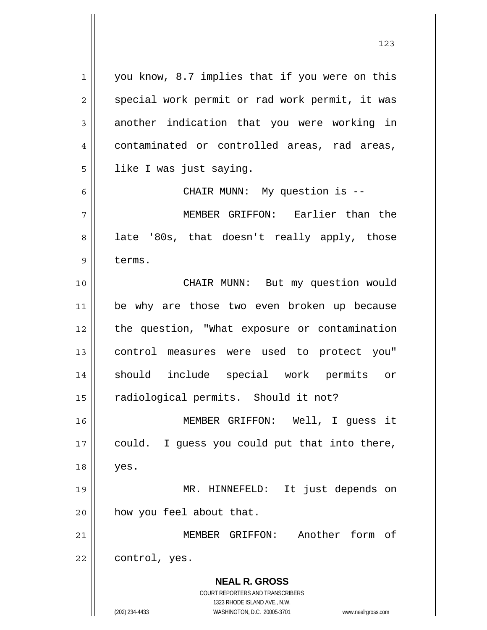**NEAL R. GROSS** COURT REPORTERS AND TRANSCRIBERS 1323 RHODE ISLAND AVE., N.W. (202) 234-4433 WASHINGTON, D.C. 20005-3701 www.nealrgross.com 1 2 3 4 5 6 7 8 9 10 11 12 13 14 15 16 17 18 19 20 21 22 you know, 8.7 implies that if you were on this special work permit or rad work permit, it was another indication that you were working in contaminated or controlled areas, rad areas, like I was just saying. CHAIR MUNN: My question is -- MEMBER GRIFFON: Earlier than the late '80s, that doesn't really apply, those terms. CHAIR MUNN: But my question would be why are those two even broken up because the question, "What exposure or contamination control measures were used to protect you" should include special work permits or radiological permits. Should it not? MEMBER GRIFFON: Well, I guess it could. I guess you could put that into there, yes. MR. HINNEFELD: It just depends on how you feel about that. MEMBER GRIFFON: Another form of control, yes.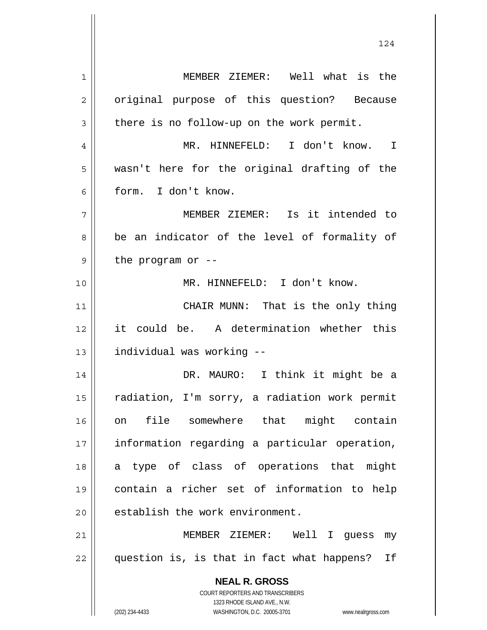**NEAL R. GROSS** COURT REPORTERS AND TRANSCRIBERS 1323 RHODE ISLAND AVE., N.W. (202) 234-4433 WASHINGTON, D.C. 20005-3701 www.nealrgross.com 1 2 3 4 5 6 7 8 9 10 11 12 13 14 15 16 17 18 19 20 21 22 MEMBER ZIEMER: Well what is the original purpose of this question? Because there is no follow-up on the work permit. MR. HINNEFELD: I don't know. I wasn't here for the original drafting of the form. I don't know. MEMBER ZIEMER: Is it intended to be an indicator of the level of formality of the program or -- MR. HINNEFELD: I don't know. CHAIR MUNN: That is the only thing it could be. A determination whether this individual was working -- DR. MAURO: I think it might be a radiation, I'm sorry, a radiation work permit on file somewhere that might contain information regarding a particular operation, a type of class of operations that might contain a richer set of information to help establish the work environment. MEMBER ZIEMER: Well I guess my question is, is that in fact what happens? If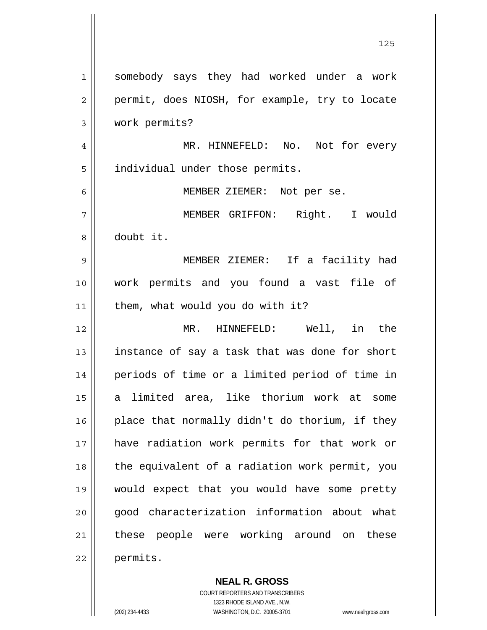|             | 125                                            |
|-------------|------------------------------------------------|
| $\mathbf 1$ | somebody says they had worked under a work     |
| 2           | permit, does NIOSH, for example, try to locate |
| 3           | work permits?                                  |
| 4           | MR. HINNEFELD: No. Not for every               |
| 5           | individual under those permits.                |
| 6           | MEMBER ZIEMER: Not per se.                     |
| 7           | MEMBER GRIFFON: Right. I would                 |
| 8           | doubt it.                                      |
| 9           | MEMBER ZIEMER: If a facility had               |
| 10          | work permits and you found a vast file of      |
| 11          | them, what would you do with it?               |
| 12          | HINNEFELD: Well, in the<br>$MR$ .              |
| 13          | instance of say a task that was done for short |
| 14          | periods of time or a limited period of time in |
| 15          | a limited area, like thorium work at some      |
| 16          | place that normally didn't do thorium, if they |
| 17          | have radiation work permits for that work or   |
| 18          | the equivalent of a radiation work permit, you |
| 19          | would expect that you would have some pretty   |
| 20          | good characterization information about what   |
| 21          | these people were working around on these      |
| 22          | permits.                                       |

**NEAL R. GROSS** COURT REPORTERS AND TRANSCRIBERS 1323 RHODE ISLAND AVE., N.W. (202) 234-4433 WASHINGTON, D.C. 20005-3701 www.nealrgross.com

 $\mathbf{I}$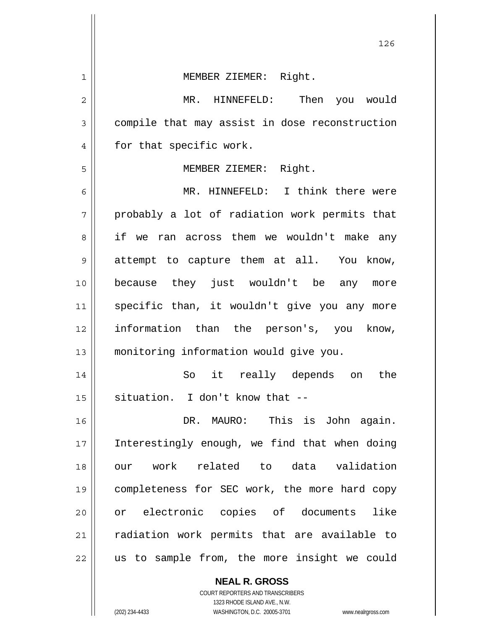| $\mathbf 1$ | MEMBER ZIEMER: Right.                          |
|-------------|------------------------------------------------|
| 2           | MR. HINNEFELD:<br>Then<br>you would            |
| 3           | compile that may assist in dose reconstruction |
| 4           | for that specific work.                        |
| 5           | MEMBER ZIEMER: Right.                          |
| 6           | MR. HINNEFELD: I think there were              |
| 7           | probably a lot of radiation work permits that  |
| 8           | if we ran across them we wouldn't make any     |
| 9           | attempt to capture them at all. You know,      |
| 10          | because they just wouldn't be any more         |
| 11          | specific than, it wouldn't give you any more   |
| 12          | information than the person's, you know,       |
| 13          | monitoring information would give you.         |
| 14          | So it really depends on<br>the                 |
| 15          | situation. I don't know that --                |
| 16          | DR. MAURO: This is John again.                 |
| 17          | Interestingly enough, we find that when doing  |
| 18          | our work related to data validation            |
| 19          | completeness for SEC work, the more hard copy  |
| 20          | or electronic copies of documents<br>like      |
| 21          | radiation work permits that are available to   |
| 22          | us to sample from, the more insight we could   |
|             | <b>NEAL R. GROSS</b>                           |

126

COURT REPORTERS AND TRANSCRIBERS 1323 RHODE ISLAND AVE., N.W.

 $\mathsf{II}$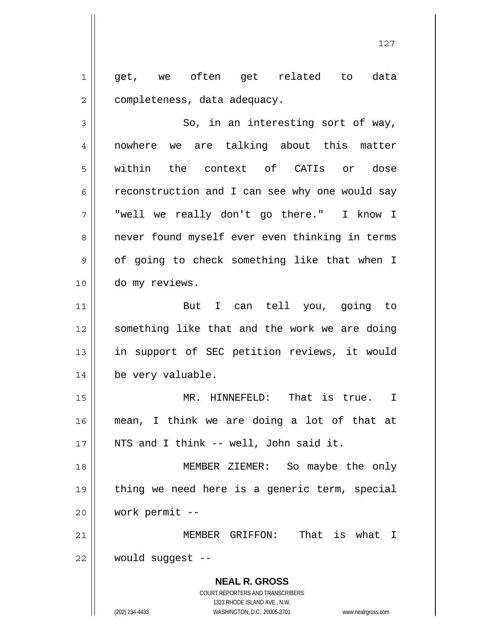1 2 get, we often get related to data completeness, data adequacy.

3 4 5 6 7 8 9 10 So, in an interesting sort of way, nowhere we are talking about this matter within the context of CATIs or dose reconstruction and I can see why one would say "well we really don't go there." I know I never found myself ever even thinking in terms of going to check something like that when I do my reviews.

11 12 13 14 But I can tell you, going to something like that and the work we are doing in support of SEC petition reviews, it would be very valuable.

15 16 17 MR. HINNEFELD: That is true. I mean, I think we are doing a lot of that at NTS and I think -- well, John said it.

18 19 20 MEMBER ZIEMER: So maybe the only thing we need here is a generic term, special work permit --

21 22 MEMBER GRIFFON: That is what I would suggest --

> **NEAL R. GROSS** COURT REPORTERS AND TRANSCRIBERS 1323 RHODE ISLAND AVE., N.W. (202) 234-4433 WASHINGTON, D.C. 20005-3701 www.nealrgross.com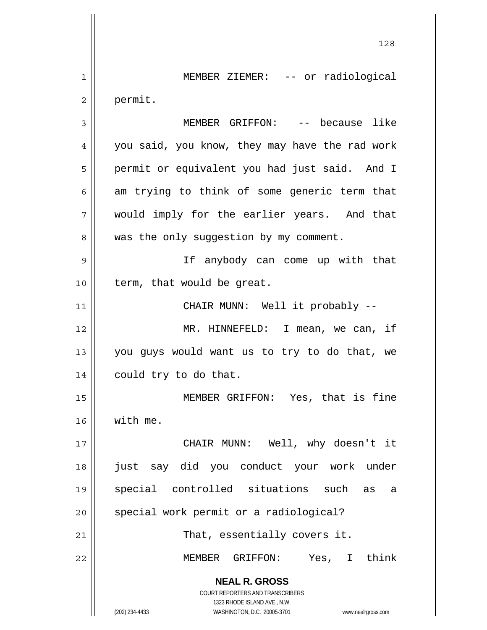**NEAL R. GROSS** COURT REPORTERS AND TRANSCRIBERS 1323 RHODE ISLAND AVE., N.W. (202) 234-4433 WASHINGTON, D.C. 20005-3701 www.nealrgross.com 128 1 2 3 4 5 6 7 8 9 10 11 12 13 14 15 16 17 18 19 20 21 22 MEMBER ZIEMER: -- or radiological permit. MEMBER GRIFFON: -- because like you said, you know, they may have the rad work permit or equivalent you had just said. And I am trying to think of some generic term that would imply for the earlier years. And that was the only suggestion by my comment. If anybody can come up with that term, that would be great. CHAIR MUNN: Well it probably -- MR. HINNEFELD: I mean, we can, if you guys would want us to try to do that, we could try to do that. MEMBER GRIFFON: Yes, that is fine with me. CHAIR MUNN: Well, why doesn't it just say did you conduct your work under special controlled situations such as a special work permit or a radiological? That, essentially covers it. MEMBER GRIFFON: Yes, I think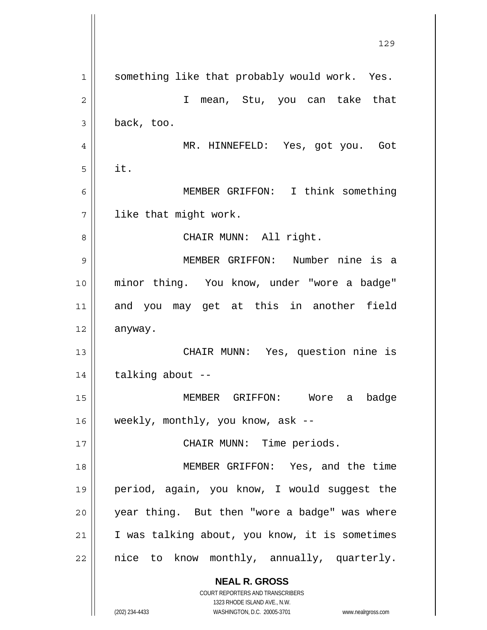|    | 129                                                                 |
|----|---------------------------------------------------------------------|
| 1  | something like that probably would work. Yes.                       |
| 2  | $\mathbf{I}$<br>mean, Stu, you can take that                        |
| 3  | back, too.                                                          |
| 4  | MR. HINNEFELD: Yes, got you. Got                                    |
| 5  | it.                                                                 |
| 6  | MEMBER GRIFFON: I think something                                   |
| 7  | like that might work.                                               |
| 8  | CHAIR MUNN: All right.                                              |
| 9  | MEMBER GRIFFON: Number nine is a                                    |
| 10 | minor thing. You know, under "wore a badge"                         |
| 11 | and you may get at this in another field                            |
| 12 | anyway.                                                             |
| 13 | CHAIR MUNN: Yes, question nine is                                   |
| 14 | talking about --                                                    |
| 15 | MEMBER GRIFFON: Wore a badge                                        |
| 16 | weekly, monthly, you know, ask --                                   |
| 17 | CHAIR MUNN: Time periods.                                           |
| 18 | MEMBER GRIFFON: Yes, and the time                                   |
| 19 | period, again, you know, I would suggest the                        |
| 20 | year thing. But then "wore a badge" was where                       |
| 21 | I was talking about, you know, it is sometimes                      |
| 22 | nice to know monthly, annually, quarterly.                          |
|    | <b>NEAL R. GROSS</b>                                                |
|    | COURT REPORTERS AND TRANSCRIBERS<br>1323 RHODE ISLAND AVE., N.W.    |
|    | (202) 234-4433<br>WASHINGTON, D.C. 20005-3701<br>www.nealrgross.com |

 $\mathsf{l}$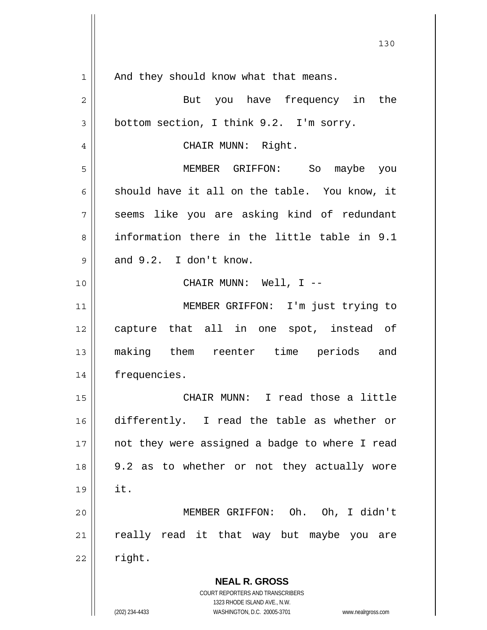| 1  | And they should know what that means.                               |
|----|---------------------------------------------------------------------|
| 2  | But you have frequency in the                                       |
| 3  | bottom section, I think 9.2. I'm sorry.                             |
| 4  | CHAIR MUNN: Right.                                                  |
| 5  | MEMBER GRIFFON: So maybe you                                        |
| 6  | should have it all on the table. You know, it                       |
| 7  | seems like you are asking kind of redundant                         |
| 8  | information there in the little table in 9.1                        |
| 9  | and 9.2. I don't know.                                              |
| 10 | CHAIR MUNN: Well, I --                                              |
| 11 | MEMBER GRIFFON: I'm just trying to                                  |
| 12 | capture that all in one spot, instead of                            |
| 13 | making them reenter time periods and                                |
| 14 | frequencies.                                                        |
| 15 | CHAIR MUNN: I read those a little                                   |
| 16 | differently. I read the table as whether or                         |
| 17 | not they were assigned a badge to where I read                      |
| 18 | 9.2 as to whether or not they actually wore                         |
| 19 | it.                                                                 |
| 20 | MEMBER GRIFFON: Oh. Oh, I didn't                                    |
| 21 | really read it that way but maybe you are                           |
| 22 | right.                                                              |
|    | <b>NEAL R. GROSS</b>                                                |
|    | COURT REPORTERS AND TRANSCRIBERS                                    |
|    | 1323 RHODE ISLAND AVE., N.W.                                        |
|    | (202) 234-4433<br>WASHINGTON, D.C. 20005-3701<br>www.nealrgross.com |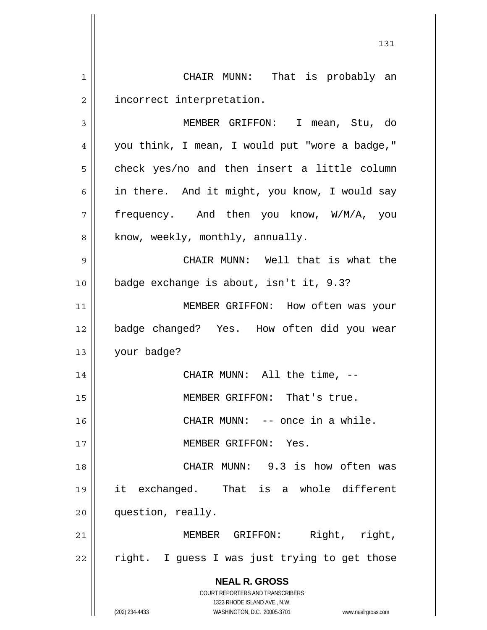**NEAL R. GROSS** COURT REPORTERS AND TRANSCRIBERS 1323 RHODE ISLAND AVE., N.W. (202) 234-4433 WASHINGTON, D.C. 20005-3701 www.nealrgross.com 131 1 2 3 4 5 6 7 8 9 10 11 12 13 14 15 16 17 18 19 20 21 22 CHAIR MUNN: That is probably an incorrect interpretation. MEMBER GRIFFON: I mean, Stu, do you think, I mean, I would put "wore a badge," check yes/no and then insert a little column in there. And it might, you know, I would say frequency. And then you know, W/M/A, you know, weekly, monthly, annually. CHAIR MUNN: Well that is what the badge exchange is about, isn't it, 9.3? MEMBER GRIFFON: How often was your badge changed? Yes. How often did you wear your badge? CHAIR MUNN: All the time, -- MEMBER GRIFFON: That's true. CHAIR MUNN: -- once in a while. MEMBER GRIFFON: Yes. CHAIR MUNN: 9.3 is how often was it exchanged. That is a whole different question, really. MEMBER GRIFFON: Right, right, right. I guess I was just trying to get those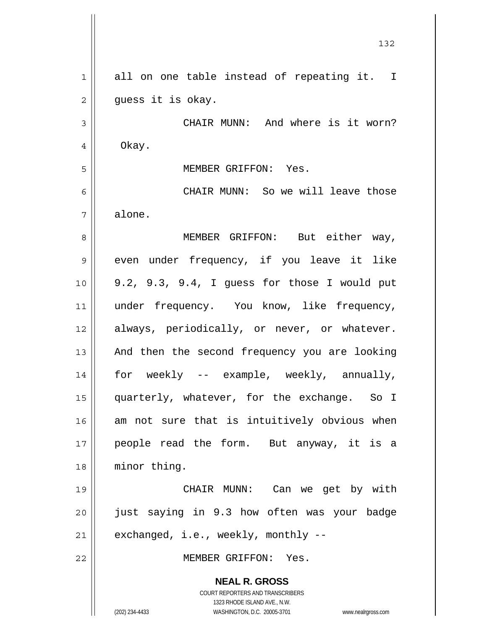|                | 132                                                                 |
|----------------|---------------------------------------------------------------------|
| $\mathbf 1$    | all on one table instead of repeating it. I                         |
| $\overline{c}$ | guess it is okay.                                                   |
| 3              | CHAIR MUNN: And where is it worn?                                   |
| 4              | Okay.                                                               |
| 5              | MEMBER GRIFFON: Yes.                                                |
| 6              | CHAIR MUNN: So we will leave those                                  |
| 7              | alone.                                                              |
| 8              | MEMBER GRIFFON: But either way,                                     |
| 9              | even under frequency, if you leave it like                          |
| 10             | 9.2, 9.3, 9.4, I guess for those I would put                        |
| 11             | under frequency. You know, like frequency,                          |
| 12             | always, periodically, or never, or whatever.                        |
| 13             | And then the second frequency you are looking                       |
| 14             | for weekly -- example, weekly, annually,                            |
| 15             | quarterly, whatever, for the exchange. So I                         |
| 16             | am not sure that is intuitively obvious when                        |
| 17             | people read the form. But anyway, it is a                           |
| 18             | minor thing.                                                        |
| 19             | CHAIR MUNN: Can we get by with                                      |
| 20             | just saying in 9.3 how often was your badge                         |
| 21             | exchanged, i.e., weekly, monthly --                                 |
| 22             | MEMBER GRIFFON: Yes.                                                |
|                | <b>NEAL R. GROSS</b>                                                |
|                | COURT REPORTERS AND TRANSCRIBERS<br>1323 RHODE ISLAND AVE., N.W.    |
|                | (202) 234-4433<br>WASHINGTON, D.C. 20005-3701<br>www.nealrgross.com |

 $\mathsf{I}$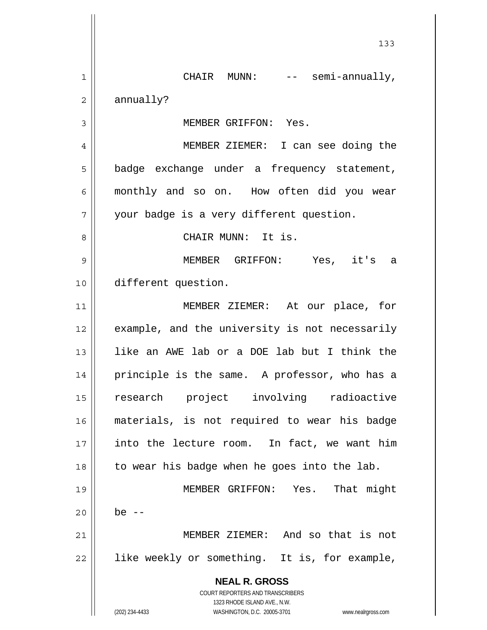**NEAL R. GROSS** COURT REPORTERS AND TRANSCRIBERS 1323 RHODE ISLAND AVE., N.W. (202) 234-4433 WASHINGTON, D.C. 20005-3701 www.nealrgross.com 133 1 2 3 4 5 6 7 8 9 10 11 12 13 14 15 16 17 18 19 20 21 22 CHAIR MUNN: -- semi-annually, annually? MEMBER GRIFFON: Yes. MEMBER ZIEMER: I can see doing the badge exchange under a frequency statement, monthly and so on. How often did you wear your badge is a very different question. CHAIR MUNN: It is. MEMBER GRIFFON: Yes, it's a different question. MEMBER ZIEMER: At our place, for example, and the university is not necessarily like an AWE lab or a DOE lab but I think the principle is the same. A professor, who has a research project involving radioactive materials, is not required to wear his badge into the lecture room. In fact, we want him to wear his badge when he goes into the lab. MEMBER GRIFFON: Yes. That might be  $-$  MEMBER ZIEMER: And so that is not like weekly or something. It is, for example,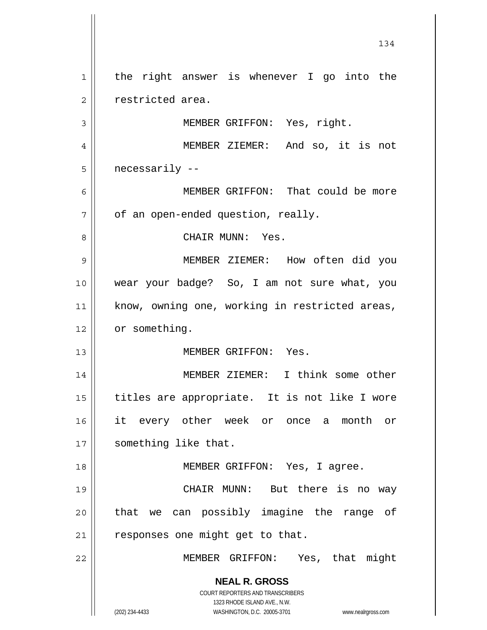**NEAL R. GROSS** COURT REPORTERS AND TRANSCRIBERS 1323 RHODE ISLAND AVE., N.W. (202) 234-4433 WASHINGTON, D.C. 20005-3701 www.nealrgross.com 134 1 2 3 4 5 6 7 8 9 10 11 12 13 14 15 16 17 18 19 20 21 22 the right answer is whenever I go into the restricted area. MEMBER GRIFFON: Yes, right. MEMBER ZIEMER: And so, it is not necessarily -- MEMBER GRIFFON: That could be more of an open-ended question, really. CHAIR MUNN: Yes. MEMBER ZIEMER: How often did you wear your badge? So, I am not sure what, you know, owning one, working in restricted areas, or something. MEMBER GRIFFON: Yes. MEMBER ZIEMER: I think some other titles are appropriate. It is not like I wore it every other week or once a month or something like that. MEMBER GRIFFON: Yes, I agree. CHAIR MUNN: But there is no way that we can possibly imagine the range of responses one might get to that. MEMBER GRIFFON: Yes, that might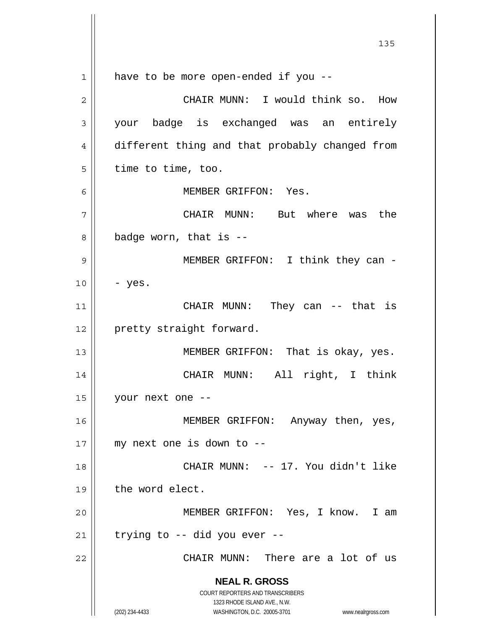**NEAL R. GROSS** COURT REPORTERS AND TRANSCRIBERS 1323 RHODE ISLAND AVE., N.W. (202) 234-4433 WASHINGTON, D.C. 20005-3701 www.nealrgross.com 1 2 3 4 5 6 7 8 9 10 11 12 13 14 15 16 17 18 19 20 21 22 have to be more open-ended if you -- CHAIR MUNN: I would think so. How your badge is exchanged was an entirely different thing and that probably changed from time to time, too. MEMBER GRIFFON: Yes. CHAIR MUNN: But where was the badge worn, that is -- MEMBER GRIFFON: I think they can - - yes. CHAIR MUNN: They can -- that is pretty straight forward. MEMBER GRIFFON: That is okay, yes. CHAIR MUNN: All right, I think your next one -- MEMBER GRIFFON: Anyway then, yes, my next one is down to -- CHAIR MUNN: -- 17. You didn't like the word elect. MEMBER GRIFFON: Yes, I know. I am trying to -- did you ever -- CHAIR MUNN: There are a lot of us

<u>135</u>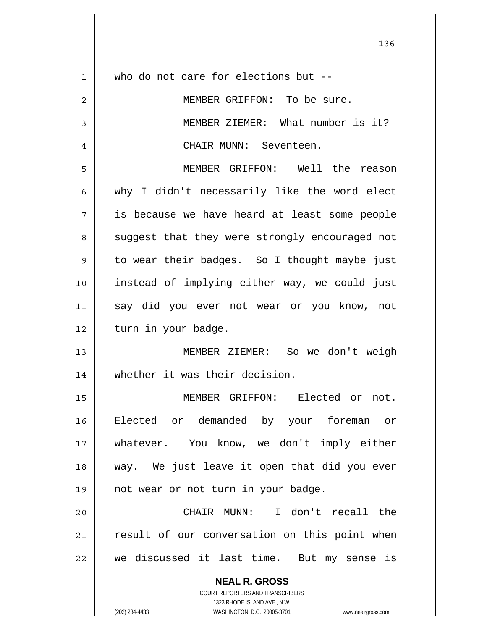| 1  | who do not care for elections but --                                                                |
|----|-----------------------------------------------------------------------------------------------------|
| 2  | MEMBER GRIFFON: To be sure.                                                                         |
| 3  | MEMBER ZIEMER: What number is it?                                                                   |
| 4  | CHAIR MUNN: Seventeen.                                                                              |
| 5  | MEMBER GRIFFON: Well the reason                                                                     |
| 6  | why I didn't necessarily like the word elect                                                        |
| 7  | is because we have heard at least some people                                                       |
| 8  | suggest that they were strongly encouraged not                                                      |
| 9  | to wear their badges. So I thought maybe just                                                       |
| 10 | instead of implying either way, we could just                                                       |
| 11 | say did you ever not wear or you know, not                                                          |
| 12 | turn in your badge.                                                                                 |
| 13 | MEMBER ZIEMER: So we don't weigh                                                                    |
| 14 | whether it was their decision.                                                                      |
| 15 | MEMBER GRIFFON: Elected or<br>not.                                                                  |
| 16 | Elected or demanded by your foreman or                                                              |
| 17 | whatever. You know, we don't imply either                                                           |
| 18 | way. We just leave it open that did you ever                                                        |
| 19 | not wear or not turn in your badge.                                                                 |
| 20 | CHAIR MUNN: I don't recall the                                                                      |
| 21 | result of our conversation on this point when                                                       |
| 22 | we discussed it last time. But my sense is                                                          |
|    | <b>NEAL R. GROSS</b>                                                                                |
|    | <b>COURT REPORTERS AND TRANSCRIBERS</b>                                                             |
|    | 1323 RHODE ISLAND AVE., N.W.<br>(202) 234-4433<br>WASHINGTON, D.C. 20005-3701<br>www.nealrgross.com |
|    |                                                                                                     |

136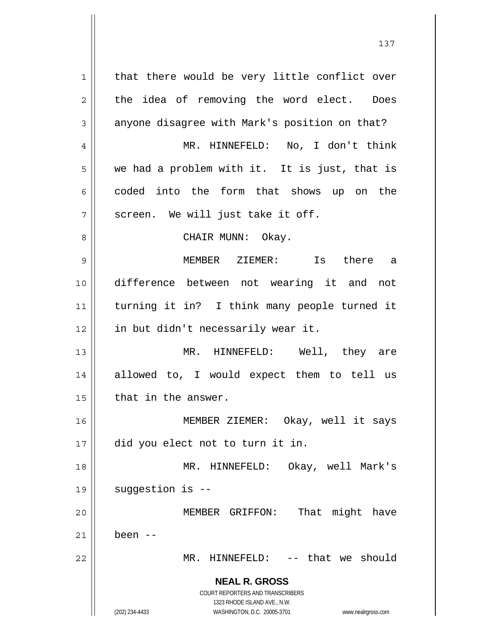**NEAL R. GROSS** COURT REPORTERS AND TRANSCRIBERS 1323 RHODE ISLAND AVE., N.W. (202) 234-4433 WASHINGTON, D.C. 20005-3701 www.nealrgross.com 1 2 3 4 5 6 7 8 9 10 11 12 13 14 15 16 17 18 19 20 21 22 that there would be very little conflict over the idea of removing the word elect. Does anyone disagree with Mark's position on that? MR. HINNEFELD: No, I don't think we had a problem with it. It is just, that is coded into the form that shows up on the screen. We will just take it off. CHAIR MUNN: Okay. MEMBER ZIEMER: Is there a difference between not wearing it and not turning it in? I think many people turned it in but didn't necessarily wear it. MR. HINNEFELD: Well, they are allowed to, I would expect them to tell us that in the answer. MEMBER ZIEMER: Okay, well it says did you elect not to turn it in. MR. HINNEFELD: Okay, well Mark's suggestion is -- MEMBER GRIFFON: That might have been -- MR. HINNEFELD: -- that we should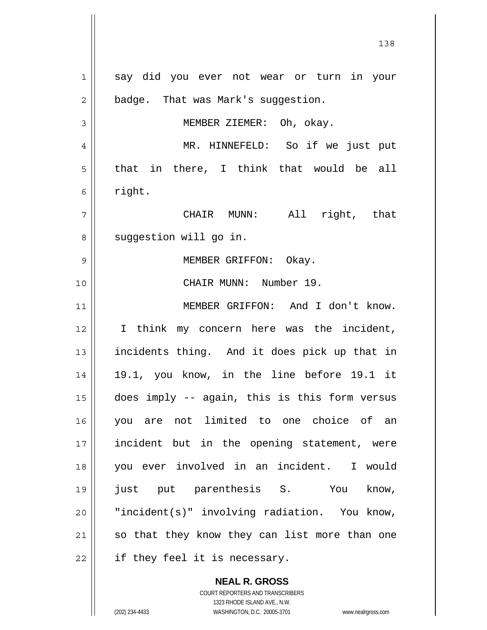1 2 3 4 5 6 7 8 9 10 11 12 13 14 15 16 17 18 19 20 21 22 say did you ever not wear or turn in your badge. That was Mark's suggestion. MEMBER ZIEMER: Oh, okay. MR. HINNEFELD: So if we just put that in there, I think that would be all right. CHAIR MUNN: All right, that suggestion will go in. MEMBER GRIFFON: Okay. CHAIR MUNN: Number 19. MEMBER GRIFFON: And I don't know. I think my concern here was the incident, incidents thing. And it does pick up that in 19.1, you know, in the line before 19.1 it does imply -- again, this is this form versus you are not limited to one choice of an incident but in the opening statement, were you ever involved in an incident. I would just put parenthesis S. You know, "incident(s)" involving radiation. You know, so that they know they can list more than one if they feel it is necessary.

> **NEAL R. GROSS** COURT REPORTERS AND TRANSCRIBERS 1323 RHODE ISLAND AVE., N.W.

<sup>(202) 234-4433</sup> WASHINGTON, D.C. 20005-3701 www.nealrgross.com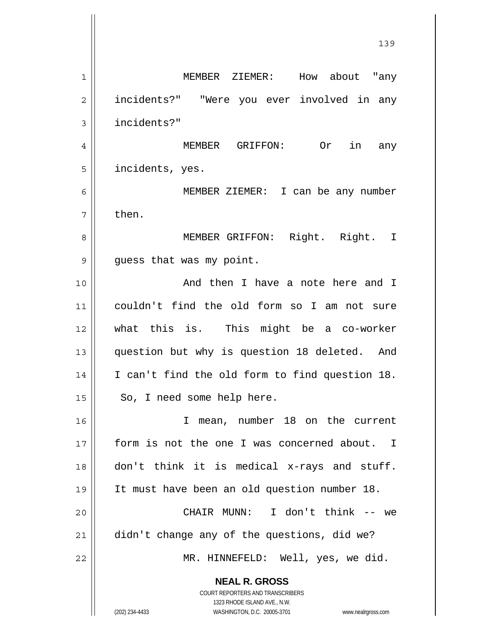**NEAL R. GROSS** COURT REPORTERS AND TRANSCRIBERS 1 2 3 4 5 6 7 8 9 10 11 12 13 14 15 16 17 18 19 20 21 22 MEMBER ZIEMER: How about "any incidents?" "Were you ever involved in any incidents?" MEMBER GRIFFON: Or in any incidents, yes. MEMBER ZIEMER: I can be any number then. MEMBER GRIFFON: Right. Right. I guess that was my point. And then I have a note here and I couldn't find the old form so I am not sure what this is. This might be a co-worker question but why is question 18 deleted. And I can't find the old form to find question 18. So, I need some help here. I mean, number 18 on the current form is not the one I was concerned about. I don't think it is medical x-rays and stuff. It must have been an old question number 18. CHAIR MUNN: I don't think -- we didn't change any of the questions, did we? MR. HINNEFELD: Well, yes, we did.

139

1323 RHODE ISLAND AVE., N.W.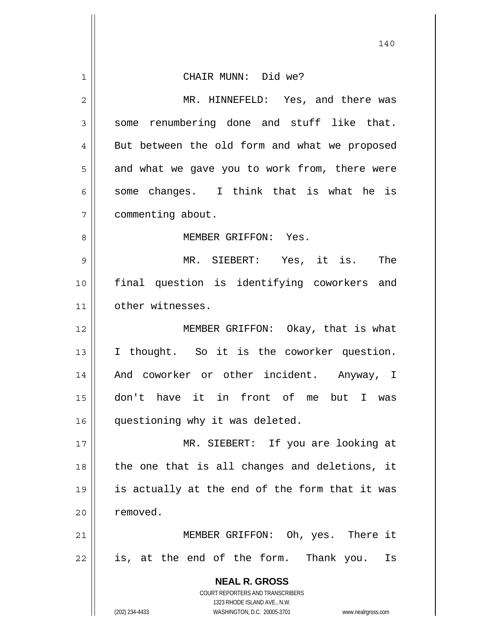| $\mathbf{1}$   | CHAIR MUNN: Did we?                                                                                 |
|----------------|-----------------------------------------------------------------------------------------------------|
| $\overline{2}$ | MR. HINNEFELD: Yes, and there was                                                                   |
| 3              | some renumbering done and stuff like that.                                                          |
| 4              | But between the old form and what we proposed                                                       |
| 5              | and what we gave you to work from, there were                                                       |
| 6              | some changes. I think that is what he is                                                            |
| 7              | commenting about.                                                                                   |
| 8              | MEMBER GRIFFON: Yes.                                                                                |
| 9              | MR. SIEBERT: Yes, it is. The                                                                        |
| 10             | final question is identifying coworkers and                                                         |
| 11             | other witnesses.                                                                                    |
| 12             | MEMBER GRIFFON: Okay, that is what                                                                  |
| 13             | I thought. So it is the coworker question.                                                          |
| 14             | And coworker or other incident. Anyway, I                                                           |
| 15             | don't have it in front of me but I was                                                              |
| 16             | questioning why it was deleted.                                                                     |
| 17             | MR. SIEBERT: If you are looking at                                                                  |
| 18             | the one that is all changes and deletions, it                                                       |
| 19             | is actually at the end of the form that it was                                                      |
| 20             | removed.                                                                                            |
| 21             | MEMBER GRIFFON: Oh, yes. There it                                                                   |
| 22             | is, at the end of the form. Thank you.<br>Is                                                        |
|                | <b>NEAL R. GROSS</b>                                                                                |
|                | <b>COURT REPORTERS AND TRANSCRIBERS</b>                                                             |
|                | 1323 RHODE ISLAND AVE., N.W.<br>(202) 234-4433<br>WASHINGTON, D.C. 20005-3701<br>www.nealrgross.com |

 $\mathsf{l}$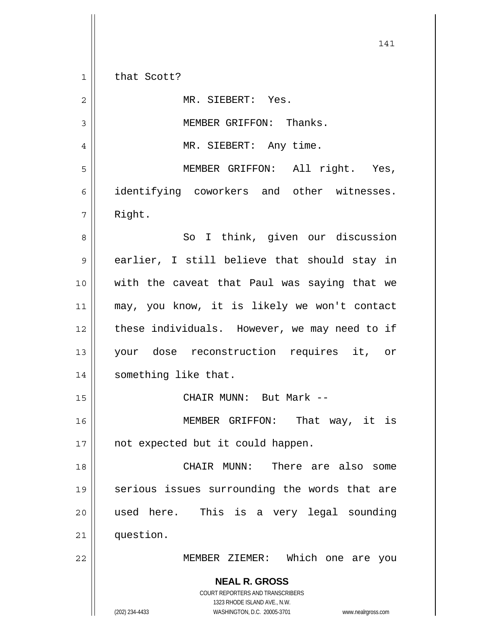**NEAL R. GROSS** COURT REPORTERS AND TRANSCRIBERS 1323 RHODE ISLAND AVE., N.W. (202) 234-4433 WASHINGTON, D.C. 20005-3701 www.nealrgross.com 141 1 2 3 4 5 6 7 8 9 10 11 12 13 14 15 16 17 18 19 20 21 22 that Scott? MR. SIEBERT: Yes. MEMBER GRIFFON: Thanks. MR. SIEBERT: Any time. MEMBER GRIFFON: All right. Yes, identifying coworkers and other witnesses. Right. So I think, given our discussion earlier, I still believe that should stay in with the caveat that Paul was saying that we may, you know, it is likely we won't contact these individuals. However, we may need to if your dose reconstruction requires it, or something like that. CHAIR MUNN: But Mark -- MEMBER GRIFFON: That way, it is not expected but it could happen. CHAIR MUNN: There are also some serious issues surrounding the words that are used here. This is a very legal sounding question. MEMBER ZIEMER: Which one are you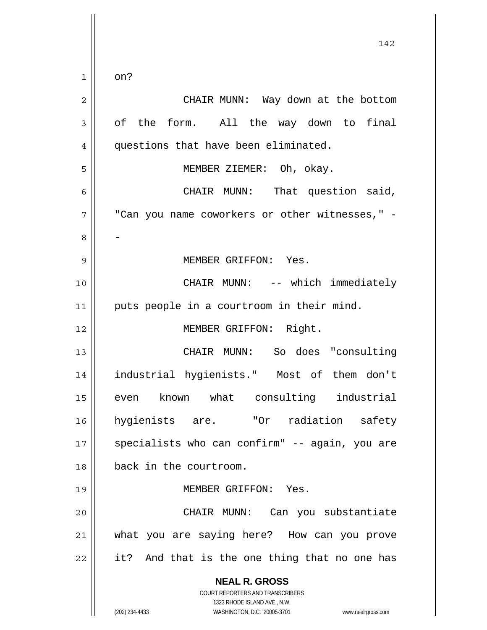**NEAL R. GROSS** COURT REPORTERS AND TRANSCRIBERS 1323 RHODE ISLAND AVE., N.W. (202) 234-4433 WASHINGTON, D.C. 20005-3701 www.nealrgross.com 142 1 2 3 4 5 6 7 8 9 10 11 12 13 14 15 16 17 18 19 20 21 22 on? CHAIR MUNN: Way down at the bottom of the form. All the way down to final questions that have been eliminated. MEMBER ZIEMER: Oh, okay. CHAIR MUNN: That question said, "Can you name coworkers or other witnesses," -- MEMBER GRIFFON: Yes. CHAIR MUNN: -- which immediately puts people in a courtroom in their mind. MEMBER GRIFFON: Right. CHAIR MUNN: So does "consulting industrial hygienists." Most of them don't even known what consulting industrial hygienists are. "Or radiation safety specialists who can confirm" -- again, you are back in the courtroom. MEMBER GRIFFON: Yes. CHAIR MUNN: Can you substantiate what you are saying here? How can you prove it? And that is the one thing that no one has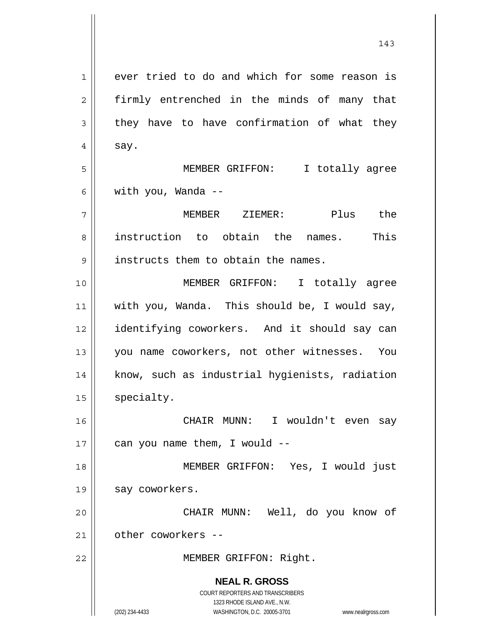**NEAL R. GROSS** COURT REPORTERS AND TRANSCRIBERS 1323 RHODE ISLAND AVE., N.W. (202) 234-4433 WASHINGTON, D.C. 20005-3701 www.nealrgross.com 1 2 3 4 5 6 7 8 9 10 11 12 13 14 15 16 17 18 19 20 21 22 ever tried to do and which for some reason is firmly entrenched in the minds of many that they have to have confirmation of what they say. MEMBER GRIFFON: I totally agree with you, Wanda -- MEMBER ZIEMER: Plus the instruction to obtain the names. This instructs them to obtain the names. MEMBER GRIFFON: I totally agree with you, Wanda. This should be, I would say, identifying coworkers. And it should say can you name coworkers, not other witnesses. You know, such as industrial hygienists, radiation specialty. CHAIR MUNN: I wouldn't even say can you name them, I would -- MEMBER GRIFFON: Yes, I would just say coworkers. CHAIR MUNN: Well, do you know of other coworkers -- MEMBER GRIFFON: Right.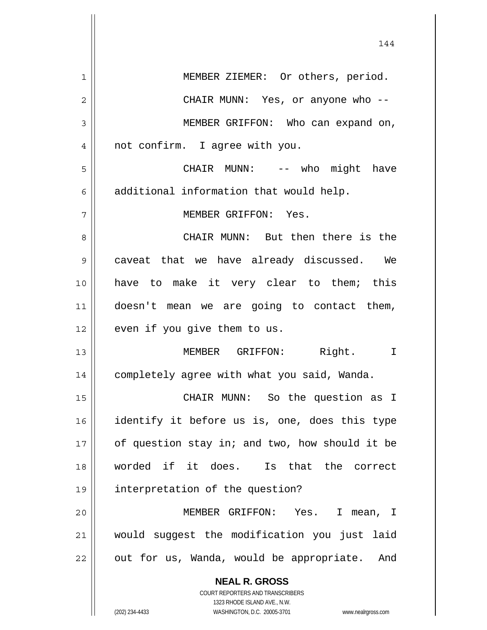| 1  | MEMBER ZIEMER: Or others, period.                                   |
|----|---------------------------------------------------------------------|
| 2  | CHAIR MUNN: Yes, or anyone who --                                   |
| 3  | MEMBER GRIFFON: Who can expand on,                                  |
| 4  | not confirm. I agree with you.                                      |
| 5  | CHAIR MUNN: -- who might have                                       |
| 6  | additional information that would help.                             |
| 7  | MEMBER GRIFFON: Yes.                                                |
| 8  | CHAIR MUNN: But then there is the                                   |
| 9  | caveat that we have already discussed. We                           |
| 10 | have to make it very clear to them; this                            |
| 11 | doesn't mean we are going to contact them,                          |
| 12 | even if you give them to us.                                        |
| 13 | MEMBER GRIFFON: Right. I                                            |
| 14 | completely agree with what you said, Wanda.                         |
| 15 | CHAIR MUNN: So the question as I                                    |
| 16 | identify it before us is, one, does this type                       |
| 17 | of question stay in; and two, how should it be                      |
| 18 | worded if it does. Is that the correct                              |
| 19 | interpretation of the question?                                     |
| 20 | MEMBER GRIFFON: Yes.<br>$\mathbf{I}$<br>mean, I                     |
| 21 | would suggest the modification you just laid                        |
| 22 | out for us, Wanda, would be appropriate. And                        |
|    | <b>NEAL R. GROSS</b>                                                |
|    | COURT REPORTERS AND TRANSCRIBERS                                    |
|    | 1323 RHODE ISLAND AVE., N.W.                                        |
|    | (202) 234-4433<br>WASHINGTON, D.C. 20005-3701<br>www.nealrgross.com |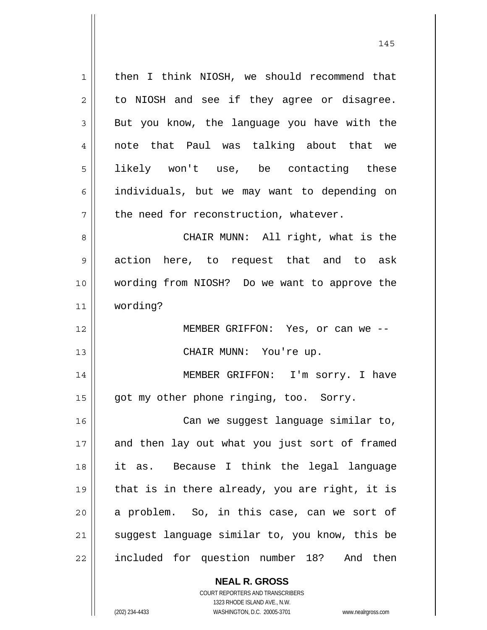1 2 3 4 5 6 7 8 9 10 11 12 13 14 15 16 17 18 19 20 21 22 then I think NIOSH, we should recommend that to NIOSH and see if they agree or disagree. But you know, the language you have with the note that Paul was talking about that we likely won't use, be contacting these individuals, but we may want to depending on the need for reconstruction, whatever. CHAIR MUNN: All right, what is the action here, to request that and to ask wording from NIOSH? Do we want to approve the wording? MEMBER GRIFFON: Yes, or can we -- CHAIR MUNN: You're up. MEMBER GRIFFON: I'm sorry. I have got my other phone ringing, too. Sorry. Can we suggest language similar to, and then lay out what you just sort of framed it as. Because I think the legal language that is in there already, you are right, it is a problem. So, in this case, can we sort of suggest language similar to, you know, this be included for question number 18? And then

> **NEAL R. GROSS** COURT REPORTERS AND TRANSCRIBERS 1323 RHODE ISLAND AVE., N.W.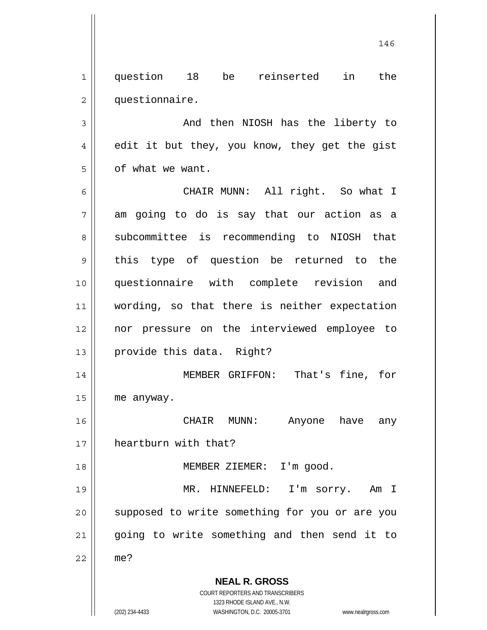1 2 question 18 be reinserted in the questionnaire.

3 4 5 And then NIOSH has the liberty to edit it but they, you know, they get the gist of what we want.

6 7 8 9 10 11 12 13 CHAIR MUNN: All right. So what I am going to do is say that our action as a subcommittee is recommending to NIOSH that this type of question be returned to the questionnaire with complete revision and wording, so that there is neither expectation nor pressure on the interviewed employee to provide this data. Right?

14 15 MEMBER GRIFFON: That's fine, for me anyway.

16 17 CHAIR MUNN: Anyone have any heartburn with that?

MEMBER ZIEMER: I'm good.

19 20 21 22 MR. HINNEFELD: I'm sorry. Am I supposed to write something for you or are you going to write something and then send it to me?

**NEAL R. GROSS**

COURT REPORTERS AND TRANSCRIBERS 1323 RHODE ISLAND AVE., N.W.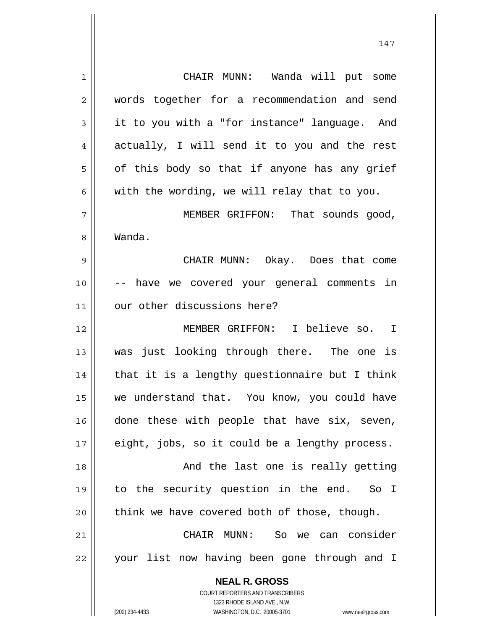**NEAL R. GROSS** COURT REPORTERS AND TRANSCRIBERS 1 2 3 4 5 6 7 8 9 10 11 12 13 14 15 16 17 18 19 20 21 22 CHAIR MUNN: Wanda will put some words together for a recommendation and send it to you with a "for instance" language. And actually, I will send it to you and the rest of this body so that if anyone has any grief with the wording, we will relay that to you. MEMBER GRIFFON: That sounds good, Wanda. CHAIR MUNN: Okay. Does that come -- have we covered your general comments in our other discussions here? MEMBER GRIFFON: I believe so. I was just looking through there. The one is that it is a lengthy questionnaire but I think we understand that. You know, you could have done these with people that have six, seven, eight, jobs, so it could be a lengthy process. And the last one is really getting to the security question in the end. So I think we have covered both of those, though. CHAIR MUNN: So we can consider your list now having been gone through and I

1323 RHODE ISLAND AVE., N.W.

(202) 234-4433 WASHINGTON, D.C. 20005-3701 www.nealrgross.com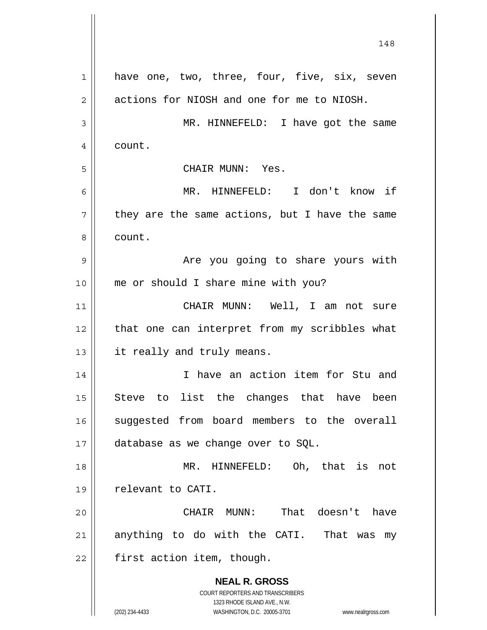**NEAL R. GROSS** COURT REPORTERS AND TRANSCRIBERS 1323 RHODE ISLAND AVE., N.W. (202) 234-4433 WASHINGTON, D.C. 20005-3701 www.nealrgross.com 148 1 2 3 4 5 6 7 8 9 10 11 12 13 14 15 16 17 18 19 20 21 22 have one, two, three, four, five, six, seven actions for NIOSH and one for me to NIOSH. MR. HINNEFELD: I have got the same count. CHAIR MUNN: Yes. MR. HINNEFELD: I don't know if they are the same actions, but I have the same count. Are you going to share yours with me or should I share mine with you? CHAIR MUNN: Well, I am not sure that one can interpret from my scribbles what it really and truly means. I have an action item for Stu and Steve to list the changes that have been suggested from board members to the overall database as we change over to SQL. MR. HINNEFELD: Oh, that is not relevant to CATI. CHAIR MUNN: That doesn't have anything to do with the CATI. That was my first action item, though.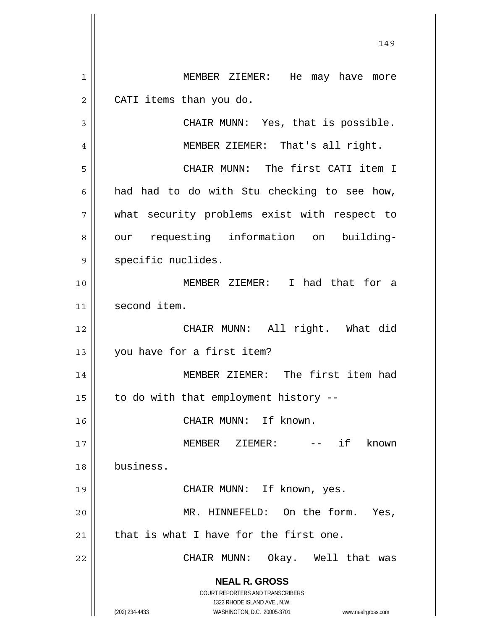**NEAL R. GROSS** COURT REPORTERS AND TRANSCRIBERS 1323 RHODE ISLAND AVE., N.W. (202) 234-4433 WASHINGTON, D.C. 20005-3701 www.nealrgross.com 149 1 2 3 4 5 6 7 8 9 10 11 12 13 14 15 16 17 18 19 20 21 22 MEMBER ZIEMER: He may have more CATI items than you do. CHAIR MUNN: Yes, that is possible. MEMBER ZIEMER: That's all right. CHAIR MUNN: The first CATI item I had had to do with Stu checking to see how, what security problems exist with respect to our requesting information on buildingspecific nuclides. MEMBER ZIEMER: I had that for a second item. CHAIR MUNN: All right. What did you have for a first item? MEMBER ZIEMER: The first item had to do with that employment history -- CHAIR MUNN: If known. MEMBER ZIEMER: -- if known business. CHAIR MUNN: If known, yes. MR. HINNEFELD: On the form. Yes, that is what I have for the first one. CHAIR MUNN: Okay. Well that was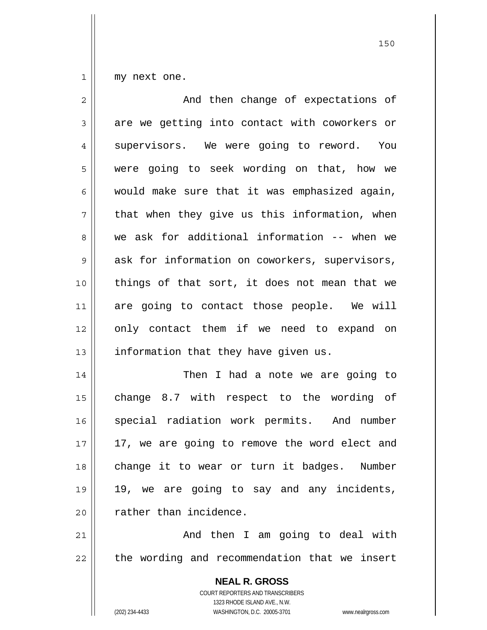1 my next one.

| $\overline{c}$ | And then change of expectations of                                                                                                                                     |
|----------------|------------------------------------------------------------------------------------------------------------------------------------------------------------------------|
| 3              | are we getting into contact with coworkers or                                                                                                                          |
| 4              | supervisors. We were going to reword. You                                                                                                                              |
| 5              | were going to seek wording on that, how we                                                                                                                             |
| 6              | would make sure that it was emphasized again,                                                                                                                          |
| 7              | that when they give us this information, when                                                                                                                          |
| 8              | we ask for additional information -- when we                                                                                                                           |
| $\mathsf 9$    | ask for information on coworkers, supervisors,                                                                                                                         |
| 10             | things of that sort, it does not mean that we                                                                                                                          |
| 11             | are going to contact those people. We will                                                                                                                             |
| 12             | only contact them if we need to expand on                                                                                                                              |
| 13             | information that they have given us.                                                                                                                                   |
| 14             | Then I had a note we are going to                                                                                                                                      |
| 15             | change 8.7 with respect to the wording of                                                                                                                              |
| 16             | special radiation work permits. And number                                                                                                                             |
| 17             | 17, we are going to remove the word elect and                                                                                                                          |
| 18             | change it to wear or turn it badges. Number                                                                                                                            |
| 19             | 19, we are going to say and any incidents,                                                                                                                             |
| 20             | rather than incidence.                                                                                                                                                 |
| 21             | And then I am going to deal with                                                                                                                                       |
| 22             | the wording and recommendation that we insert                                                                                                                          |
|                | <b>NEAL R. GROSS</b><br><b>COURT REPORTERS AND TRANSCRIBERS</b><br>1323 RHODE ISLAND AVE., N.W.<br>(202) 234-4433<br>WASHINGTON, D.C. 20005-3701<br>www.nealrgross.com |

<u>150</u>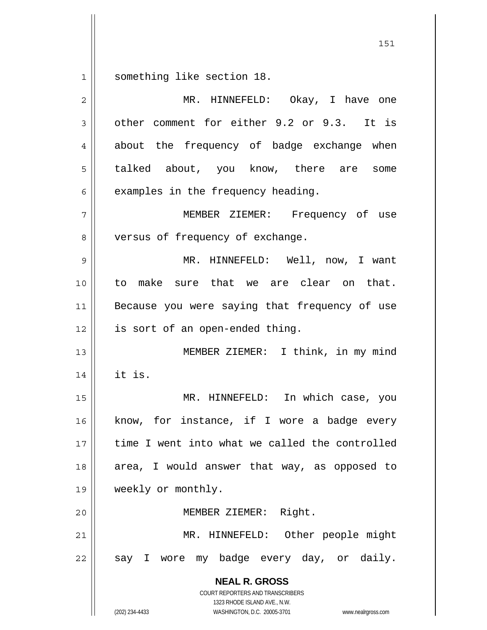1 something like section 18.

| $\overline{2}$ | MR. HINNEFELD: Okay, I have one                                                                                                                                        |
|----------------|------------------------------------------------------------------------------------------------------------------------------------------------------------------------|
| 3              | other comment for either 9.2 or 9.3. It is                                                                                                                             |
| 4              | about the frequency of badge exchange when                                                                                                                             |
| 5              | talked about, you know, there are some                                                                                                                                 |
| 6              | examples in the frequency heading.                                                                                                                                     |
| 7              | MEMBER ZIEMER: Frequency of use                                                                                                                                        |
| 8              | versus of frequency of exchange.                                                                                                                                       |
| 9              | MR. HINNEFELD: Well, now, I want                                                                                                                                       |
| 10             | to make sure that we are clear on that.                                                                                                                                |
| 11             | Because you were saying that frequency of use                                                                                                                          |
| 12             | is sort of an open-ended thing.                                                                                                                                        |
| 13             | MEMBER ZIEMER: I think, in my mind                                                                                                                                     |
| 14             | it is.                                                                                                                                                                 |
| 15             | MR. HINNEFELD: In which case, you                                                                                                                                      |
| 16             | know, for instance, if I wore a badge every                                                                                                                            |
| 17             | time I went into what we called the controlled                                                                                                                         |
| 18             | area, I would answer that way, as opposed to                                                                                                                           |
| 19             | weekly or monthly.                                                                                                                                                     |
| 20             | MEMBER ZIEMER: Right.                                                                                                                                                  |
| 21             | MR. HINNEFELD: Other people might                                                                                                                                      |
| 22             | my badge every day, or daily.<br>say I wore                                                                                                                            |
|                | <b>NEAL R. GROSS</b><br><b>COURT REPORTERS AND TRANSCRIBERS</b><br>1323 RHODE ISLAND AVE., N.W.<br>(202) 234-4433<br>WASHINGTON, D.C. 20005-3701<br>www.nealrgross.com |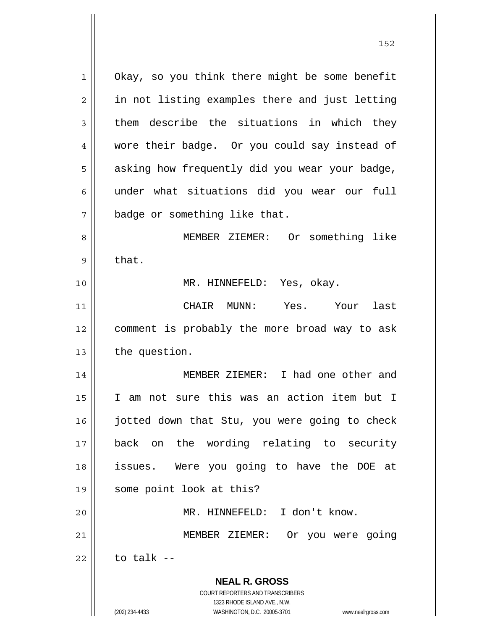**NEAL R. GROSS** COURT REPORTERS AND TRANSCRIBERS 1323 RHODE ISLAND AVE., N.W. 1 2 3 4 5 6 7 8 9 10 11 12 13 14 15 16 17 18 19 20 21 22 Okay, so you think there might be some benefit in not listing examples there and just letting them describe the situations in which they wore their badge. Or you could say instead of asking how frequently did you wear your badge, under what situations did you wear our full badge or something like that. MEMBER ZIEMER: Or something like that. MR. HINNEFELD: Yes, okay. CHAIR MUNN: Yes. Your last comment is probably the more broad way to ask the question. MEMBER ZIEMER: I had one other and I am not sure this was an action item but I jotted down that Stu, you were going to check back on the wording relating to security issues. Were you going to have the DOE at some point look at this? MR. HINNEFELD: I don't know. MEMBER ZIEMER: Or you were going to talk --

152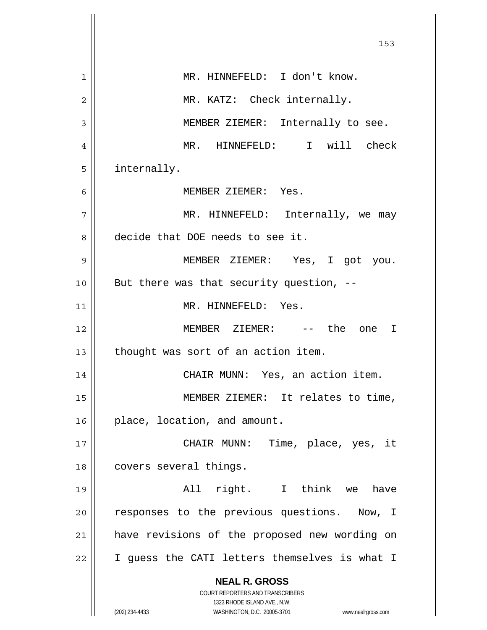|    | 153                                                                     |
|----|-------------------------------------------------------------------------|
| 1  | MR. HINNEFELD: I don't know.                                            |
| 2  | MR. KATZ: Check internally.                                             |
| 3  | MEMBER ZIEMER: Internally to see.                                       |
| 4  | MR. HINNEFELD: I will check                                             |
| 5  | internally.                                                             |
| 6  | MEMBER ZIEMER: Yes.                                                     |
| 7  | MR. HINNEFELD: Internally, we may                                       |
| 8  | decide that DOE needs to see it.                                        |
| 9  | MEMBER ZIEMER: Yes, I got you.                                          |
| 10 | But there was that security question, --                                |
| 11 | MR. HINNEFELD: Yes.                                                     |
| 12 | MEMBER ZIEMER: -- the one I                                             |
| 13 | thought was sort of an action item.                                     |
| 14 | CHAIR MUNN: Yes, an action item.                                        |
| 15 | MEMBER ZIEMER: It relates to time,                                      |
| 16 | place, location, and amount.                                            |
| 17 | CHAIR MUNN: Time, place, yes, it                                        |
| 18 | covers several things.                                                  |
| 19 | All right. I think we<br>have                                           |
| 20 | responses to the previous questions. Now, I                             |
| 21 | have revisions of the proposed new wording on                           |
| 22 | I guess the CATI letters themselves is what I                           |
|    | <b>NEAL R. GROSS</b>                                                    |
|    | <b>COURT REPORTERS AND TRANSCRIBERS</b><br>1323 RHODE ISLAND AVE., N.W. |
|    | (202) 234-4433<br>WASHINGTON, D.C. 20005-3701<br>www.nealrgross.com     |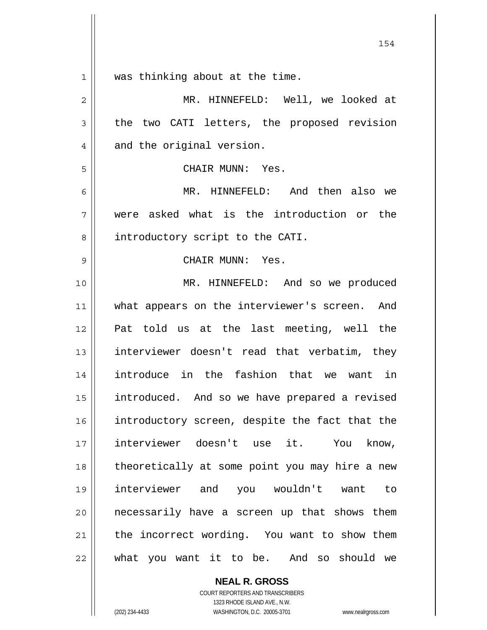1 was thinking about at the time.

| 2  | MR. HINNEFELD: Well, we looked at              |
|----|------------------------------------------------|
| 3  | the two CATI letters, the proposed revision    |
| 4  | and the original version.                      |
| 5  | CHAIR MUNN: Yes.                               |
| 6  | MR. HINNEFELD: And then also we                |
| 7  | were asked what is the introduction or the     |
| 8  | introductory script to the CATI.               |
| 9  | CHAIR MUNN: Yes.                               |
| 10 | MR. HINNEFELD: And so we produced              |
| 11 | what appears on the interviewer's screen. And  |
| 12 | Pat told us at the last meeting, well the      |
| 13 | interviewer doesn't read that verbatim, they   |
| 14 | introduce in the fashion that we want in       |
| 15 | introduced. And so we have prepared a revised  |
| 16 | introductory screen, despite the fact that the |
| 17 | interviewer doesn't use it. You know,          |
| 18 | theoretically at some point you may hire a new |
| 19 | interviewer and you wouldn't want<br>to        |
| 20 | necessarily have a screen up that shows them   |
| 21 | the incorrect wording. You want to show them   |
| 22 | what you want it to be. And so should we       |

**NEAL R. GROSS** COURT REPORTERS AND TRANSCRIBERS

1323 RHODE ISLAND AVE., N.W.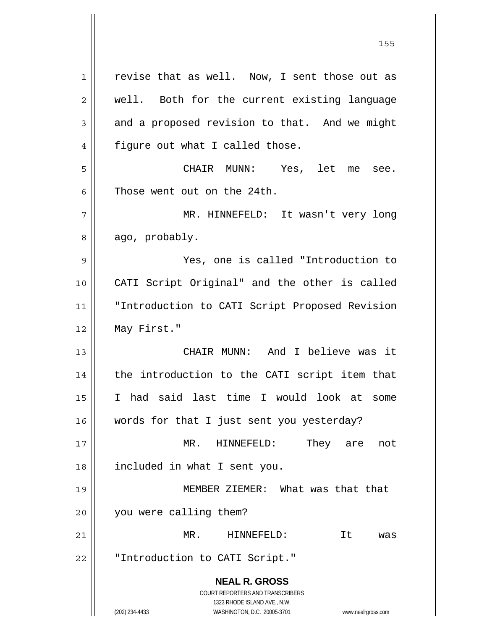**NEAL R. GROSS** COURT REPORTERS AND TRANSCRIBERS 1323 RHODE ISLAND AVE., N.W. (202) 234-4433 WASHINGTON, D.C. 20005-3701 www.nealrgross.com 1 2 3 4 5 6 7 8 9 10 11 12 13 14 15 16 17 18 19 20 21 22 revise that as well. Now, I sent those out as well. Both for the current existing language and a proposed revision to that. And we might figure out what I called those. CHAIR MUNN: Yes, let me see. Those went out on the 24th. MR. HINNEFELD: It wasn't very long ago, probably. Yes, one is called "Introduction to CATI Script Original" and the other is called "Introduction to CATI Script Proposed Revision May First." CHAIR MUNN: And I believe was it the introduction to the CATI script item that I had said last time I would look at some words for that I just sent you yesterday? MR. HINNEFELD: They are not included in what I sent you. MEMBER ZIEMER: What was that that you were calling them? MR. HINNEFELD: It was "Introduction to CATI Script."

<u>155 میں اس کی استعمال کرتا ہے۔ اس کی اس کی اس کی اس کی اس کی اس کی اس کی اس کی اس کی اس کی اس کی اس کی اس کی</u>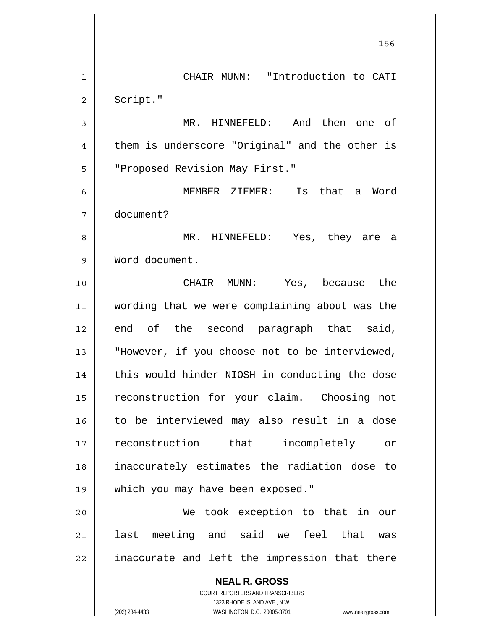**NEAL R. GROSS** COURT REPORTERS AND TRANSCRIBERS 1323 RHODE ISLAND AVE., N.W. <u>156 - Animal Stephen Barbara, amerikan pendadaran pengaran pengaran pengaran pengaran pengaran pengaran penga</u> 1 2 3 4 5 6 7 8 9 10 11 12 13 14 15 16 17 18 19 20 21 22 CHAIR MUNN: "Introduction to CATI Script." MR. HINNEFELD: And then one of them is underscore "Original" and the other is "Proposed Revision May First." MEMBER ZIEMER: Is that a Word document? MR. HINNEFELD: Yes, they are a Word document. CHAIR MUNN: Yes, because the wording that we were complaining about was the end of the second paragraph that said, "However, if you choose not to be interviewed, this would hinder NIOSH in conducting the dose reconstruction for your claim. Choosing not to be interviewed may also result in a dose reconstruction that incompletely or inaccurately estimates the radiation dose to which you may have been exposed." We took exception to that in our last meeting and said we feel that was inaccurate and left the impression that there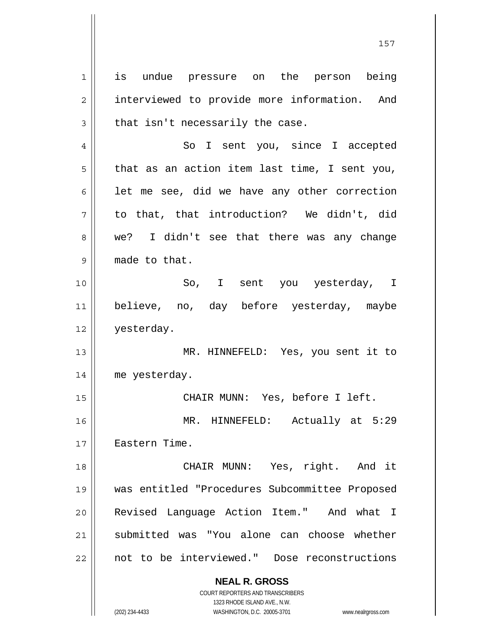**NEAL R. GROSS** 1 2 3 4 5 6 7 8 9 10 11 12 13 14 15 16 17 18 19 20 21 22 is undue pressure on the person being interviewed to provide more information. And that isn't necessarily the case. So I sent you, since I accepted that as an action item last time, I sent you, let me see, did we have any other correction to that, that introduction? We didn't, did we? I didn't see that there was any change made to that. So, I sent you yesterday, I believe, no, day before yesterday, maybe yesterday. MR. HINNEFELD: Yes, you sent it to me yesterday. CHAIR MUNN: Yes, before I left. MR. HINNEFELD: Actually at 5:29 Eastern Time. CHAIR MUNN: Yes, right. And it was entitled "Procedures Subcommittee Proposed Revised Language Action Item." And what I submitted was "You alone can choose whether not to be interviewed." Dose reconstructions

157

1323 RHODE ISLAND AVE., N.W. (202) 234-4433 WASHINGTON, D.C. 20005-3701 www.nealrgross.com

COURT REPORTERS AND TRANSCRIBERS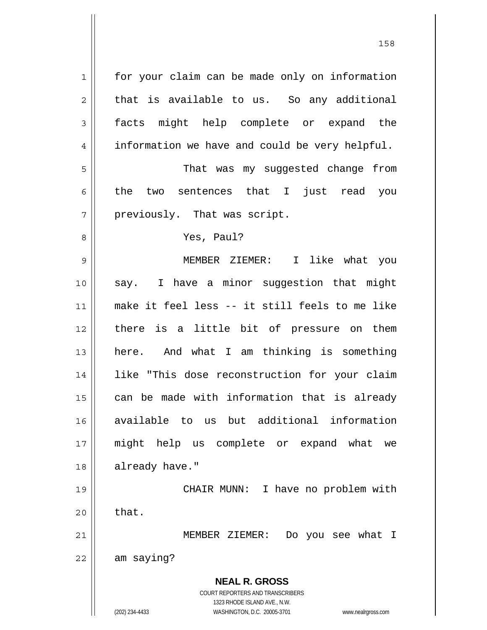**NEAL R. GROSS** COURT REPORTERS AND TRANSCRIBERS 1323 RHODE ISLAND AVE., N.W. (202) 234-4433 WASHINGTON, D.C. 20005-3701 www.nealrgross.com 1 2 3 4 5 6 7 8 9 10 11 12 13 14 15 16 17 18 19 20 21 22 for your claim can be made only on information that is available to us. So any additional facts might help complete or expand the information we have and could be very helpful. That was my suggested change from the two sentences that I just read you previously. That was script. Yes, Paul? MEMBER ZIEMER: I like what you say. I have a minor suggestion that might make it feel less -- it still feels to me like there is a little bit of pressure on them here. And what I am thinking is something like "This dose reconstruction for your claim can be made with information that is already available to us but additional information might help us complete or expand what we already have." CHAIR MUNN: I have no problem with that. MEMBER ZIEMER: Do you see what I am saying?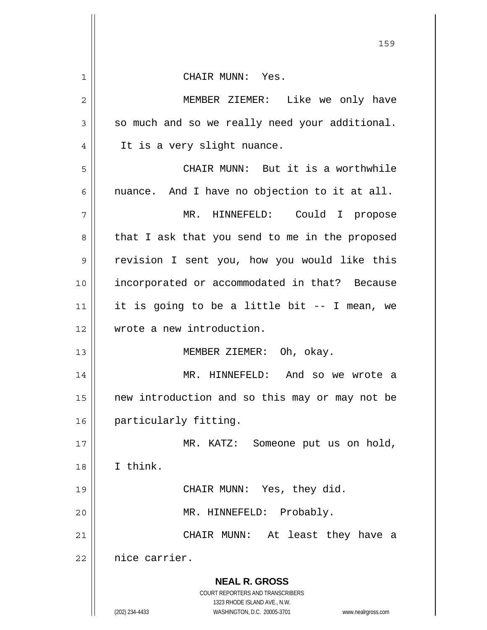|                | 159                                                                 |
|----------------|---------------------------------------------------------------------|
| $\mathbf{1}$   | CHAIR MUNN: Yes.                                                    |
| $\mathbf 2$    | MEMBER ZIEMER: Like we only have                                    |
| $\mathfrak{Z}$ | so much and so we really need your additional.                      |
| 4              | It is a very slight nuance.                                         |
| 5              | CHAIR MUNN: But it is a worthwhile                                  |
| 6              | nuance. And I have no objection to it at all.                       |
| 7              | MR. HINNEFELD: Could I propose                                      |
| 8              | that I ask that you send to me in the proposed                      |
| 9              | revision I sent you, how you would like this                        |
| 10             | incorporated or accommodated in that? Because                       |
| 11             | it is going to be a little bit -- I mean, we                        |
| 12             | wrote a new introduction.                                           |
| 13             | MEMBER ZIEMER: Oh, okay.                                            |
| 14             | MR. HINNEFELD: And so we wrote a                                    |
| 15             | new introduction and so this may or may not be                      |
| 16             | particularly fitting.                                               |
| 17             | MR. KATZ:<br>Someone put us on hold,                                |
| 18             | I think.                                                            |
| 19             | CHAIR MUNN: Yes, they did.                                          |
| 20             | MR. HINNEFELD: Probably.                                            |
| 21             | At least they have a<br>CHAIR MUNN:                                 |
| 22             | nice carrier.                                                       |
|                | <b>NEAL R. GROSS</b>                                                |
|                | COURT REPORTERS AND TRANSCRIBERS<br>1323 RHODE ISLAND AVE., N.W.    |
|                | (202) 234-4433<br>WASHINGTON, D.C. 20005-3701<br>www.nealrgross.com |

 $\mathsf{I}$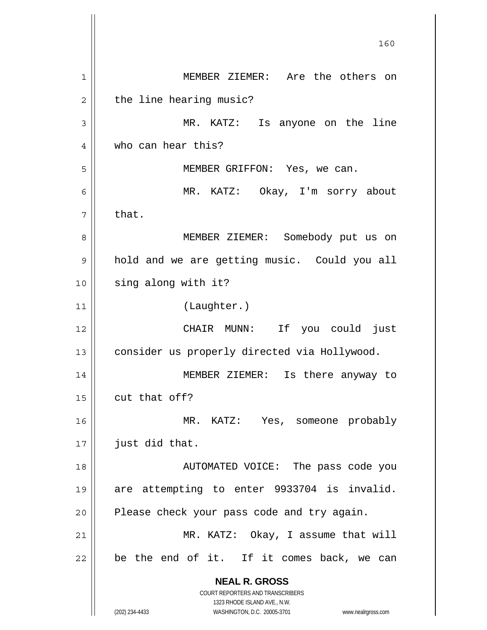**NEAL R. GROSS** COURT REPORTERS AND TRANSCRIBERS 1323 RHODE ISLAND AVE., N.W. (202) 234-4433 WASHINGTON, D.C. 20005-3701 www.nealrgross.com 160 1 2 3 4 5 6 7 8 9 10 11 12 13 14 15 16 17 18 19 20 21 22 MEMBER ZIEMER: Are the others on the line hearing music? MR. KATZ: Is anyone on the line who can hear this? MEMBER GRIFFON: Yes, we can. MR. KATZ: Okay, I'm sorry about that. MEMBER ZIEMER: Somebody put us on hold and we are getting music. Could you all sing along with it? (Laughter.) CHAIR MUNN: If you could just consider us properly directed via Hollywood. MEMBER ZIEMER: Is there anyway to cut that off? MR. KATZ: Yes, someone probably just did that. AUTOMATED VOICE: The pass code you are attempting to enter 9933704 is invalid. Please check your pass code and try again. MR. KATZ: Okay, I assume that will be the end of it. If it comes back, we can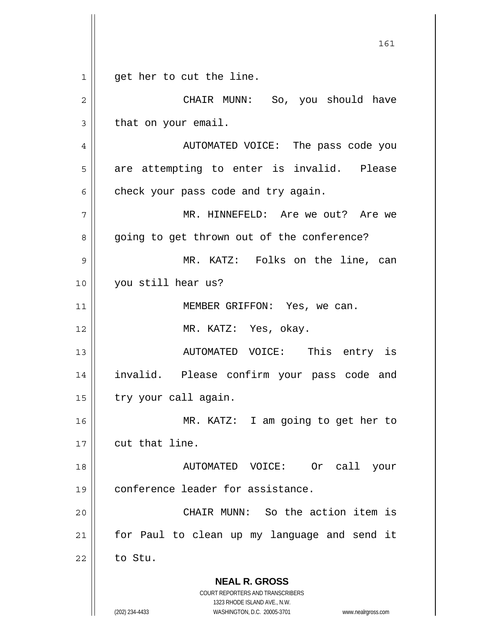**NEAL R. GROSS** COURT REPORTERS AND TRANSCRIBERS 1323 RHODE ISLAND AVE., N.W. (202) 234-4433 WASHINGTON, D.C. 20005-3701 www.nealrgross.com 161 1 2 3 4 5 6 7 8 9 10 11 12 13 14 15 16 17 18 19 20 21 22 get her to cut the line. CHAIR MUNN: So, you should have that on your email. AUTOMATED VOICE: The pass code you are attempting to enter is invalid. Please check your pass code and try again. MR. HINNEFELD: Are we out? Are we going to get thrown out of the conference? MR. KATZ: Folks on the line, can you still hear us? MEMBER GRIFFON: Yes, we can. MR. KATZ: Yes, okay. AUTOMATED VOICE: This entry is invalid. Please confirm your pass code and try your call again. MR. KATZ: I am going to get her to cut that line. AUTOMATED VOICE: Or call your conference leader for assistance. CHAIR MUNN: So the action item is for Paul to clean up my language and send it to Stu.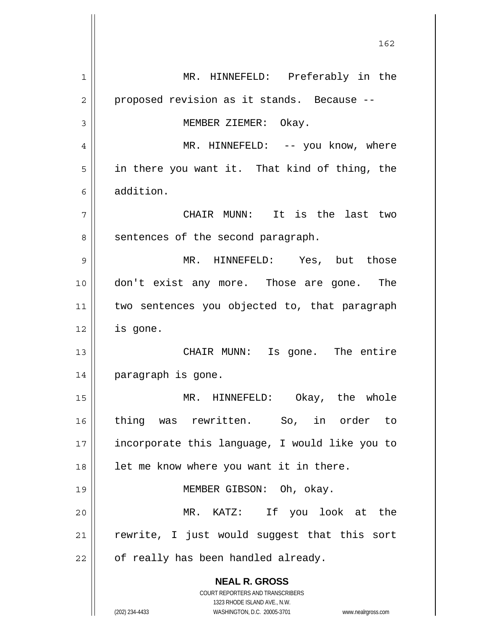**NEAL R. GROSS** COURT REPORTERS AND TRANSCRIBERS 1323 RHODE ISLAND AVE., N.W. (202) 234-4433 WASHINGTON, D.C. 20005-3701 www.nealrgross.com 1 2 3 4 5 6 7 8 9 10 11 12 13 14 15 16 17 18 19 20 21 22 MR. HINNEFELD: Preferably in the proposed revision as it stands. Because -- MEMBER ZIEMER: Okay. MR. HINNEFELD: -- you know, where in there you want it. That kind of thing, the addition. CHAIR MUNN: It is the last two sentences of the second paragraph. MR. HINNEFELD: Yes, but those don't exist any more. Those are gone. The two sentences you objected to, that paragraph is gone. CHAIR MUNN: Is gone. The entire paragraph is gone. MR. HINNEFELD: Okay, the whole thing was rewritten. So, in order to incorporate this language, I would like you to let me know where you want it in there. MEMBER GIBSON: Oh, okay. MR. KATZ: If you look at the rewrite, I just would suggest that this sort of really has been handled already.

<u>162</u>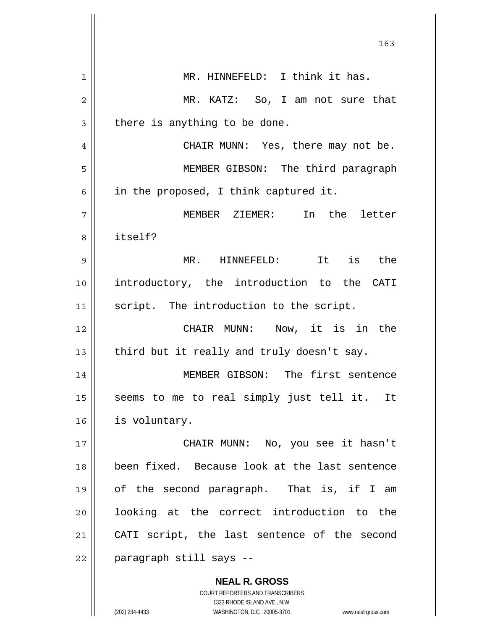|                | 163                                                      |
|----------------|----------------------------------------------------------|
| $\mathbf{1}$   | MR. HINNEFELD: I think it has.                           |
| $\overline{2}$ | MR. KATZ: So, I am not sure that                         |
| 3              | there is anything to be done.                            |
| 4              | CHAIR MUNN: Yes, there may not be.                       |
| 5              | MEMBER GIBSON: The third paragraph                       |
| 6              | in the proposed, I think captured it.                    |
| 7              | In the letter<br>MEMBER ZIEMER:                          |
| 8              | itself?                                                  |
| 9              | MR. HINNEFELD: It is the                                 |
| 10             | introductory, the introduction to the CATI               |
| 11             | script. The introduction to the script.                  |
| 12             | CHAIR MUNN: Now, it is in the                            |
| 13             | third but it really and truly doesn't say.               |
| 14             | MEMBER GIBSON: The first sentence                        |
| 15             | seems to me to real simply just tell it. It              |
| 16             | is voluntary.                                            |
| 17             | CHAIR MUNN: No, you see it hasn't                        |
| 18             | been fixed. Because look at the last sentence            |
| 19             | of the second paragraph. That is, if I am                |
| 20             | looking at the correct introduction to the               |
| 21             | CATI script, the last sentence of the second             |
| 22             | paragraph still says --                                  |
|                | <b>NEAL R. GROSS</b><br>COURT REPORTERS AND TRANSCRIBERS |

1323 RHODE ISLAND AVE., N.W.

 $\prod$ 

 $\mathsf{I}$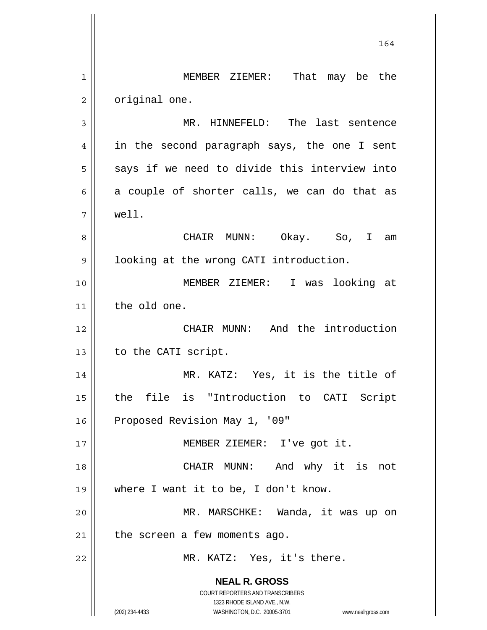**NEAL R. GROSS** COURT REPORTERS AND TRANSCRIBERS 1323 RHODE ISLAND AVE., N.W. (202) 234-4433 WASHINGTON, D.C. 20005-3701 www.nealrgross.com 164 1 2 3 4 5 6 7 8 9 10 11 12 13 14 15 16 17 18 19 20 21 22 MEMBER ZIEMER: That may be the original one. MR. HINNEFELD: The last sentence in the second paragraph says, the one I sent says if we need to divide this interview into a couple of shorter calls, we can do that as well. CHAIR MUNN: Okay. So, I am looking at the wrong CATI introduction. MEMBER ZIEMER: I was looking at the old one. CHAIR MUNN: And the introduction to the CATI script. MR. KATZ: Yes, it is the title of the file is "Introduction to CATI Script Proposed Revision May 1, '09" MEMBER ZIEMER: I've got it. CHAIR MUNN: And why it is not where I want it to be, I don't know. MR. MARSCHKE: Wanda, it was up on the screen a few moments ago. MR. KATZ: Yes, it's there.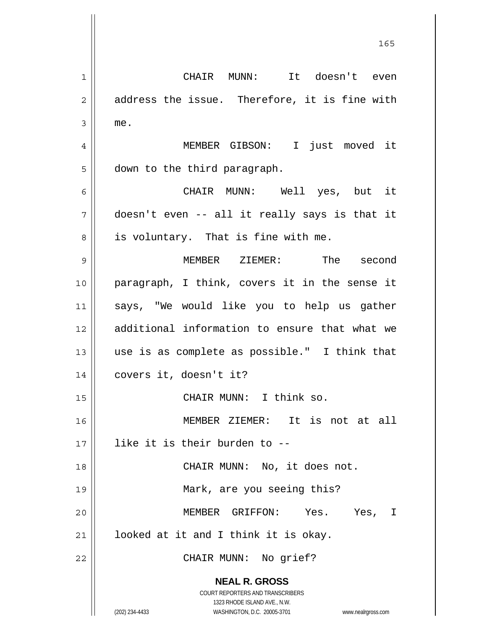**NEAL R. GROSS** COURT REPORTERS AND TRANSCRIBERS 1323 RHODE ISLAND AVE., N.W. (202) 234-4433 WASHINGTON, D.C. 20005-3701 www.nealrgross.com 1 2 3 4 5 6 7 8 9 10 11 12 13 14 15 16 17 18 19 20 21 22 CHAIR MUNN: It doesn't even address the issue. Therefore, it is fine with me. MEMBER GIBSON: I just moved it down to the third paragraph. CHAIR MUNN: Well yes, but it doesn't even -- all it really says is that it is voluntary. That is fine with me. MEMBER ZIEMER: The second paragraph, I think, covers it in the sense it says, "We would like you to help us gather additional information to ensure that what we use is as complete as possible." I think that covers it, doesn't it? CHAIR MUNN: I think so. MEMBER ZIEMER: It is not at all like it is their burden to -- CHAIR MUNN: No, it does not. Mark, are you seeing this? MEMBER GRIFFON: Yes. Yes, I looked at it and I think it is okay. CHAIR MUNN: No grief?

<u>165</u>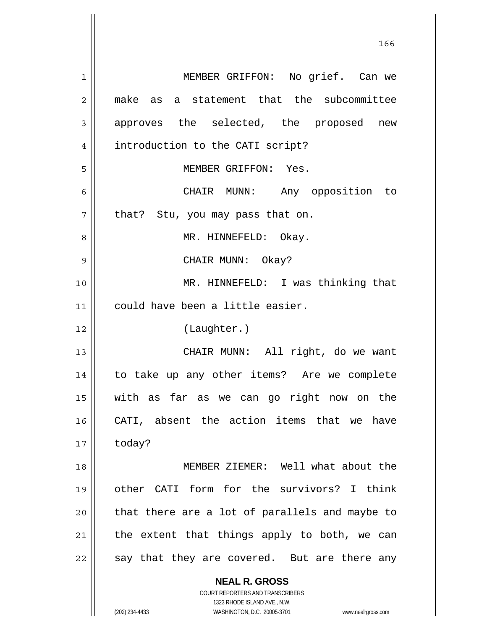**NEAL R. GROSS** COURT REPORTERS AND TRANSCRIBERS 1323 RHODE ISLAND AVE., N.W. 1 2 3 4 5 6 7 8 9 10 11 12 13 14 15 16 17 18 19 20 21 22 MEMBER GRIFFON: No grief. Can we make as a statement that the subcommittee approves the selected, the proposed new introduction to the CATI script? MEMBER GRIFFON: Yes. CHAIR MUNN: Any opposition to that? Stu, you may pass that on. MR. HINNEFELD: Okay. CHAIR MUNN: Okay? MR. HINNEFELD: I was thinking that could have been a little easier. (Laughter.) CHAIR MUNN: All right, do we want to take up any other items? Are we complete with as far as we can go right now on the CATI, absent the action items that we have today? MEMBER ZIEMER: Well what about the other CATI form for the survivors? I think that there are a lot of parallels and maybe to the extent that things apply to both, we can say that they are covered. But are there any

<u>166</u>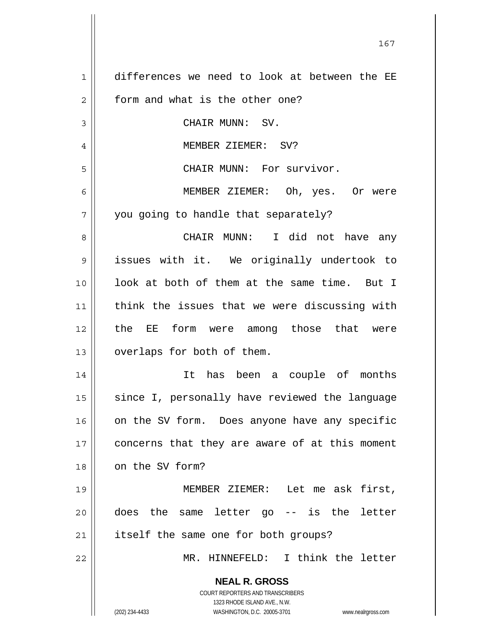| $\mathbf 1$    | differences we need to look at between the EE                                                       |
|----------------|-----------------------------------------------------------------------------------------------------|
| $\overline{c}$ | form and what is the other one?                                                                     |
| 3              | CHAIR MUNN: SV.                                                                                     |
| 4              | MEMBER ZIEMER: SV?                                                                                  |
| 5              | CHAIR MUNN: For survivor.                                                                           |
| 6              | MEMBER ZIEMER: Oh, yes. Or were                                                                     |
| 7              | you going to handle that separately?                                                                |
| 8              | CHAIR MUNN: I did not have any                                                                      |
| 9              | issues with it. We originally undertook to                                                          |
| 10             | look at both of them at the same time. But I                                                        |
| 11             | think the issues that we were discussing with                                                       |
| 12             | the EE form were among those that were                                                              |
| 13             | overlaps for both of them.                                                                          |
| 14             | It has been a couple of months                                                                      |
| 15             | since I, personally have reviewed the language                                                      |
| 16             | on the SV form. Does anyone have any specific                                                       |
| 17             | concerns that they are aware of at this moment                                                      |
| 18             | on the SV form?                                                                                     |
| 19             | MEMBER ZIEMER: Let me ask first,                                                                    |
|                | -- is the letter                                                                                    |
| 20             | the<br>same letter go<br>does                                                                       |
| 21             | itself the same one for both groups?                                                                |
| 22             | MR. HINNEFELD: I think the letter                                                                   |
|                | <b>NEAL R. GROSS</b>                                                                                |
|                | <b>COURT REPORTERS AND TRANSCRIBERS</b>                                                             |
|                | 1323 RHODE ISLAND AVE., N.W.<br>(202) 234-4433<br>WASHINGTON, D.C. 20005-3701<br>www.nealrgross.com |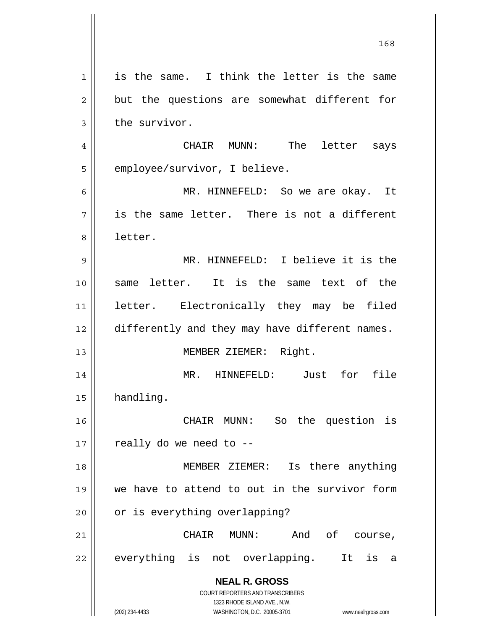**NEAL R. GROSS** COURT REPORTERS AND TRANSCRIBERS 1323 RHODE ISLAND AVE., N.W. (202) 234-4433 WASHINGTON, D.C. 20005-3701 www.nealrgross.com 1 2 3 4 5 6 7 8 9 10 11 12 13 14 15 16 17 18 19 20 21 22 is the same. I think the letter is the same but the questions are somewhat different for the survivor. CHAIR MUNN: The letter says employee/survivor, I believe. MR. HINNEFELD: So we are okay. It is the same letter. There is not a different letter. MR. HINNEFELD: I believe it is the same letter. It is the same text of the letter. Electronically they may be filed differently and they may have different names. MEMBER ZIEMER: Right. MR. HINNEFELD: Just for file handling. CHAIR MUNN: So the question is really do we need to -- MEMBER ZIEMER: Is there anything we have to attend to out in the survivor form or is everything overlapping? CHAIR MUNN: And of course, everything is not overlapping. It is a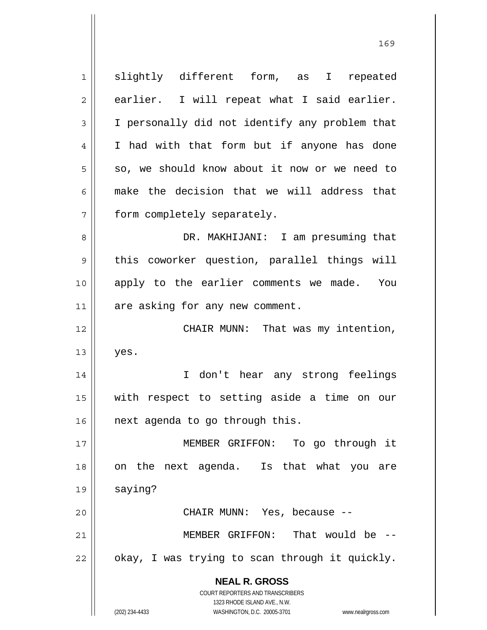**NEAL R. GROSS** COURT REPORTERS AND TRANSCRIBERS 1323 RHODE ISLAND AVE., N.W. (202) 234-4433 WASHINGTON, D.C. 20005-3701 www.nealrgross.com 1 2 3 4 5 6 7 8 9 10 11 12 13 14 15 16 17 18 19 20 21 22 slightly different form, as I repeated earlier. I will repeat what I said earlier. I personally did not identify any problem that I had with that form but if anyone has done so, we should know about it now or we need to make the decision that we will address that form completely separately. DR. MAKHIJANI: I am presuming that this coworker question, parallel things will apply to the earlier comments we made. You are asking for any new comment. CHAIR MUNN: That was my intention, yes. I don't hear any strong feelings with respect to setting aside a time on our next agenda to go through this. MEMBER GRIFFON: To go through it on the next agenda. Is that what you are saying? CHAIR MUNN: Yes, because -- MEMBER GRIFFON: That would be - okay, I was trying to scan through it quickly.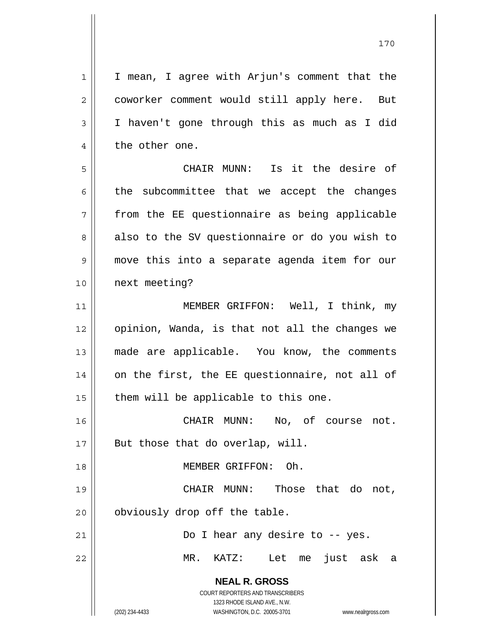**NEAL R. GROSS** COURT REPORTERS AND TRANSCRIBERS 1323 RHODE ISLAND AVE., N.W. (202) 234-4433 WASHINGTON, D.C. 20005-3701 www.nealrgross.com 1 2 3 4 5 6 7 8 9 10 11 12 13 14 15 16 17 18 19 20 21 22 I mean, I agree with Arjun's comment that the coworker comment would still apply here. But I haven't gone through this as much as I did the other one. CHAIR MUNN: Is it the desire of the subcommittee that we accept the changes from the EE questionnaire as being applicable also to the SV questionnaire or do you wish to move this into a separate agenda item for our next meeting? MEMBER GRIFFON: Well, I think, my opinion, Wanda, is that not all the changes we made are applicable. You know, the comments on the first, the EE questionnaire, not all of them will be applicable to this one. CHAIR MUNN: No, of course not. But those that do overlap, will. MEMBER GRIFFON: Oh. CHAIR MUNN: Those that do not, obviously drop off the table. Do I hear any desire to -- yes. MR. KATZ: Let me just ask a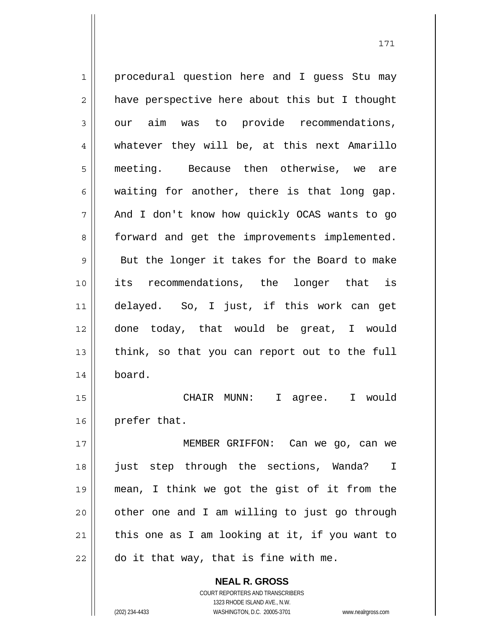**NEAL R. GROSS** 1 2 3 4 5 6 7 8 9 10 11 12 13 14 15 16 17 18 19 20 21 22 procedural question here and I guess Stu may have perspective here about this but I thought our aim was to provide recommendations, whatever they will be, at this next Amarillo meeting. Because then otherwise, we are waiting for another, there is that long gap. And I don't know how quickly OCAS wants to go forward and get the improvements implemented. But the longer it takes for the Board to make its recommendations, the longer that is delayed. So, I just, if this work can get done today, that would be great, I would think, so that you can report out to the full board. CHAIR MUNN: I agree. I would prefer that. MEMBER GRIFFON: Can we go, can we just step through the sections, Wanda? I mean, I think we got the gist of it from the other one and I am willing to just go through this one as I am looking at it, if you want to do it that way, that is fine with me.

171

COURT REPORTERS AND TRANSCRIBERS 1323 RHODE ISLAND AVE., N.W. (202) 234-4433 WASHINGTON, D.C. 20005-3701 www.nealrgross.com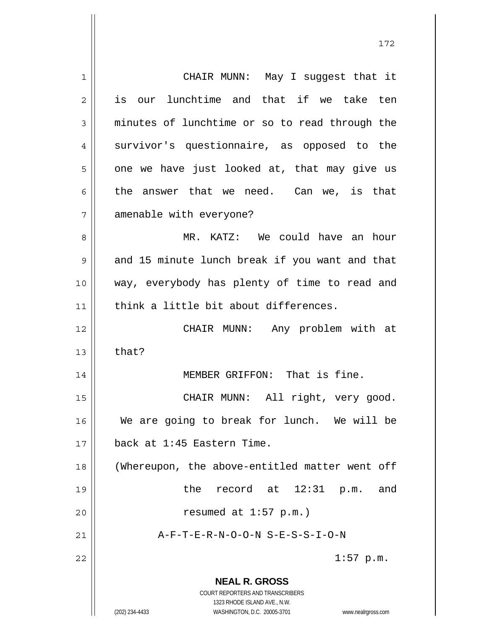**NEAL R. GROSS** COURT REPORTERS AND TRANSCRIBERS 1323 RHODE ISLAND AVE., N.W. (202) 234-4433 WASHINGTON, D.C. 20005-3701 www.nealrgross.com 1 2 3 4 5 6 7 8 9 10 11 12 13 14 15 16 17 18 19 20 21 22 CHAIR MUNN: May I suggest that it is our lunchtime and that if we take ten minutes of lunchtime or so to read through the survivor's questionnaire, as opposed to the one we have just looked at, that may give us the answer that we need. Can we, is that amenable with everyone? MR. KATZ: We could have an hour and 15 minute lunch break if you want and that way, everybody has plenty of time to read and think a little bit about differences. CHAIR MUNN: Any problem with at that? MEMBER GRIFFON: That is fine. CHAIR MUNN: All right, very good. We are going to break for lunch. We will be back at 1:45 Eastern Time. (Whereupon, the above-entitled matter went off the record at 12:31 p.m. and resumed at 1:57 p.m.) A-F-T-E-R-N-O-O-N S-E-S-S-I-O-N 1:57 p.m.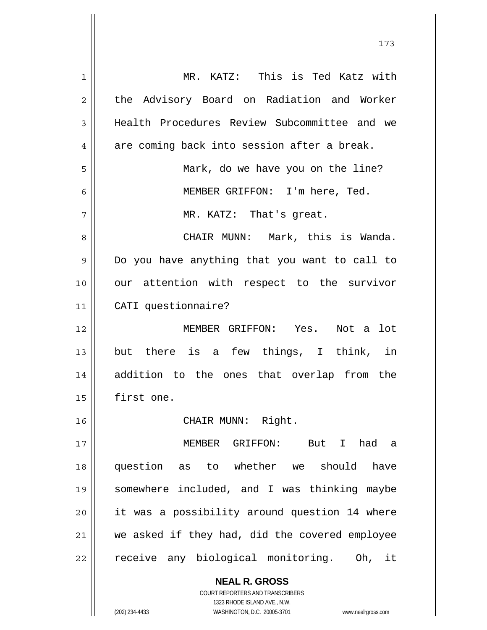| 1  | MR. KATZ: This is Ted Katz with                |
|----|------------------------------------------------|
| 2  | the Advisory Board on Radiation and Worker     |
| 3  | Health Procedures Review Subcommittee and we   |
| 4  | are coming back into session after a break.    |
| 5  | Mark, do we have you on the line?              |
| 6  | MEMBER GRIFFON: I'm here, Ted.                 |
| 7  | MR. KATZ: That's great.                        |
| 8  | CHAIR MUNN: Mark, this is Wanda.               |
| 9  | Do you have anything that you want to call to  |
| 10 | our attention with respect to the survivor     |
| 11 | CATI questionnaire?                            |
| 12 | MEMBER GRIFFON: Yes. Not a lot                 |
| 13 | but there is a few things, I think, in         |
| 14 | addition to the ones that overlap from the     |
| 15 | first one.                                     |
| 16 | CHAIR MUNN: Right.                             |
| 17 | MEMBER GRIFFON: But I<br>had a                 |
| 18 | question as to whether we should have          |
| 19 | somewhere included, and I was thinking maybe   |
| 20 | it was a possibility around question 14 where  |
| 21 | we asked if they had, did the covered employee |
| 22 | receive any biological monitoring. Oh, it      |
|    | <b>NEAL R. GROSS</b>                           |

173

COURT REPORTERS AND TRANSCRIBERS 1323 RHODE ISLAND AVE., N.W.

 $\mathsf{II}$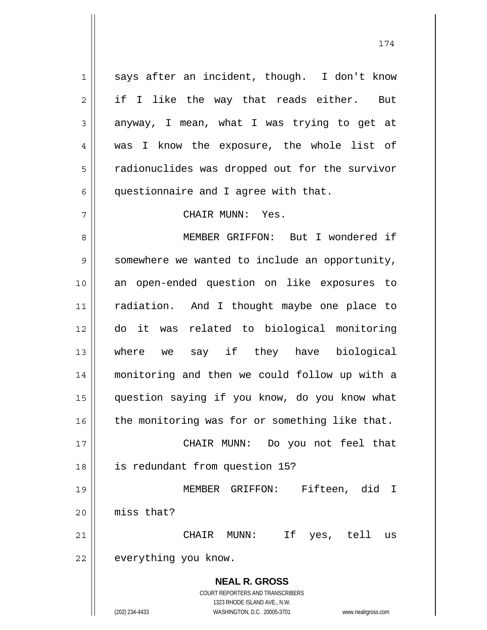**NEAL R. GROSS** COURT REPORTERS AND TRANSCRIBERS 1323 RHODE ISLAND AVE., N.W. (202) 234-4433 WASHINGTON, D.C. 20005-3701 www.nealrgross.com 1 2 3 4 5 6 7 8 9 10 11 12 13 14 15 16 17 18 19 20 21 22 says after an incident, though. I don't know if I like the way that reads either. But anyway, I mean, what I was trying to get at was I know the exposure, the whole list of radionuclides was dropped out for the survivor questionnaire and I agree with that. CHAIR MUNN: Yes. MEMBER GRIFFON: But I wondered if somewhere we wanted to include an opportunity, an open-ended question on like exposures to radiation. And I thought maybe one place to do it was related to biological monitoring where we say if they have biological monitoring and then we could follow up with a question saying if you know, do you know what the monitoring was for or something like that. CHAIR MUNN: Do you not feel that is redundant from question 15? MEMBER GRIFFON: Fifteen, did I miss that? CHAIR MUNN: If yes, tell us everything you know.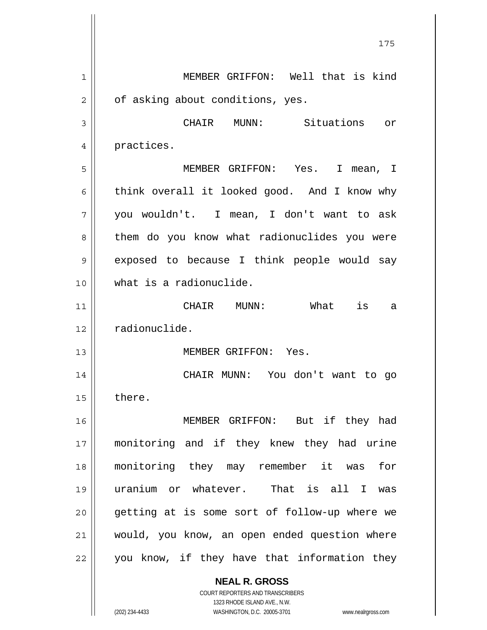**NEAL R. GROSS** 175 1 2 3 4 5 6 7 8 9 10 11 12 13 14 15 16 17 18 19 20 21 22 MEMBER GRIFFON: Well that is kind of asking about conditions, yes. CHAIR MUNN: Situations or practices. MEMBER GRIFFON: Yes. I mean, I think overall it looked good. And I know why you wouldn't. I mean, I don't want to ask them do you know what radionuclides you were exposed to because I think people would say what is a radionuclide. CHAIR MUNN: What is a radionuclide. MEMBER GRIFFON: Yes. CHAIR MUNN: You don't want to go there. MEMBER GRIFFON: But if they had monitoring and if they knew they had urine monitoring they may remember it was for uranium or whatever. That is all I was getting at is some sort of follow-up where we would, you know, an open ended question where you know, if they have that information they

> COURT REPORTERS AND TRANSCRIBERS 1323 RHODE ISLAND AVE., N.W.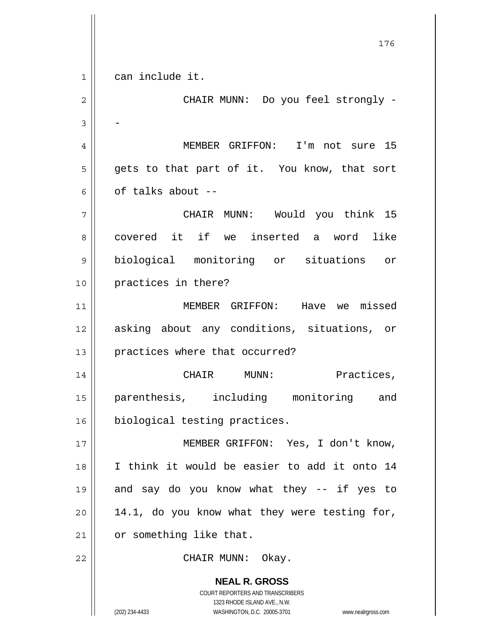**NEAL R. GROSS** COURT REPORTERS AND TRANSCRIBERS 1323 RHODE ISLAND AVE., N.W. 176 1 2 3 4 5 6 7 8 9 10 11 12 13 14 15 16 17 18 19 20 21 22 can include it. CHAIR MUNN: Do you feel strongly - - MEMBER GRIFFON: I'm not sure 15 gets to that part of it. You know, that sort of talks about -- CHAIR MUNN: Would you think 15 covered it if we inserted a word like biological monitoring or situations or practices in there? MEMBER GRIFFON: Have we missed asking about any conditions, situations, or practices where that occurred? CHAIR MUNN: Practices, parenthesis, including monitoring and biological testing practices. MEMBER GRIFFON: Yes, I don't know, I think it would be easier to add it onto 14 and say do you know what they -- if yes to 14.1, do you know what they were testing for, or something like that. CHAIR MUNN: Okay.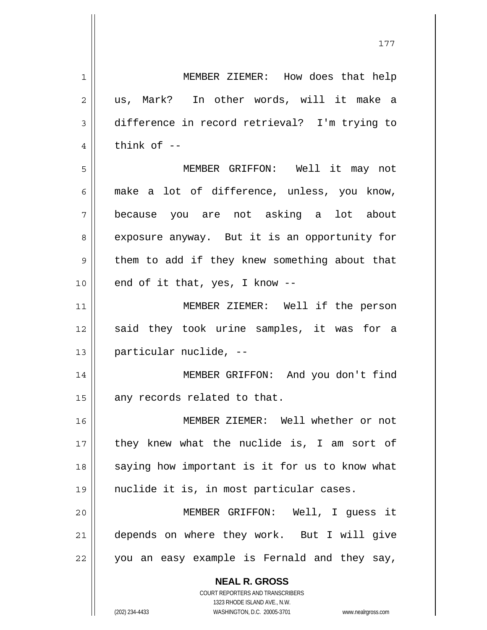**NEAL R. GROSS** COURT REPORTERS AND TRANSCRIBERS 1 2 3 4 5 6 7 8 9 10 11 12 13 14 15 16 17 18 19 20 21 22 MEMBER ZIEMER: How does that help us, Mark? In other words, will it make a difference in record retrieval? I'm trying to think of -- MEMBER GRIFFON: Well it may not make a lot of difference, unless, you know, because you are not asking a lot about exposure anyway. But it is an opportunity for them to add if they knew something about that end of it that, yes, I know -- MEMBER ZIEMER: Well if the person said they took urine samples, it was for a particular nuclide, -- MEMBER GRIFFON: And you don't find any records related to that. MEMBER ZIEMER: Well whether or not they knew what the nuclide is, I am sort of saying how important is it for us to know what nuclide it is, in most particular cases. MEMBER GRIFFON: Well, I guess it depends on where they work. But I will give you an easy example is Fernald and they say,

177

1323 RHODE ISLAND AVE., N.W.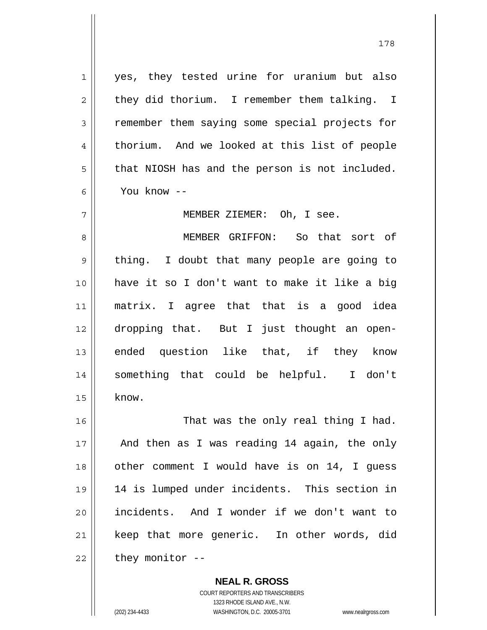yes, they tested urine for uranium but also they did thorium. I remember them talking. I remember them saying some special projects for thorium. And we looked at this list of people that NIOSH has and the person is not included. You know --

MEMBER ZIEMER: Oh, I see.

8 9 10 11 12 13 14 15 MEMBER GRIFFON: So that sort of thing. I doubt that many people are going to have it so I don't want to make it like a big matrix. I agree that that is a good idea dropping that. But I just thought an openended question like that, if they know something that could be helpful. I don't know.

16 17 18 19 20 21 22 That was the only real thing I had. And then as I was reading 14 again, the only other comment I would have is on 14, I guess 14 is lumped under incidents. This section in incidents. And I wonder if we don't want to keep that more generic. In other words, did they monitor --

> **NEAL R. GROSS** COURT REPORTERS AND TRANSCRIBERS 1323 RHODE ISLAND AVE., N.W. (202) 234-4433 WASHINGTON, D.C. 20005-3701 www.nealrgross.com

1

2

3

4

5

6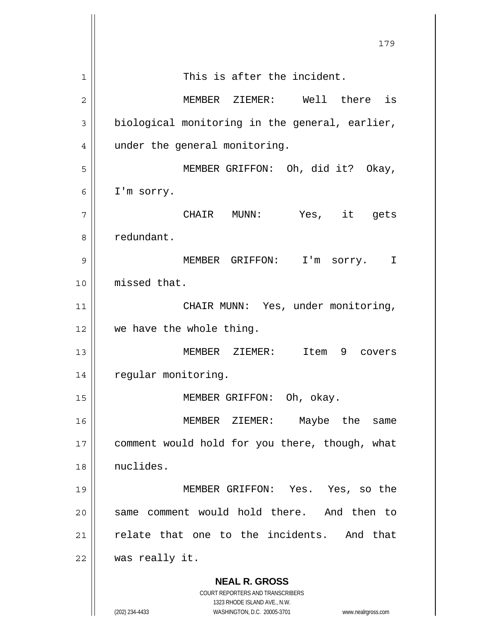**NEAL R. GROSS** COURT REPORTERS AND TRANSCRIBERS 1323 RHODE ISLAND AVE., N.W. 179 1 2 3 4 5 6 7 8 9 10 11 12 13 14 15 16 17 18 19 20 21 22 This is after the incident. MEMBER ZIEMER: Well there is biological monitoring in the general, earlier, under the general monitoring. MEMBER GRIFFON: Oh, did it? Okay, I'm sorry. CHAIR MUNN: Yes, it gets redundant. MEMBER GRIFFON: I'm sorry. I missed that. CHAIR MUNN: Yes, under monitoring, we have the whole thing. MEMBER ZIEMER: Item 9 covers regular monitoring. MEMBER GRIFFON: Oh, okay. MEMBER ZIEMER: Maybe the same comment would hold for you there, though, what nuclides. MEMBER GRIFFON: Yes. Yes, so the same comment would hold there. And then to relate that one to the incidents. And that was really it.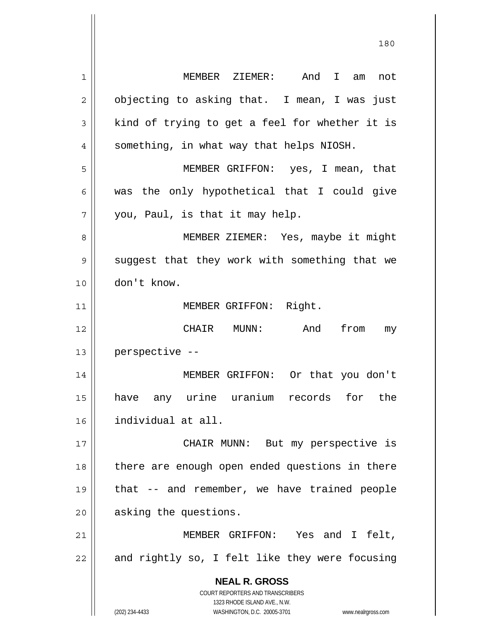**NEAL R. GROSS** COURT REPORTERS AND TRANSCRIBERS 1323 RHODE ISLAND AVE., N.W. 1 2 3 4 5 6 7 8 9 10 11 12 13 14 15 16 17 18 19 20 21 22 MEMBER ZIEMER: And I am not objecting to asking that. I mean, I was just kind of trying to get a feel for whether it is something, in what way that helps NIOSH. MEMBER GRIFFON: yes, I mean, that was the only hypothetical that I could give you, Paul, is that it may help. MEMBER ZIEMER: Yes, maybe it might suggest that they work with something that we don't know. MEMBER GRIFFON: Right. CHAIR MUNN: And from my perspective -- MEMBER GRIFFON: Or that you don't have any urine uranium records for the individual at all. CHAIR MUNN: But my perspective is there are enough open ended questions in there that -- and remember, we have trained people asking the questions. MEMBER GRIFFON: Yes and I felt, and rightly so, I felt like they were focusing

180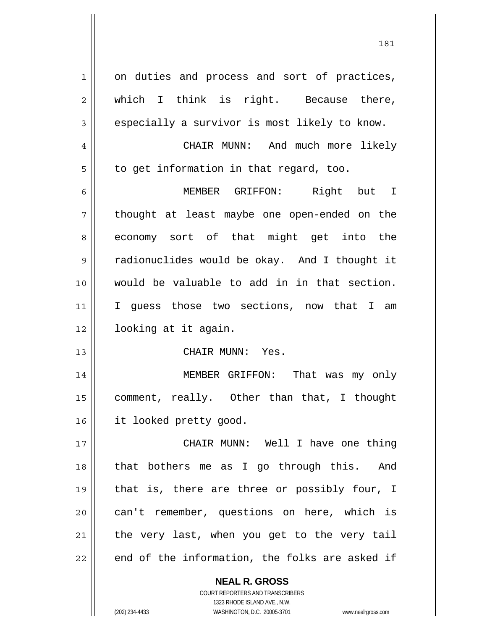| 1              | on duties and process and sort of practices,  |
|----------------|-----------------------------------------------|
|                |                                               |
| $\overline{2}$ | which I think is right. Because there,        |
| 3              | especially a survivor is most likely to know. |
| 4              | CHAIR MUNN: And much more likely              |
| 5              | to get information in that regard, too.       |
| 6              | MEMBER GRIFFON: Right but I                   |
| 7              | thought at least maybe one open-ended on the  |
| 8              | economy sort of that might get into the       |
| 9              | radionuclides would be okay. And I thought it |
| 10             | would be valuable to add in in that section.  |
| 11             | I guess those two sections, now that I am     |
|                |                                               |
| 12             | looking at it again.                          |
| 13             | CHAIR MUNN: Yes.                              |
| 14             | MEMBER GRIFFON: That was my only              |
| 15             | comment, really. Other than that, I thought   |
| 16             | it looked pretty good.                        |
| 17             | CHAIR MUNN: Well I have one thing             |
| 18             | that bothers me as I go through this. And     |
| 19             | that is, there are three or possibly four, I  |
| 20             | can't remember, questions on here, which is   |
| 21             | the very last, when you get to the very tail  |

**NEAL R. GROSS** COURT REPORTERS AND TRANSCRIBERS 1323 RHODE ISLAND AVE., N.W.

(202) 234-4433 WASHINGTON, D.C. 20005-3701 www.nealrgross.com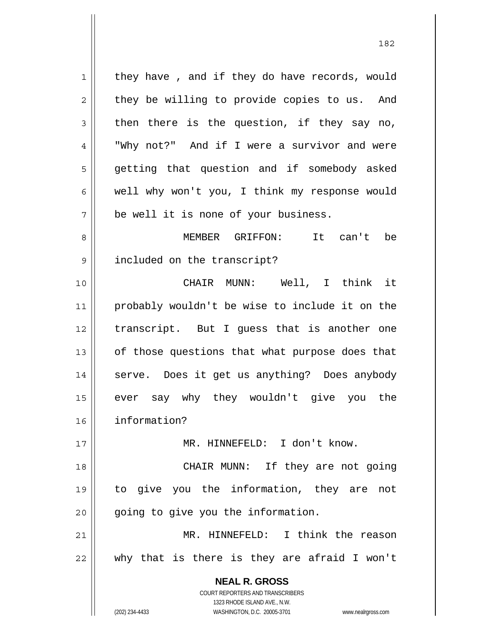**NEAL R. GROSS** COURT REPORTERS AND TRANSCRIBERS 1323 RHODE ISLAND AVE., N.W. 1 2 3 4 5 6 7 8 9 10 11 12 13 14 15 16 17 18 19 20 21 22 they have , and if they do have records, would they be willing to provide copies to us. And then there is the question, if they say no, "Why not?" And if I were a survivor and were getting that question and if somebody asked well why won't you, I think my response would be well it is none of your business. MEMBER GRIFFON: It can't be included on the transcript? CHAIR MUNN: Well, I think it probably wouldn't be wise to include it on the transcript. But I guess that is another one of those questions that what purpose does that serve. Does it get us anything? Does anybody ever say why they wouldn't give you the information? MR. HINNEFELD: I don't know. CHAIR MUNN: If they are not going to give you the information, they are not going to give you the information. MR. HINNEFELD: I think the reason why that is there is they are afraid I won't

(202) 234-4433 WASHINGTON, D.C. 20005-3701 www.nealrgross.com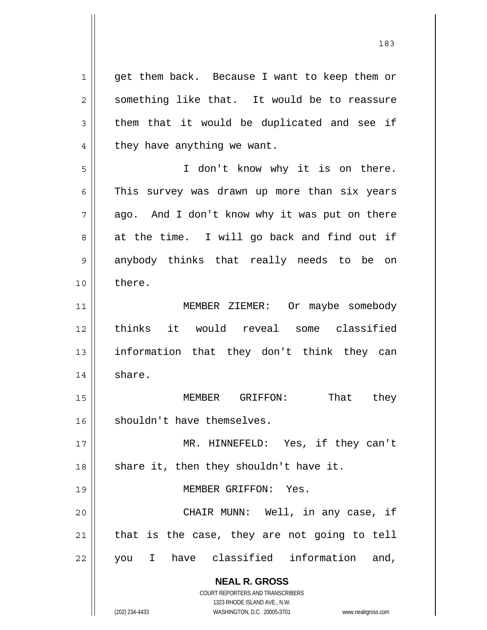**NEAL R. GROSS** COURT REPORTERS AND TRANSCRIBERS 1 2 3 4 5 6 7 8 9 10 11 12 13 14 15 16 17 18 19 20 21 22 get them back. Because I want to keep them or something like that. It would be to reassure them that it would be duplicated and see if they have anything we want. I don't know why it is on there. This survey was drawn up more than six years ago. And I don't know why it was put on there at the time. I will go back and find out if anybody thinks that really needs to be on there. MEMBER ZIEMER: Or maybe somebody thinks it would reveal some classified information that they don't think they can share. MEMBER GRIFFON: That they shouldn't have themselves. MR. HINNEFELD: Yes, if they can't share it, then they shouldn't have it. MEMBER GRIFFON: Yes. CHAIR MUNN: Well, in any case, if that is the case, they are not going to tell you I have classified information and,

1323 RHODE ISLAND AVE., N.W.

(202) 234-4433 WASHINGTON, D.C. 20005-3701 www.nealrgross.com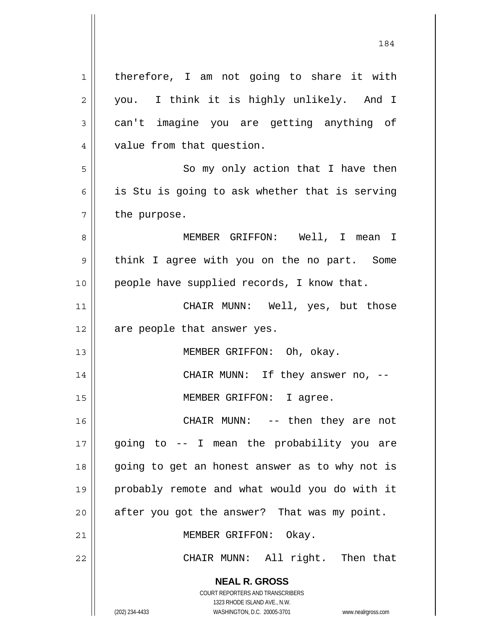**NEAL R. GROSS** COURT REPORTERS AND TRANSCRIBERS 1323 RHODE ISLAND AVE., N.W. 1 2 3 4 5 6 7 8 9 10 11 12 13 14 15 16 17 18 19 20 21 22 therefore, I am not going to share it with you. I think it is highly unlikely. And I can't imagine you are getting anything of value from that question. So my only action that I have then is Stu is going to ask whether that is serving the purpose. MEMBER GRIFFON: Well, I mean I think I agree with you on the no part. Some people have supplied records, I know that. CHAIR MUNN: Well, yes, but those are people that answer yes. MEMBER GRIFFON: Oh, okay. CHAIR MUNN: If they answer no, -- MEMBER GRIFFON: I agree. CHAIR MUNN: -- then they are not going to -- I mean the probability you are going to get an honest answer as to why not is probably remote and what would you do with it after you got the answer? That was my point. MEMBER GRIFFON: Okay. CHAIR MUNN: All right. Then that

(202) 234-4433 WASHINGTON, D.C. 20005-3701 www.nealrgross.com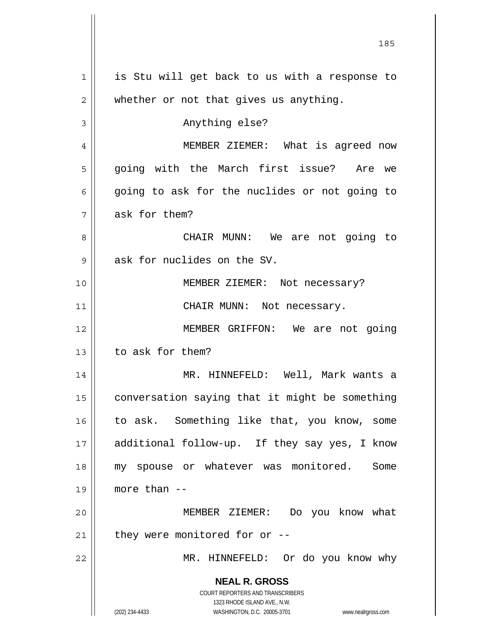**NEAL R. GROSS** COURT REPORTERS AND TRANSCRIBERS 1323 RHODE ISLAND AVE., N.W. (202) 234-4433 WASHINGTON, D.C. 20005-3701 www.nealrgross.com 1 2 3 4 5 6 7 8 9 10 11 12 13 14 15 16 17 18 19 20 21 22 is Stu will get back to us with a response to whether or not that gives us anything. Anything else? MEMBER ZIEMER: What is agreed now going with the March first issue? Are we going to ask for the nuclides or not going to ask for them? CHAIR MUNN: We are not going to ask for nuclides on the SV. MEMBER ZIEMER: Not necessary? CHAIR MUNN: Not necessary. MEMBER GRIFFON: We are not going to ask for them? MR. HINNEFELD: Well, Mark wants a conversation saying that it might be something to ask. Something like that, you know, some additional follow-up. If they say yes, I know my spouse or whatever was monitored. Some more than -- MEMBER ZIEMER: Do you know what they were monitored for or -- MR. HINNEFELD: Or do you know why

<u>185</u>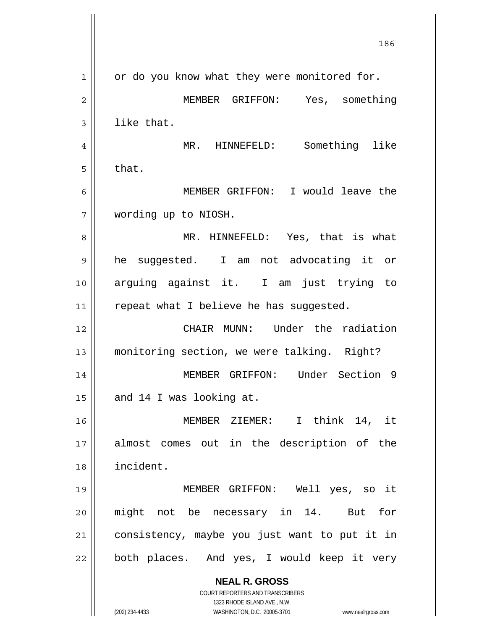|    | 186                                                                     |
|----|-------------------------------------------------------------------------|
| 1  | or do you know what they were monitored for.                            |
| 2  | MEMBER GRIFFON: Yes, something                                          |
| 3  | like that.                                                              |
| 4  | Something like<br>MR. HINNEFELD:                                        |
| 5  | that.                                                                   |
| 6  | MEMBER GRIFFON: I would leave the                                       |
| 7  | wording up to NIOSH.                                                    |
| 8  | MR. HINNEFELD: Yes, that is what                                        |
| 9  | he suggested. I am not advocating it or                                 |
| 10 | arguing against it. I am just trying to                                 |
| 11 | repeat what I believe he has suggested.                                 |
| 12 | CHAIR MUNN: Under the radiation                                         |
| 13 | monitoring section, we were talking. Right?                             |
| 14 | MEMBER GRIFFON: Under Section 9                                         |
| 15 | and 14 I was looking at.                                                |
| 16 | MEMBER ZIEMER: I think 14, it                                           |
| 17 | almost comes out in the description of the                              |
| 18 | incident.                                                               |
| 19 | MEMBER GRIFFON: Well yes, so it                                         |
| 20 | might not be necessary in 14.<br>But<br>for                             |
| 21 | consistency, maybe you just want to put it in                           |
| 22 | both places. And yes, I would keep it very                              |
|    | <b>NEAL R. GROSS</b>                                                    |
|    | <b>COURT REPORTERS AND TRANSCRIBERS</b><br>1323 RHODE ISLAND AVE., N.W. |
|    | (202) 234-4433<br>WASHINGTON, D.C. 20005-3701<br>www.nealrgross.com     |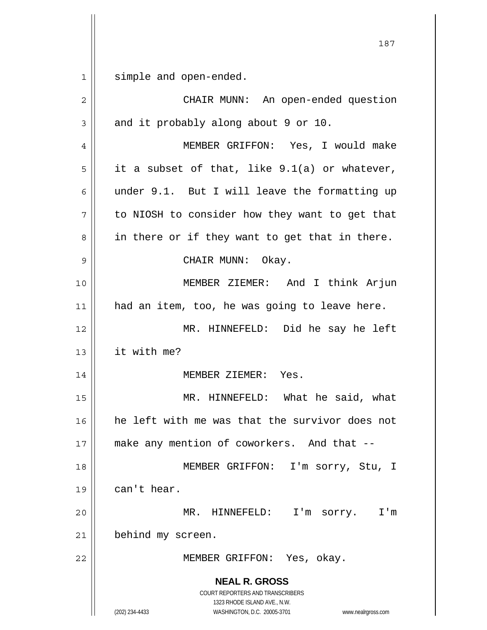**NEAL R. GROSS** COURT REPORTERS AND TRANSCRIBERS 1323 RHODE ISLAND AVE., N.W. 187 1 2 3 4 5 6 7 8 9 10 11 12 13 14 15 16 17 18 19 20 21 22 simple and open-ended. CHAIR MUNN: An open-ended question and it probably along about 9 or 10. MEMBER GRIFFON: Yes, I would make it a subset of that, like 9.1(a) or whatever, under 9.1. But I will leave the formatting up to NIOSH to consider how they want to get that in there or if they want to get that in there. CHAIR MUNN: Okay. MEMBER ZIEMER: And I think Arjun had an item, too, he was going to leave here. MR. HINNEFELD: Did he say he left it with me? MEMBER ZIEMER: Yes. MR. HINNEFELD: What he said, what he left with me was that the survivor does not make any mention of coworkers. And that -- MEMBER GRIFFON: I'm sorry, Stu, I can't hear. MR. HINNEFELD: I'm sorry. I'm behind my screen. MEMBER GRIFFON: Yes, okay.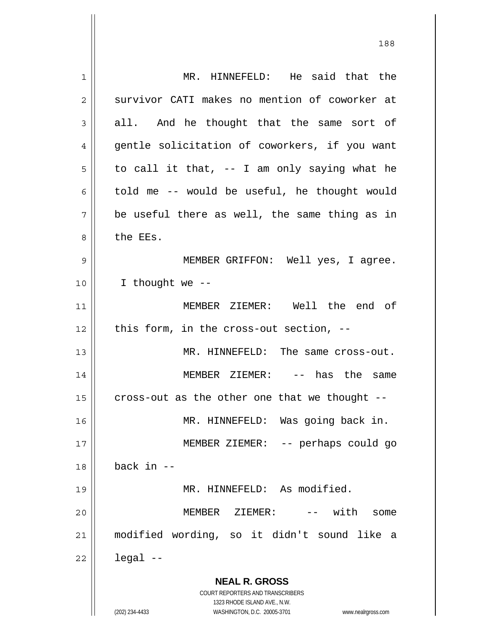**NEAL R. GROSS** COURT REPORTERS AND TRANSCRIBERS 1323 RHODE ISLAND AVE., N.W. (202) 234-4433 WASHINGTON, D.C. 20005-3701 www.nealrgross.com 1 2 3 4 5 6 7 8 9 10 11 12 13 14 15 16 17 18 19 20 21 22 MR. HINNEFELD: He said that the survivor CATI makes no mention of coworker at all. And he thought that the same sort of gentle solicitation of coworkers, if you want to call it that, -- I am only saying what he told me -- would be useful, he thought would be useful there as well, the same thing as in the EEs. MEMBER GRIFFON: Well yes, I agree. I thought we -- MEMBER ZIEMER: Well the end of this form, in the cross-out section, -- MR. HINNEFELD: The same cross-out. MEMBER ZIEMER: -- has the same cross-out as the other one that we thought -- MR. HINNEFELD: Was going back in. MEMBER ZIEMER: -- perhaps could go back in -- MR. HINNEFELD: As modified. MEMBER ZIEMER: -- with some modified wording, so it didn't sound like a legal --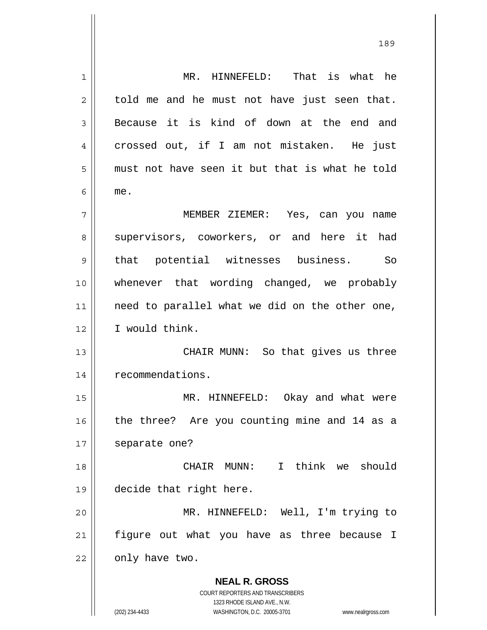**NEAL R. GROSS** COURT REPORTERS AND TRANSCRIBERS 1323 RHODE ISLAND AVE., N.W. 1 2 3 4 5 6 7 8 9 10 11 12 13 14 15 16 17 18 19 20 21 22 MR. HINNEFELD: That is what he told me and he must not have just seen that. Because it is kind of down at the end and crossed out, if I am not mistaken. He just must not have seen it but that is what he told me. MEMBER ZIEMER: Yes, can you name supervisors, coworkers, or and here it had that potential witnesses business. So whenever that wording changed, we probably need to parallel what we did on the other one, I would think. CHAIR MUNN: So that gives us three recommendations. MR. HINNEFELD: Okay and what were the three? Are you counting mine and 14 as a separate one? CHAIR MUNN: I think we should decide that right here. MR. HINNEFELD: Well, I'm trying to figure out what you have as three because I only have two.

(202) 234-4433 WASHINGTON, D.C. 20005-3701 www.nealrgross.com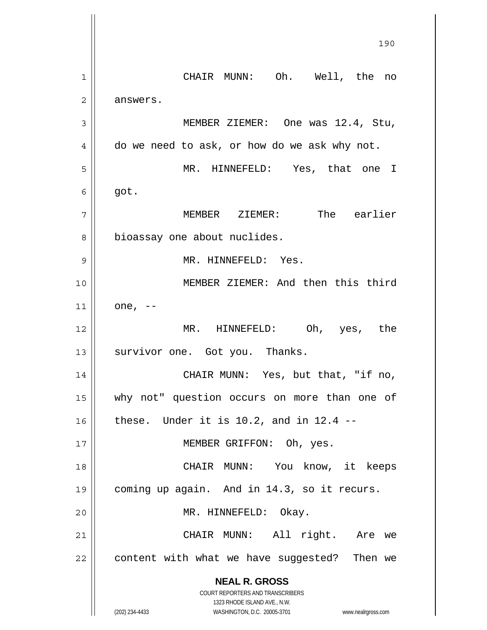**NEAL R. GROSS** COURT REPORTERS AND TRANSCRIBERS 1323 RHODE ISLAND AVE., N.W. (202) 234-4433 WASHINGTON, D.C. 20005-3701 www.nealrgross.com <u>190</u> 1 2 3 4 5 6 7 8 9 10 11 12 13 14 15 16 17 18 19 20 21 22 CHAIR MUNN: Oh. Well, the no answers. MEMBER ZIEMER: One was 12.4, Stu, do we need to ask, or how do we ask why not. MR. HINNEFELD: Yes, that one I got. MEMBER ZIEMER: The earlier bioassay one about nuclides. MR. HINNEFELD: Yes. MEMBER ZIEMER: And then this third one, -- MR. HINNEFELD: Oh, yes, the survivor one. Got you. Thanks. CHAIR MUNN: Yes, but that, "if no, why not" question occurs on more than one of these. Under it is  $10.2$ , and in  $12.4$  -- MEMBER GRIFFON: Oh, yes. CHAIR MUNN: You know, it keeps coming up again. And in 14.3, so it recurs. MR. HINNEFELD: Okay. CHAIR MUNN: All right. Are we content with what we have suggested? Then we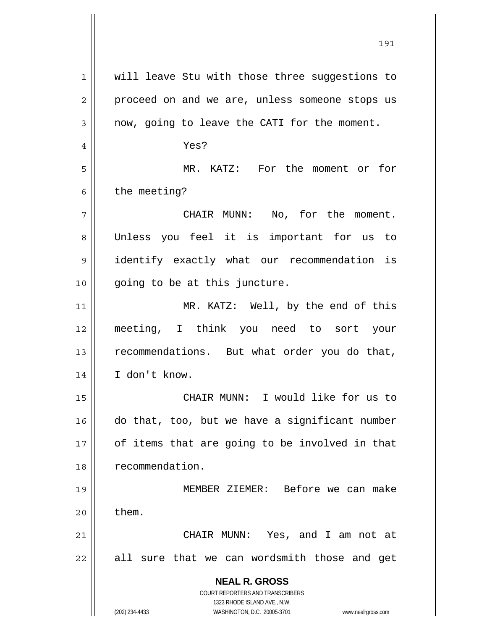| $\mathbf{1}$ | will leave Stu with those three suggestions to                      |
|--------------|---------------------------------------------------------------------|
| 2            | proceed on and we are, unless someone stops us                      |
| 3            | now, going to leave the CATI for the moment.                        |
| 4            | Yes?                                                                |
| 5            | MR. KATZ: For the moment or for                                     |
| 6            | the meeting?                                                        |
| 7            | CHAIR MUNN: No, for the moment.                                     |
| 8            | Unless you feel it is important for us to                           |
| 9            | identify exactly what our recommendation is                         |
| 10           | going to be at this juncture.                                       |
| 11           | MR. KATZ: Well, by the end of this                                  |
| 12           | meeting, I think you need to sort your                              |
| 13           | recommendations. But what order you do that,                        |
| 14           | I don't know.                                                       |
| 15           | CHAIR MUNN: I would like for us to                                  |
| 16           | do that, too, but we have a significant number                      |
| 17           | of items that are going to be involved in that                      |
| 18           | recommendation.                                                     |
| 19           | MEMBER ZIEMER: Before we can make                                   |
| 20           | them.                                                               |
| 21           | CHAIR MUNN: Yes, and I am not at                                    |
| 22           | all sure that we can wordsmith those and get                        |
|              |                                                                     |
|              | <b>NEAL R. GROSS</b><br>COURT REPORTERS AND TRANSCRIBERS            |
|              | 1323 RHODE ISLAND AVE., N.W.                                        |
|              | (202) 234-4433<br>WASHINGTON, D.C. 20005-3701<br>www.nealrgross.com |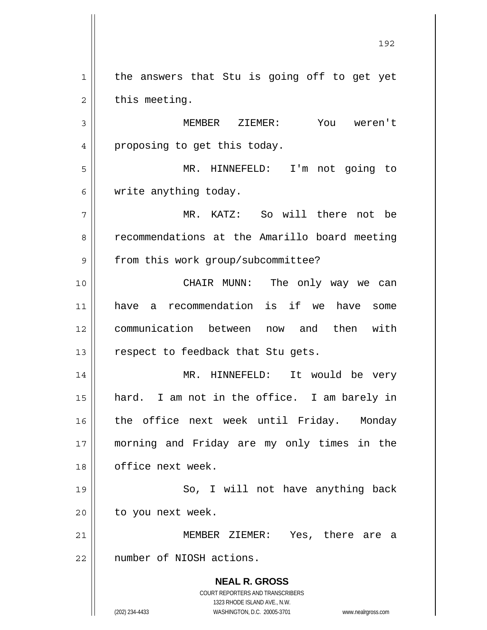1 2 the answers that Stu is going off to get yet this meeting.

3 4 MEMBER ZIEMER: You weren't proposing to get this today.

5 6 MR. HINNEFELD: I'm not going to write anything today.

7 8 9 MR. KATZ: So will there not be recommendations at the Amarillo board meeting from this work group/subcommittee?

10 11 12 13 CHAIR MUNN: The only way we can have a recommendation is if we have some communication between now and then with respect to feedback that Stu gets.

14 15 16 17 18 MR. HINNEFELD: It would be very hard. I am not in the office. I am barely in the office next week until Friday. Monday morning and Friday are my only times in the office next week.

19 20 So, I will not have anything back to you next week.

21 22 MEMBER ZIEMER: Yes, there are a number of NIOSH actions.

> **NEAL R. GROSS** COURT REPORTERS AND TRANSCRIBERS 1323 RHODE ISLAND AVE., N.W.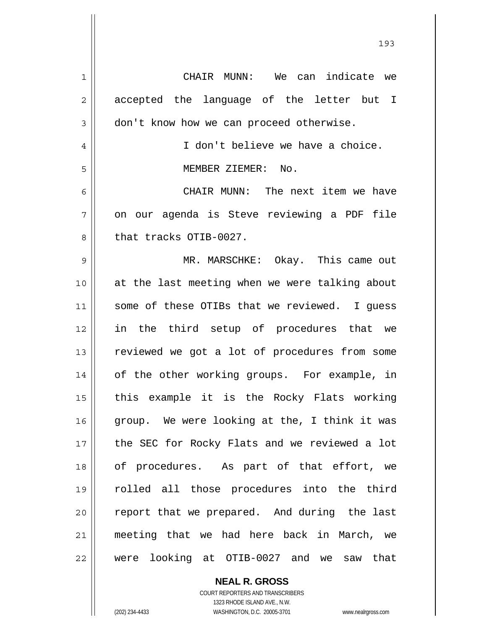| $\mathbf 1$ | CHAIR MUNN: We can indicate we                  |
|-------------|-------------------------------------------------|
| 2           | accepted the language of the letter but I       |
| 3           | don't know how we can proceed otherwise.        |
| 4           | I don't believe we have a choice.               |
| 5           | MEMBER ZIEMER: No.                              |
| 6           | CHAIR MUNN: The next item we have               |
| 7           | on our agenda is Steve reviewing a PDF file     |
| 8           | that tracks OTIB-0027.                          |
| 9           | MR. MARSCHKE: Okay. This came out               |
| 10          | at the last meeting when we were talking about  |
| 11          | some of these OTIBs that we reviewed. I guess   |
| 12          | in the third setup of procedures that we        |
| 13          | reviewed we got a lot of procedures from some   |
| 14          | of the other working groups. For example, in    |
| 15          | this example it is the Rocky Flats working      |
| 16          | group. We were looking at the, I think it was   |
| 17          | the SEC for Rocky Flats and we reviewed a lot   |
| 18          | of procedures. As part of that effort, we       |
| 19          | rolled all those procedures into the third      |
| 20          | report that we prepared. And during the last    |
| 21          | meeting that we had here back in March, we      |
| 22          | were looking at OTIB-0027 and we<br>that<br>saw |

**NEAL R. GROSS** COURT REPORTERS AND TRANSCRIBERS 1323 RHODE ISLAND AVE., N.W.

(202) 234-4433 WASHINGTON, D.C. 20005-3701 www.nealrgross.com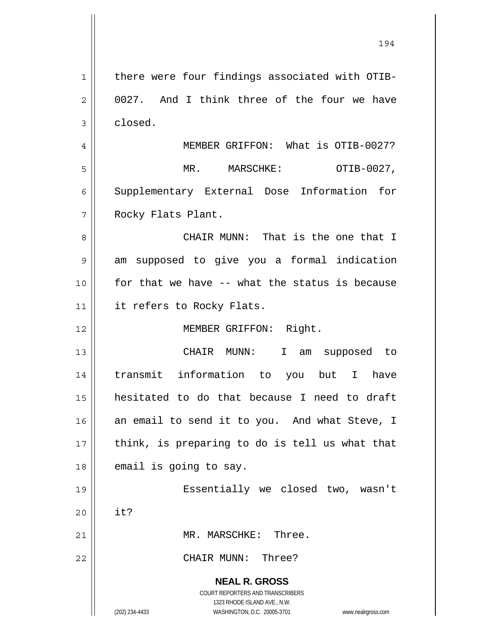**NEAL R. GROSS** COURT REPORTERS AND TRANSCRIBERS 1323 RHODE ISLAND AVE., N.W. (202) 234-4433 WASHINGTON, D.C. 20005-3701 www.nealrgross.com 1 2 3 4 5 6 7 8 9 10 11 12 13 14 15 16 17 18 19 20 21 22 there were four findings associated with OTIB-0027. And I think three of the four we have closed. MEMBER GRIFFON: What is OTIB-0027? MR. MARSCHKE: OTIB-0027, Supplementary External Dose Information for Rocky Flats Plant. CHAIR MUNN: That is the one that I am supposed to give you a formal indication for that we have -- what the status is because it refers to Rocky Flats. MEMBER GRIFFON: Right. CHAIR MUNN: I am supposed to transmit information to you but I have hesitated to do that because I need to draft an email to send it to you. And what Steve, I think, is preparing to do is tell us what that email is going to say. Essentially we closed two, wasn't it? MR. MARSCHKE: Three. CHAIR MUNN: Three?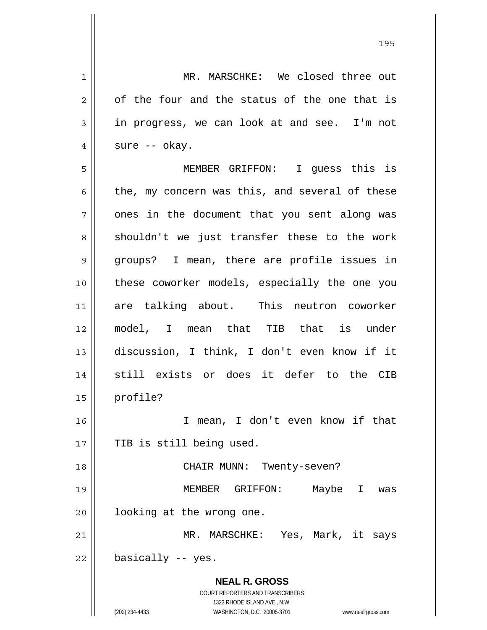**NEAL R. GROSS** COURT REPORTERS AND TRANSCRIBERS 1323 RHODE ISLAND AVE., N.W. (202) 234-4433 WASHINGTON, D.C. 20005-3701 www.nealrgross.com 1 2 3 4 5 6 7 8 9 10 11 12 13 14 15 16 17 18 19 20 21 22 MR. MARSCHKE: We closed three out of the four and the status of the one that is in progress, we can look at and see. I'm not sure -- okay. MEMBER GRIFFON: I guess this is the, my concern was this, and several of these ones in the document that you sent along was shouldn't we just transfer these to the work groups? I mean, there are profile issues in these coworker models, especially the one you are talking about. This neutron coworker model, I mean that TIB that is under discussion, I think, I don't even know if it still exists or does it defer to the CIB profile? I mean, I don't even know if that TIB is still being used. CHAIR MUNN: Twenty-seven? MEMBER GRIFFON: Maybe I was looking at the wrong one. MR. MARSCHKE: Yes, Mark, it says basically -- yes.

<u>195</u>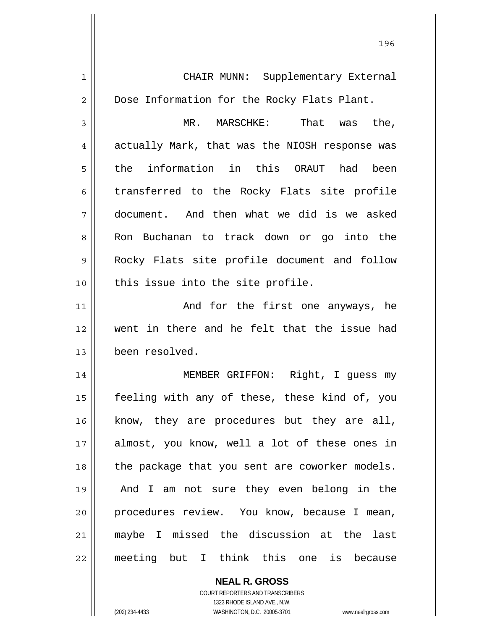1 2 3 4 5 6 7 8 9 10 11 12 13 14 15 16 17 18 19 20 21 22 CHAIR MUNN: Supplementary External Dose Information for the Rocky Flats Plant. MR. MARSCHKE: That was the, actually Mark, that was the NIOSH response was the information in this ORAUT had been transferred to the Rocky Flats site profile document. And then what we did is we asked Ron Buchanan to track down or go into the Rocky Flats site profile document and follow this issue into the site profile. And for the first one anyways, he went in there and he felt that the issue had been resolved. MEMBER GRIFFON: Right, I guess my feeling with any of these, these kind of, you know, they are procedures but they are all, almost, you know, well a lot of these ones in the package that you sent are coworker models. And I am not sure they even belong in the procedures review. You know, because I mean, maybe I missed the discussion at the last meeting but I think this one is because

<u>1962 - Johann Stein, Amerikaansk politiker (</u>† 196

**NEAL R. GROSS** COURT REPORTERS AND TRANSCRIBERS 1323 RHODE ISLAND AVE., N.W.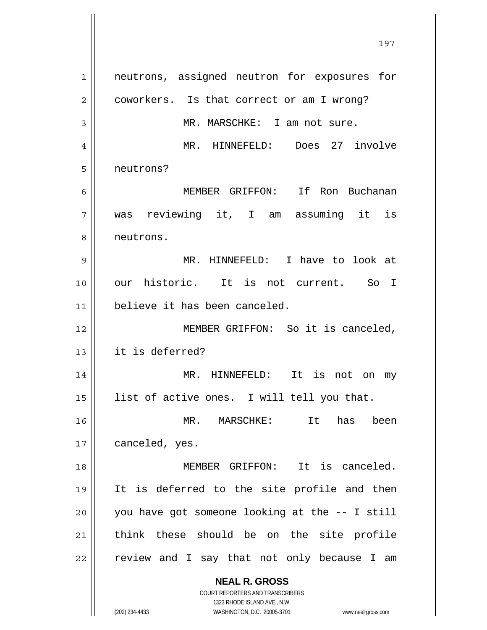**NEAL R. GROSS** COURT REPORTERS AND TRANSCRIBERS 1 2 3 4 5 6 7 8 9 10 11 12 13 14 15 16 17 18 19 20 21 22 neutrons, assigned neutron for exposures for coworkers. Is that correct or am I wrong? MR. MARSCHKE: I am not sure. MR. HINNEFELD: Does 27 involve neutrons? MEMBER GRIFFON: If Ron Buchanan was reviewing it, I am assuming it is neutrons. MR. HINNEFELD: I have to look at our historic. It is not current. So I believe it has been canceled. MEMBER GRIFFON: So it is canceled, it is deferred? MR. HINNEFELD: It is not on my list of active ones. I will tell you that. MR. MARSCHKE: It has been canceled, yes. MEMBER GRIFFON: It is canceled. It is deferred to the site profile and then you have got someone looking at the -- I still think these should be on the site profile review and I say that not only because I am

197

1323 RHODE ISLAND AVE., N.W.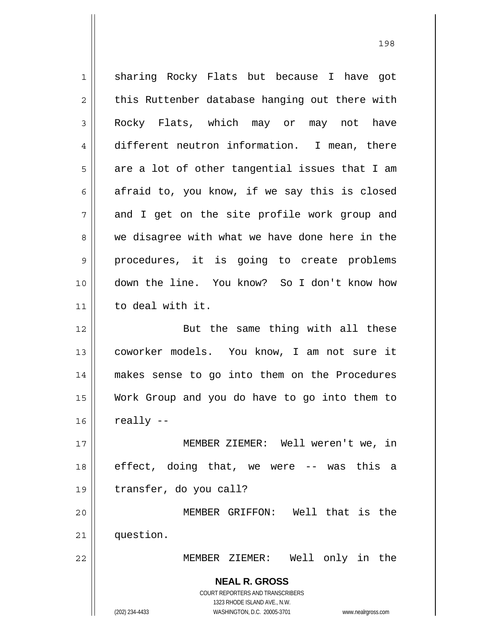**NEAL R. GROSS** COURT REPORTERS AND TRANSCRIBERS 1323 RHODE ISLAND AVE., N.W. (202) 234-4433 WASHINGTON, D.C. 20005-3701 www.nealrgross.com 1 2 3 4 5 6 7 8 9 10 11 12 13 14 15 16 17 18 19 20 21 22 sharing Rocky Flats but because I have got this Ruttenber database hanging out there with Rocky Flats, which may or may not have different neutron information. I mean, there are a lot of other tangential issues that I am afraid to, you know, if we say this is closed and I get on the site profile work group and we disagree with what we have done here in the procedures, it is going to create problems down the line. You know? So I don't know how to deal with it. But the same thing with all these coworker models. You know, I am not sure it makes sense to go into them on the Procedures Work Group and you do have to go into them to really -- MEMBER ZIEMER: Well weren't we, in effect, doing that, we were -- was this a transfer, do you call? MEMBER GRIFFON: Well that is the question. MEMBER ZIEMER: Well only in the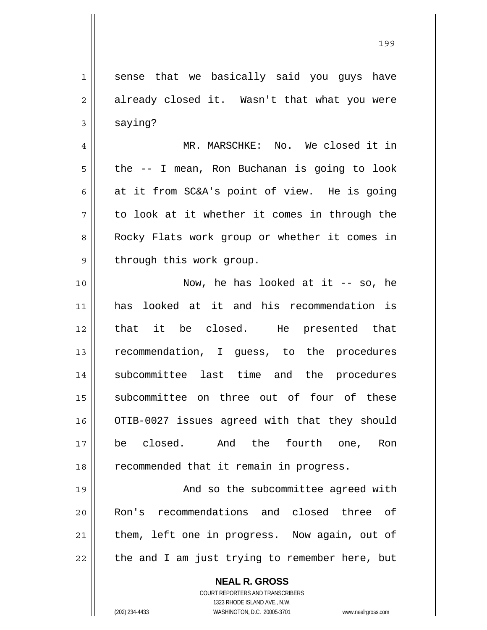**NEAL R. GROSS** 1 2 3 4 5 6 7 8 9 10 11 12 13 14 15 16 17 18 19 20 21 22 sense that we basically said you guys have already closed it. Wasn't that what you were saying? MR. MARSCHKE: No. We closed it in the -- I mean, Ron Buchanan is going to look at it from SC&A's point of view. He is going to look at it whether it comes in through the Rocky Flats work group or whether it comes in through this work group. Now, he has looked at it -- so, he has looked at it and his recommendation is that it be closed. He presented that recommendation, I guess, to the procedures subcommittee last time and the procedures subcommittee on three out of four of these OTIB-0027 issues agreed with that they should be closed. And the fourth one, Ron recommended that it remain in progress. And so the subcommittee agreed with Ron's recommendations and closed three of them, left one in progress. Now again, out of the and I am just trying to remember here, but

> COURT REPORTERS AND TRANSCRIBERS 1323 RHODE ISLAND AVE., N.W.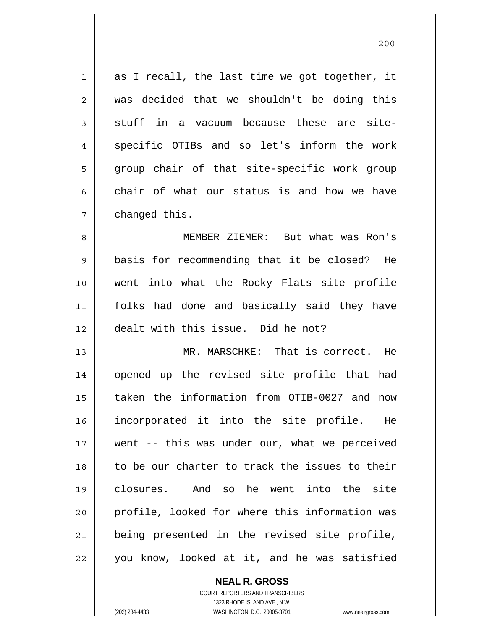1 2 3 4 5 6 7 8 as I recall, the last time we got together, it was decided that we shouldn't be doing this stuff in a vacuum because these are sitespecific OTIBs and so let's inform the work group chair of that site-specific work group chair of what our status is and how we have changed this. MEMBER ZIEMER: But what was Ron's

9 10 11 12 basis for recommending that it be closed? He went into what the Rocky Flats site profile folks had done and basically said they have dealt with this issue. Did he not?

13 14 15 16 17 18 19 20 21 22 MR. MARSCHKE: That is correct. He opened up the revised site profile that had taken the information from OTIB-0027 and now incorporated it into the site profile. He went -- this was under our, what we perceived to be our charter to track the issues to their closures. And so he went into the site profile, looked for where this information was being presented in the revised site profile, you know, looked at it, and he was satisfied

> COURT REPORTERS AND TRANSCRIBERS 1323 RHODE ISLAND AVE., N.W. (202) 234-4433 WASHINGTON, D.C. 20005-3701 www.nealrgross.com

**NEAL R. GROSS**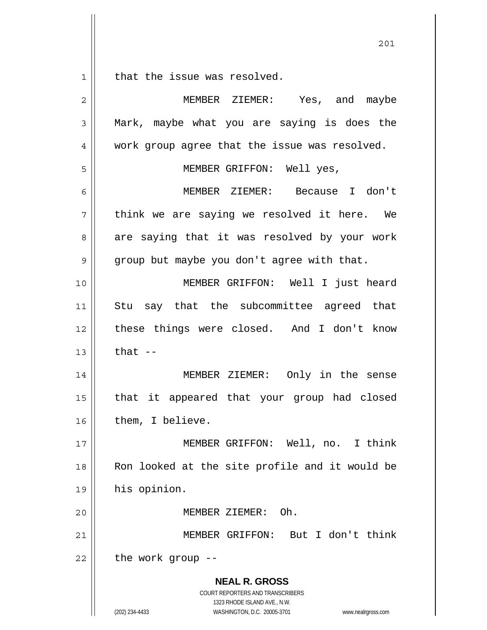$1|$ that the issue was resolved.

| $\overline{2}$ | MEMBER ZIEMER: Yes, and maybe                                                            |
|----------------|------------------------------------------------------------------------------------------|
| 3              | Mark, maybe what you are saying is does the                                              |
| 4              | work group agree that the issue was resolved.                                            |
| 5              | MEMBER GRIFFON: Well yes,                                                                |
| 6              | MEMBER ZIEMER: Because I don't                                                           |
| 7              | think we are saying we resolved it here. We                                              |
| 8              | are saying that it was resolved by your work                                             |
| 9              | group but maybe you don't agree with that.                                               |
| 10             | MEMBER GRIFFON: Well I just heard                                                        |
| 11             | Stu say that the subcommittee agreed that                                                |
| 12             | these things were closed. And I don't know                                               |
| 13             | that $-$                                                                                 |
| 14             | MEMBER ZIEMER: Only in the sense                                                         |
| 15             | that it appeared that your group had closed                                              |
| 16             | them, I believe.                                                                         |
| 17             | MEMBER GRIFFON: Well, no. I think                                                        |
| 18             | Ron looked at the site profile and it would be                                           |
| 19             | his opinion.                                                                             |
| 20             | MEMBER ZIEMER: Oh.                                                                       |
| 21             | MEMBER GRIFFON: But I don't think                                                        |
| 22             | the work group --                                                                        |
|                | <b>NEAL R. GROSS</b><br>COURT REPORTERS AND TRANSCRIBERS<br>1323 RHODE ISLAND AVE., N.W. |
|                | WASHINGTON, D.C. 20005-3701<br>(202) 234-4433<br>www.nealrgross.com                      |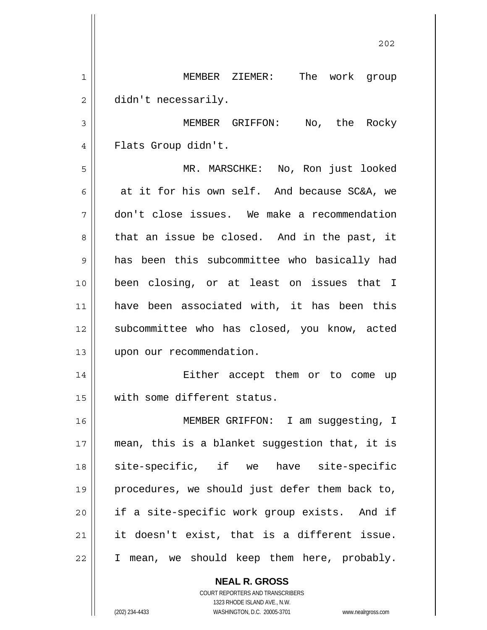|                | 202                                            |
|----------------|------------------------------------------------|
| 1              | MEMBER ZIEMER: The work group                  |
| $\overline{c}$ | didn't necessarily.                            |
| 3              | MEMBER GRIFFON: No, the Rocky                  |
| 4              | Flats Group didn't.                            |
| 5              | MR. MARSCHKE: No, Ron just looked              |
| 6              | at it for his own self. And because SC&A, we   |
| 7              | don't close issues. We make a recommendation   |
| 8              | that an issue be closed. And in the past, it   |
| 9              | has been this subcommittee who basically had   |
| 10             | been closing, or at least on issues that I     |
| 11             | have been associated with, it has been this    |
| 12             | subcommittee who has closed, you know, acted   |
| 13             | upon our recommendation.                       |
| 14             | Either accept them or to come<br>up            |
| 15             | with some different status.                    |
| 16             | MEMBER GRIFFON: I am suggesting, I             |
| 17             | mean, this is a blanket suggestion that, it is |
| 18             | site-specific, if we have site-specific        |
| 19             | procedures, we should just defer them back to, |
| 20             | if a site-specific work group exists. And if   |
| 21             | it doesn't exist, that is a different issue.   |
| 22             | I mean, we should keep them here, probably.    |
|                | <b>NEAL R. GROSS</b>                           |

COURT REPORTERS AND TRANSCRIBERS 1323 RHODE ISLAND AVE., N.W.

 $\mathsf{II}$ 

 $\mathbf{\mathbf{\mathsf{I}}}\mathbf{\mathsf{I}}$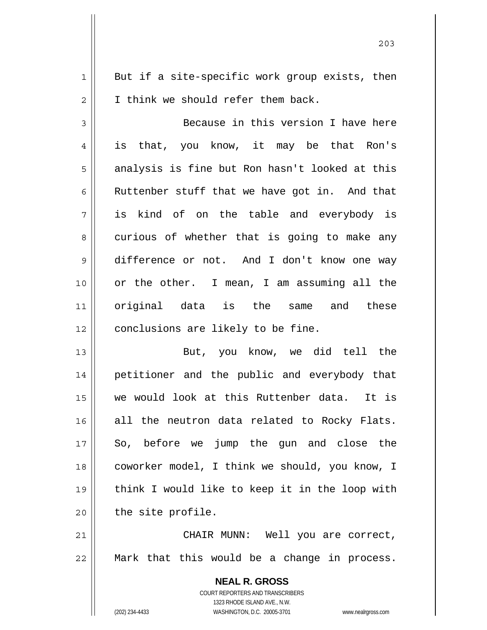1 2 But if a site-specific work group exists, then I think we should refer them back.

3 4 5 6 7 8 9 10 11 12 Because in this version I have here is that, you know, it may be that Ron's analysis is fine but Ron hasn't looked at this Ruttenber stuff that we have got in. And that is kind of on the table and everybody is curious of whether that is going to make any difference or not. And I don't know one way or the other. I mean, I am assuming all the original data is the same and these conclusions are likely to be fine.

13 14 15 16 17 18 19 20 But, you know, we did tell the petitioner and the public and everybody that we would look at this Ruttenber data. It is all the neutron data related to Rocky Flats. So, before we jump the gun and close the coworker model, I think we should, you know, I think I would like to keep it in the loop with the site profile.

21 22 CHAIR MUNN: Well you are correct, Mark that this would be a change in process.

> **NEAL R. GROSS** COURT REPORTERS AND TRANSCRIBERS 1323 RHODE ISLAND AVE., N.W. (202) 234-4433 WASHINGTON, D.C. 20005-3701 www.nealrgross.com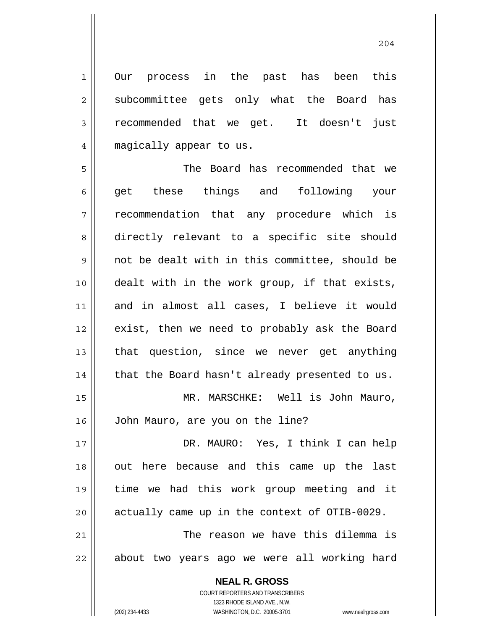Our process in the past has been this subcommittee gets only what the Board has recommended that we get. It doesn't just magically appear to us.

5 6 7 8 9 10 11 12 13 14 15 16 17 18 19 20 The Board has recommended that we get these things and following your recommendation that any procedure which is directly relevant to a specific site should not be dealt with in this committee, should be dealt with in the work group, if that exists, and in almost all cases, I believe it would exist, then we need to probably ask the Board that question, since we never get anything that the Board hasn't already presented to us. MR. MARSCHKE: Well is John Mauro, John Mauro, are you on the line? DR. MAURO: Yes, I think I can help out here because and this came up the last time we had this work group meeting and it actually came up in the context of OTIB-0029.

21 22 The reason we have this dilemma is about two years ago we were all working hard

> **NEAL R. GROSS** COURT REPORTERS AND TRANSCRIBERS

1

2

3

4

1323 RHODE ISLAND AVE., N.W. (202) 234-4433 WASHINGTON, D.C. 20005-3701 www.nealrgross.com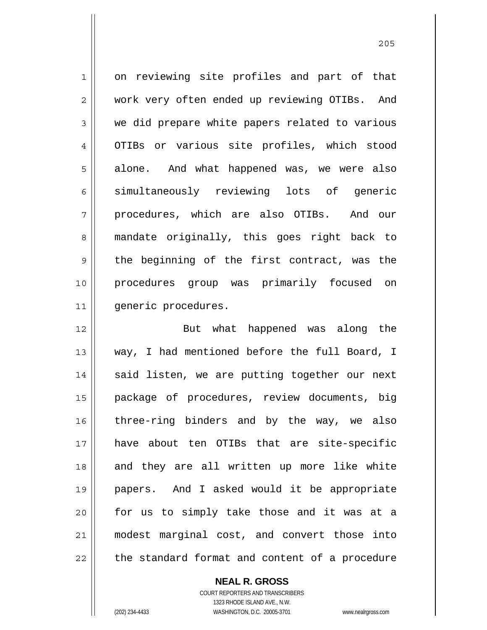1 2 3 4 5 6 7 8 9 10 11 on reviewing site profiles and part of that work very often ended up reviewing OTIBs. And we did prepare white papers related to various OTIBs or various site profiles, which stood alone. And what happened was, we were also simultaneously reviewing lots of generic procedures, which are also OTIBs. And our mandate originally, this goes right back to the beginning of the first contract, was the procedures group was primarily focused on generic procedures.

12 13 14 15 16 17 18 19 20 21 22 But what happened was along the way, I had mentioned before the full Board, I said listen, we are putting together our next package of procedures, review documents, big three-ring binders and by the way, we also have about ten OTIBs that are site-specific and they are all written up more like white papers. And I asked would it be appropriate for us to simply take those and it was at a modest marginal cost, and convert those into the standard format and content of a procedure

> COURT REPORTERS AND TRANSCRIBERS 1323 RHODE ISLAND AVE., N.W. (202) 234-4433 WASHINGTON, D.C. 20005-3701 www.nealrgross.com

**NEAL R. GROSS**

<u>205</u>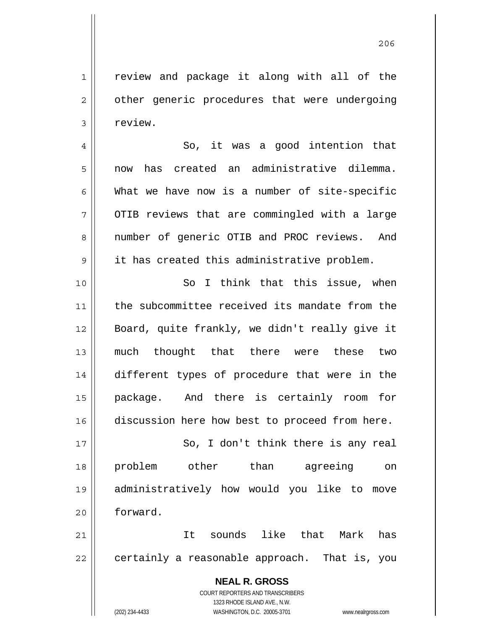206

2 3 4 5 6 7 8 9 10 11 12 13 14 15 16 17 18 19 20 21 22 other generic procedures that were undergoing review. So, it was a good intention that now has created an administrative dilemma. What we have now is a number of site-specific OTIB reviews that are commingled with a large number of generic OTIB and PROC reviews. And it has created this administrative problem. So I think that this issue, when the subcommittee received its mandate from the Board, quite frankly, we didn't really give it much thought that there were these two different types of procedure that were in the package. And there is certainly room for discussion here how best to proceed from here. So, I don't think there is any real problem other than agreeing on administratively how would you like to move forward. It sounds like that Mark has certainly a reasonable approach. That is, you

review and package it along with all of the

**NEAL R. GROSS** COURT REPORTERS AND TRANSCRIBERS 1323 RHODE ISLAND AVE., N.W. (202) 234-4433 WASHINGTON, D.C. 20005-3701 www.nealrgross.com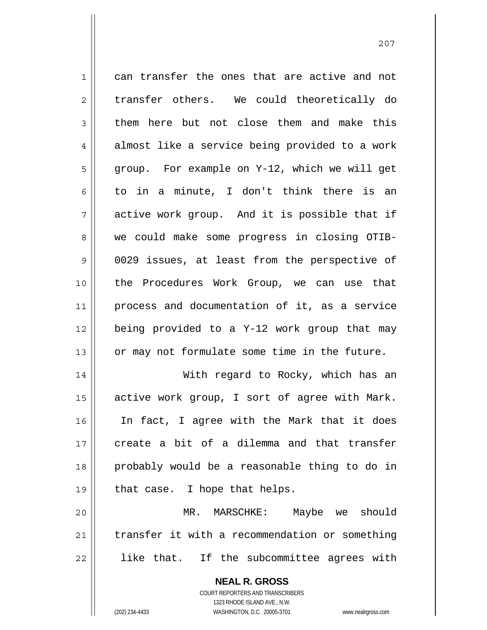1 2 3 4 5 6 7 8 9 10 11 12 13 14 15 16 17 18 19 20 21 22 can transfer the ones that are active and not transfer others. We could theoretically do them here but not close them and make this almost like a service being provided to a work group. For example on Y-12, which we will get to in a minute, I don't think there is an active work group. And it is possible that if we could make some progress in closing OTIB-0029 issues, at least from the perspective of the Procedures Work Group, we can use that process and documentation of it, as a service being provided to a Y-12 work group that may or may not formulate some time in the future. With regard to Rocky, which has an active work group, I sort of agree with Mark. In fact, I agree with the Mark that it does create a bit of a dilemma and that transfer probably would be a reasonable thing to do in that case. I hope that helps. MR. MARSCHKE: Maybe we should transfer it with a recommendation or something like that. If the subcommittee agrees with

> **NEAL R. GROSS** COURT REPORTERS AND TRANSCRIBERS 1323 RHODE ISLAND AVE., N.W.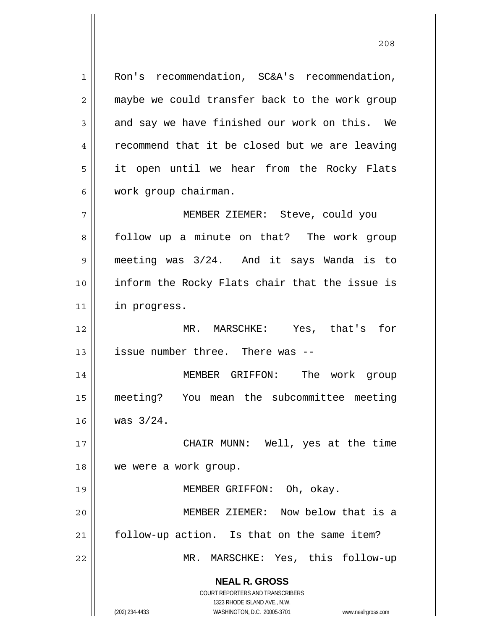1 2 3 4 5 6 Ron's recommendation, SC&A's recommendation, maybe we could transfer back to the work group and say we have finished our work on this. We recommend that it be closed but we are leaving it open until we hear from the Rocky Flats work group chairman. MEMBER ZIEMER: Steve, could you

7 8 9 10 11 follow up a minute on that? The work group meeting was 3/24. And it says Wanda is to inform the Rocky Flats chair that the issue is in progress.

12 13 MR. MARSCHKE: Yes, that's for issue number three. There was --

14 15 16 MEMBER GRIFFON: The work group meeting? You mean the subcommittee meeting was 3/24.

17 18 CHAIR MUNN: Well, yes at the time we were a work group.

MEMBER GRIFFON: Oh, okay.

20 21 22 MEMBER ZIEMER: Now below that is a follow-up action. Is that on the same item? MR. MARSCHKE: Yes, this follow-up

**NEAL R. GROSS**

19

COURT REPORTERS AND TRANSCRIBERS 1323 RHODE ISLAND AVE., N.W. (202) 234-4433 WASHINGTON, D.C. 20005-3701 www.nealrgross.com

<u>208</u>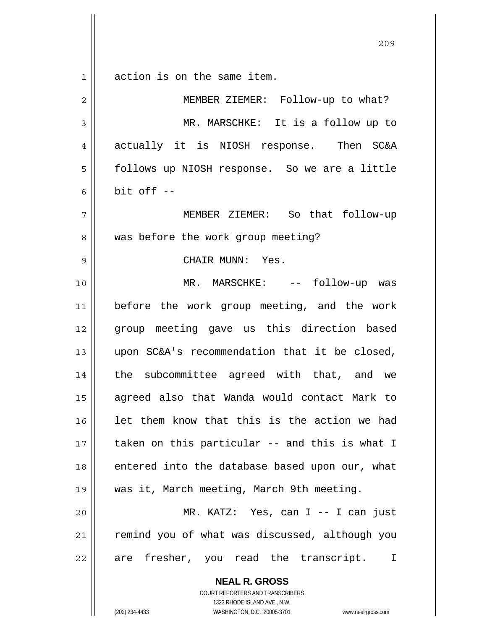$\begin{array}{c|c|c|c} 1 & 1 \end{array}$ action is on the same item.

| $\overline{2}$ | MEMBER ZIEMER: Follow-up to what?                        |
|----------------|----------------------------------------------------------|
| 3              | MR. MARSCHKE: It is a follow up to                       |
| 4              | actually it is NIOSH response. Then SC&A                 |
| 5              | follows up NIOSH response. So we are a little            |
| 6              | bit off --                                               |
| 7              | MEMBER ZIEMER: So that follow-up                         |
| 8              | was before the work group meeting?                       |
| 9              | CHAIR MUNN: Yes.                                         |
| 10             | MR. MARSCHKE: -- follow-up was                           |
| 11             | before the work group meeting, and the work              |
| 12             | group meeting gave us this direction based               |
| 13             | upon SC&A's recommendation that it be closed,            |
| 14             | the subcommittee agreed with that, and we                |
| 15             | agreed also that Wanda would contact Mark to             |
| 16             | let them know that this is the action we had             |
| 17             | taken on this particular -- and this is what I           |
| 18             | entered into the database based upon our, what           |
| 19             | was it, March meeting, March 9th meeting.                |
| 20             | MR. KATZ: Yes, can I -- I can just                       |
| 21             | remind you of what was discussed, although you           |
| 22             | are fresher, you read the transcript. I                  |
|                | <b>NEAL R. GROSS</b><br>COURT REPORTERS AND TRANSCRIBERS |

1323 RHODE ISLAND AVE., N.W.

 $\prod_{i=1}^{n}$ 

(202) 234-4433 WASHINGTON, D.C. 20005-3701 www.nealrgross.com

<u>209</u>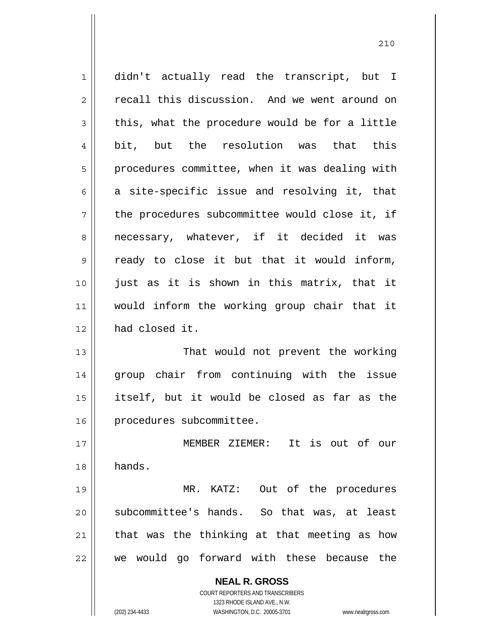**NEAL R. GROSS** COURT REPORTERS AND TRANSCRIBERS 1323 RHODE ISLAND AVE., N.W. (202) 234-4433 WASHINGTON, D.C. 20005-3701 www.nealrgross.com 1 2 3 4 5 6 7 8 9 10 11 12 13 14 15 16 17 18 19 20 21 22 didn't actually read the transcript, but I recall this discussion. And we went around on this, what the procedure would be for a little bit, but the resolution was that this procedures committee, when it was dealing with a site-specific issue and resolving it, that the procedures subcommittee would close it, if necessary, whatever, if it decided it was ready to close it but that it would inform, just as it is shown in this matrix, that it would inform the working group chair that it had closed it. That would not prevent the working group chair from continuing with the issue itself, but it would be closed as far as the procedures subcommittee. MEMBER ZIEMER: It is out of our hands. MR. KATZ: Out of the procedures subcommittee's hands. So that was, at least that was the thinking at that meeting as how we would go forward with these because the

<u>210</u>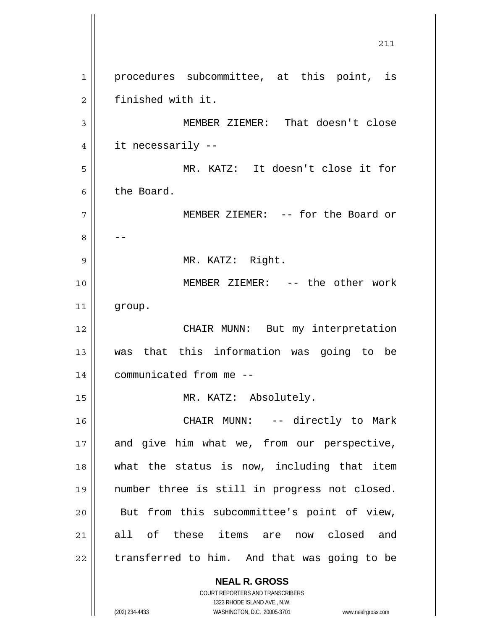**NEAL R. GROSS** COURT REPORTERS AND TRANSCRIBERS 211 1 2 3 4 5 6 7 8 9 10 11 12 13 14 15 16 17 18 19 20 21 22 procedures subcommittee, at this point, is finished with it. MEMBER ZIEMER: That doesn't close it necessarily -- MR. KATZ: It doesn't close it for the Board. MEMBER ZIEMER: -- for the Board or -- MR. KATZ: Right. MEMBER ZIEMER: -- the other work group. CHAIR MUNN: But my interpretation was that this information was going to be communicated from me -- MR. KATZ: Absolutely. CHAIR MUNN: -- directly to Mark and give him what we, from our perspective, what the status is now, including that item number three is still in progress not closed. But from this subcommittee's point of view, all of these items are now closed and transferred to him. And that was going to be

1323 RHODE ISLAND AVE., N.W.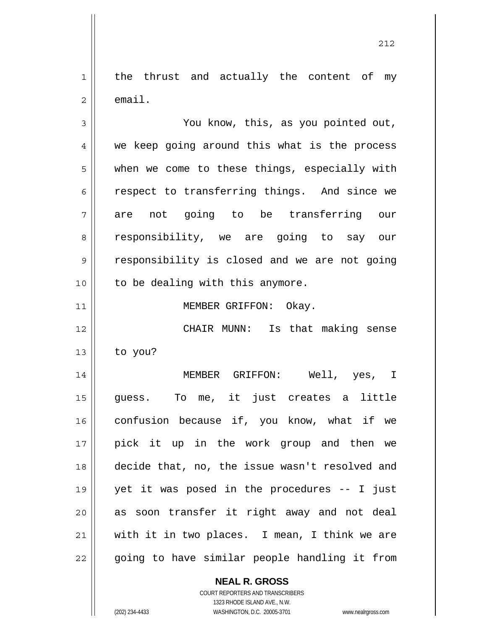1 2 the thrust and actually the content of my email.

3 4 5 6 7 8 9 10 11 12 13 14 15 16 17 18 19 20 You know, this, as you pointed out, we keep going around this what is the process when we come to these things, especially with respect to transferring things. And since we are not going to be transferring our responsibility, we are going to say our responsibility is closed and we are not going to be dealing with this anymore. MEMBER GRIFFON: Okay. CHAIR MUNN: Is that making sense to you? MEMBER GRIFFON: Well, yes, I guess. To me, it just creates a little confusion because if, you know, what if we pick it up in the work group and then we decide that, no, the issue wasn't resolved and yet it was posed in the procedures -- I just as soon transfer it right away and not deal

22

21

**NEAL R. GROSS**

with it in two places. I mean, I think we are

going to have similar people handling it from

COURT REPORTERS AND TRANSCRIBERS 1323 RHODE ISLAND AVE., N.W. (202) 234-4433 WASHINGTON, D.C. 20005-3701 www.nealrgross.com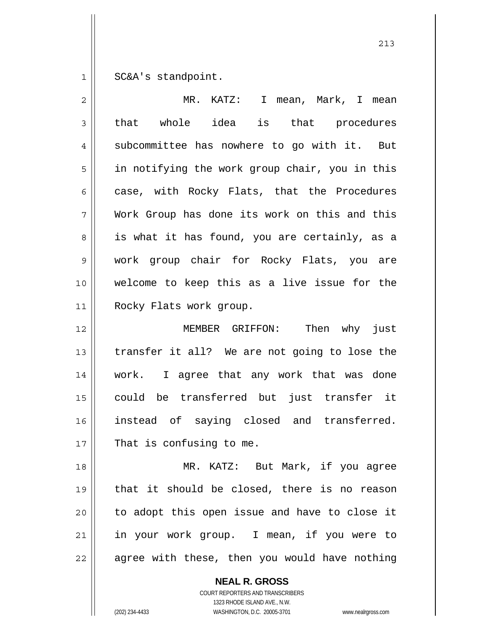1 SC&A's standpoint.

| is that procedures<br>subcommittee has nowhere to go with it. But<br>in notifying the work group chair, you in this<br>case, with Rocky Flats, that the Procedures<br>Work Group has done its work on this and this<br>is what it has found, you are certainly, as a |
|----------------------------------------------------------------------------------------------------------------------------------------------------------------------------------------------------------------------------------------------------------------------|
|                                                                                                                                                                                                                                                                      |
|                                                                                                                                                                                                                                                                      |
|                                                                                                                                                                                                                                                                      |
|                                                                                                                                                                                                                                                                      |
|                                                                                                                                                                                                                                                                      |
|                                                                                                                                                                                                                                                                      |
| work group chair for Rocky Flats, you are                                                                                                                                                                                                                            |
| welcome to keep this as a live issue for the                                                                                                                                                                                                                         |
|                                                                                                                                                                                                                                                                      |
| MEMBER GRIFFON: Then why just                                                                                                                                                                                                                                        |
| transfer it all? We are not going to lose the                                                                                                                                                                                                                        |
| work. I agree that any work that was done                                                                                                                                                                                                                            |
| could be transferred but just transfer it                                                                                                                                                                                                                            |
| instead of saying closed and transferred.                                                                                                                                                                                                                            |
|                                                                                                                                                                                                                                                                      |
| MR. KATZ: But Mark, if you agree                                                                                                                                                                                                                                     |
| that it should be closed, there is no reason                                                                                                                                                                                                                         |
|                                                                                                                                                                                                                                                                      |
| to adopt this open issue and have to close it                                                                                                                                                                                                                        |
| in your work group. I mean, if you were to                                                                                                                                                                                                                           |
|                                                                                                                                                                                                                                                                      |

**NEAL R. GROSS** COURT REPORTERS AND TRANSCRIBERS

1323 RHODE ISLAND AVE., N.W.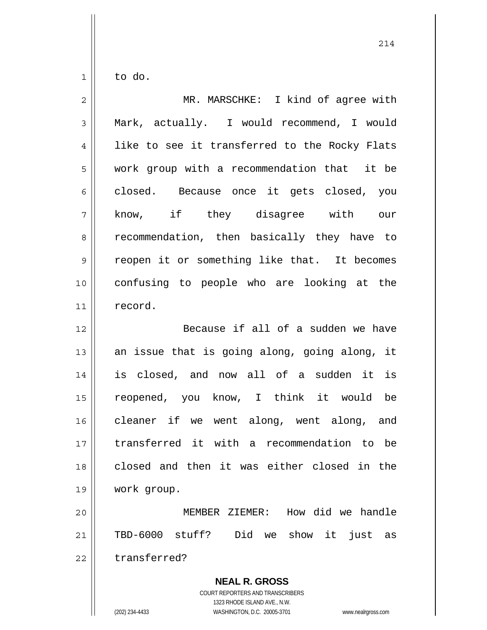$1|$ to do.

| $\overline{c}$ | MR. MARSCHKE: I kind of agree with            |
|----------------|-----------------------------------------------|
| 3              | Mark, actually. I would recommend, I would    |
| $\overline{4}$ | like to see it transferred to the Rocky Flats |
| 5              | work group with a recommendation that it be   |
| 6              | closed. Because once it gets closed, you      |
| 7              | know, if they disagree with our               |
| 8              | recommendation, then basically they have to   |
| 9              | reopen it or something like that. It becomes  |
| 10             | confusing to people who are looking at the    |
| 11             | record.                                       |
| 12             | Because if all of a sudden we have            |
| 13             | an issue that is going along, going along, it |
| 14             | is closed, and now all of a sudden it is      |
| 15             | reopened, you know, I think it would be       |
| 16             | cleaner if we went along, went along, and     |
| 17             | transferred it with a recommendation to be    |
| 18             | closed and then it was either closed in the   |
| 19             | work group.                                   |
| 20             | MEMBER ZIEMER: How did we handle              |
| 21             | TBD-6000 stuff? Did<br>we show it just as     |
| 22             | transferred?                                  |

**NEAL R. GROSS** COURT REPORTERS AND TRANSCRIBERS 1323 RHODE ISLAND AVE., N.W. (202) 234-4433 WASHINGTON, D.C. 20005-3701 www.nealrgross.com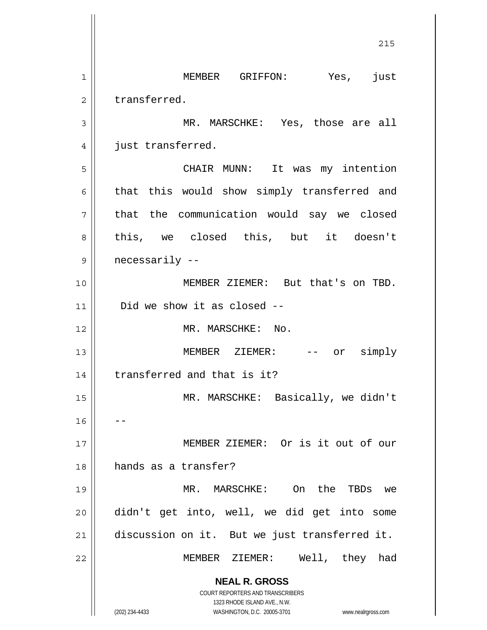**NEAL R. GROSS** COURT REPORTERS AND TRANSCRIBERS 1323 RHODE ISLAND AVE., N.W. (202) 234-4433 WASHINGTON, D.C. 20005-3701 www.nealrgross.com <u>215</u> 1 2 3 4 5 6 7 8 9 10 11 12 13 14 15 16 17 18 19 20 21 22 MEMBER GRIFFON: Yes, just transferred. MR. MARSCHKE: Yes, those are all just transferred. CHAIR MUNN: It was my intention that this would show simply transferred and that the communication would say we closed this, we closed this, but it doesn't necessarily -- MEMBER ZIEMER: But that's on TBD. Did we show it as closed -- MR. MARSCHKE: No. MEMBER ZIEMER: -- or simply transferred and that is it? MR. MARSCHKE: Basically, we didn't -- MEMBER ZIEMER: Or is it out of our hands as a transfer? MR. MARSCHKE: On the TBDs we didn't get into, well, we did get into some discussion on it. But we just transferred it. MEMBER ZIEMER: Well, they had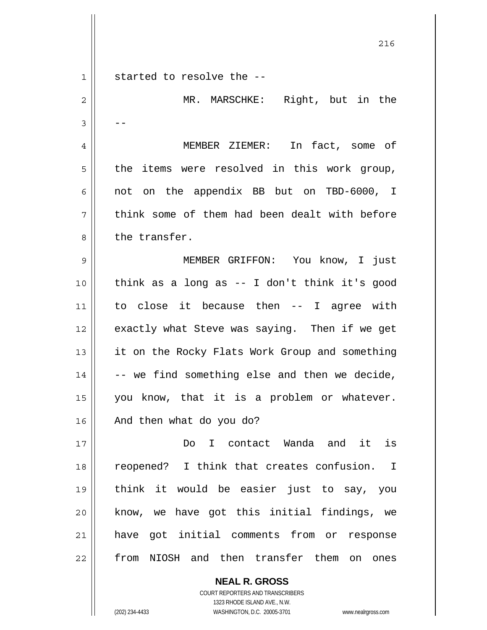|    | 216                                            |
|----|------------------------------------------------|
| 1  | started to resolve the --                      |
| 2  | MR. MARSCHKE: Right, but in the                |
| 3  |                                                |
| 4  | MEMBER ZIEMER: In fact, some of                |
| 5  | the items were resolved in this work group,    |
| 6  | not on the appendix BB but on TBD-6000, I      |
| 7  | think some of them had been dealt with before  |
| 8  | the transfer.                                  |
| 9  | MEMBER GRIFFON: You know, I just               |
| 10 | think as a long as -- I don't think it's good  |
| 11 | to close it because then -- I agree with       |
| 12 | exactly what Steve was saying. Then if we get  |
| 13 | it on the Rocky Flats Work Group and something |
| 14 | -- we find something else and then we decide,  |
| 15 | you know, that it is a problem or whatever.    |
| 16 | And then what do you do?                       |
| 17 | Do I contact Wanda and it is                   |
| 18 | reopened? I think that creates confusion. I    |
| 19 | think it would be easier just to say, you      |
| 20 | know, we have got this initial findings, we    |
| 21 | have got initial comments from or response     |
| 22 | from NIOSH and then transfer them on ones      |
|    | <b>NEAL R. GROSS</b>                           |

COURT REPORTERS AND TRANSCRIBERS 1323 RHODE ISLAND AVE., N.W.

(202) 234-4433 WASHINGTON, D.C. 20005-3701 www.nealrgross.com

 $\mathsf{II}$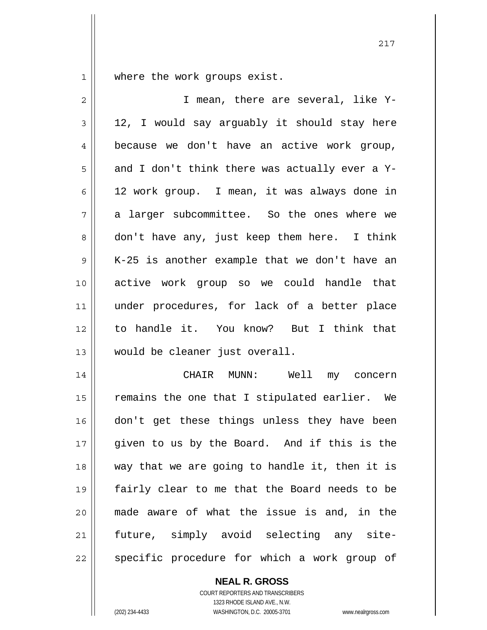1 where the work groups exist.

| $\overline{2}$ | I mean, there are several, like Y-             |
|----------------|------------------------------------------------|
| 3              | 12, I would say arguably it should stay here   |
| 4              | because we don't have an active work group,    |
| 5              | and I don't think there was actually ever a Y- |
| 6              | 12 work group. I mean, it was always done in   |
| 7              | a larger subcommittee. So the ones where we    |
| 8              | don't have any, just keep them here. I think   |
| 9              | K-25 is another example that we don't have an  |
| 10             | active work group so we could handle that      |
| 11             | under procedures, for lack of a better place   |
| 12             | to handle it. You know? But I think that       |
| 13             | would be cleaner just overall.                 |
| 14             | CHAIR MUNN: Well<br>my concern                 |
| 15             | remains the one that I stipulated earlier. We  |
| 16             | don't get these things unless they have been   |
| 17             | given to us by the Board. And if this is the   |
| 18             | way that we are going to handle it, then it is |
| 19             | fairly clear to me that the Board needs to be  |
| 20             | made aware of what the issue is and, in the    |
| 21             | future, simply avoid selecting any site-       |
| 22             | specific procedure for which a work group of   |

217

**NEAL R. GROSS**

COURT REPORTERS AND TRANSCRIBERS 1323 RHODE ISLAND AVE., N.W. (202) 234-4433 WASHINGTON, D.C. 20005-3701 www.nealrgross.com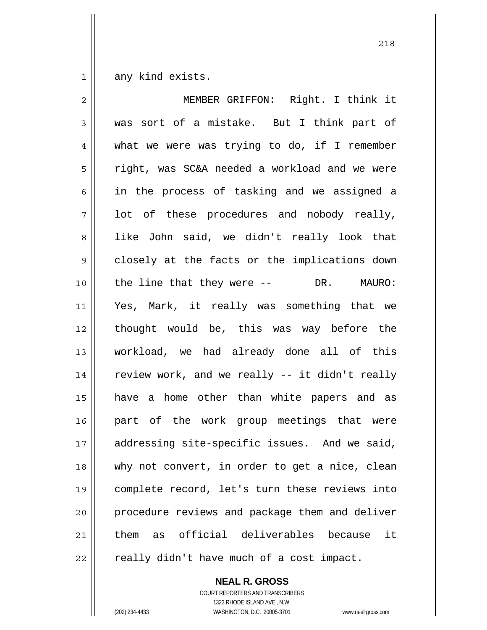1 any kind exists.

| $\mathbf{2}$ | MEMBER GRIFFON: Right. I think it                 |
|--------------|---------------------------------------------------|
| 3            | was sort of a mistake. But I think part of        |
| 4            | what we were was trying to do, if I remember      |
| 5            | right, was SC&A needed a workload and we were     |
| 6            | in the process of tasking and we assigned a       |
| 7            | lot of these procedures and nobody really,        |
| 8            | like John said, we didn't really look that        |
| $\mathsf 9$  | closely at the facts or the implications down     |
| 10           | the line that they were $--$ DR. MAURO:           |
| 11           | Yes, Mark, it really was something that we        |
| 12           | thought would be, this was way before the         |
| 13           | workload, we had already done all of this         |
| 14           | review work, and we really -- it didn't really    |
| 15           | have a home other than white papers and as        |
| 16           | part of the work group meetings that were         |
| 17           | addressing site-specific issues. And we said,     |
| 18           | why not convert, in order to get a nice, clean    |
| 19           | complete record, let's turn these reviews into    |
| 20           | procedure reviews and package them and deliver    |
| 21           | official deliverables because<br>it<br>them<br>as |
| 22           | really didn't have much of a cost impact.         |

**NEAL R. GROSS** COURT REPORTERS AND TRANSCRIBERS

1323 RHODE ISLAND AVE., N.W. (202) 234-4433 WASHINGTON, D.C. 20005-3701 www.nealrgross.com

<u>218</u>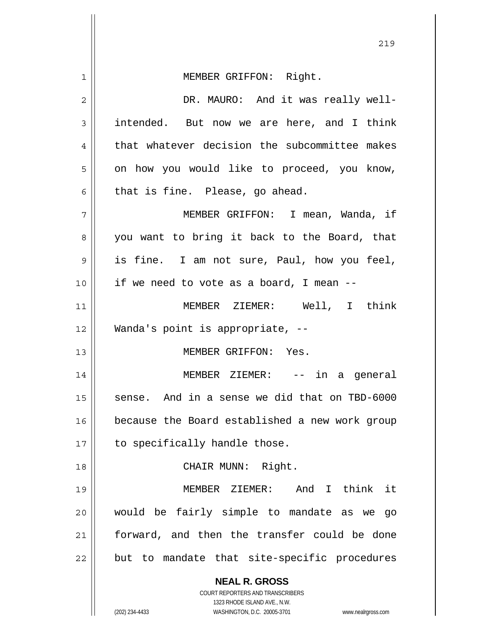| $1\,$ | MEMBER GRIFFON: Right.                                                                              |
|-------|-----------------------------------------------------------------------------------------------------|
| 2     | DR. MAURO: And it was really well-                                                                  |
| 3     | intended. But now we are here, and I think                                                          |
| 4     | that whatever decision the subcommittee makes                                                       |
| 5     | on how you would like to proceed, you know,                                                         |
| 6     | that is fine. Please, go ahead.                                                                     |
| 7     | MEMBER GRIFFON: I mean, Wanda, if                                                                   |
| 8     | you want to bring it back to the Board, that                                                        |
| 9     | is fine. I am not sure, Paul, how you feel,                                                         |
| 10    | if we need to vote as a board, I mean --                                                            |
| 11    | MEMBER ZIEMER: Well, I think                                                                        |
| 12    | Wanda's point is appropriate, --                                                                    |
| 13    | MEMBER GRIFFON: Yes.                                                                                |
| 14    | MEMBER ZIEMER: -- in a general                                                                      |
| 15    | sense. And in a sense we did that on TBD-6000                                                       |
| 16    | because the Board established a new work group                                                      |
| 17    | to specifically handle those.                                                                       |
| 18    | CHAIR MUNN: Right.                                                                                  |
| 19    | MEMBER ZIEMER: And I think it                                                                       |
| 20    | would be fairly simple to mandate as we<br>go                                                       |
| 21    | forward, and then the transfer could be done                                                        |
| 22    | but to mandate that site-specific procedures                                                        |
|       | <b>NEAL R. GROSS</b>                                                                                |
|       | COURT REPORTERS AND TRANSCRIBERS                                                                    |
|       | 1323 RHODE ISLAND AVE., N.W.<br>(202) 234-4433<br>WASHINGTON, D.C. 20005-3701<br>www.nealrgross.com |

<u>219</u>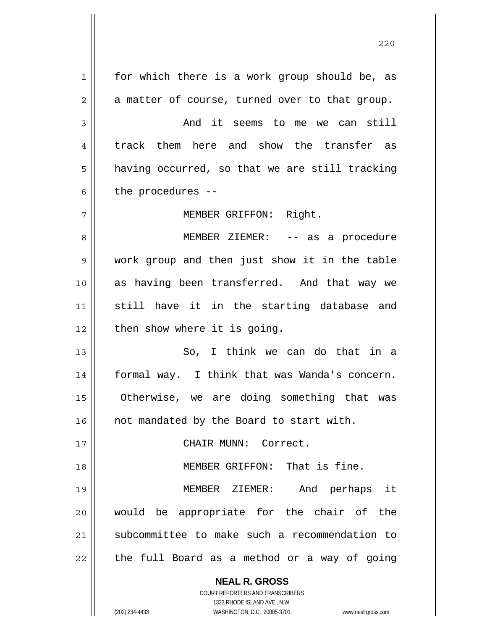**NEAL R. GROSS** COURT REPORTERS AND TRANSCRIBERS 1 2 3 4 5 6 7 8 9 10 11 12 13 14 15 16 17 18 19 20 21 22 for which there is a work group should be, as a matter of course, turned over to that group. And it seems to me we can still track them here and show the transfer as having occurred, so that we are still tracking the procedures -- MEMBER GRIFFON: Right. MEMBER ZIEMER: -- as a procedure work group and then just show it in the table as having been transferred. And that way we still have it in the starting database and then show where it is going. So, I think we can do that in a formal way. I think that was Wanda's concern. Otherwise, we are doing something that was not mandated by the Board to start with. CHAIR MUNN: Correct. MEMBER GRIFFON: That is fine. MEMBER ZIEMER: And perhaps it would be appropriate for the chair of the subcommittee to make such a recommendation to the full Board as a method or a way of going

<u>220</u>

1323 RHODE ISLAND AVE., N.W.

(202) 234-4433 WASHINGTON, D.C. 20005-3701 www.nealrgross.com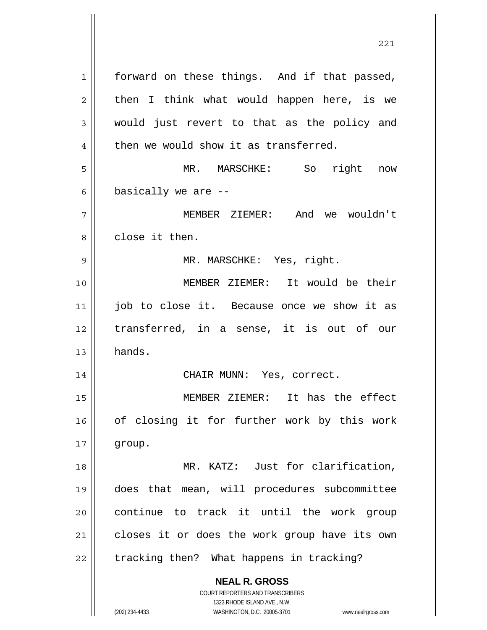**NEAL R. GROSS** COURT REPORTERS AND TRANSCRIBERS 1323 RHODE ISLAND AVE., N.W. (202) 234-4433 WASHINGTON, D.C. 20005-3701 www.nealrgross.com 1 2 3 4 5 6 7 8 9 10 11 12 13 14 15 16 17 18 19 20 21 22 forward on these things. And if that passed, then I think what would happen here, is we would just revert to that as the policy and then we would show it as transferred. MR. MARSCHKE: So right now basically we are -- MEMBER ZIEMER: And we wouldn't close it then. MR. MARSCHKE: Yes, right. MEMBER ZIEMER: It would be their job to close it. Because once we show it as transferred, in a sense, it is out of our hands. CHAIR MUNN: Yes, correct. MEMBER ZIEMER: It has the effect of closing it for further work by this work group. MR. KATZ: Just for clarification, does that mean, will procedures subcommittee continue to track it until the work group closes it or does the work group have its own tracking then? What happens in tracking?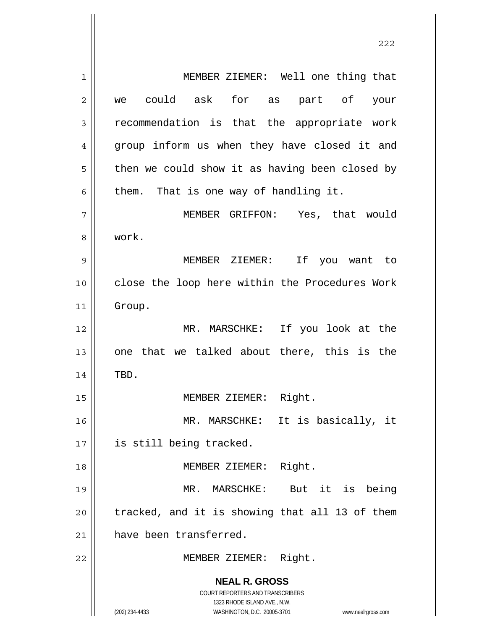**NEAL R. GROSS** COURT REPORTERS AND TRANSCRIBERS 1323 RHODE ISLAND AVE., N.W. (202) 234-4433 WASHINGTON, D.C. 20005-3701 www.nealrgross.com 1 2 3 4 5 6 7 8 9 10 11 12 13 14 15 16 17 18 19 20 21 22 MEMBER ZIEMER: Well one thing that we could ask for as part of your recommendation is that the appropriate work group inform us when they have closed it and then we could show it as having been closed by them. That is one way of handling it. MEMBER GRIFFON: Yes, that would work. MEMBER ZIEMER: If you want to close the loop here within the Procedures Work Group. MR. MARSCHKE: If you look at the one that we talked about there, this is the TBD. MEMBER ZIEMER: Right. MR. MARSCHKE: It is basically, it is still being tracked. MEMBER ZIEMER: Right. MR. MARSCHKE: But it is being tracked, and it is showing that all 13 of them have been transferred. MEMBER ZIEMER: Right.

<u>222</u>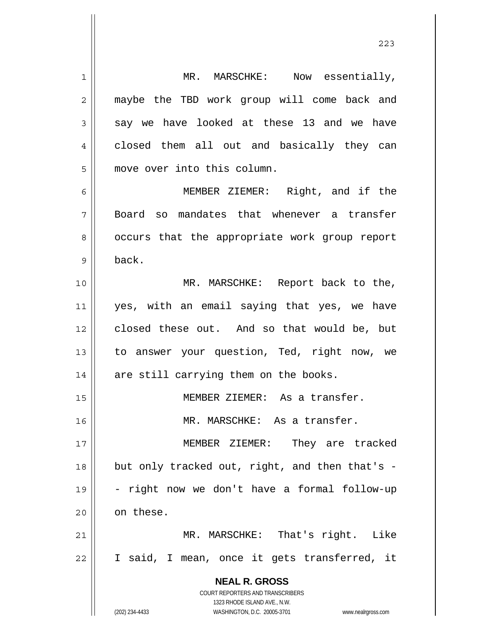**NEAL R. GROSS** COURT REPORTERS AND TRANSCRIBERS 1323 RHODE ISLAND AVE., N.W. (202) 234-4433 WASHINGTON, D.C. 20005-3701 www.nealrgross.com 1 2 3 4 5 6 7 8 9 10 11 12 13 14 15 16 17 18 19 20 21 22 MR. MARSCHKE: Now essentially, maybe the TBD work group will come back and say we have looked at these 13 and we have closed them all out and basically they can move over into this column. MEMBER ZIEMER: Right, and if the Board so mandates that whenever a transfer occurs that the appropriate work group report back. MR. MARSCHKE: Report back to the, yes, with an email saying that yes, we have closed these out. And so that would be, but to answer your question, Ted, right now, we are still carrying them on the books. MEMBER ZIEMER: As a transfer. MR. MARSCHKE: As a transfer. MEMBER ZIEMER: They are tracked but only tracked out, right, and then that's - - right now we don't have a formal follow-up on these. MR. MARSCHKE: That's right. Like I said, I mean, once it gets transferred, it

<u>223</u>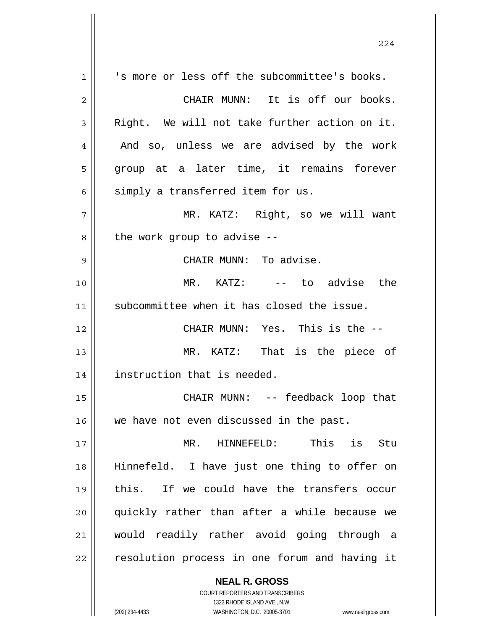**NEAL R. GROSS** 1 2 3 4 5 6 7 8 9 10 11 12 13 14 15 16 17 18 19 20 21 22 's more or less off the subcommittee's books. CHAIR MUNN: It is off our books. Right. We will not take further action on it. And so, unless we are advised by the work group at a later time, it remains forever simply a transferred item for us. MR. KATZ: Right, so we will want the work group to advise -- CHAIR MUNN: To advise. MR. KATZ: -- to advise the subcommittee when it has closed the issue. CHAIR MUNN: Yes. This is the -- MR. KATZ: That is the piece of instruction that is needed. CHAIR MUNN: -- feedback loop that we have not even discussed in the past. MR. HINNEFELD: This is Stu Hinnefeld. I have just one thing to offer on this. If we could have the transfers occur quickly rather than after a while because we would readily rather avoid going through a resolution process in one forum and having it

224

COURT REPORTERS AND TRANSCRIBERS 1323 RHODE ISLAND AVE., N.W.

(202) 234-4433 WASHINGTON, D.C. 20005-3701 www.nealrgross.com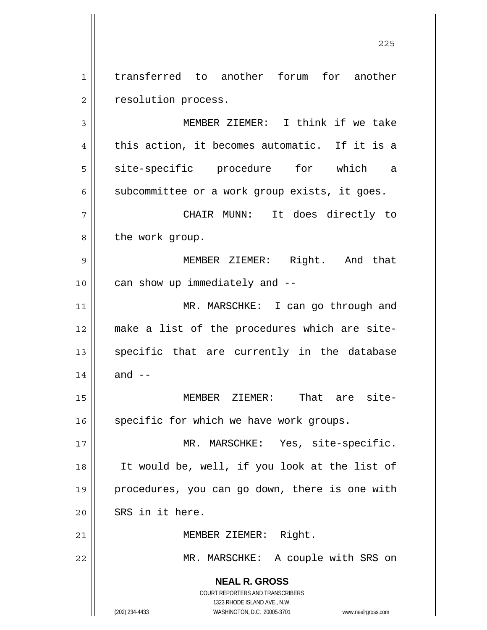1 2 transferred to another forum for another resolution process.

**NEAL R. GROSS** COURT REPORTERS AND TRANSCRIBERS 1323 RHODE ISLAND AVE., N.W. 3 4 5 6 7 8 9 10 11 12 13 14 15 16 17 18 19 20 21 22 MEMBER ZIEMER: I think if we take this action, it becomes automatic. If it is a site-specific procedure for which a subcommittee or a work group exists, it goes. CHAIR MUNN: It does directly to the work group. MEMBER ZIEMER: Right. And that can show up immediately and -- MR. MARSCHKE: I can go through and make a list of the procedures which are sitespecific that are currently in the database and  $--$  MEMBER ZIEMER: That are sitespecific for which we have work groups. MR. MARSCHKE: Yes, site-specific. It would be, well, if you look at the list of procedures, you can go down, there is one with SRS in it here. MEMBER ZIEMER: Right. MR. MARSCHKE: A couple with SRS on

(202) 234-4433 WASHINGTON, D.C. 20005-3701 www.nealrgross.com

<u>225</u>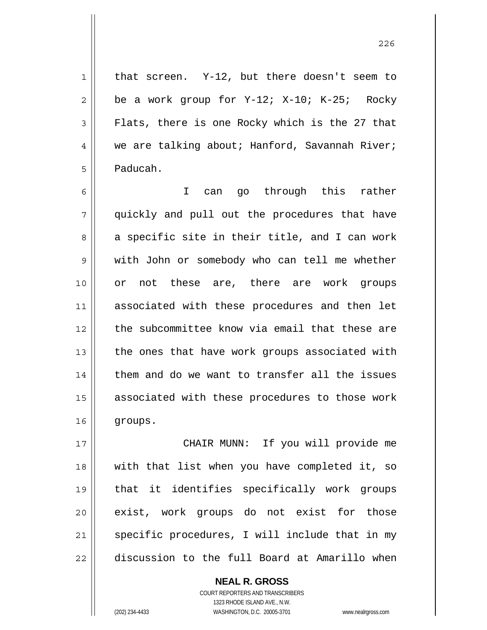that screen. Y-12, but there doesn't seem to be a work group for Y-12; X-10; K-25; Rocky Flats, there is one Rocky which is the 27 that we are talking about; Hanford, Savannah River; Paducah.

6 7 8 9 10 11 12 13 14 15 16 I can go through this rather quickly and pull out the procedures that have a specific site in their title, and I can work with John or somebody who can tell me whether or not these are, there are work groups associated with these procedures and then let the subcommittee know via email that these are the ones that have work groups associated with them and do we want to transfer all the issues associated with these procedures to those work groups.

17 18 19 20 21 22 CHAIR MUNN: If you will provide me with that list when you have completed it, so that it identifies specifically work groups exist, work groups do not exist for those specific procedures, I will include that in my discussion to the full Board at Amarillo when

> **NEAL R. GROSS** COURT REPORTERS AND TRANSCRIBERS 1323 RHODE ISLAND AVE., N.W. (202) 234-4433 WASHINGTON, D.C. 20005-3701 www.nealrgross.com

1

2

3

4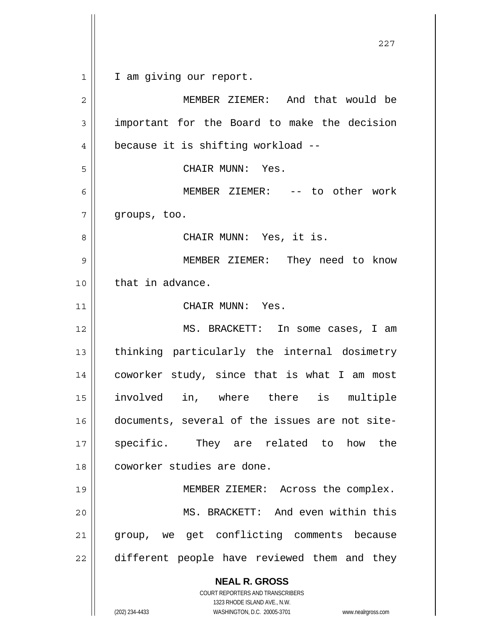1 I am giving our report.

| $\overline{c}$ | MEMBER ZIEMER: And that would be                                                                |
|----------------|-------------------------------------------------------------------------------------------------|
| 3              | important for the Board to make the decision                                                    |
| 4              | because it is shifting workload --                                                              |
| 5              | CHAIR MUNN: Yes.                                                                                |
| 6              | MEMBER ZIEMER: -- to other work                                                                 |
| 7              | groups, too.                                                                                    |
| 8              | CHAIR MUNN: Yes, it is.                                                                         |
| 9              | MEMBER ZIEMER: They need to know                                                                |
| 10             | that in advance.                                                                                |
| 11             | CHAIR MUNN: Yes.                                                                                |
| 12             | MS. BRACKETT: In some cases, I am                                                               |
| 13             | thinking particularly the internal dosimetry                                                    |
| 14             | coworker study, since that is what I am most                                                    |
| 15             | involved in, where there is multiple                                                            |
| 16             | documents, several of the issues are not site-                                                  |
| 17             | They are related to<br>specific.<br>how<br>the                                                  |
| 18             | coworker studies are done.                                                                      |
| 19             | MEMBER ZIEMER: Across the complex.                                                              |
| 20             | MS. BRACKETT: And even within this                                                              |
| 21             | group, we get conflicting comments because                                                      |
| 22             | different people have reviewed them and they                                                    |
|                | <b>NEAL R. GROSS</b><br><b>COURT REPORTERS AND TRANSCRIBERS</b><br>1323 RHODE ISLAND AVE., N.W. |
|                | (202) 234-4433<br>WASHINGTON, D.C. 20005-3701<br>www.nealrgross.com                             |

<u>227</u>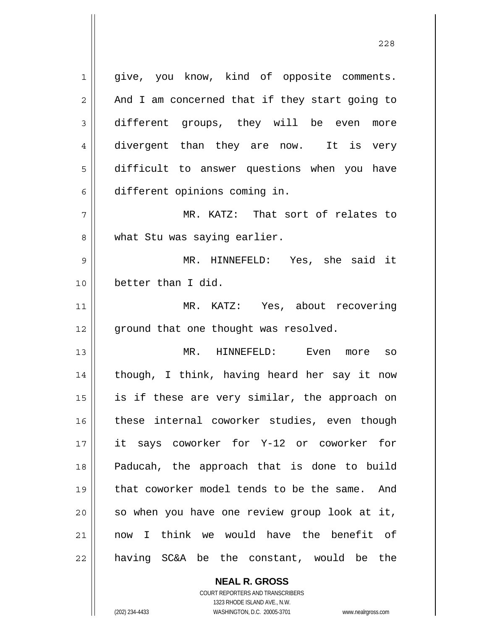1 2 3 4 5 6 7 8 9 10 11 12 13 14 15 16 17 18 19 20 21 22 give, you know, kind of opposite comments. And I am concerned that if they start going to different groups, they will be even more divergent than they are now. It is very difficult to answer questions when you have different opinions coming in. MR. KATZ: That sort of relates to what Stu was saying earlier. MR. HINNEFELD: Yes, she said it better than I did. MR. KATZ: Yes, about recovering ground that one thought was resolved. MR. HINNEFELD: Even more so though, I think, having heard her say it now is if these are very similar, the approach on these internal coworker studies, even though it says coworker for Y-12 or coworker for Paducah, the approach that is done to build that coworker model tends to be the same. And so when you have one review group look at it, now I think we would have the benefit of having SC&A be the constant, would be the

> **NEAL R. GROSS** COURT REPORTERS AND TRANSCRIBERS

> > 1323 RHODE ISLAND AVE., N.W.

(202) 234-4433 WASHINGTON, D.C. 20005-3701 www.nealrgross.com

<u>228</u>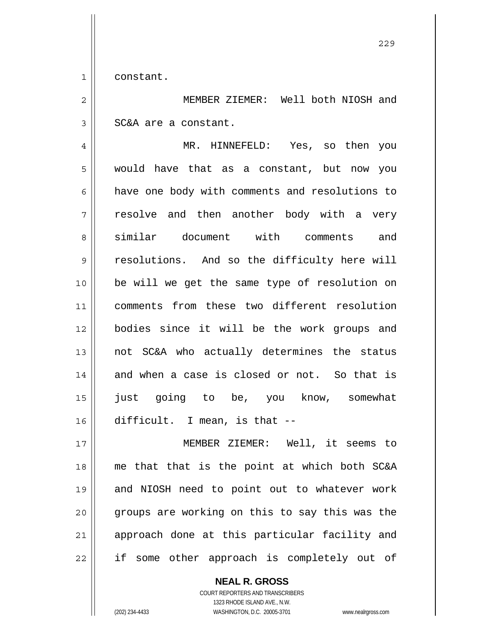1 constant.

2 3 MEMBER ZIEMER: Well both NIOSH and SC&A are a constant.

4 5 6 7 8 9 10 11 12 13 14 15 16 MR. HINNEFELD: Yes, so then you would have that as a constant, but now you have one body with comments and resolutions to resolve and then another body with a very similar document with comments and resolutions. And so the difficulty here will be will we get the same type of resolution on comments from these two different resolution bodies since it will be the work groups and not SC&A who actually determines the status and when a case is closed or not. So that is just going to be, you know, somewhat difficult. I mean, is that --

17 18 19 20 21 22 MEMBER ZIEMER: Well, it seems to me that that is the point at which both SC&A and NIOSH need to point out to whatever work groups are working on this to say this was the approach done at this particular facility and if some other approach is completely out of

**NEAL R. GROSS**

COURT REPORTERS AND TRANSCRIBERS 1323 RHODE ISLAND AVE., N.W. (202) 234-4433 WASHINGTON, D.C. 20005-3701 www.nealrgross.com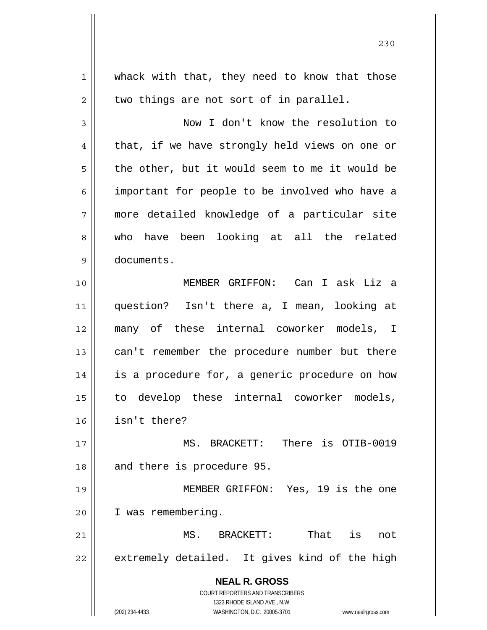**NEAL R. GROSS** COURT REPORTERS AND TRANSCRIBERS 1323 RHODE ISLAND AVE., N.W. (202) 234-4433 WASHINGTON, D.C. 20005-3701 www.nealrgross.com 1 2 3 4 5 6 7 8 9 10 11 12 13 14 15 16 17 18 19 20 21 22 whack with that, they need to know that those two things are not sort of in parallel. Now I don't know the resolution to that, if we have strongly held views on one or the other, but it would seem to me it would be important for people to be involved who have a more detailed knowledge of a particular site who have been looking at all the related documents. MEMBER GRIFFON: Can I ask Liz a question? Isn't there a, I mean, looking at many of these internal coworker models, I can't remember the procedure number but there is a procedure for, a generic procedure on how to develop these internal coworker models, isn't there? MS. BRACKETT: There is OTIB-0019 and there is procedure 95. MEMBER GRIFFON: Yes, 19 is the one I was remembering. MS. BRACKETT: That is not extremely detailed. It gives kind of the high

<u>230</u>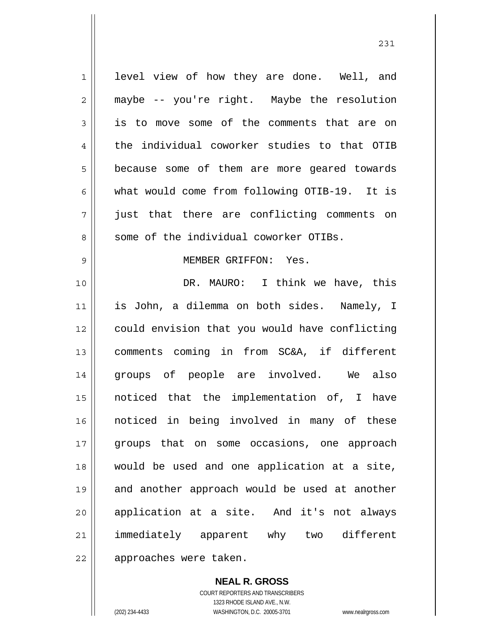1 2 3 4 5 6 7 8 9 10 11 12 13 14 15 16 17 18 19 20 21 22 level view of how they are done. Well, and maybe -- you're right. Maybe the resolution is to move some of the comments that are on the individual coworker studies to that OTIB because some of them are more geared towards what would come from following OTIB-19. It is just that there are conflicting comments on some of the individual coworker OTIBs. MEMBER GRIFFON: Yes. DR. MAURO: I think we have, this is John, a dilemma on both sides. Namely, I could envision that you would have conflicting comments coming in from SC&A, if different groups of people are involved. We also noticed that the implementation of, I have noticed in being involved in many of these groups that on some occasions, one approach would be used and one application at a site, and another approach would be used at another application at a site. And it's not always immediately apparent why two different approaches were taken.

231

**NEAL R. GROSS** COURT REPORTERS AND TRANSCRIBERS 1323 RHODE ISLAND AVE., N.W. (202) 234-4433 WASHINGTON, D.C. 20005-3701 www.nealrgross.com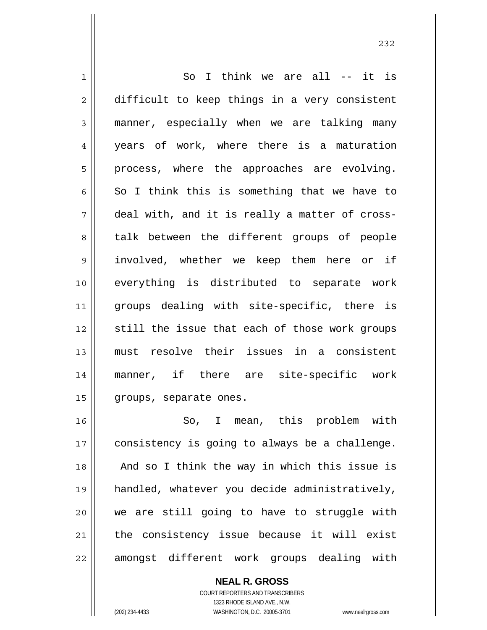1 2 3 4 5 6 7 8 9 10 11 12 13 14 15 16 17 18 So I think we are all -- it is difficult to keep things in a very consistent manner, especially when we are talking many years of work, where there is a maturation process, where the approaches are evolving. So I think this is something that we have to deal with, and it is really a matter of crosstalk between the different groups of people involved, whether we keep them here or if everything is distributed to separate work groups dealing with site-specific, there is still the issue that each of those work groups must resolve their issues in a consistent manner, if there are site-specific work groups, separate ones. So, I mean, this problem with consistency is going to always be a challenge.

19 20 21 22 And so I think the way in which this issue is handled, whatever you decide administratively, we are still going to have to struggle with the consistency issue because it will exist amongst different work groups dealing with

> **NEAL R. GROSS** COURT REPORTERS AND TRANSCRIBERS 1323 RHODE ISLAND AVE., N.W. (202) 234-4433 WASHINGTON, D.C. 20005-3701 www.nealrgross.com

<u>232</u>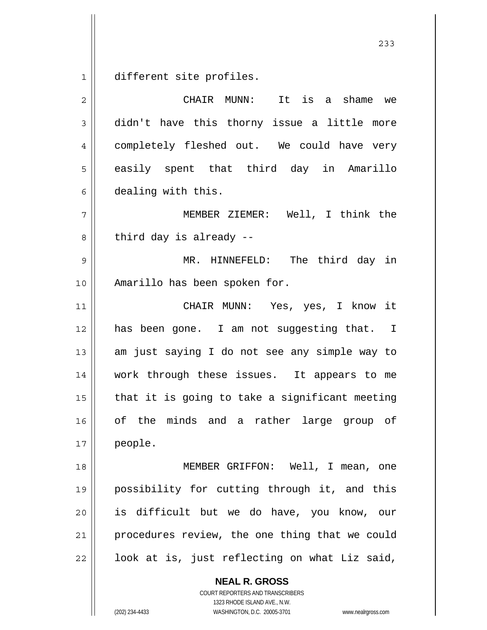1 different site profiles.

2 3 4 5 6 7 8 9 10 11 12 13 14 15 16 17 18 19 20 21 22 CHAIR MUNN: It is a shame we didn't have this thorny issue a little more completely fleshed out. We could have very easily spent that third day in Amarillo dealing with this. MEMBER ZIEMER: Well, I think the third day is already -- MR. HINNEFELD: The third day in Amarillo has been spoken for. CHAIR MUNN: Yes, yes, I know it has been gone. I am not suggesting that. I am just saying I do not see any simple way to work through these issues. It appears to me that it is going to take a significant meeting of the minds and a rather large group of people. MEMBER GRIFFON: Well, I mean, one possibility for cutting through it, and this is difficult but we do have, you know, our procedures review, the one thing that we could look at is, just reflecting on what Liz said,

> **NEAL R. GROSS** COURT REPORTERS AND TRANSCRIBERS 1323 RHODE ISLAND AVE., N.W.

(202) 234-4433 WASHINGTON, D.C. 20005-3701 www.nealrgross.com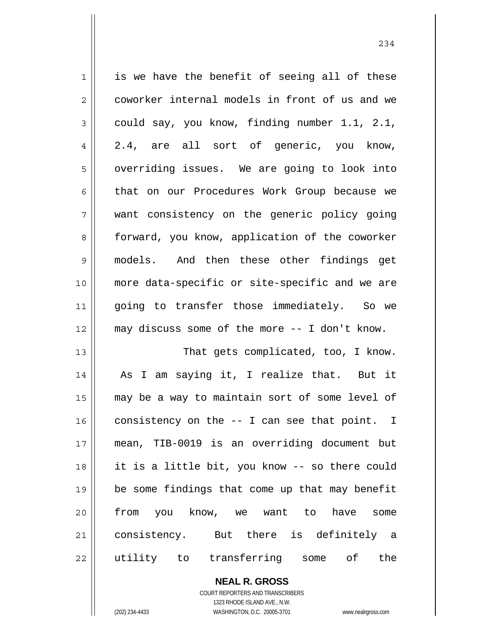| $\mathbf 1$    | is we have the benefit of seeing all of these  |
|----------------|------------------------------------------------|
| $\overline{2}$ | coworker internal models in front of us and we |
| $\mathfrak{Z}$ | could say, you know, finding number 1.1, 2.1,  |
| $\overline{4}$ | 2.4, are all sort of generic, you know,        |
| 5              | overriding issues. We are going to look into   |
| 6              | that on our Procedures Work Group because we   |
| 7              | want consistency on the generic policy going   |
| 8              | forward, you know, application of the coworker |
| $\mathsf 9$    | models. And then these other findings get      |
| 10             | more data-specific or site-specific and we are |
| 11             | going to transfer those immediately. So we     |
| 12             | may discuss some of the more -- I don't know.  |
| 13             | That gets complicated, too, I know.            |
| 14             | As I am saying it, I realize that. But it      |
| 15             | may be a way to maintain sort of some level of |
| 16             | consistency on the $-$ I can see that point. I |
| 17             | mean, TIB-0019 is an overriding document but   |
| 18             | it is a little bit, you know -- so there could |
|                |                                                |
| 19             | be some findings that come up that may benefit |
| 20             | from you know, we want to have<br>some         |
| 21             | consistency. But there is definitely a         |

**NEAL R. GROSS** COURT REPORTERS AND TRANSCRIBERS 1323 RHODE ISLAND AVE., N.W.

 $\prod$ 

(202) 234-4433 WASHINGTON, D.C. 20005-3701 www.nealrgross.com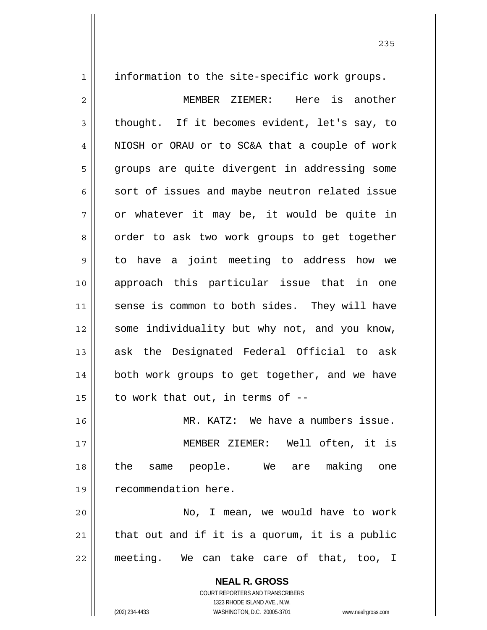1

information to the site-specific work groups.

2 3 4 5 6 7 8 9 10 11 12 13 14 15 16 17 18 19 20 21 MEMBER ZIEMER: Here is another thought. If it becomes evident, let's say, to NIOSH or ORAU or to SC&A that a couple of work groups are quite divergent in addressing some sort of issues and maybe neutron related issue or whatever it may be, it would be quite in order to ask two work groups to get together to have a joint meeting to address how we approach this particular issue that in one sense is common to both sides. They will have some individuality but why not, and you know, ask the Designated Federal Official to ask both work groups to get together, and we have to work that out, in terms of -- MR. KATZ: We have a numbers issue. MEMBER ZIEMER: Well often, it is the same people. We are making one recommendation here. No, I mean, we would have to work that out and if it is a quorum, it is a public

22

**NEAL R. GROSS** COURT REPORTERS AND TRANSCRIBERS

meeting. We can take care of that, too, I

1323 RHODE ISLAND AVE., N.W.

(202) 234-4433 WASHINGTON, D.C. 20005-3701 www.nealrgross.com

<u>235</u>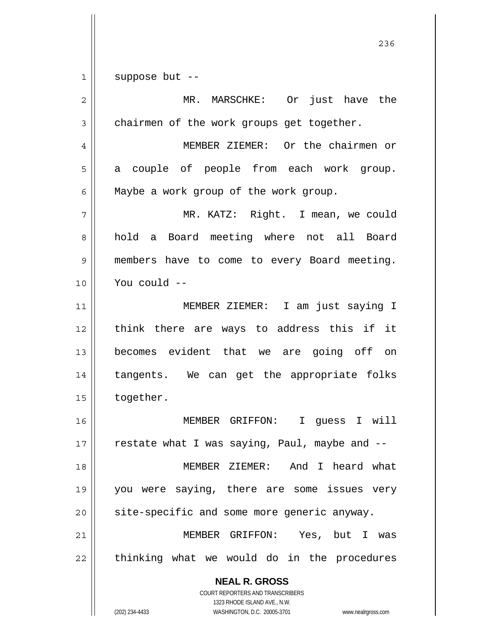1 suppose but --

| $\overline{2}$ | MR. MARSCHKE: Or just have the                                          |
|----------------|-------------------------------------------------------------------------|
| $\mathfrak{Z}$ | chairmen of the work groups get together.                               |
| $\overline{4}$ | MEMBER ZIEMER: Or the chairmen or                                       |
| 5              | a couple of people from each work group.                                |
| 6              | Maybe a work group of the work group.                                   |
| 7              | MR. KATZ: Right. I mean, we could                                       |
| 8              | hold a Board meeting where not all Board                                |
| 9              | members have to come to every Board meeting.                            |
| 10             | You could --                                                            |
| 11             | MEMBER ZIEMER: I am just saying I                                       |
| 12             | think there are ways to address this if it                              |
| 13             | becomes evident that we are going off on                                |
| 14             | tangents. We can get the appropriate folks                              |
| 15             | together.                                                               |
| 16             | MEMBER GRIFFON: I guess I will                                          |
| 17             | restate what I was saying, Paul, maybe and --                           |
| 18             | MEMBER ZIEMER: And I heard what                                         |
| 19             | you were saying, there are some issues very                             |
| 20             | site-specific and some more generic anyway.                             |
| 21             | MEMBER GRIFFON: Yes, but<br>T<br>was                                    |
| 22             | thinking what we would do in the procedures                             |
|                | <b>NEAL R. GROSS</b>                                                    |
|                | <b>COURT REPORTERS AND TRANSCRIBERS</b><br>1323 RHODE ISLAND AVE., N.W. |
|                | (202) 234-4433<br>WASHINGTON, D.C. 20005-3701<br>www.nealrgross.com     |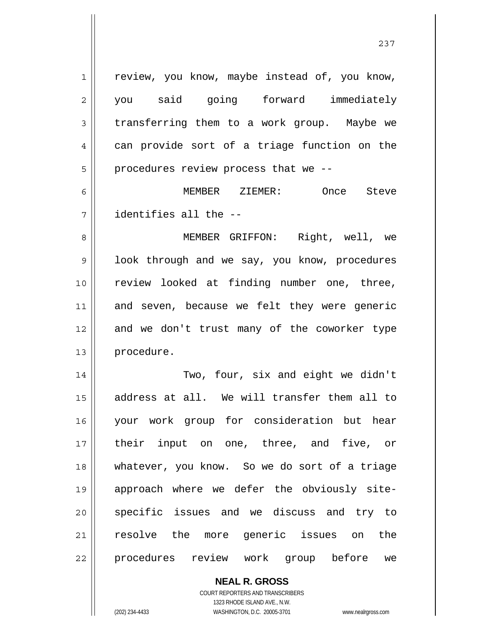1 2 3 4 5 6 7 8 9 10 11 12 review, you know, maybe instead of, you know, you said going forward immediately transferring them to a work group. Maybe we can provide sort of a triage function on the procedures review process that we -- MEMBER ZIEMER: Once Steve identifies all the -- MEMBER GRIFFON: Right, well, we look through and we say, you know, procedures review looked at finding number one, three, and seven, because we felt they were generic and we don't trust many of the coworker type

14 15 16 17 18 19 20 21 22 Two, four, six and eight we didn't address at all. We will transfer them all to your work group for consideration but hear their input on one, three, and five, or whatever, you know. So we do sort of a triage approach where we defer the obviously sitespecific issues and we discuss and try to resolve the more generic issues on the procedures review work group before we

> **NEAL R. GROSS** COURT REPORTERS AND TRANSCRIBERS 1323 RHODE ISLAND AVE., N.W. (202) 234-4433 WASHINGTON, D.C. 20005-3701 www.nealrgross.com

procedure.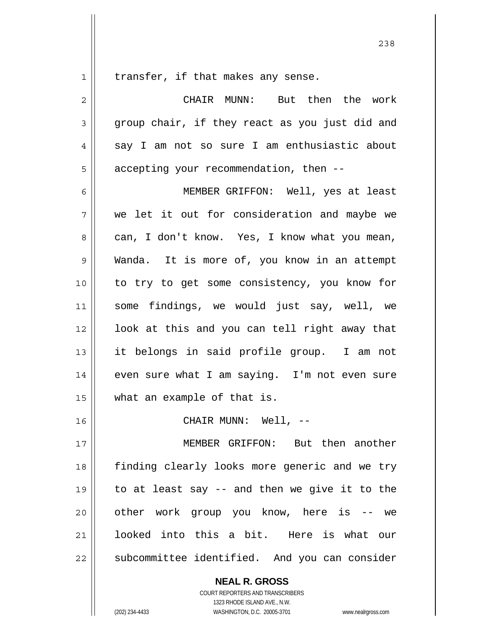1 transfer, if that makes any sense.

| 2  | But then the work<br>CHAIR MUNN:               |
|----|------------------------------------------------|
| 3  | group chair, if they react as you just did and |
| 4  | say I am not so sure I am enthusiastic about   |
| 5  | accepting your recommendation, then --         |
| 6  | MEMBER GRIFFON: Well, yes at least             |
| 7  | we let it out for consideration and maybe we   |
| 8  | can, I don't know. Yes, I know what you mean,  |
| 9  | Wanda. It is more of, you know in an attempt   |
| 10 | to try to get some consistency, you know for   |
| 11 | some findings, we would just say, well, we     |
| 12 | look at this and you can tell right away that  |
| 13 | it belongs in said profile group. I am not     |
| 14 | even sure what I am saying. I'm not even sure  |
| 15 | what an example of that is.                    |
| 16 | CHAIR MUNN: Well, --                           |
| 17 | MEMBER GRIFFON: But then another               |
| 18 | finding clearly looks more generic and we try  |
| 19 | to at least say -- and then we give it to the  |
| 20 | other work group you know, here is -- we       |
| 21 | looked into this a bit. Here is what our       |
| 22 | subcommittee identified. And you can consider  |

**NEAL R. GROSS**

COURT REPORTERS AND TRANSCRIBERS 1323 RHODE ISLAND AVE., N.W. (202) 234-4433 WASHINGTON, D.C. 20005-3701 www.nealrgross.com

<u>238</u>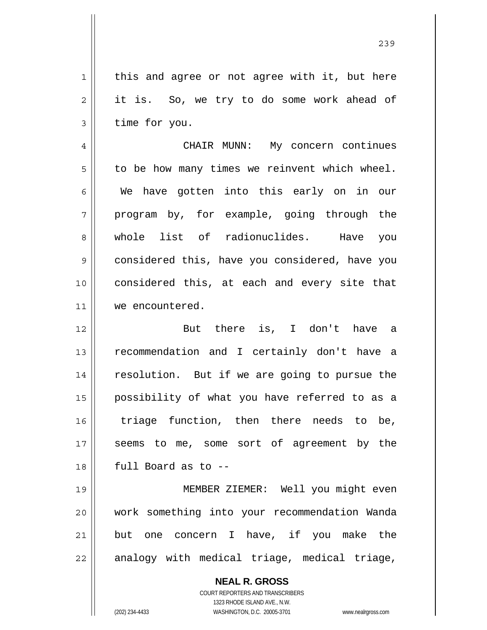this and agree or not agree with it, but here it is. So, we try to do some work ahead of time for you.

4 5 6 7 8 9 10 11 CHAIR MUNN: My concern continues to be how many times we reinvent which wheel. We have gotten into this early on in our program by, for example, going through the whole list of radionuclides. Have you considered this, have you considered, have you considered this, at each and every site that we encountered.

12 13 14 15 16 17 18 But there is, I don't have a recommendation and I certainly don't have a resolution. But if we are going to pursue the possibility of what you have referred to as a triage function, then there needs to be, seems to me, some sort of agreement by the full Board as to --

19 20 21 22 MEMBER ZIEMER: Well you might even work something into your recommendation Wanda but one concern I have, if you make the analogy with medical triage, medical triage,

> **NEAL R. GROSS** COURT REPORTERS AND TRANSCRIBERS 1323 RHODE ISLAND AVE., N.W. (202) 234-4433 WASHINGTON, D.C. 20005-3701 www.nealrgross.com

1

2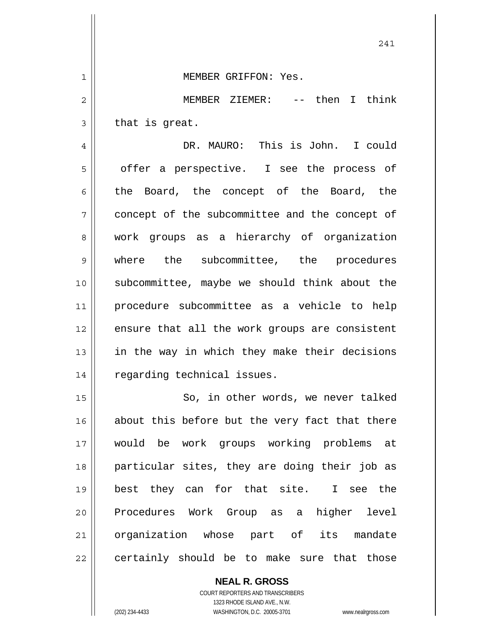241 1 2 3 4 5 6 7 8 9 10 11 12 13 14 15 16 17 18 19 20 21 22 MEMBER GRIFFON: Yes. MEMBER ZIEMER: -- then I think that is great. DR. MAURO: This is John. I could offer a perspective. I see the process of the Board, the concept of the Board, the concept of the subcommittee and the concept of work groups as a hierarchy of organization where the subcommittee, the procedures subcommittee, maybe we should think about the procedure subcommittee as a vehicle to help ensure that all the work groups are consistent in the way in which they make their decisions regarding technical issues. So, in other words, we never talked about this before but the very fact that there would be work groups working problems at particular sites, they are doing their job as best they can for that site. I see the Procedures Work Group as a higher level organization whose part of its mandate certainly should be to make sure that those

> COURT REPORTERS AND TRANSCRIBERS 1323 RHODE ISLAND AVE., N.W. (202) 234-4433 WASHINGTON, D.C. 20005-3701 www.nealrgross.com

**NEAL R. GROSS**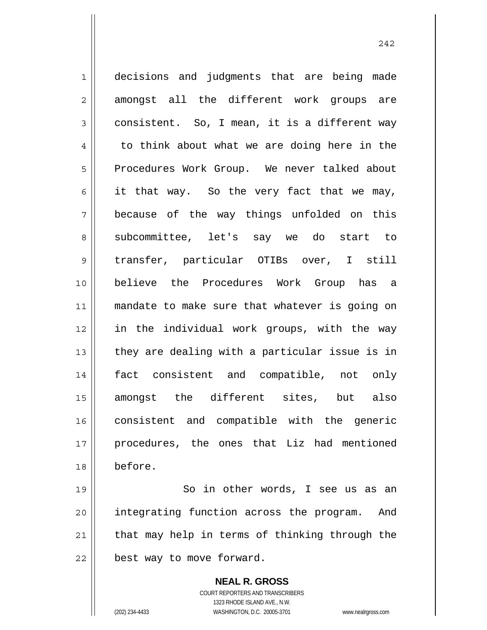1 2 3 4 5 6 7 8 9 10 11 12 13 14 15 16 17 18 decisions and judgments that are being made amongst all the different work groups are consistent. So, I mean, it is a different way to think about what we are doing here in the Procedures Work Group. We never talked about it that way. So the very fact that we may, because of the way things unfolded on this subcommittee, let's say we do start to transfer, particular OTIBs over, I still believe the Procedures Work Group has a mandate to make sure that whatever is going on in the individual work groups, with the way they are dealing with a particular issue is in fact consistent and compatible, not only amongst the different sites, but also consistent and compatible with the generic procedures, the ones that Liz had mentioned before.

19 20 21 22 So in other words, I see us as an integrating function across the program. And that may help in terms of thinking through the best way to move forward.

> **NEAL R. GROSS** COURT REPORTERS AND TRANSCRIBERS 1323 RHODE ISLAND AVE., N.W. (202) 234-4433 WASHINGTON, D.C. 20005-3701 www.nealrgross.com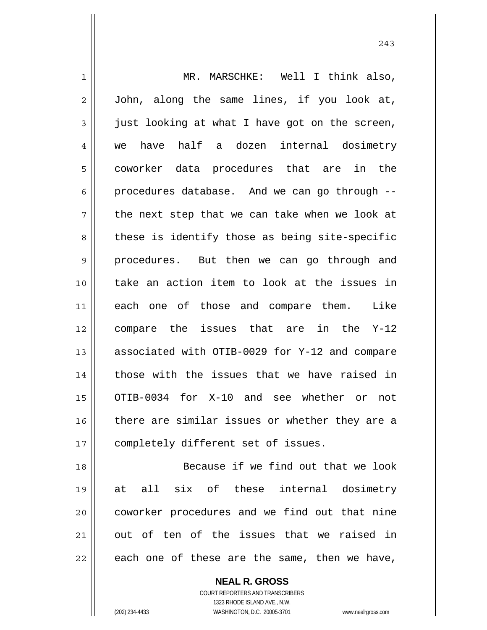1 2 3 4 5 6 7 8 9 10 11 12 13 14 15 16 17 18 19 20 21 MR. MARSCHKE: Well I think also, John, along the same lines, if you look at, just looking at what I have got on the screen, we have half a dozen internal dosimetry coworker data procedures that are in the procedures database. And we can go through - the next step that we can take when we look at these is identify those as being site-specific procedures. But then we can go through and take an action item to look at the issues in each one of those and compare them. Like compare the issues that are in the Y-12 associated with OTIB-0029 for Y-12 and compare those with the issues that we have raised in OTIB-0034 for X-10 and see whether or not there are similar issues or whether they are a completely different set of issues. Because if we find out that we look at all six of these internal dosimetry coworker procedures and we find out that nine out of ten of the issues that we raised in

243

22

**NEAL R. GROSS**

each one of these are the same, then we have,

COURT REPORTERS AND TRANSCRIBERS 1323 RHODE ISLAND AVE., N.W. (202) 234-4433 WASHINGTON, D.C. 20005-3701 www.nealrgross.com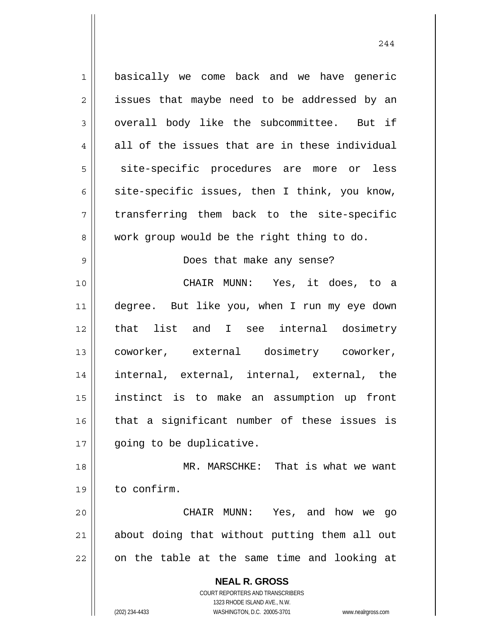**NEAL R. GROSS** COURT REPORTERS AND TRANSCRIBERS 1323 RHODE ISLAND AVE., N.W. 1 2 3 4 5 6 7 8 9 10 11 12 13 14 15 16 17 18 19 20 21 22 basically we come back and we have generic issues that maybe need to be addressed by an overall body like the subcommittee. But if all of the issues that are in these individual site-specific procedures are more or less site-specific issues, then I think, you know, transferring them back to the site-specific work group would be the right thing to do. Does that make any sense? CHAIR MUNN: Yes, it does, to a degree. But like you, when I run my eye down that list and I see internal dosimetry coworker, external dosimetry coworker, internal, external, internal, external, the instinct is to make an assumption up front that a significant number of these issues is going to be duplicative. MR. MARSCHKE: That is what we want to confirm. CHAIR MUNN: Yes, and how we go about doing that without putting them all out on the table at the same time and looking at

(202) 234-4433 WASHINGTON, D.C. 20005-3701 www.nealrgross.com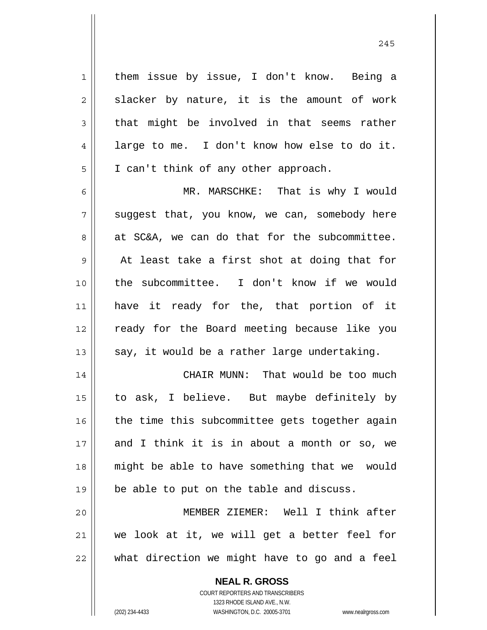them issue by issue, I don't know. Being a slacker by nature, it is the amount of work that might be involved in that seems rather large to me. I don't know how else to do it. I can't think of any other approach.

6 7 8 9 10 11 12 13 MR. MARSCHKE: That is why I would suggest that, you know, we can, somebody here at SC&A, we can do that for the subcommittee. At least take a first shot at doing that for the subcommittee. I don't know if we would have it ready for the, that portion of it ready for the Board meeting because like you say, it would be a rather large undertaking.

14 15 16 17 18 19 CHAIR MUNN: That would be too much to ask, I believe. But maybe definitely by the time this subcommittee gets together again and I think it is in about a month or so, we might be able to have something that we would be able to put on the table and discuss.

20 21 22 MEMBER ZIEMER: Well I think after we look at it, we will get a better feel for what direction we might have to go and a feel

> **NEAL R. GROSS** COURT REPORTERS AND TRANSCRIBERS

1

2

3

4

5

1323 RHODE ISLAND AVE., N.W. (202) 234-4433 WASHINGTON, D.C. 20005-3701 www.nealrgross.com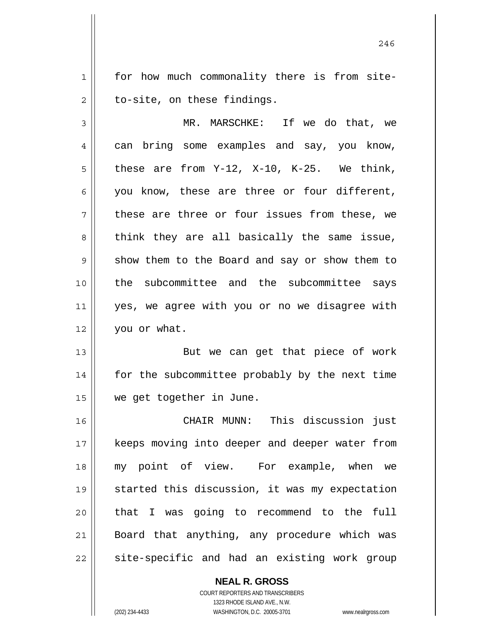1 2 for how much commonality there is from siteto-site, on these findings.

3 4 5 6 7 8 9 10 11 12 MR. MARSCHKE: If we do that, we can bring some examples and say, you know, these are from Y-12, X-10, K-25. We think, you know, these are three or four different, these are three or four issues from these, we think they are all basically the same issue, show them to the Board and say or show them to the subcommittee and the subcommittee says yes, we agree with you or no we disagree with you or what.

13 14 15 But we can get that piece of work for the subcommittee probably by the next time we get together in June.

16 17 18 19 20 21 22 CHAIR MUNN: This discussion just keeps moving into deeper and deeper water from my point of view. For example, when we started this discussion, it was my expectation that I was going to recommend to the full Board that anything, any procedure which was site-specific and had an existing work group

> **NEAL R. GROSS** COURT REPORTERS AND TRANSCRIBERS 1323 RHODE ISLAND AVE., N.W. (202) 234-4433 WASHINGTON, D.C. 20005-3701 www.nealrgross.com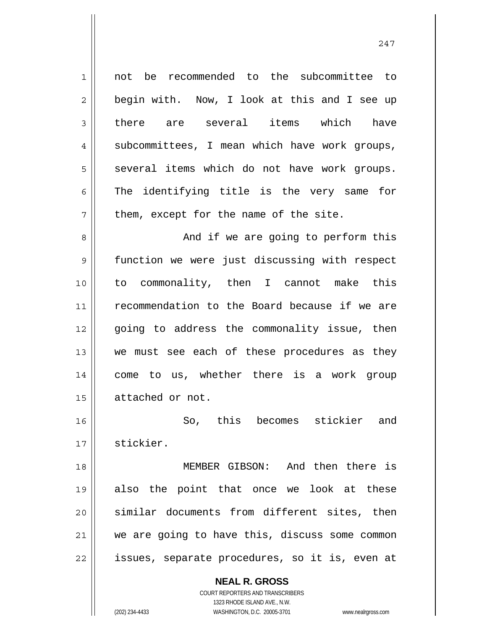1 2 3 4 5 6 7 8 9 10 11 12 13 14 15 16 17 18 19 20 21 22 not be recommended to the subcommittee to begin with. Now, I look at this and I see up there are several items which have subcommittees, I mean which have work groups, several items which do not have work groups. The identifying title is the very same for them, except for the name of the site. And if we are going to perform this function we were just discussing with respect to commonality, then I cannot make this recommendation to the Board because if we are going to address the commonality issue, then we must see each of these procedures as they come to us, whether there is a work group attached or not. So, this becomes stickier and stickier. MEMBER GIBSON: And then there is also the point that once we look at these similar documents from different sites, then we are going to have this, discuss some common issues, separate procedures, so it is, even at

> **NEAL R. GROSS** COURT REPORTERS AND TRANSCRIBERS 1323 RHODE ISLAND AVE., N.W.

(202) 234-4433 WASHINGTON, D.C. 20005-3701 www.nealrgross.com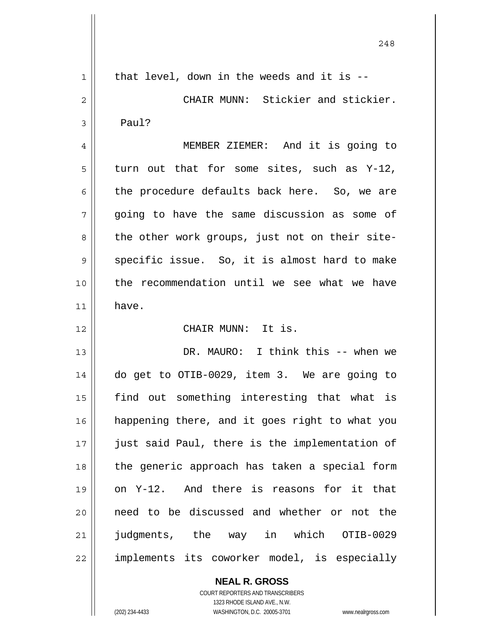| $\mathbf{1}$ | that level, down in the weeds and it is --     |
|--------------|------------------------------------------------|
| 2            | CHAIR MUNN: Stickier and stickier.             |
| 3            | Paul?                                          |
| 4            | MEMBER ZIEMER: And it is going to              |
| 5            | turn out that for some sites, such as Y-12,    |
| 6            | the procedure defaults back here. So, we are   |
| 7            | going to have the same discussion as some of   |
| 8            | the other work groups, just not on their site- |
| 9            | specific issue. So, it is almost hard to make  |
| 10           | the recommendation until we see what we have   |
| 11           | have.                                          |
| 12           | CHAIR MUNN: It is.                             |
| 13           | DR. MAURO: I think this -- when we             |
| 14           | do get to OTIB-0029, item 3. We are going to   |
| 15           | find out something interesting that what is    |
| 16           | happening there, and it goes right to what you |
| 17           | just said Paul, there is the implementation of |
| 18           | the generic approach has taken a special form  |
| 19           | on Y-12. And there is reasons for it that      |
| 20           | need to be discussed and whether or not the    |
| 21           | judgments, the way in which OTIB-0029          |
| 22           | implements its coworker model, is especially   |

**NEAL R. GROSS** COURT REPORTERS AND TRANSCRIBERS 1323 RHODE ISLAND AVE., N.W.

<sup>(202) 234-4433</sup> WASHINGTON, D.C. 20005-3701 www.nealrgross.com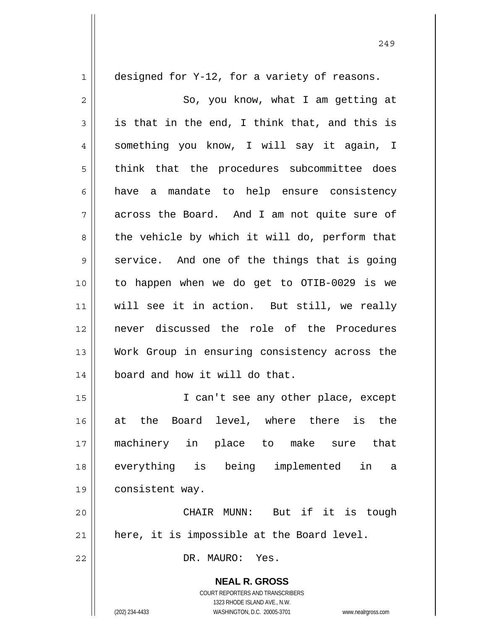**NEAL R. GROSS** COURT REPORTERS AND TRANSCRIBERS 1323 RHODE ISLAND AVE., N.W. 1 2 3 4 5 6 7 8 9 10 11 12 13 14 15 16 17 18 19 20 21 22 designed for Y-12, for a variety of reasons. So, you know, what I am getting at is that in the end, I think that, and this is something you know, I will say it again, I think that the procedures subcommittee does have a mandate to help ensure consistency across the Board. And I am not quite sure of the vehicle by which it will do, perform that service. And one of the things that is going to happen when we do get to OTIB-0029 is we will see it in action. But still, we really never discussed the role of the Procedures Work Group in ensuring consistency across the board and how it will do that. I can't see any other place, except at the Board level, where there is the machinery in place to make sure that everything is being implemented in a consistent way. CHAIR MUNN: But if it is tough here, it is impossible at the Board level. DR. MAURO: Yes.

249

(202) 234-4433 WASHINGTON, D.C. 20005-3701 www.nealrgross.com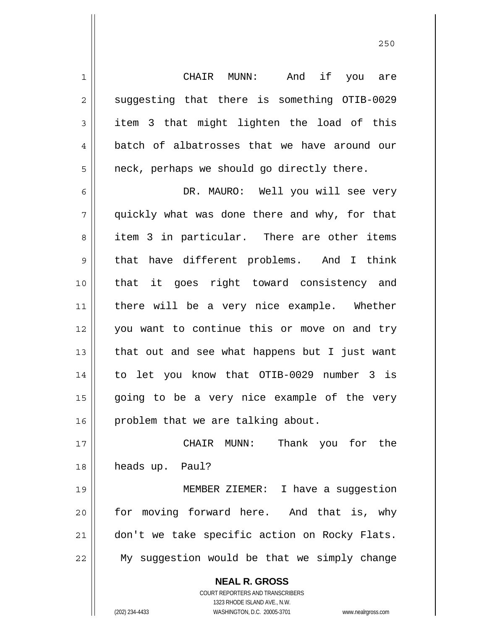CHAIR MUNN: And if you are suggesting that there is something OTIB-0029 item 3 that might lighten the load of this batch of albatrosses that we have around our neck, perhaps we should go directly there.

1

2

3

4

5

6 7 8 9 10 11 12 13 14 15 16 DR. MAURO: Well you will see very quickly what was done there and why, for that item 3 in particular. There are other items that have different problems. And I think that it goes right toward consistency and there will be a very nice example. Whether you want to continue this or move on and try that out and see what happens but I just want to let you know that OTIB-0029 number 3 is going to be a very nice example of the very problem that we are talking about.

17 18 CHAIR MUNN: Thank you for the heads up. Paul?

19 20 21 22 MEMBER ZIEMER: I have a suggestion for moving forward here. And that is, why don't we take specific action on Rocky Flats. My suggestion would be that we simply change

> **NEAL R. GROSS** COURT REPORTERS AND TRANSCRIBERS 1323 RHODE ISLAND AVE., N.W. (202) 234-4433 WASHINGTON, D.C. 20005-3701 www.nealrgross.com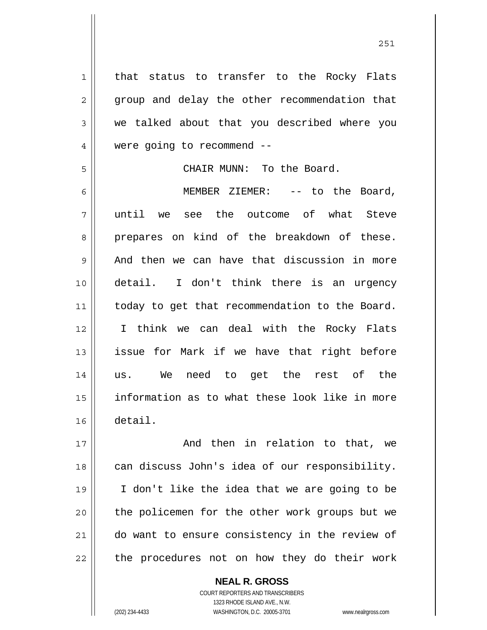1 2 3 4 5 6 7 8 9 10 11 12 13 14 15 16 17 18 19 that status to transfer to the Rocky Flats group and delay the other recommendation that we talked about that you described where you were going to recommend -- CHAIR MUNN: To the Board. MEMBER ZIEMER: -- to the Board, until we see the outcome of what Steve prepares on kind of the breakdown of these. And then we can have that discussion in more detail. I don't think there is an urgency today to get that recommendation to the Board. I think we can deal with the Rocky Flats issue for Mark if we have that right before us. We need to get the rest of the information as to what these look like in more detail. And then in relation to that, we can discuss John's idea of our responsibility. I don't like the idea that we are going to be

21

20

22

**NEAL R. GROSS** COURT REPORTERS AND TRANSCRIBERS 1323 RHODE ISLAND AVE., N.W. (202) 234-4433 WASHINGTON, D.C. 20005-3701 www.nealrgross.com

the policemen for the other work groups but we

do want to ensure consistency in the review of

the procedures not on how they do their work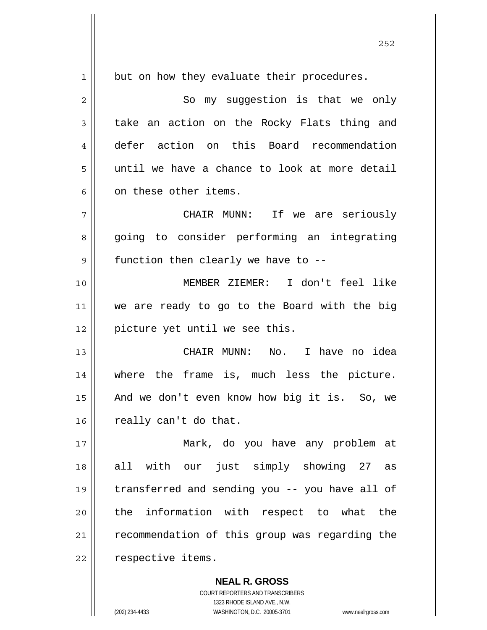1 2 3 4 5 6 7 8 9 10 11 12 13 14 15 16 17 18 19 20 21 22 but on how they evaluate their procedures. So my suggestion is that we only take an action on the Rocky Flats thing and defer action on this Board recommendation until we have a chance to look at more detail on these other items. CHAIR MUNN: If we are seriously going to consider performing an integrating function then clearly we have to -- MEMBER ZIEMER: I don't feel like we are ready to go to the Board with the big picture yet until we see this. CHAIR MUNN: No. I have no idea where the frame is, much less the picture. And we don't even know how big it is. So, we really can't do that. Mark, do you have any problem at all with our just simply showing 27 as transferred and sending you -- you have all of the information with respect to what the recommendation of this group was regarding the respective items.

<u>252</u>

COURT REPORTERS AND TRANSCRIBERS 1323 RHODE ISLAND AVE., N.W. (202) 234-4433 WASHINGTON, D.C. 20005-3701 www.nealrgross.com

**NEAL R. GROSS**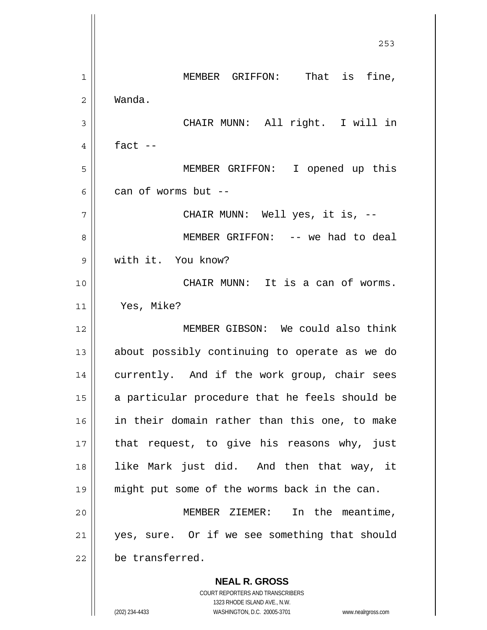**NEAL R. GROSS** <u>253</u> 1 2 3 4 5 6 7 8 9 10 11 12 13 14 15 16 17 18 19 20 21 22 MEMBER GRIFFON: That is fine, Wanda. CHAIR MUNN: All right. I will in fact  $--$  MEMBER GRIFFON: I opened up this can of worms but -- CHAIR MUNN: Well yes, it is, -- MEMBER GRIFFON: -- we had to deal with it. You know? CHAIR MUNN: It is a can of worms. Yes, Mike? MEMBER GIBSON: We could also think about possibly continuing to operate as we do currently. And if the work group, chair sees a particular procedure that he feels should be in their domain rather than this one, to make that request, to give his reasons why, just like Mark just did. And then that way, it might put some of the worms back in the can. MEMBER ZIEMER: In the meantime, yes, sure. Or if we see something that should be transferred.

> COURT REPORTERS AND TRANSCRIBERS 1323 RHODE ISLAND AVE., N.W.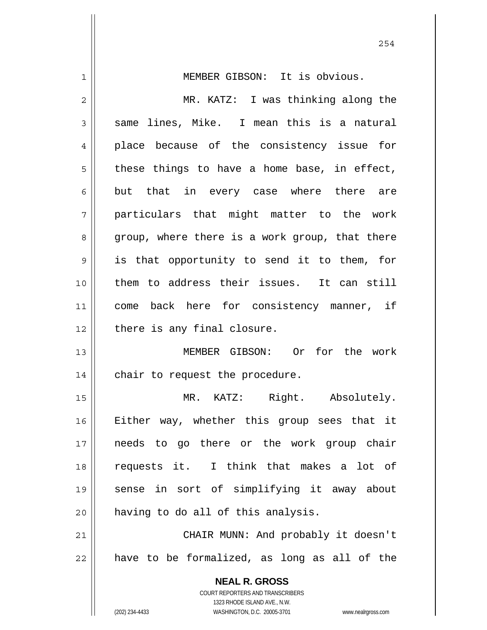| $\mathbf 1$    | MEMBER GIBSON: It is obvious.                                                                       |
|----------------|-----------------------------------------------------------------------------------------------------|
| $\overline{2}$ | MR. KATZ: I was thinking along the                                                                  |
| 3              | same lines, Mike. I mean this is a natural                                                          |
| 4              | place because of the consistency issue for                                                          |
| 5              | these things to have a home base, in effect,                                                        |
| 6              | but that in every case where there are                                                              |
| 7              | particulars that might matter to the work                                                           |
| 8              | group, where there is a work group, that there                                                      |
| 9              | is that opportunity to send it to them, for                                                         |
| 10             | them to address their issues. It can still                                                          |
| 11             | come back here for consistency manner, if                                                           |
| 12             | there is any final closure.                                                                         |
| 13             | MEMBER GIBSON: Or for the work                                                                      |
| 14             | chair to request the procedure.                                                                     |
| 15             | MR. KATZ: Right. Absolutely.                                                                        |
| 16             | Either way, whether this group sees that it                                                         |
| 17             | needs to go there or the work group chair                                                           |
| 18             | requests it. I think that makes a lot of                                                            |
| 19             | sense in sort of simplifying it away about                                                          |
| 20             | having to do all of this analysis.                                                                  |
| 21             | CHAIR MUNN: And probably it doesn't                                                                 |
| 22             | have to be formalized, as long as all of the                                                        |
|                | <b>NEAL R. GROSS</b>                                                                                |
|                | <b>COURT REPORTERS AND TRANSCRIBERS</b>                                                             |
|                | 1323 RHODE ISLAND AVE., N.W.<br>(202) 234-4433<br>WASHINGTON, D.C. 20005-3701<br>www.nealrgross.com |

254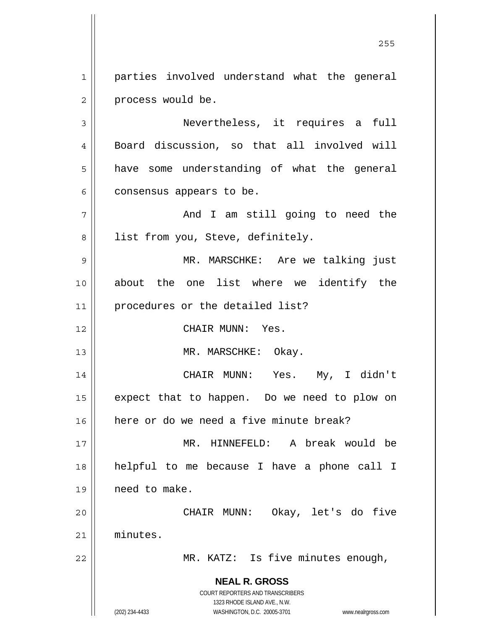1 2 parties involved understand what the general process would be.

3 4 5 6 Nevertheless, it requires a full Board discussion, so that all involved will have some understanding of what the general consensus appears to be.

7 8 And I am still going to need the list from you, Steve, definitely.

9 10 11 MR. MARSCHKE: Are we talking just about the one list where we identify the procedures or the detailed list?

CHAIR MUNN: Yes.

MR. MARSCHKE: Okay.

14 15 16 CHAIR MUNN: Yes. My, I didn't expect that to happen. Do we need to plow on here or do we need a five minute break?

17 18 19 MR. HINNEFELD: A break would be helpful to me because I have a phone call I need to make.

20 21 CHAIR MUNN: Okay, let's do five minutes.

MR. KATZ: Is five minutes enough,

**NEAL R. GROSS** COURT REPORTERS AND TRANSCRIBERS

1323 RHODE ISLAND AVE., N.W.

12

13

22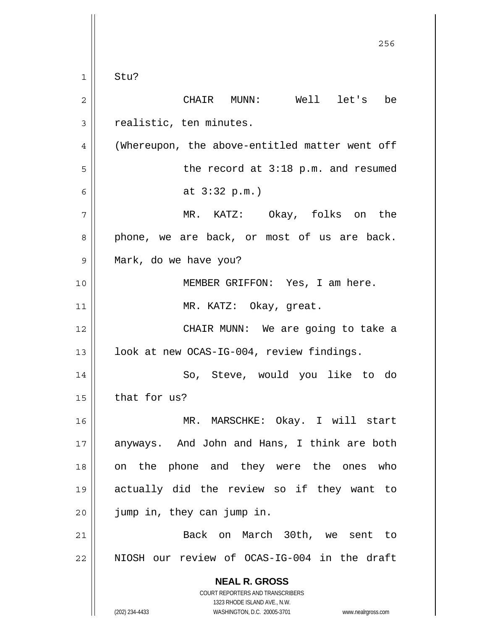**NEAL R. GROSS** COURT REPORTERS AND TRANSCRIBERS 1323 RHODE ISLAND AVE., N.W. (202) 234-4433 WASHINGTON, D.C. 20005-3701 www.nealrgross.com <u>256 میں اس کا 17 مئی میں اس کا 17 مئی میں اس کا 17 مئی میں اس کا 17 مئی میں اس کا 17 مئی میں اس کا 256 مئی می</u> 1 2 3 4 5 6 7 8 9 10 11 12 13 14 15 16 17 18 19 20 21 22 Stu? CHAIR MUNN: Well let's be realistic, ten minutes. (Whereupon, the above-entitled matter went off the record at 3:18 p.m. and resumed at 3:32 p.m.) MR. KATZ: Okay, folks on the phone, we are back, or most of us are back. Mark, do we have you? MEMBER GRIFFON: Yes, I am here. MR. KATZ: Okay, great. CHAIR MUNN: We are going to take a look at new OCAS-IG-004, review findings. So, Steve, would you like to do that for us? MR. MARSCHKE: Okay. I will start anyways. And John and Hans, I think are both on the phone and they were the ones who actually did the review so if they want to jump in, they can jump in. Back on March 30th, we sent to NIOSH our review of OCAS-IG-004 in the draft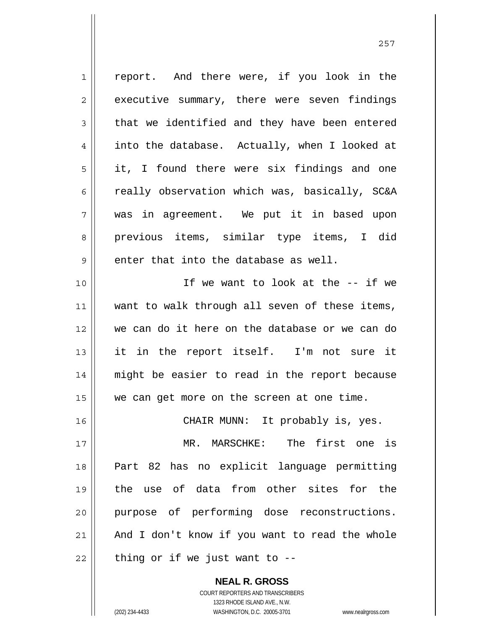1 2 3 4 5 6 7 8 9 10 11 12 13 14 15 16 17 18 19 20 21 22 report. And there were, if you look in the executive summary, there were seven findings that we identified and they have been entered into the database. Actually, when I looked at it, I found there were six findings and one really observation which was, basically, SC&A was in agreement. We put it in based upon previous items, similar type items, I did enter that into the database as well. If we want to look at the -- if we want to walk through all seven of these items, we can do it here on the database or we can do it in the report itself. I'm not sure it might be easier to read in the report because we can get more on the screen at one time. CHAIR MUNN: It probably is, yes. MR. MARSCHKE: The first one is Part 82 has no explicit language permitting the use of data from other sites for the purpose of performing dose reconstructions. And I don't know if you want to read the whole thing or if we just want to --

> COURT REPORTERS AND TRANSCRIBERS 1323 RHODE ISLAND AVE., N.W. (202) 234-4433 WASHINGTON, D.C. 20005-3701 www.nealrgross.com

**NEAL R. GROSS**

<u>257 and 257</u>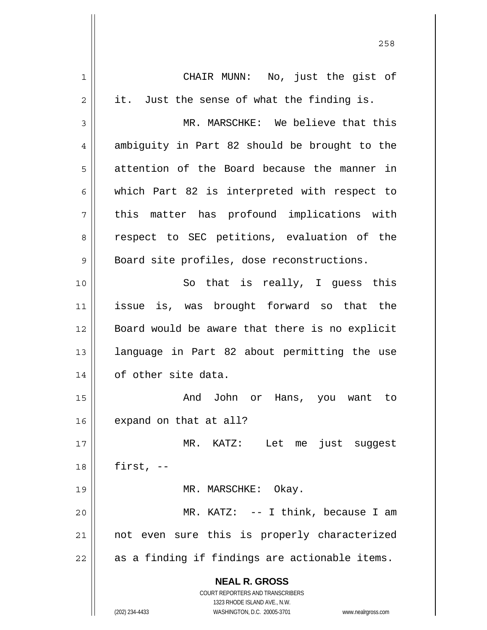| 1  | CHAIR MUNN: No, just the gist of                                                                    |
|----|-----------------------------------------------------------------------------------------------------|
| 2  | it.<br>Just the sense of what the finding is.                                                       |
| 3  | MR. MARSCHKE: We believe that this                                                                  |
| 4  | ambiguity in Part 82 should be brought to the                                                       |
| 5  | attention of the Board because the manner in                                                        |
| 6  | which Part 82 is interpreted with respect to                                                        |
| 7  | this matter has profound implications with                                                          |
| 8  | respect to SEC petitions, evaluation of the                                                         |
| 9  | Board site profiles, dose reconstructions.                                                          |
| 10 | So that is really, I guess this                                                                     |
| 11 | issue is, was brought forward so that the                                                           |
| 12 | Board would be aware that there is no explicit                                                      |
| 13 | language in Part 82 about permitting the use                                                        |
| 14 | of other site data.                                                                                 |
| 15 | And John<br>Hans, you want to<br>or                                                                 |
| 16 | expand on that at all?                                                                              |
| 17 | MR. KATZ: Let me just suggest                                                                       |
| 18 | first, $--$                                                                                         |
| 19 | MR. MARSCHKE: Okay.                                                                                 |
| 20 | MR. KATZ: $--$ I think, because I am                                                                |
| 21 | not even sure this is properly characterized                                                        |
| 22 | as a finding if findings are actionable items.                                                      |
|    | <b>NEAL R. GROSS</b>                                                                                |
|    | <b>COURT REPORTERS AND TRANSCRIBERS</b>                                                             |
|    | 1323 RHODE ISLAND AVE., N.W.<br>(202) 234-4433<br>WASHINGTON, D.C. 20005-3701<br>www.nealrgross.com |
|    |                                                                                                     |

<u>258</u>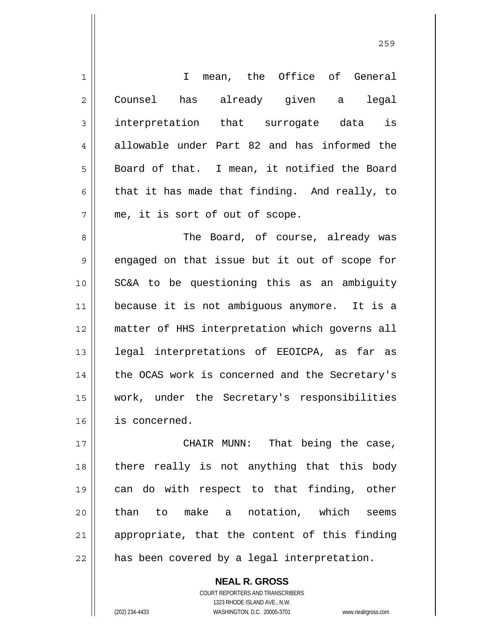| $\mathbf{1}$   | I mean, the Office of General                  |
|----------------|------------------------------------------------|
| $\overline{2}$ | has already given a legal<br>Counsel           |
| 3              | interpretation that surrogate data is          |
| 4              | allowable under Part 82 and has informed the   |
| 5              | Board of that. I mean, it notified the Board   |
| 6              | that it has made that finding. And really, to  |
| 7              | me, it is sort of out of scope.                |
| 8              | The Board, of course, already was              |
| 9              | engaged on that issue but it out of scope for  |
| 10             | SC&A to be questioning this as an ambiguity    |
| 11             | because it is not ambiguous anymore. It is a   |
| 12             | matter of HHS interpretation which governs all |
| 13             | legal interpretations of EEOICPA, as far as    |
| 14             | the OCAS work is concerned and the Secretary's |
| 15             | work, under the Secretary's responsibilities   |
| 16             | is concerned.                                  |
| 17             | CHAIR MUNN: That being the case,               |
| 18             | there really is not anything that this body    |
| 19             | can do with respect to that finding, other     |
| 20             | than to make a notation, which seems           |
| 21             | appropriate, that the content of this finding  |
| 22             | has been covered by a legal interpretation.    |

**NEAL R. GROSS** COURT REPORTERS AND TRANSCRIBERS 1323 RHODE ISLAND AVE., N.W.

 $\mathsf{II}$ 

(202) 234-4433 WASHINGTON, D.C. 20005-3701 www.nealrgross.com

<u>259 میں اس کا اعتبار اور اس کا اعتبار اور اس کا اعتبار اور اس کا اعتبار اور اس کا اعتبار اور اس کا اعتبار اور ا</u>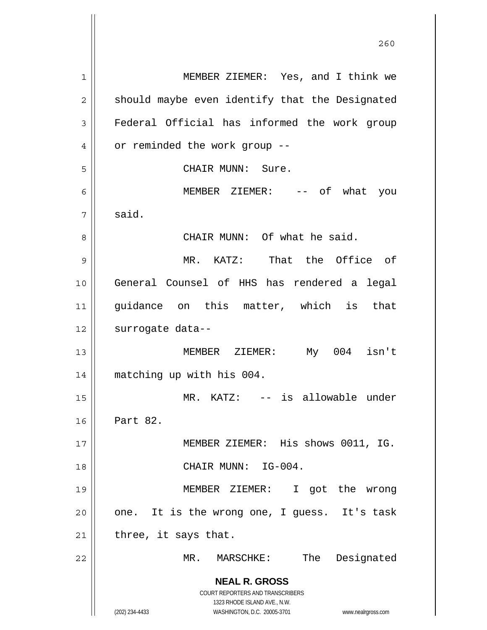**NEAL R. GROSS** COURT REPORTERS AND TRANSCRIBERS 1323 RHODE ISLAND AVE., N.W. (202) 234-4433 WASHINGTON, D.C. 20005-3701 www.nealrgross.com 1 2 3 4 5 6 7 8 9 10 11 12 13 14 15 16 17 18 19 20 21 22 MEMBER ZIEMER: Yes, and I think we should maybe even identify that the Designated Federal Official has informed the work group or reminded the work group -- CHAIR MUNN: Sure. MEMBER ZIEMER: -- of what you said. CHAIR MUNN: Of what he said. MR. KATZ: That the Office of General Counsel of HHS has rendered a legal guidance on this matter, which is that surrogate data-- MEMBER ZIEMER: My 004 isn't matching up with his 004. MR. KATZ: -- is allowable under Part 82. MEMBER ZIEMER: His shows 0011, IG. CHAIR MUNN: IG-004. MEMBER ZIEMER: I got the wrong one. It is the wrong one, I guess. It's task three, it says that. MR. MARSCHKE: The Designated

<u>260</u>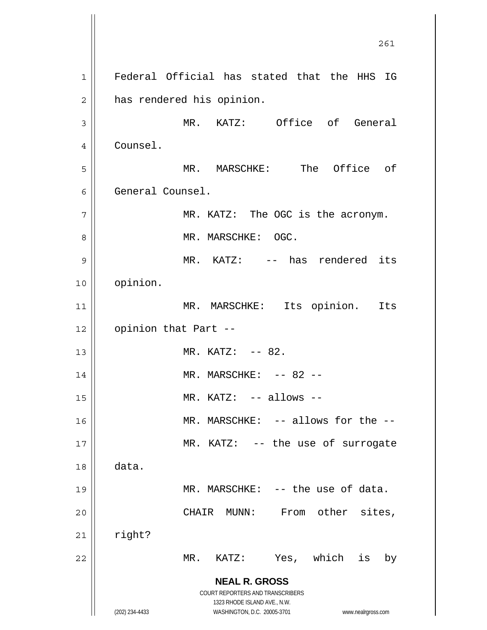**NEAL R. GROSS** COURT REPORTERS AND TRANSCRIBERS 1323 RHODE ISLAND AVE., N.W. (202) 234-4433 WASHINGTON, D.C. 20005-3701 www.nealrgross.com 261 1 2 3 4 5 6 7 8 9 10 11 12 13 14 15 16 17 18 19 20 21 22 Federal Official has stated that the HHS IG has rendered his opinion. MR. KATZ: Office of General Counsel. MR. MARSCHKE: The Office of General Counsel. MR. KATZ: The OGC is the acronym. MR. MARSCHKE: OGC. MR. KATZ: -- has rendered its opinion. MR. MARSCHKE: Its opinion. Its opinion that Part --  $MR. KATZ: -- 82.$  $MR.$  MARSCHKE:  $--$  82  $--$ MR. KATZ: -- allows --MR. MARSCHKE: -- allows for the -- MR. KATZ: -- the use of surrogate data. MR. MARSCHKE: -- the use of data. CHAIR MUNN: From other sites, right? MR. KATZ: Yes, which is by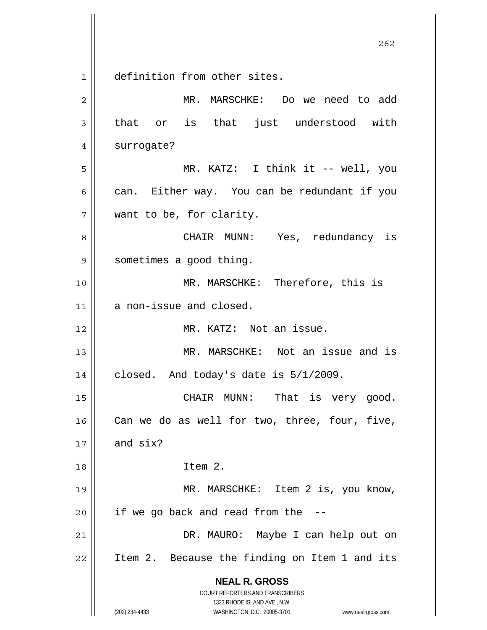$\begin{array}{c|c} 1 & 1 \end{array}$ definition from other sites.

| 2  | MR. MARSCHKE: Do we need to add                                                                                                                                 |
|----|-----------------------------------------------------------------------------------------------------------------------------------------------------------------|
| 3  | that or is that just understood with                                                                                                                            |
| 4  | surrogate?                                                                                                                                                      |
| 5  | MR. KATZ: I think it -- well, you                                                                                                                               |
| 6  | can. Either way. You can be redundant if you                                                                                                                    |
| 7  | want to be, for clarity.                                                                                                                                        |
| 8  | CHAIR MUNN: Yes, redundancy is                                                                                                                                  |
| 9  | sometimes a good thing.                                                                                                                                         |
| 10 | MR. MARSCHKE: Therefore, this is                                                                                                                                |
| 11 | a non-issue and closed.                                                                                                                                         |
| 12 | MR. KATZ: Not an issue.                                                                                                                                         |
| 13 | MR. MARSCHKE: Not an issue and is                                                                                                                               |
| 14 | closed. And today's date is $5/1/2009$ .                                                                                                                        |
| 15 | CHAIR MUNN: That is very good.                                                                                                                                  |
| 16 | Can we do as well for two, three, four, five,                                                                                                                   |
| 17 | and six?                                                                                                                                                        |
| 18 | Item 2.                                                                                                                                                         |
| 19 | MR. MARSCHKE: Item 2 is, you know,                                                                                                                              |
| 20 | if we go back and read from the --                                                                                                                              |
| 21 | DR. MAURO: Maybe I can help out on                                                                                                                              |
| 22 | Item 2. Because the finding on Item 1 and its                                                                                                                   |
|    | <b>NEAL R. GROSS</b><br>COURT REPORTERS AND TRANSCRIBERS<br>1323 RHODE ISLAND AVE., N.W.<br>(202) 234-4433<br>WASHINGTON, D.C. 20005-3701<br>www.nealrgross.com |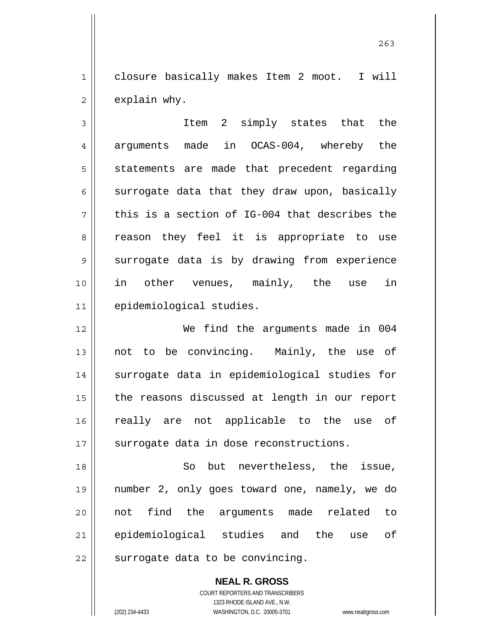1 2 closure basically makes Item 2 moot. I will explain why.

263

3 4 5 6 7 8 9 10 11 Item 2 simply states that the arguments made in OCAS-004, whereby the statements are made that precedent regarding surrogate data that they draw upon, basically this is a section of IG-004 that describes the reason they feel it is appropriate to use surrogate data is by drawing from experience in other venues, mainly, the use in epidemiological studies.

12 13 14 15 16 17 We find the arguments made in 004 not to be convincing. Mainly, the use of surrogate data in epidemiological studies for the reasons discussed at length in our report really are not applicable to the use of surrogate data in dose reconstructions.

18 19 20 21 22 So but nevertheless, the issue, number 2, only goes toward one, namely, we do not find the arguments made related to epidemiological studies and the use of surrogate data to be convincing.

**NEAL R. GROSS**

COURT REPORTERS AND TRANSCRIBERS 1323 RHODE ISLAND AVE., N.W. (202) 234-4433 WASHINGTON, D.C. 20005-3701 www.nealrgross.com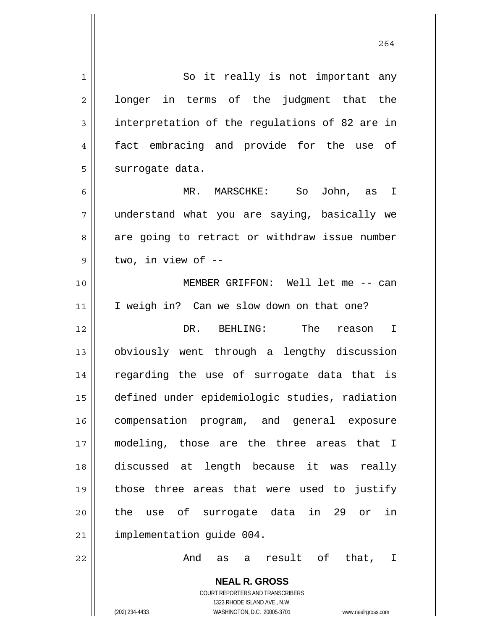| $\mathbf 1$    | So it really is not important any                                   |
|----------------|---------------------------------------------------------------------|
| $\overline{c}$ | longer in terms of the judgment that the                            |
| 3              | interpretation of the regulations of 82 are in                      |
| 4              | fact embracing and provide for the use of                           |
| 5              | surrogate data.                                                     |
| 6              | MR. MARSCHKE: So John, as I                                         |
| 7              | understand what you are saying, basically we                        |
| 8              | are going to retract or withdraw issue number                       |
| 9              | two, in view of --                                                  |
| 10             | MEMBER GRIFFON: Well let me -- can                                  |
| 11             | I weigh in? Can we slow down on that one?                           |
| 12             | DR. BEHLING: The reason I                                           |
| 13             | obviously went through a lengthy discussion                         |
| 14             | regarding the use of surrogate data that is                         |
| 15             | defined under epidemiologic studies, radiation                      |
| 16             | compensation program, and general exposure                          |
| 17             | modeling, those are the three areas that I                          |
| 18             | discussed at length because it was<br>really                        |
| 19             | those three areas that were used to justify                         |
| 20             | the use of surrogate data in 29 or<br>in                            |
| 21             | implementation guide 004.                                           |
| 22             | And<br>result of<br>that, I<br>as<br>a                              |
|                | <b>NEAL R. GROSS</b>                                                |
|                | COURT REPORTERS AND TRANSCRIBERS                                    |
|                | 1323 RHODE ISLAND AVE., N.W.                                        |
|                | (202) 234-4433<br>WASHINGTON, D.C. 20005-3701<br>www.nealrgross.com |

264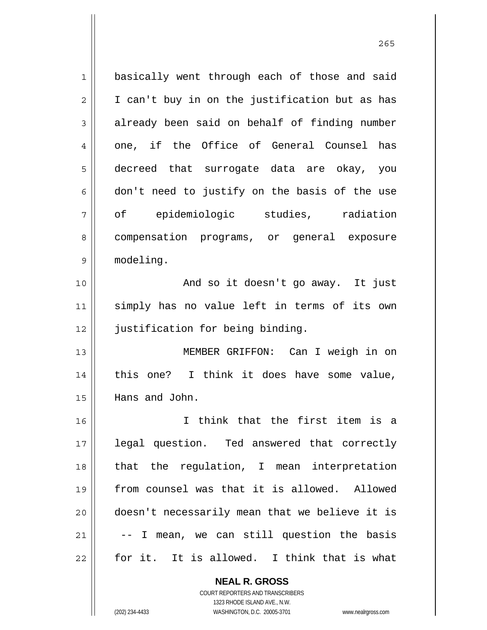1 2 3 4 5 6 7 8 9 10 11 12 13 14 15 16 17 18 19 20 21 22 basically went through each of those and said I can't buy in on the justification but as has already been said on behalf of finding number one, if the Office of General Counsel has decreed that surrogate data are okay, you don't need to justify on the basis of the use of epidemiologic studies, radiation compensation programs, or general exposure modeling. And so it doesn't go away. It just simply has no value left in terms of its own justification for being binding. MEMBER GRIFFON: Can I weigh in on this one? I think it does have some value, Hans and John. I think that the first item is a legal question. Ted answered that correctly that the regulation, I mean interpretation from counsel was that it is allowed. Allowed doesn't necessarily mean that we believe it is -- I mean, we can still question the basis for it. It is allowed. I think that is what

> COURT REPORTERS AND TRANSCRIBERS 1323 RHODE ISLAND AVE., N.W.

**NEAL R. GROSS**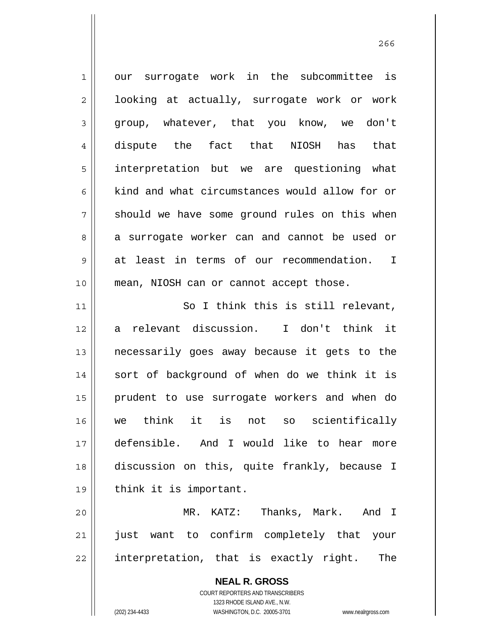**NEAL R. GROSS** COURT REPORTERS AND TRANSCRIBERS 1 2 3 4 5 6 7 8 9 10 11 12 13 14 15 16 17 18 19 20 21 22 our surrogate work in the subcommittee is looking at actually, surrogate work or work group, whatever, that you know, we don't dispute the fact that NIOSH has that interpretation but we are questioning what kind and what circumstances would allow for or should we have some ground rules on this when a surrogate worker can and cannot be used or at least in terms of our recommendation. I mean, NIOSH can or cannot accept those. So I think this is still relevant, a relevant discussion. I don't think it necessarily goes away because it gets to the sort of background of when do we think it is prudent to use surrogate workers and when do we think it is not so scientifically defensible. And I would like to hear more discussion on this, quite frankly, because I think it is important. MR. KATZ: Thanks, Mark. And I just want to confirm completely that your interpretation, that is exactly right. The

1323 RHODE ISLAND AVE., N.W.

(202) 234-4433 WASHINGTON, D.C. 20005-3701 www.nealrgross.com

проставляют производите в 266 году в 266 году в 266 году в 266 году в 266 году в 266 году в 266 году в 266 год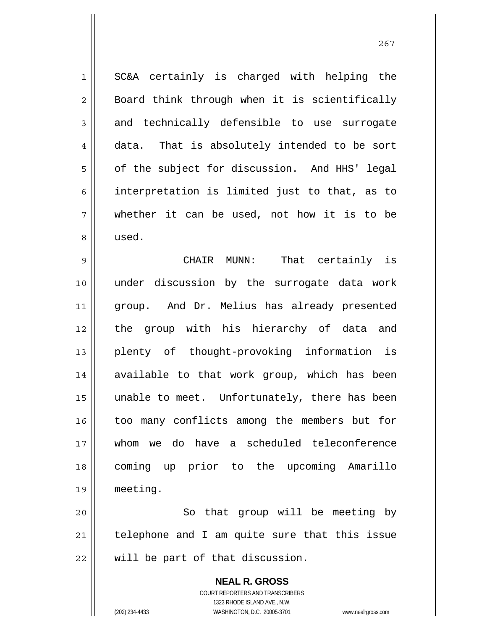SC&A certainly is charged with helping the Board think through when it is scientifically and technically defensible to use surrogate data. That is absolutely intended to be sort of the subject for discussion. And HHS' legal interpretation is limited just to that, as to whether it can be used, not how it is to be used.

9 10 11 12 13 14 15 16 17 18 19 CHAIR MUNN: That certainly is under discussion by the surrogate data work group. And Dr. Melius has already presented the group with his hierarchy of data and plenty of thought-provoking information is available to that work group, which has been unable to meet. Unfortunately, there has been too many conflicts among the members but for whom we do have a scheduled teleconference coming up prior to the upcoming Amarillo meeting.

20 21 22 So that group will be meeting by telephone and I am quite sure that this issue will be part of that discussion.

> **NEAL R. GROSS** COURT REPORTERS AND TRANSCRIBERS 1323 RHODE ISLAND AVE., N.W. (202) 234-4433 WASHINGTON, D.C. 20005-3701 www.nealrgross.com

1

2

3

4

5

6

7

8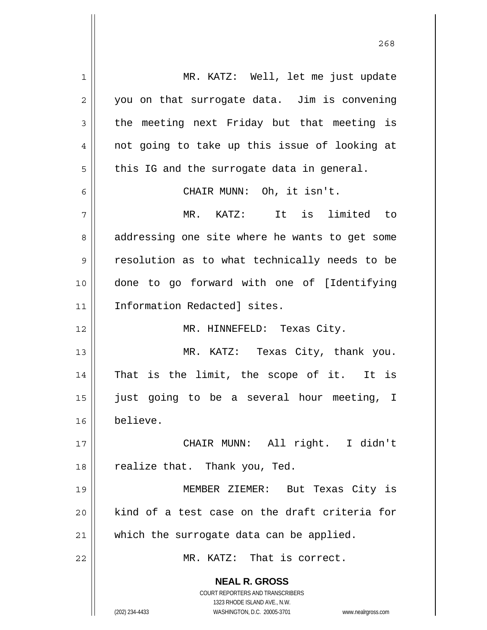**NEAL R. GROSS** COURT REPORTERS AND TRANSCRIBERS 1323 RHODE ISLAND AVE., N.W. (202) 234-4433 WASHINGTON, D.C. 20005-3701 www.nealrgross.com 1 2 3 4 5 6 7 8 9 10 11 12 13 14 15 16 17 18 19 20 21 22 MR. KATZ: Well, let me just update you on that surrogate data. Jim is convening the meeting next Friday but that meeting is not going to take up this issue of looking at this IG and the surrogate data in general. CHAIR MUNN: Oh, it isn't. MR. KATZ: It is limited to addressing one site where he wants to get some resolution as to what technically needs to be done to go forward with one of [Identifying Information Redacted] sites. MR. HINNEFELD: Texas City. MR. KATZ: Texas City, thank you. That is the limit, the scope of it. It is just going to be a several hour meeting, I believe. CHAIR MUNN: All right. I didn't realize that. Thank you, Ted. MEMBER ZIEMER: But Texas City is kind of a test case on the draft criteria for which the surrogate data can be applied. MR. KATZ: That is correct.

<u>268</u>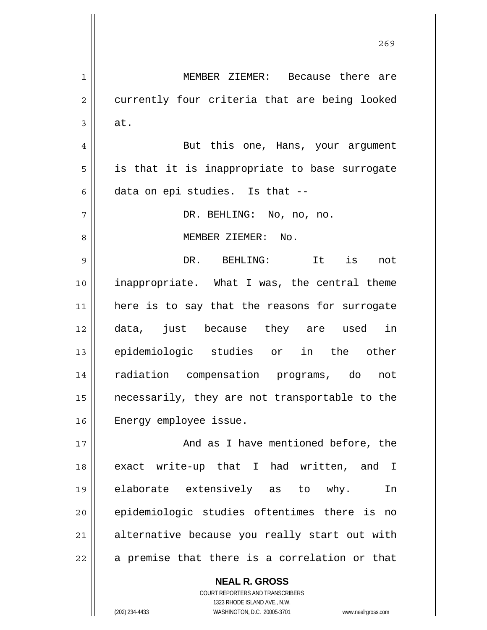**NEAL R. GROSS** COURT REPORTERS AND TRANSCRIBERS 1323 RHODE ISLAND AVE., N.W. 1 2 3 4 5 6 7 8 9 10 11 12 13 14 15 16 17 18 19 20 21 22 MEMBER ZIEMER: Because there are currently four criteria that are being looked at. But this one, Hans, your argument is that it is inappropriate to base surrogate data on epi studies. Is that -- DR. BEHLING: No, no, no. MEMBER ZIEMER: No. DR. BEHLING: It is not inappropriate. What I was, the central theme here is to say that the reasons for surrogate data, just because they are used in epidemiologic studies or in the other radiation compensation programs, do not necessarily, they are not transportable to the Energy employee issue. And as I have mentioned before, the exact write-up that I had written, and I elaborate extensively as to why. In epidemiologic studies oftentimes there is no alternative because you really start out with a premise that there is a correlation or that

(202) 234-4433 WASHINGTON, D.C. 20005-3701 www.nealrgross.com

<u>269</u>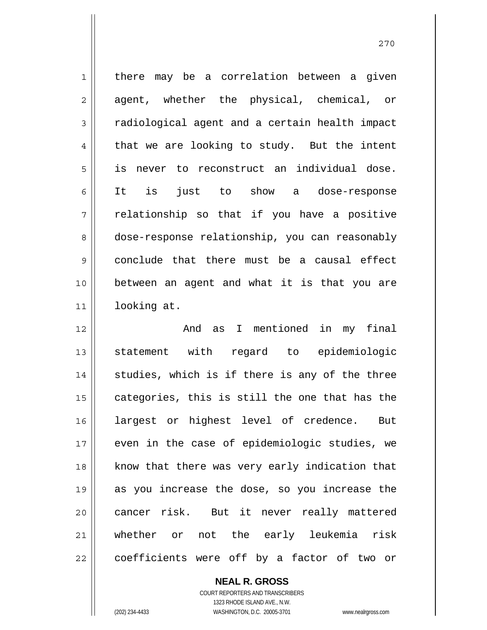1 2 3 4 5 6 7 8 9 10 11 there may be a correlation between a given agent, whether the physical, chemical, or radiological agent and a certain health impact that we are looking to study. But the intent is never to reconstruct an individual dose. It is just to show a dose-response relationship so that if you have a positive dose-response relationship, you can reasonably conclude that there must be a causal effect between an agent and what it is that you are looking at.

12 13 14 15 16 17 18 19 20 21 22 And as I mentioned in my final statement with regard to epidemiologic studies, which is if there is any of the three categories, this is still the one that has the largest or highest level of credence. But even in the case of epidemiologic studies, we know that there was very early indication that as you increase the dose, so you increase the cancer risk. But it never really mattered whether or not the early leukemia risk coefficients were off by a factor of two or

> **NEAL R. GROSS** COURT REPORTERS AND TRANSCRIBERS 1323 RHODE ISLAND AVE., N.W. (202) 234-4433 WASHINGTON, D.C. 20005-3701 www.nealrgross.com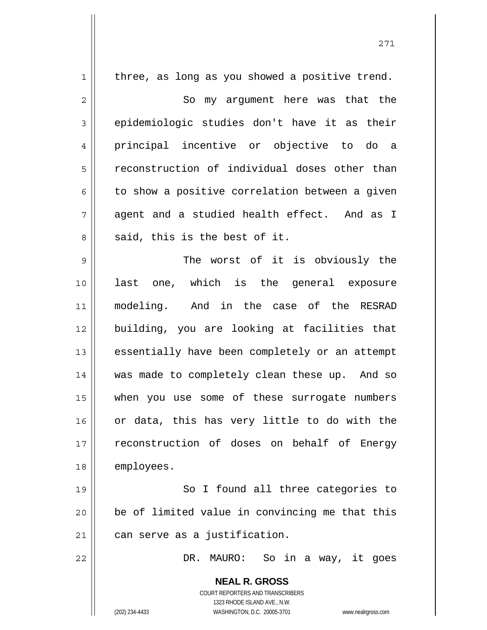| $\mathbf 1$    | three, as long as you showed a positive trend.                      |
|----------------|---------------------------------------------------------------------|
| $\overline{c}$ | So my argument here was that the                                    |
| $\mathfrak{Z}$ | epidemiologic studies don't have it as their                        |
| $\overline{4}$ | principal incentive or objective to do a                            |
| 5              | reconstruction of individual doses other than                       |
| 6              | to show a positive correlation between a given                      |
| 7              | agent and a studied health effect. And as I                         |
| 8              | said, this is the best of it.                                       |
| 9              | The worst of it is obviously the                                    |
| 10             | last one, which is the general exposure                             |
| 11             | modeling. And in the case of the RESRAD                             |
| 12             | building, you are looking at facilities that                        |
| 13             | essentially have been completely or an attempt                      |
| 14             | was made to completely clean these up. And so                       |
| 15             | when you use some of these surrogate numbers                        |
| 16             | or data, this has very little to do with the                        |
| 17             | reconstruction of doses on behalf of Energy                         |
| 18             | employees.                                                          |
| 19             | So I found all three categories to                                  |
| 20             | be of limited value in convincing me that this                      |
| 21             | can serve as a justification.                                       |
| 22             | DR.<br>MAURO:<br>So in a way, it goes                               |
|                |                                                                     |
|                | <b>NEAL R. GROSS</b><br>COURT REPORTERS AND TRANSCRIBERS            |
|                | 1323 RHODE ISLAND AVE., N.W.                                        |
|                | (202) 234-4433<br>WASHINGTON, D.C. 20005-3701<br>www.nealrgross.com |

271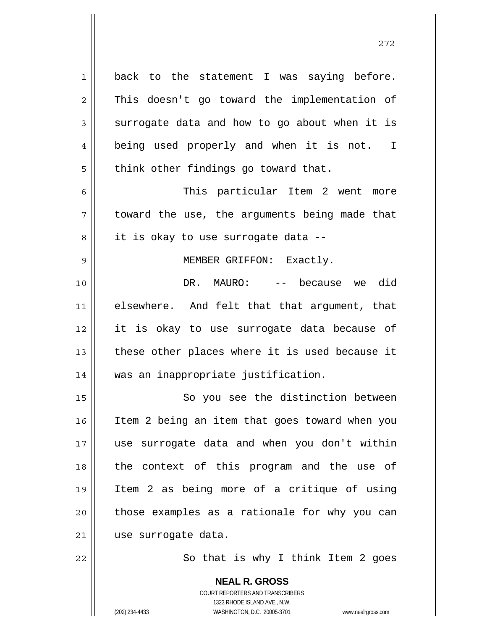1 2 3 4 5 back to the statement I was saying before. This doesn't go toward the implementation of surrogate data and how to go about when it is being used properly and when it is not. I think other findings go toward that.

6 7 8 This particular Item 2 went more toward the use, the arguments being made that it is okay to use surrogate data --

MEMBER GRIFFON: Exactly.

10 11 12 13 14 DR. MAURO: -- because we did elsewhere. And felt that that argument, that it is okay to use surrogate data because of these other places where it is used because it was an inappropriate justification.

15 16 17 18 19 20 21 So you see the distinction between Item 2 being an item that goes toward when you use surrogate data and when you don't within the context of this program and the use of Item 2 as being more of a critique of using those examples as a rationale for why you can use surrogate data.

22

9

So that is why I think Item 2 goes

272

COURT REPORTERS AND TRANSCRIBERS 1323 RHODE ISLAND AVE., N.W. (202) 234-4433 WASHINGTON, D.C. 20005-3701 www.nealrgross.com

**NEAL R. GROSS**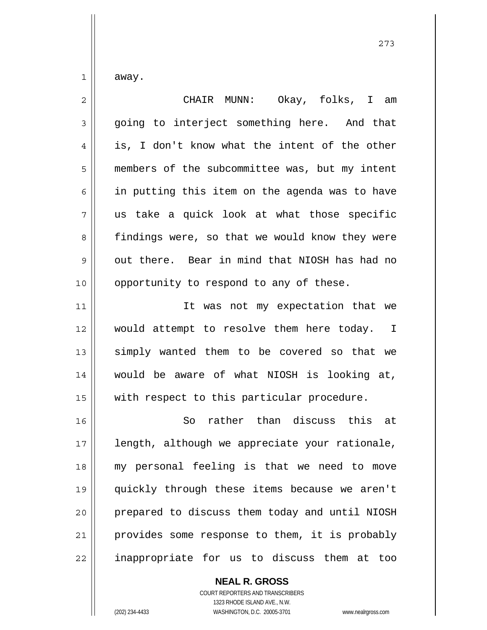away.

1

| $\overline{2}$ | CHAIR MUNN: Okay, folks, I am                  |
|----------------|------------------------------------------------|
| 3              | going to interject something here. And that    |
| 4              | is, I don't know what the intent of the other  |
| 5              | members of the subcommittee was, but my intent |
| 6              | in putting this item on the agenda was to have |
| 7              | us take a quick look at what those specific    |
| 8              | findings were, so that we would know they were |
| 9              | out there. Bear in mind that NIOSH has had no  |
| 10             | opportunity to respond to any of these.        |
| 11             | It was not my expectation that we              |
| 12             | would attempt to resolve them here today. I    |
| 13             | simply wanted them to be covered so that we    |
| 14             | would be aware of what NIOSH is looking at,    |
| 15             | with respect to this particular procedure.     |
| 16             | So rather than discuss this at                 |
| 17             | length, although we appreciate your rationale, |
| 18             | my personal feeling is that we need to move    |
| 19             | quickly through these items because we aren't  |
| 20             | prepared to discuss them today and until NIOSH |
| 21             | provides some response to them, it is probably |
| 22             | inappropriate for us to discuss them at too    |

**NEAL R. GROSS** COURT REPORTERS AND TRANSCRIBERS 1323 RHODE ISLAND AVE., N.W. (202) 234-4433 WASHINGTON, D.C. 20005-3701 www.nealrgross.com

273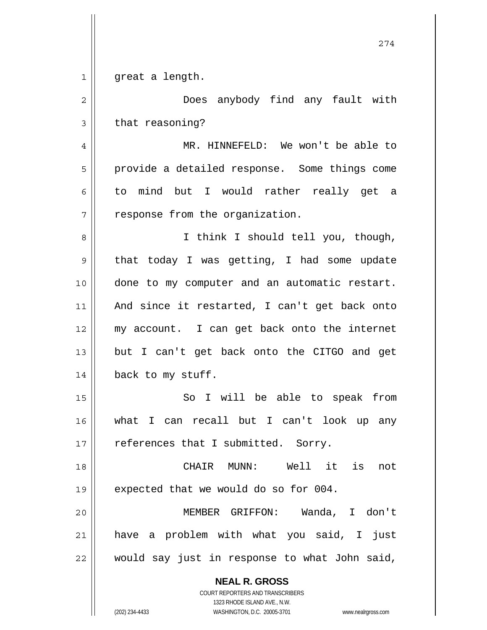| $\mathbf 1$    | great a length.                                          |
|----------------|----------------------------------------------------------|
| $\overline{c}$ | Does anybody find any fault with                         |
| 3              | that reasoning?                                          |
| 4              | MR. HINNEFELD: We won't be able to                       |
| 5              | provide a detailed response. Some things come            |
| 6              | to mind but I would rather really get a                  |
| 7              | response from the organization.                          |
| 8              | I think I should tell you, though,                       |
| 9              | that today I was getting, I had some update              |
| 10             | done to my computer and an automatic restart.            |
| 11             | And since it restarted, I can't get back onto            |
| 12             | my account. I can get back onto the internet             |
| 13             | but I can't get back onto the CITGO and get              |
| 14             | back to my stuff.                                        |
| 15             | So I will be able to speak from                          |
| 16             | what I can recall but I can't look up any                |
| 17             | references that I submitted. Sorry.                      |
| 18             | CHAIR MUNN: Well it is<br>not                            |
| 19             | expected that we would do so for 004.                    |
| 20             | MEMBER GRIFFON: Wanda, I don't                           |
| 21             | have a problem with what you said, I just                |
| 22             | would say just in response to what John said,            |
|                | <b>NEAL R. GROSS</b><br>COURT REPORTERS AND TRANSCRIBERS |

1323 RHODE ISLAND AVE., N.W.

274

 $\prod$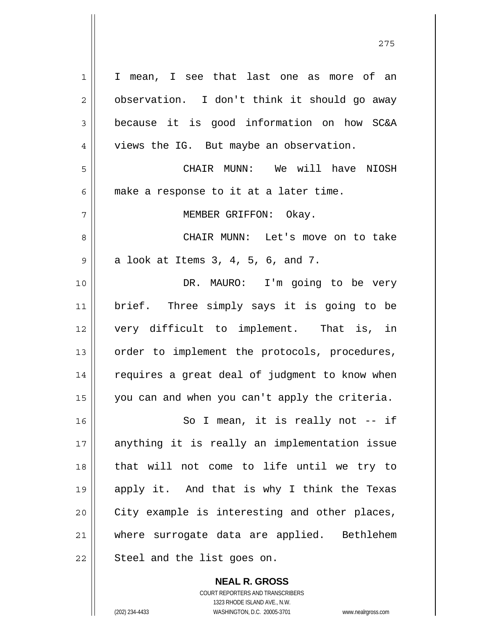1 2 3 4 5 6 7 8 9 10 11 12 13 14 15 16 17 18 19 20 21 22 I mean, I see that last one as more of an observation. I don't think it should go away because it is good information on how SC&A views the IG. But maybe an observation. CHAIR MUNN: We will have NIOSH make a response to it at a later time. MEMBER GRIFFON: Okay. CHAIR MUNN: Let's move on to take a look at Items 3, 4, 5, 6, and 7. DR. MAURO: I'm going to be very brief. Three simply says it is going to be very difficult to implement. That is, in order to implement the protocols, procedures, requires a great deal of judgment to know when you can and when you can't apply the criteria. So I mean, it is really not -- if anything it is really an implementation issue that will not come to life until we try to apply it. And that is why I think the Texas City example is interesting and other places, where surrogate data are applied. Bethlehem Steel and the list goes on.

> COURT REPORTERS AND TRANSCRIBERS 1323 RHODE ISLAND AVE., N.W. (202) 234-4433 WASHINGTON, D.C. 20005-3701 www.nealrgross.com

**NEAL R. GROSS**

<u>275</u>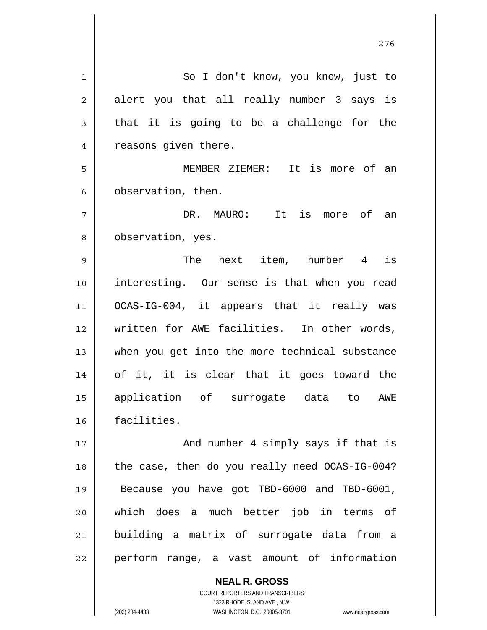1 2 3 4 5 6 7 8 9 10 11 12 13 14 15 16 17 18 19 20 21 22 So I don't know, you know, just to alert you that all really number 3 says is that it is going to be a challenge for the reasons given there. MEMBER ZIEMER: It is more of an observation, then. DR. MAURO: It is more of an observation, yes. The next item, number 4 is interesting. Our sense is that when you read OCAS-IG-004, it appears that it really was written for AWE facilities. In other words, when you get into the more technical substance of it, it is clear that it goes toward the application of surrogate data to AWE facilities. And number 4 simply says if that is the case, then do you really need OCAS-IG-004? Because you have got TBD-6000 and TBD-6001, which does a much better job in terms of building a matrix of surrogate data from a perform range, a vast amount of information

276

**NEAL R. GROSS** COURT REPORTERS AND TRANSCRIBERS 1323 RHODE ISLAND AVE., N.W.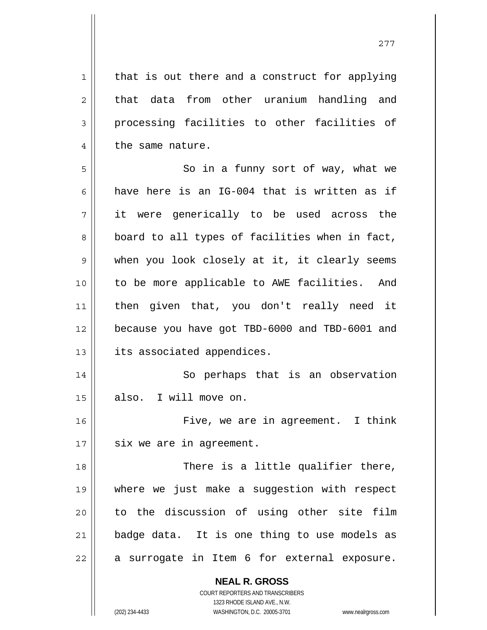that is out there and a construct for applying that data from other uranium handling and processing facilities to other facilities of the same nature.

1

2

3

4

16

277

5 6 7 8 9 10 11 12 13 So in a funny sort of way, what we have here is an IG-004 that is written as if it were generically to be used across the board to all types of facilities when in fact, when you look closely at it, it clearly seems to be more applicable to AWE facilities. And then given that, you don't really need it because you have got TBD-6000 and TBD-6001 and its associated appendices.

14 15 So perhaps that is an observation also. I will move on.

17 Five, we are in agreement. I think six we are in agreement.

18 19 20 21 22 There is a little qualifier there, where we just make a suggestion with respect to the discussion of using other site film badge data. It is one thing to use models as a surrogate in Item 6 for external exposure.

**NEAL R. GROSS**

COURT REPORTERS AND TRANSCRIBERS 1323 RHODE ISLAND AVE., N.W. (202) 234-4433 WASHINGTON, D.C. 20005-3701 www.nealrgross.com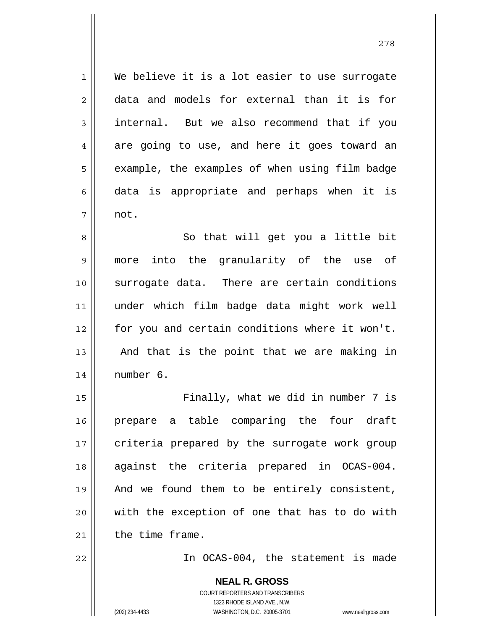We believe it is a lot easier to use surrogate data and models for external than it is for internal. But we also recommend that if you are going to use, and here it goes toward an example, the examples of when using film badge data is appropriate and perhaps when it is not.

8 9 10 11 12 13 14 So that will get you a little bit more into the granularity of the use of surrogate data. There are certain conditions under which film badge data might work well for you and certain conditions where it won't. And that is the point that we are making in number 6.

15 16 17 18 19 20 21 Finally, what we did in number 7 is prepare a table comparing the four draft criteria prepared by the surrogate work group against the criteria prepared in OCAS-004. And we found them to be entirely consistent, with the exception of one that has to do with the time frame.

22

1

2

3

4

5

6

7

In OCAS-004, the statement is made

**NEAL R. GROSS** COURT REPORTERS AND TRANSCRIBERS 1323 RHODE ISLAND AVE., N.W. (202) 234-4433 WASHINGTON, D.C. 20005-3701 www.nealrgross.com

278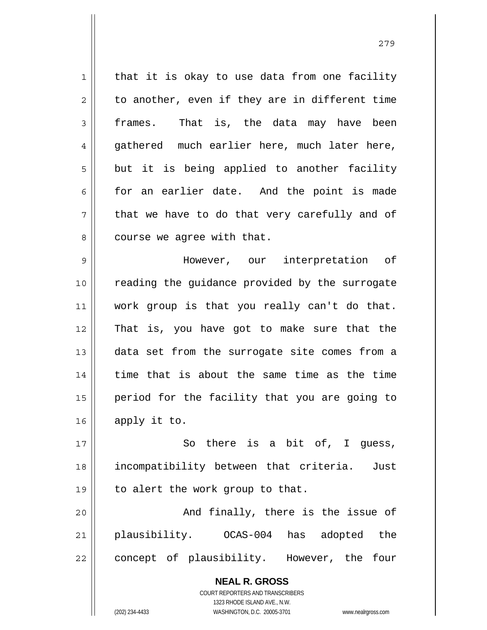1 2 3 4 5 6 7 8 9 10 11 12 that it is okay to use data from one facility to another, even if they are in different time frames. That is, the data may have been gathered much earlier here, much later here, but it is being applied to another facility for an earlier date. And the point is made that we have to do that very carefully and of course we agree with that. However, our interpretation of reading the guidance provided by the surrogate work group is that you really can't do that. That is, you have got to make sure that the

13 14 15 16 data set from the surrogate site comes from a time that is about the same time as the time period for the facility that you are going to apply it to.

17 18 19 So there is a bit of, I guess, incompatibility between that criteria. Just to alert the work group to that.

20 21 22 And finally, there is the issue of plausibility. OCAS-004 has adopted the concept of plausibility. However, the four

> **NEAL R. GROSS** COURT REPORTERS AND TRANSCRIBERS 1323 RHODE ISLAND AVE., N.W. (202) 234-4433 WASHINGTON, D.C. 20005-3701 www.nealrgross.com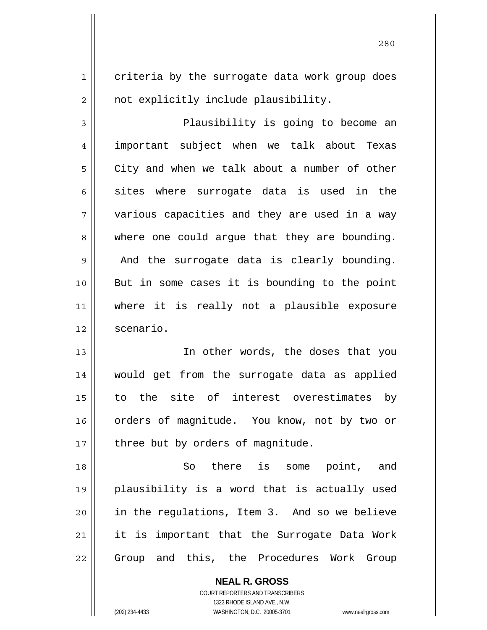criteria by the surrogate data work group does not explicitly include plausibility.

1

2

<u>280</u>

3 4 5 6 7 8 9 10 11 12 Plausibility is going to become an important subject when we talk about Texas City and when we talk about a number of other sites where surrogate data is used in the various capacities and they are used in a way where one could argue that they are bounding. And the surrogate data is clearly bounding. But in some cases it is bounding to the point where it is really not a plausible exposure scenario.

13 14 15 16 17 In other words, the doses that you would get from the surrogate data as applied to the site of interest overestimates by orders of magnitude. You know, not by two or three but by orders of magnitude.

18 19 20 21 22 So there is some point, and plausibility is a word that is actually used in the regulations, Item 3. And so we believe it is important that the Surrogate Data Work Group and this, the Procedures Work Group

> **NEAL R. GROSS** COURT REPORTERS AND TRANSCRIBERS 1323 RHODE ISLAND AVE., N.W. (202) 234-4433 WASHINGTON, D.C. 20005-3701 www.nealrgross.com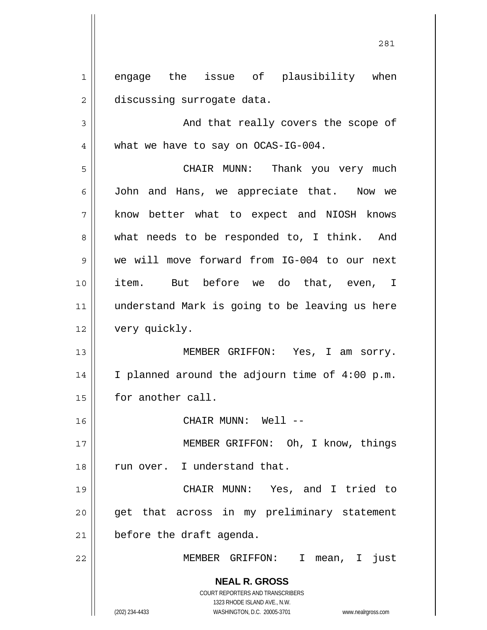1 2 engage the issue of plausibility when discussing surrogate data.

3 4 And that really covers the scope of what we have to say on OCAS-IG-004.

5 6 7 8 9 10 11 12 CHAIR MUNN: Thank you very much John and Hans, we appreciate that. Now we know better what to expect and NIOSH knows what needs to be responded to, I think. And we will move forward from IG-004 to our next item. But before we do that, even, I understand Mark is going to be leaving us here very quickly.

13 14 15 MEMBER GRIFFON: Yes, I am sorry. I planned around the adjourn time of 4:00 p.m. for another call.

CHAIR MUNN: Well --

 MEMBER GRIFFON: Oh, I know, things run over. I understand that.

19 20 21 CHAIR MUNN: Yes, and I tried to get that across in my preliminary statement before the draft agenda.

MEMBER GRIFFON: I mean, I just

**NEAL R. GROSS** COURT REPORTERS AND TRANSCRIBERS 1323 RHODE ISLAND AVE., N.W.

16

17

18

22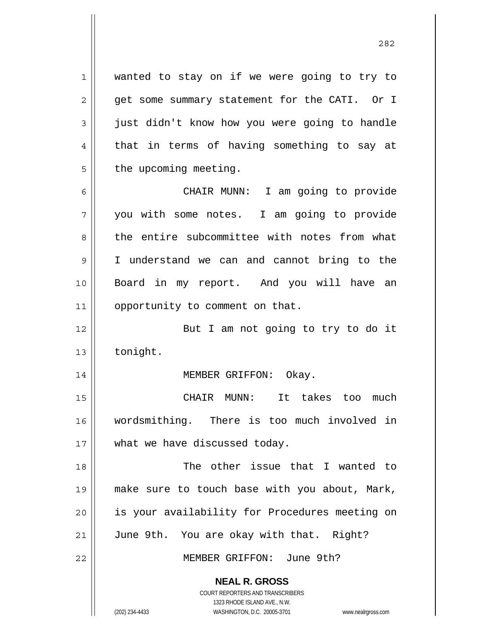1 2 3 4 5 6 7 8 wanted to stay on if we were going to try to get some summary statement for the CATI. Or I just didn't know how you were going to handle that in terms of having something to say at the upcoming meeting. CHAIR MUNN: I am going to provide you with some notes. I am going to provide the entire subcommittee with notes from what

9 10 11 I understand we can and cannot bring to the Board in my report. And you will have an opportunity to comment on that.

12 13 But I am not going to try to do it tonight.

MEMBER GRIFFON: Okay.

15 16 17 CHAIR MUNN: It takes too much wordsmithing. There is too much involved in what we have discussed today.

18 19 20 21 The other issue that I wanted to make sure to touch base with you about, Mark, is your availability for Procedures meeting on June 9th. You are okay with that. Right?

MEMBER GRIFFON: June 9th?

**NEAL R. GROSS** COURT REPORTERS AND TRANSCRIBERS

1323 RHODE ISLAND AVE., N.W.

14

22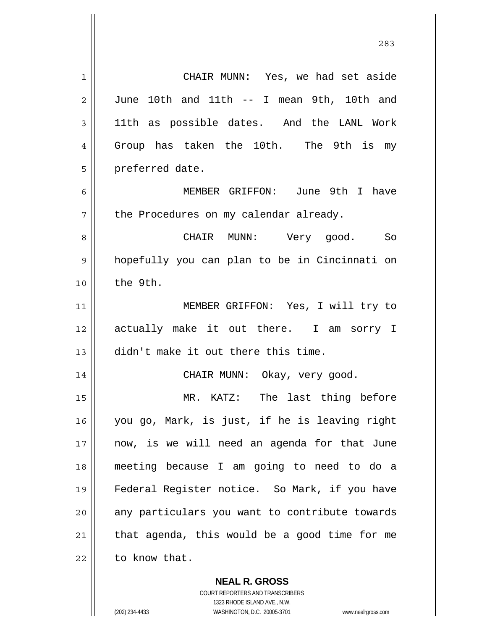1 2 3 4 5 6 7 8 9 10 11 12 13 14 15 16 17 18 19 20 21 22 CHAIR MUNN: Yes, we had set aside June 10th and 11th -- I mean 9th, 10th and 11th as possible dates. And the LANL Work Group has taken the 10th. The 9th is my preferred date. MEMBER GRIFFON: June 9th I have the Procedures on my calendar already. CHAIR MUNN: Very good. So hopefully you can plan to be in Cincinnati on the 9th. MEMBER GRIFFON: Yes, I will try to actually make it out there. I am sorry I didn't make it out there this time. CHAIR MUNN: Okay, very good. MR. KATZ: The last thing before you go, Mark, is just, if he is leaving right now, is we will need an agenda for that June meeting because I am going to need to do a Federal Register notice. So Mark, if you have any particulars you want to contribute towards that agenda, this would be a good time for me to know that.

> **NEAL R. GROSS** COURT REPORTERS AND TRANSCRIBERS

> > 1323 RHODE ISLAND AVE., N.W.

(202) 234-4433 WASHINGTON, D.C. 20005-3701 www.nealrgross.com

<u>283</u>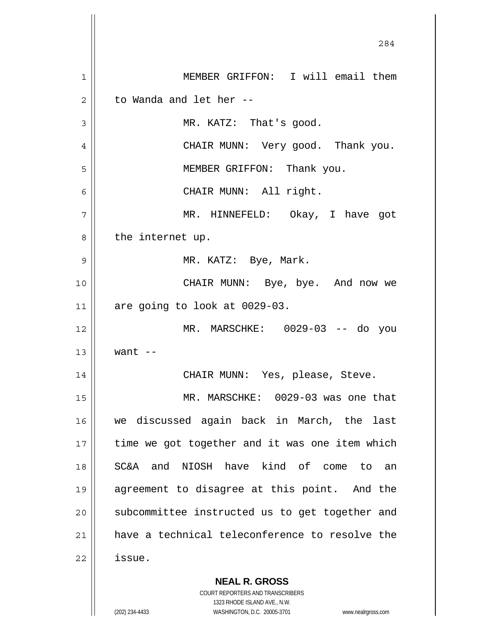**NEAL R. GROSS** COURT REPORTERS AND TRANSCRIBERS 284 1 2 3 4 5 6 7 8 9 10 11 12 13 14 15 16 17 18 19 20 21 22 MEMBER GRIFFON: I will email them to Wanda and let her -- MR. KATZ: That's good. CHAIR MUNN: Very good. Thank you. MEMBER GRIFFON: Thank you. CHAIR MUNN: All right. MR. HINNEFELD: Okay, I have got the internet up. MR. KATZ: Bye, Mark. CHAIR MUNN: Bye, bye. And now we are going to look at 0029-03. MR. MARSCHKE: 0029-03 -- do you want  $--$  CHAIR MUNN: Yes, please, Steve. MR. MARSCHKE: 0029-03 was one that we discussed again back in March, the last time we got together and it was one item which SC&A and NIOSH have kind of come to an agreement to disagree at this point. And the subcommittee instructed us to get together and have a technical teleconference to resolve the issue.

1323 RHODE ISLAND AVE., N.W.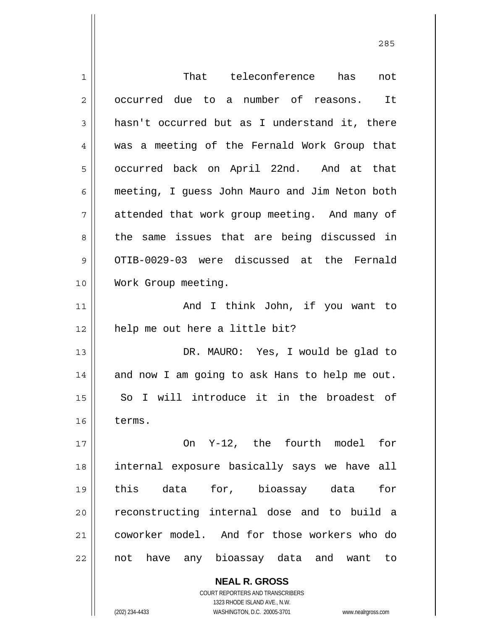| 1  | That teleconference has<br>not                           |
|----|----------------------------------------------------------|
| 2  | occurred due to a number of reasons. It                  |
| 3  | hasn't occurred but as I understand it, there            |
| 4  | was a meeting of the Fernald Work Group that             |
| 5  | occurred back on April 22nd. And at that                 |
| 6  | meeting, I guess John Mauro and Jim Neton both           |
| 7  | attended that work group meeting. And many of            |
| 8  | the same issues that are being discussed in              |
| 9  | OTIB-0029-03 were discussed at the Fernald               |
| 10 | Work Group meeting.                                      |
| 11 | And I think John, if you want to                         |
| 12 | help me out here a little bit?                           |
| 13 | DR. MAURO: Yes, I would be glad to                       |
| 14 | and now I am going to ask Hans to help me out.           |
| 15 | I will introduce it in the broadest of<br>So             |
| 16 | terms.                                                   |
| 17 | On Y-12, the fourth model for                            |
| 18 | internal exposure basically says we have all             |
| 19 | this data for, bioassay data<br>for                      |
| 20 | reconstructing internal dose and to build a              |
| 21 | coworker model. And for those workers who do             |
| 22 | not have any bioassay data and want to                   |
|    | <b>NEAL R. GROSS</b><br>COURT REPORTERS AND TRANSCRIBERS |

1323 RHODE ISLAND AVE., N.W.

 $\mathsf{I}$  $\prod_{i=1}^{n}$ 

(202) 234-4433 WASHINGTON, D.C. 20005-3701 www.nealrgross.com

<u>285</u>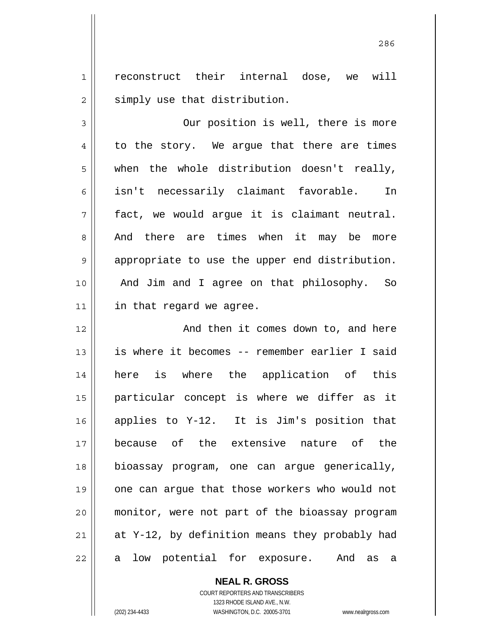1 2 reconstruct their internal dose, we will simply use that distribution.

3 4 5 6 7 8 9 10 11 Our position is well, there is more to the story. We argue that there are times when the whole distribution doesn't really, isn't necessarily claimant favorable. In fact, we would argue it is claimant neutral. And there are times when it may be more appropriate to use the upper end distribution. And Jim and I agree on that philosophy. So in that regard we agree.

12 13 14 15 16 17 18 19 20 21 22 And then it comes down to, and here is where it becomes -- remember earlier I said here is where the application of this particular concept is where we differ as it applies to Y-12. It is Jim's position that because of the extensive nature of the bioassay program, one can argue generically, one can argue that those workers who would not monitor, were not part of the bioassay program at Y-12, by definition means they probably had a low potential for exposure. And as a

**NEAL R. GROSS**

COURT REPORTERS AND TRANSCRIBERS 1323 RHODE ISLAND AVE., N.W. (202) 234-4433 WASHINGTON, D.C. 20005-3701 www.nealrgross.com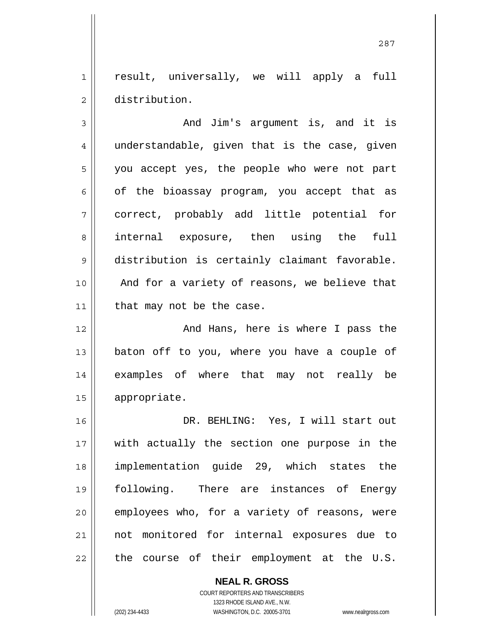1 2 result, universally, we will apply a full distribution.

3 4 5 6 7 8 9 10 11 And Jim's argument is, and it is understandable, given that is the case, given you accept yes, the people who were not part of the bioassay program, you accept that as correct, probably add little potential for internal exposure, then using the full distribution is certainly claimant favorable. And for a variety of reasons, we believe that that may not be the case.

12 13 14 15 And Hans, here is where I pass the baton off to you, where you have a couple of examples of where that may not really be appropriate.

16 17 18 19 20 21 22 DR. BEHLING: Yes, I will start out with actually the section one purpose in the implementation guide 29, which states the following. There are instances of Energy employees who, for a variety of reasons, were not monitored for internal exposures due to the course of their employment at the U.S.

> **NEAL R. GROSS** COURT REPORTERS AND TRANSCRIBERS 1323 RHODE ISLAND AVE., N.W. (202) 234-4433 WASHINGTON, D.C. 20005-3701 www.nealrgross.com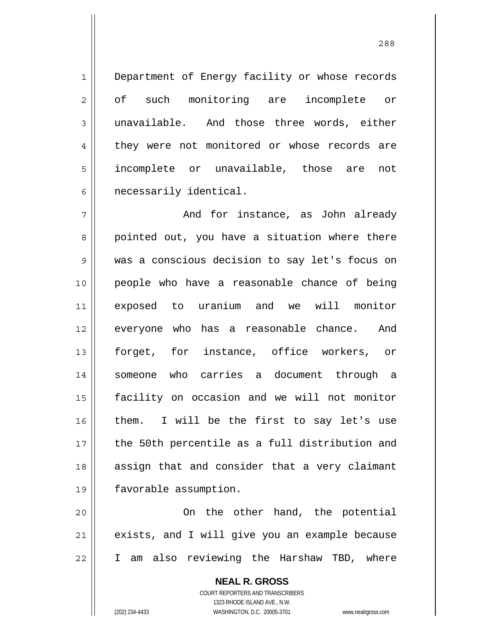Department of Energy facility or whose records of such monitoring are incomplete or unavailable. And those three words, either they were not monitored or whose records are incomplete or unavailable, those are not necessarily identical.

7 8 9 10 11 12 13 14 15 16 17 18 19 And for instance, as John already pointed out, you have a situation where there was a conscious decision to say let's focus on people who have a reasonable chance of being exposed to uranium and we will monitor everyone who has a reasonable chance. And forget, for instance, office workers, or someone who carries a document through a facility on occasion and we will not monitor them. I will be the first to say let's use the 50th percentile as a full distribution and assign that and consider that a very claimant favorable assumption.

20 21 22 On the other hand, the potential exists, and I will give you an example because I am also reviewing the Harshaw TBD, where

> **NEAL R. GROSS** COURT REPORTERS AND TRANSCRIBERS 1323 RHODE ISLAND AVE., N.W. (202) 234-4433 WASHINGTON, D.C. 20005-3701 www.nealrgross.com

1

2

3

4

5

6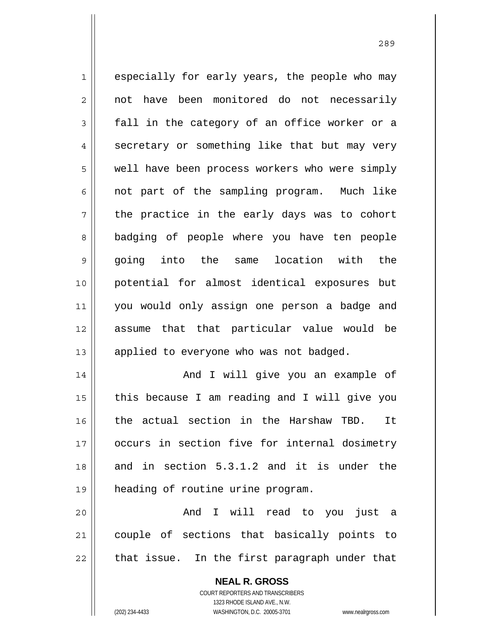1 2 3 4 5 6 7 8 9 10 11 12 13 14 15 16 17 18 especially for early years, the people who may not have been monitored do not necessarily fall in the category of an office worker or a secretary or something like that but may very well have been process workers who were simply not part of the sampling program. Much like the practice in the early days was to cohort badging of people where you have ten people going into the same location with the potential for almost identical exposures but you would only assign one person a badge and assume that that particular value would be applied to everyone who was not badged. And I will give you an example of this because I am reading and I will give you the actual section in the Harshaw TBD. It occurs in section five for internal dosimetry and in section 5.3.1.2 and it is under the

19 heading of routine urine program.

20 21 22 And I will read to you just a couple of sections that basically points to that issue. In the first paragraph under that

> **NEAL R. GROSS** COURT REPORTERS AND TRANSCRIBERS 1323 RHODE ISLAND AVE., N.W. (202) 234-4433 WASHINGTON, D.C. 20005-3701 www.nealrgross.com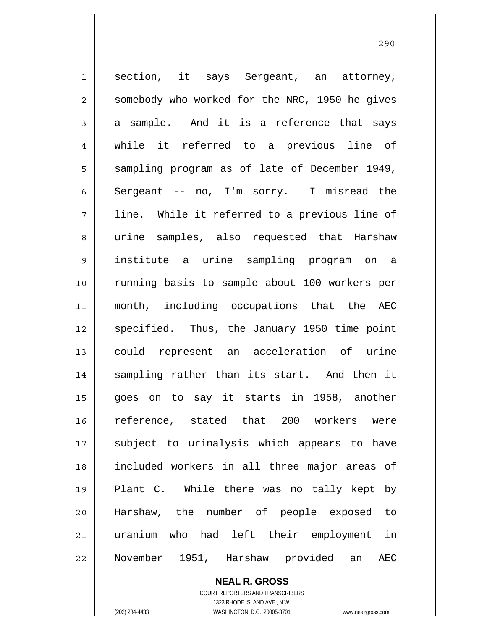1 2 3 4 5 6 7 8 9 10 11 12 13 14 15 16 17 18 19 20 21 22 section, it says Sergeant, an attorney, somebody who worked for the NRC, 1950 he gives a sample. And it is a reference that says while it referred to a previous line of sampling program as of late of December 1949, Sergeant -- no, I'm sorry. I misread the line. While it referred to a previous line of urine samples, also requested that Harshaw institute a urine sampling program on a running basis to sample about 100 workers per month, including occupations that the AEC specified. Thus, the January 1950 time point could represent an acceleration of urine sampling rather than its start. And then it goes on to say it starts in 1958, another reference, stated that 200 workers were subject to urinalysis which appears to have included workers in all three major areas of Plant C. While there was no tally kept by Harshaw, the number of people exposed to uranium who had left their employment in November 1951, Harshaw provided an AEC

**NEAL R. GROSS**

COURT REPORTERS AND TRANSCRIBERS 1323 RHODE ISLAND AVE., N.W. (202) 234-4433 WASHINGTON, D.C. 20005-3701 www.nealrgross.com

<u>290</u>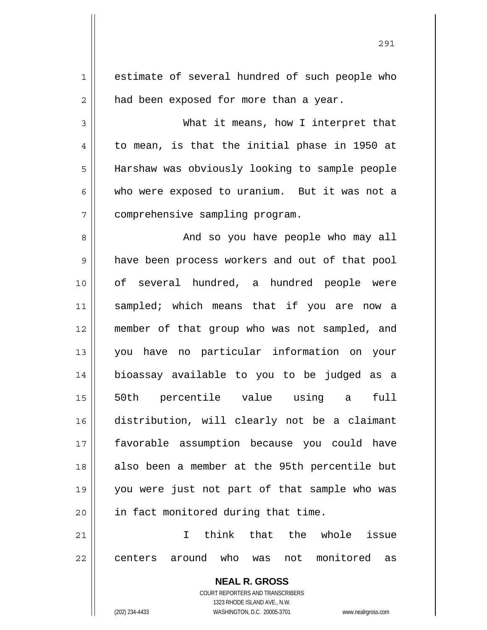| $\mathbf 1$    | estimate of several hundred of such people who                      |  |
|----------------|---------------------------------------------------------------------|--|
| $\overline{2}$ | had been exposed for more than a year.                              |  |
| 3              | What it means, how I interpret that                                 |  |
| 4              | to mean, is that the initial phase in 1950 at                       |  |
| 5              | Harshaw was obviously looking to sample people                      |  |
| 6              | who were exposed to uranium. But it was not a                       |  |
| 7              | comprehensive sampling program.                                     |  |
| 8              | And so you have people who may all                                  |  |
| 9              | have been process workers and out of that pool                      |  |
| 10             | of several hundred, a hundred people were                           |  |
| 11             | sampled; which means that if you are now a                          |  |
| 12             | member of that group who was not sampled, and                       |  |
| 13             | you have no particular information on your                          |  |
| 14             | bioassay available to you to be judged as a                         |  |
| 15             | 50th percentile value using a<br>full                               |  |
| 16             | distribution, will clearly not be a claimant                        |  |
| 17             | favorable assumption because you could have                         |  |
| 18             | also been a member at the 95th percentile but                       |  |
| 19             | you were just not part of that sample who was                       |  |
| 20             | in fact monitored during that time.                                 |  |
| 21             | think that the whole<br>T.<br>issue                                 |  |
| 22             | not monitored<br>centers around who was<br>as                       |  |
|                | <b>NEAL R. GROSS</b>                                                |  |
|                | <b>COURT REPORTERS AND TRANSCRIBERS</b>                             |  |
|                | 1323 RHODE ISLAND AVE., N.W.                                        |  |
|                | (202) 234-4433<br>WASHINGTON, D.C. 20005-3701<br>www.nealrgross.com |  |

<u>291</u>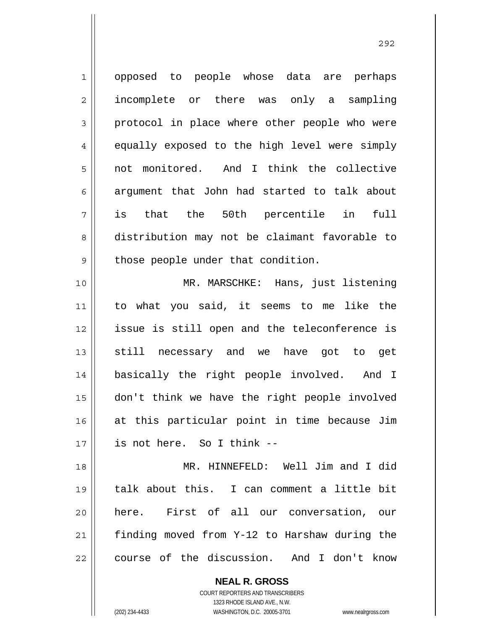1 2 3 4 5 6 7 8 9 10 11 12 13 14 opposed to people whose data are perhaps incomplete or there was only a sampling protocol in place where other people who were equally exposed to the high level were simply not monitored. And I think the collective argument that John had started to talk about is that the 50th percentile in full distribution may not be claimant favorable to those people under that condition. MR. MARSCHKE: Hans, just listening to what you said, it seems to me like the issue is still open and the teleconference is still necessary and we have got to get basically the right people involved. And I

16 17 don't think we have the right people involved at this particular point in time because Jim is not here. So I think --

18 19 20 21 22 MR. HINNEFELD: Well Jim and I did talk about this. I can comment a little bit here. First of all our conversation, our finding moved from Y-12 to Harshaw during the course of the discussion. And I don't know

> **NEAL R. GROSS** COURT REPORTERS AND TRANSCRIBERS 1323 RHODE ISLAND AVE., N.W. (202) 234-4433 WASHINGTON, D.C. 20005-3701 www.nealrgross.com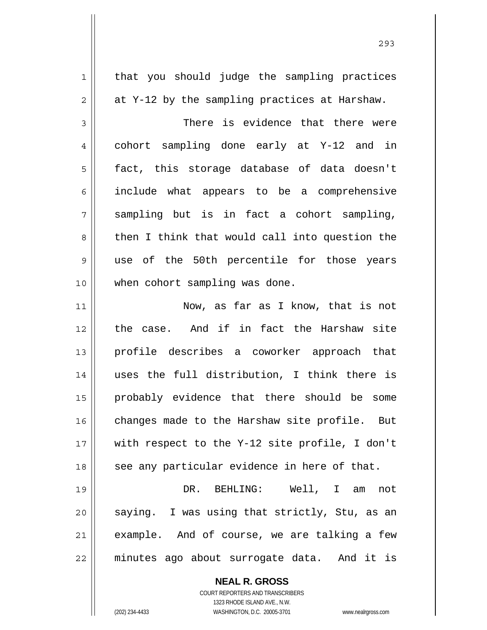| $\mathbf 1$  | that you should judge the sampling practices   |
|--------------|------------------------------------------------|
| 2            | at Y-12 by the sampling practices at Harshaw.  |
| $\mathbf{3}$ | There is evidence that there were              |
| 4            | cohort sampling done early at Y-12 and in      |
| 5            | fact, this storage database of data doesn't    |
| 6            | include what appears to be a comprehensive     |
| 7            | sampling but is in fact a cohort sampling,     |
| 8            | then I think that would call into question the |
| 9            | use of the 50th percentile for those years     |
| 10           | when cohort sampling was done.                 |
| 11           | Now, as far as I know, that is not             |
| 12           | the case. And if in fact the Harshaw site      |
| 13           | profile describes a coworker approach that     |
| 14           | uses the full distribution, I think there is   |
| 15           | probably evidence that there should be some    |
| 16           | changes made to the Harshaw site profile. But  |
| 17           | with respect to the Y-12 site profile, I don't |
| 18           | see any particular evidence in here of that.   |
| 19           | DR. BEHLING: Well, I am<br>not                 |
| 20           | saying. I was using that strictly, Stu, as an  |
| 21           | example. And of course, we are talking a few   |
| 22           | minutes ago about surrogate data. And it is    |
|              | <b>NEAL R. GROSS</b>                           |

COURT REPORTERS AND TRANSCRIBERS 1323 RHODE ISLAND AVE., N.W.

 $\mathsf{I}$ 

(202) 234-4433 WASHINGTON, D.C. 20005-3701 www.nealrgross.com

<u>293</u>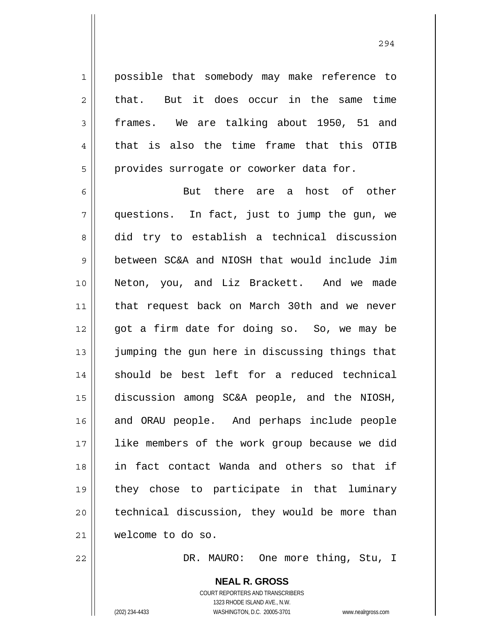possible that somebody may make reference to that. But it does occur in the same time frames. We are talking about 1950, 51 and that is also the time frame that this OTIB provides surrogate or coworker data for.

6 7 8 9 10 11 12 13 14 15 16 17 18 19 20 21 But there are a host of other questions. In fact, just to jump the gun, we did try to establish a technical discussion between SC&A and NIOSH that would include Jim Neton, you, and Liz Brackett. And we made that request back on March 30th and we never got a firm date for doing so. So, we may be jumping the gun here in discussing things that should be best left for a reduced technical discussion among SC&A people, and the NIOSH, and ORAU people. And perhaps include people like members of the work group because we did in fact contact Wanda and others so that if they chose to participate in that luminary technical discussion, they would be more than welcome to do so.

22

1

2

3

4

5

DR. MAURO: One more thing, Stu, I

COURT REPORTERS AND TRANSCRIBERS 1323 RHODE ISLAND AVE., N.W. (202) 234-4433 WASHINGTON, D.C. 20005-3701 www.nealrgross.com

**NEAL R. GROSS**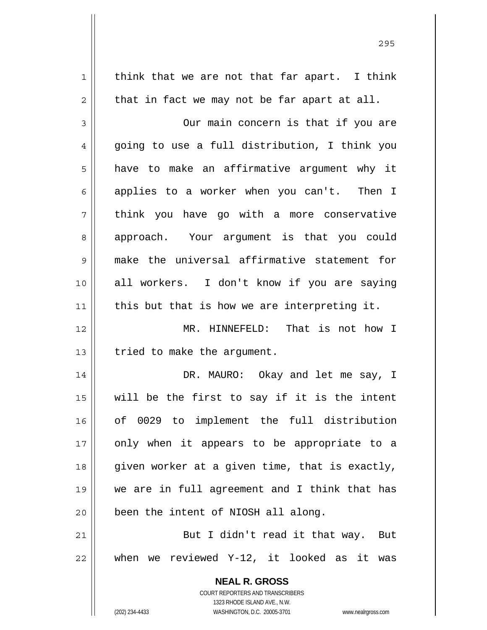**NEAL R. GROSS** COURT REPORTERS AND TRANSCRIBERS 1323 RHODE ISLAND AVE., N.W. 1 2 3 4 5 6 7 8 9 10 11 12 13 14 15 16 17 18 19 20 21 22 think that we are not that far apart. I think that in fact we may not be far apart at all. Our main concern is that if you are going to use a full distribution, I think you have to make an affirmative argument why it applies to a worker when you can't. Then I think you have go with a more conservative approach. Your argument is that you could make the universal affirmative statement for all workers. I don't know if you are saying this but that is how we are interpreting it. MR. HINNEFELD: That is not how I tried to make the argument. DR. MAURO: Okay and let me say, I will be the first to say if it is the intent of 0029 to implement the full distribution only when it appears to be appropriate to a given worker at a given time, that is exactly, we are in full agreement and I think that has been the intent of NIOSH all along. But I didn't read it that way. But when we reviewed Y-12, it looked as it was

<u>295</u>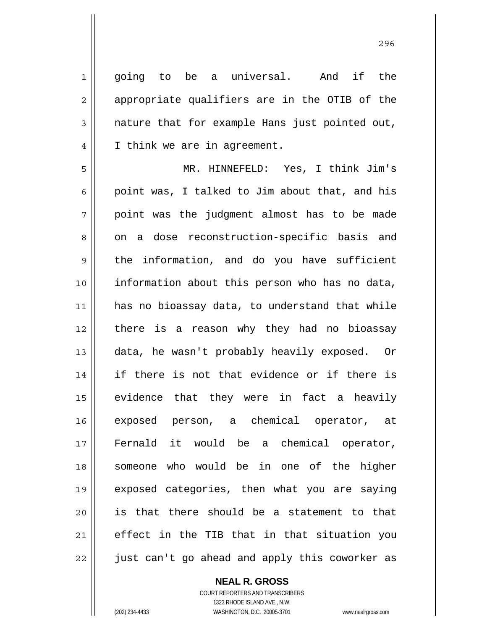1 2 3 4 going to be a universal. And if the appropriate qualifiers are in the OTIB of the nature that for example Hans just pointed out, I think we are in agreement.

5 6 7 8 9 10 11 12 13 14 15 16 17 18 19 20 21 22 MR. HINNEFELD: Yes, I think Jim's point was, I talked to Jim about that, and his point was the judgment almost has to be made on a dose reconstruction-specific basis and the information, and do you have sufficient information about this person who has no data, has no bioassay data, to understand that while there is a reason why they had no bioassay data, he wasn't probably heavily exposed. Or if there is not that evidence or if there is evidence that they were in fact a heavily exposed person, a chemical operator, at Fernald it would be a chemical operator, someone who would be in one of the higher exposed categories, then what you are saying is that there should be a statement to that effect in the TIB that in that situation you just can't go ahead and apply this coworker as

## **NEAL R. GROSS**

COURT REPORTERS AND TRANSCRIBERS 1323 RHODE ISLAND AVE., N.W. (202) 234-4433 WASHINGTON, D.C. 20005-3701 www.nealrgross.com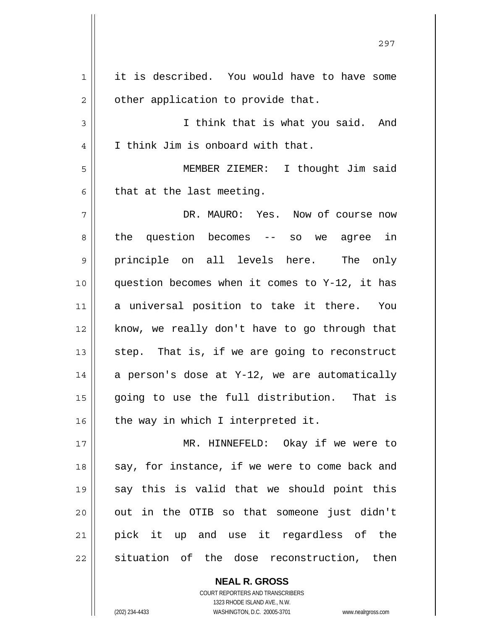| $\mathbf 1$  | it is described. You would have to have some   |
|--------------|------------------------------------------------|
| $\mathbf{2}$ | other application to provide that.             |
| $\mathsf 3$  | I think that is what you said. And             |
| 4            | I think Jim is onboard with that.              |
| 5            | MEMBER ZIEMER: I thought Jim said              |
| 6            | that at the last meeting.                      |
| 7            | DR. MAURO: Yes. Now of course now              |
| 8            | the question becomes $--$ so we agree in       |
| 9            | principle on all levels here. The only         |
| 10           | question becomes when it comes to Y-12, it has |
| 11           | a universal position to take it there. You     |
| 12           | know, we really don't have to go through that  |
| 13           | step. That is, if we are going to reconstruct  |
| 14           | a person's dose at Y-12, we are automatically  |
| 15           | going to use the full distribution.<br>That is |
| 16           | the way in which I interpreted it.             |
| 17           | MR. HINNEFELD: Okay if we were to              |
| 18           | say, for instance, if we were to come back and |
| 19           | say this is valid that we should point this    |
| 20           | out in the OTIB so that someone just didn't    |
| 21           | pick it up and use it regardless of the        |
| 22           | situation of the dose reconstruction, then     |
|              |                                                |

297

**NEAL R. GROSS** COURT REPORTERS AND TRANSCRIBERS 1323 RHODE ISLAND AVE., N.W.

 $\mathsf{II}$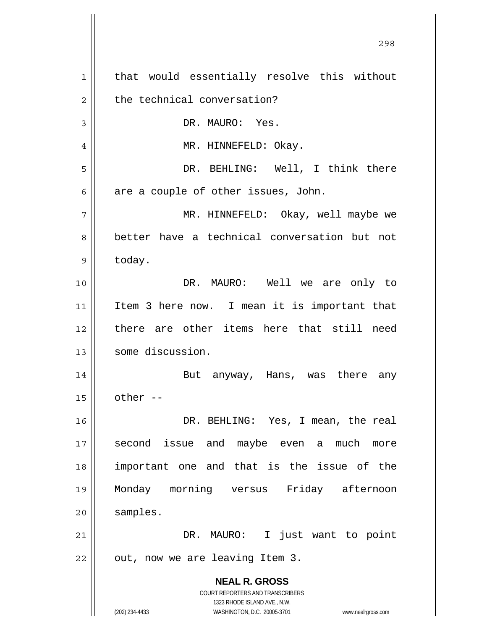**NEAL R. GROSS** COURT REPORTERS AND TRANSCRIBERS 1323 RHODE ISLAND AVE., N.W. (202) 234-4433 WASHINGTON, D.C. 20005-3701 www.nealrgross.com 1 2 3 4 5 6 7 8 9 10 11 12 13 14 15 16 17 18 19 20 21 22 that would essentially resolve this without the technical conversation? DR. MAURO: Yes. MR. HINNEFELD: Okay. DR. BEHLING: Well, I think there are a couple of other issues, John. MR. HINNEFELD: Okay, well maybe we better have a technical conversation but not today. DR. MAURO: Well we are only to Item 3 here now. I mean it is important that there are other items here that still need some discussion. But anyway, Hans, was there any other -- DR. BEHLING: Yes, I mean, the real second issue and maybe even a much more important one and that is the issue of the Monday morning versus Friday afternoon samples. DR. MAURO: I just want to point out, now we are leaving Item 3.

<u>298</u>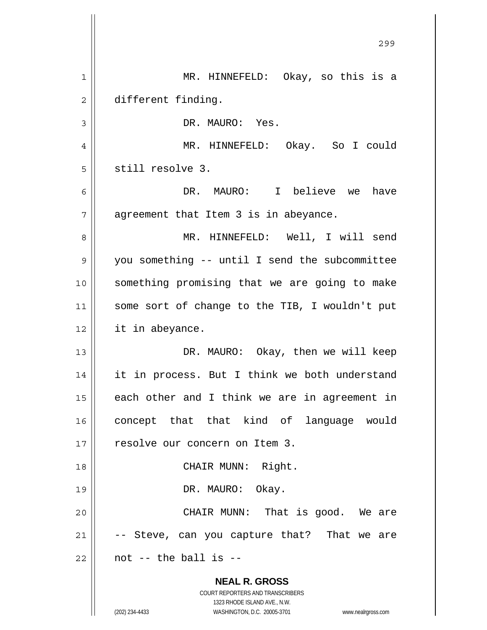**NEAL R. GROSS** COURT REPORTERS AND TRANSCRIBERS 1323 RHODE ISLAND AVE., N.W. <u>299 - Andre Sterne Barbara, amerikan pendadaran pendada personal dan personal dan personal dan personal dan p</u> 1 2 3 4 5 6 7 8 9 10 11 12 13 14 15 16 17 18 19 20 21 22 MR. HINNEFELD: Okay, so this is a different finding. DR. MAURO: Yes. MR. HINNEFELD: Okay. So I could still resolve 3. DR. MAURO: I believe we have agreement that Item 3 is in abeyance. MR. HINNEFELD: Well, I will send you something -- until I send the subcommittee something promising that we are going to make some sort of change to the TIB, I wouldn't put it in abeyance. DR. MAURO: Okay, then we will keep it in process. But I think we both understand each other and I think we are in agreement in concept that that kind of language would resolve our concern on Item 3. CHAIR MUNN: Right. DR. MAURO: Okay. CHAIR MUNN: That is good. We are -- Steve, can you capture that? That we are not -- the ball is --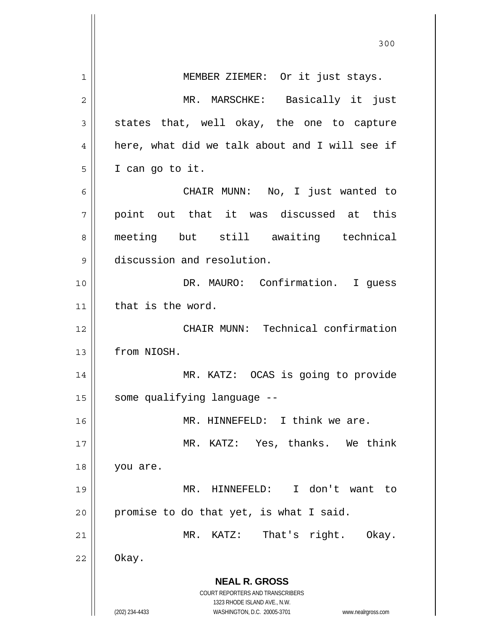|    | 300                                                                 |  |  |
|----|---------------------------------------------------------------------|--|--|
| 1  | MEMBER ZIEMER: Or it just stays.                                    |  |  |
| 2  | MR. MARSCHKE: Basically it just                                     |  |  |
| 3  | states that, well okay, the one to capture                          |  |  |
| 4  | here, what did we talk about and I will see if                      |  |  |
| 5  | I can go to it.                                                     |  |  |
| 6  | CHAIR MUNN: No, I just wanted to                                    |  |  |
| 7  | point out that it was discussed at this                             |  |  |
| 8  | meeting but still awaiting technical                                |  |  |
| 9  | discussion and resolution.                                          |  |  |
| 10 | DR. MAURO: Confirmation. I guess                                    |  |  |
| 11 | that is the word.                                                   |  |  |
| 12 | CHAIR MUNN: Technical confirmation                                  |  |  |
| 13 | from NIOSH.                                                         |  |  |
| 14 | MR. KATZ: OCAS is going to provide                                  |  |  |
| 15 | some qualifying language --                                         |  |  |
| 16 | MR. HINNEFELD: I think we are.                                      |  |  |
| 17 | MR. KATZ: Yes, thanks. We think                                     |  |  |
| 18 | you are.                                                            |  |  |
| 19 | I don't want to<br>MR. HINNEFELD:                                   |  |  |
| 20 | promise to do that yet, is what I said.                             |  |  |
| 21 | MR. KATZ: That's right.<br>Okay.                                    |  |  |
| 22 | Okay.                                                               |  |  |
|    | <b>NEAL R. GROSS</b>                                                |  |  |
|    | COURT REPORTERS AND TRANSCRIBERS<br>1323 RHODE ISLAND AVE., N.W.    |  |  |
|    | (202) 234-4433<br>WASHINGTON, D.C. 20005-3701<br>www.nealrgross.com |  |  |

 $\mathsf{I}$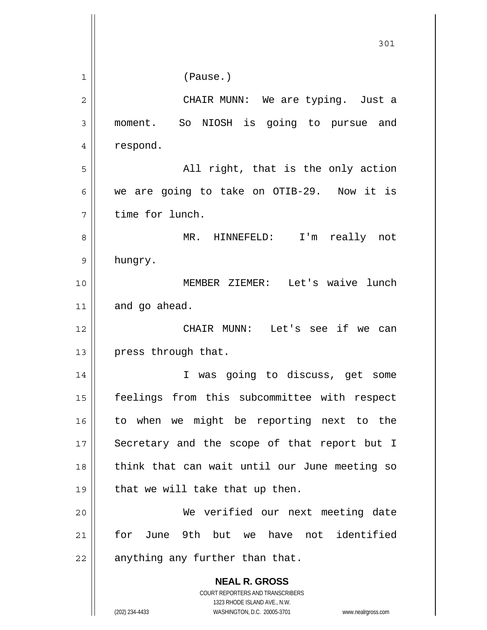|    | 301                                                                 |  |
|----|---------------------------------------------------------------------|--|
| 1  | (Pause.)                                                            |  |
| 2  | CHAIR MUNN: We are typing. Just a                                   |  |
| 3  | So NIOSH is going to pursue and<br>moment.                          |  |
| 4  | respond.                                                            |  |
| 5  | All right, that is the only action                                  |  |
| 6  | we are going to take on OTIB-29. Now it is                          |  |
| 7  | time for lunch.                                                     |  |
| 8  | MR. HINNEFELD: I'm really not                                       |  |
| 9  | hungry.                                                             |  |
| 10 | MEMBER ZIEMER: Let's waive lunch                                    |  |
| 11 | and go ahead.                                                       |  |
| 12 | CHAIR MUNN: Let's see if we can                                     |  |
| 13 | press through that.                                                 |  |
| 14 | I was going to discuss, get some                                    |  |
| 15 | feelings from this subcommittee with respect                        |  |
| 16 | to when we might be reporting next to the                           |  |
| 17 | Secretary and the scope of that report but I                        |  |
| 18 | think that can wait until our June meeting so                       |  |
| 19 | that we will take that up then.                                     |  |
| 20 | We verified our next meeting date                                   |  |
| 21 | for June 9th but we have not<br>identified                          |  |
| 22 | anything any further than that.                                     |  |
|    | <b>NEAL R. GROSS</b>                                                |  |
|    | COURT REPORTERS AND TRANSCRIBERS<br>1323 RHODE ISLAND AVE., N.W.    |  |
|    | (202) 234-4433<br>WASHINGTON, D.C. 20005-3701<br>www.nealrgross.com |  |

 $\overline{\phantom{a}}$ 

 $\mathbb{I}$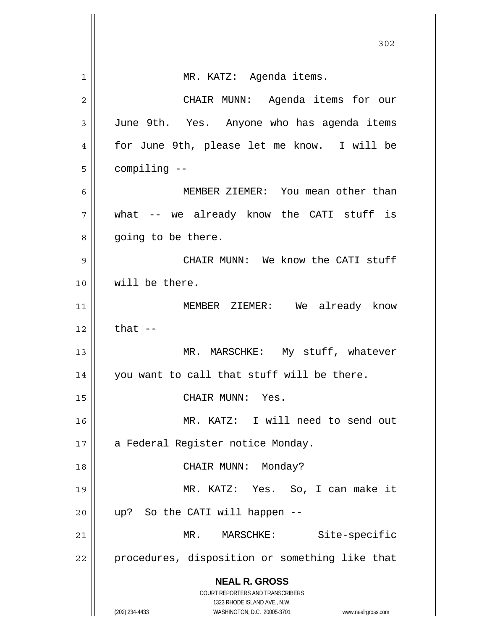|                | 302                                                                     |  |
|----------------|-------------------------------------------------------------------------|--|
| 1              | MR. KATZ: Agenda items.                                                 |  |
| $\overline{2}$ | CHAIR MUNN: Agenda items for our                                        |  |
| 3              | June 9th. Yes. Anyone who has agenda items                              |  |
| $\overline{4}$ | for June 9th, please let me know. I will be                             |  |
| 5              | compiling --                                                            |  |
| 6              | MEMBER ZIEMER: You mean other than                                      |  |
| 7              | what -- we already know the CATI stuff is                               |  |
| 8              | going to be there.                                                      |  |
| 9              | CHAIR MUNN: We know the CATI stuff                                      |  |
| 10             | will be there.                                                          |  |
| 11             | MEMBER ZIEMER: We already know                                          |  |
| 12             | that $--$                                                               |  |
| 13             | MR. MARSCHKE: My stuff, whatever                                        |  |
| 14             | you want to call that stuff will be there.                              |  |
| 15             | CHAIR MUNN: Yes.                                                        |  |
| 16             | MR. KATZ: I will need to send out                                       |  |
| 17             | a Federal Register notice Monday.                                       |  |
| 18             | CHAIR MUNN: Monday?                                                     |  |
| 19             | MR. KATZ: Yes. So, I can make it                                        |  |
| 20             | up? So the CATI will happen --                                          |  |
| 21             | MR. MARSCHKE: Site-specific                                             |  |
| 22             | procedures, disposition or something like that                          |  |
|                | <b>NEAL R. GROSS</b>                                                    |  |
|                | <b>COURT REPORTERS AND TRANSCRIBERS</b><br>1323 RHODE ISLAND AVE., N.W. |  |
|                | (202) 234-4433<br>WASHINGTON, D.C. 20005-3701<br>www.nealrgross.com     |  |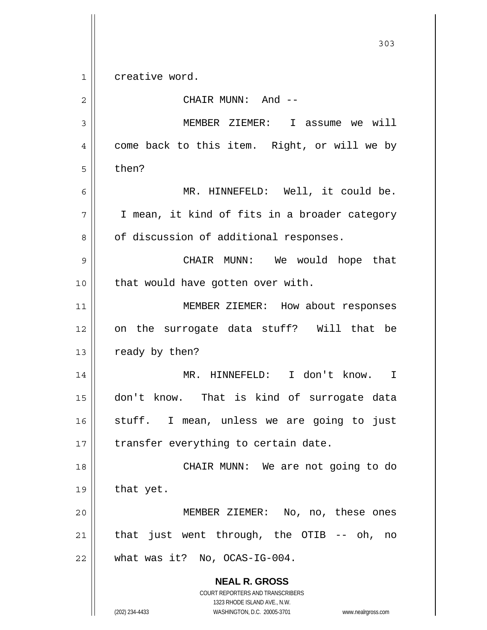**NEAL R. GROSS** COURT REPORTERS AND TRANSCRIBERS 1323 RHODE ISLAND AVE., N.W. 303 1 2 3 4 5 6 7 8 9 10 11 12 13 14 15 16 17 18 19 20 21 22 creative word. CHAIR MUNN: And -- MEMBER ZIEMER: I assume we will come back to this item. Right, or will we by then? MR. HINNEFELD: Well, it could be. I mean, it kind of fits in a broader category of discussion of additional responses. CHAIR MUNN: We would hope that that would have gotten over with. MEMBER ZIEMER: How about responses on the surrogate data stuff? Will that be ready by then? MR. HINNEFELD: I don't know. I don't know. That is kind of surrogate data stuff. I mean, unless we are going to just transfer everything to certain date. CHAIR MUNN: We are not going to do that yet. MEMBER ZIEMER: No, no, these ones that just went through, the OTIB -- oh, no what was it? No, OCAS-IG-004.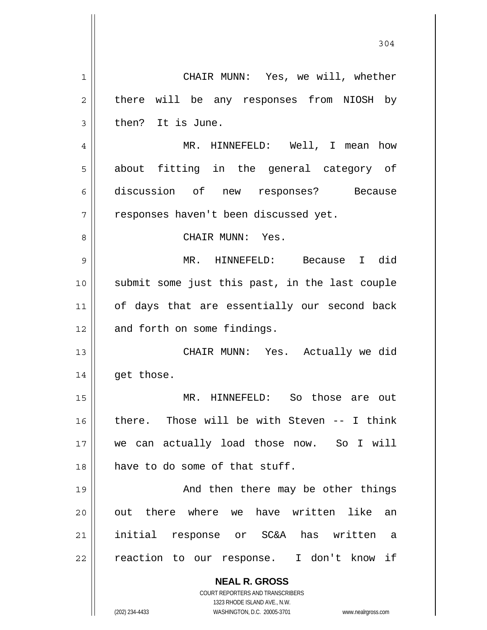**NEAL R. GROSS** COURT REPORTERS AND TRANSCRIBERS 1323 RHODE ISLAND AVE., N.W. (202) 234-4433 WASHINGTON, D.C. 20005-3701 www.nealrgross.com 1 2 3 4 5 6 7 8 9 10 11 12 13 14 15 16 17 18 19 20 21 22 CHAIR MUNN: Yes, we will, whether there will be any responses from NIOSH by then? It is June. MR. HINNEFELD: Well, I mean how about fitting in the general category of discussion of new responses? Because responses haven't been discussed yet. CHAIR MUNN: Yes. MR. HINNEFELD: Because I did submit some just this past, in the last couple of days that are essentially our second back and forth on some findings. CHAIR MUNN: Yes. Actually we did get those. MR. HINNEFELD: So those are out there. Those will be with Steven -- I think we can actually load those now. So I will have to do some of that stuff. And then there may be other things out there where we have written like an initial response or SC&A has written a reaction to our response. I don't know if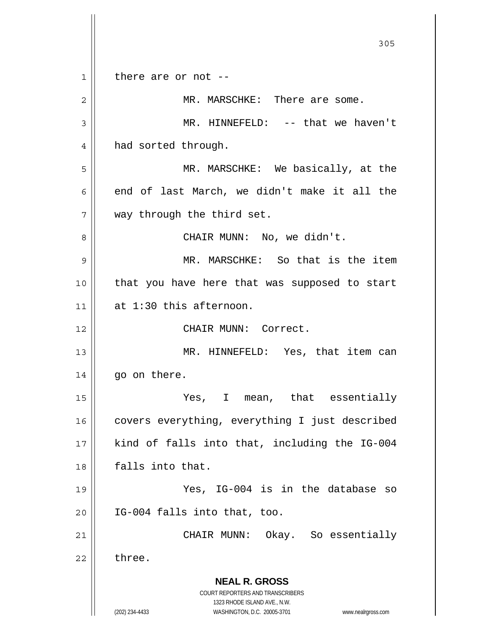**NEAL R. GROSS** COURT REPORTERS AND TRANSCRIBERS 1323 RHODE ISLAND AVE., N.W. (202) 234-4433 WASHINGTON, D.C. 20005-3701 www.nealrgross.com 305 1 2 3 4 5 6 7 8 9 10 11 12 13 14 15 16 17 18 19 20 21 22 there are or not -- MR. MARSCHKE: There are some. MR. HINNEFELD: -- that we haven't had sorted through. MR. MARSCHKE: We basically, at the end of last March, we didn't make it all the way through the third set. CHAIR MUNN: No, we didn't. MR. MARSCHKE: So that is the item that you have here that was supposed to start at 1:30 this afternoon. CHAIR MUNN: Correct. MR. HINNEFELD: Yes, that item can go on there. Yes, I mean, that essentially covers everything, everything I just described kind of falls into that, including the IG-004 falls into that. Yes, IG-004 is in the database so IG-004 falls into that, too. CHAIR MUNN: Okay. So essentially three.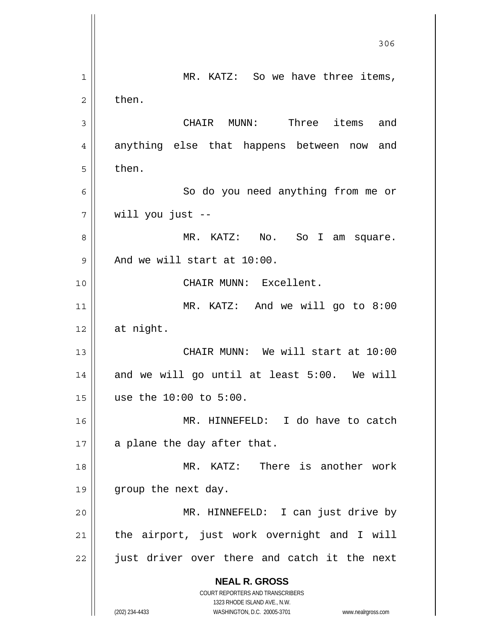**NEAL R. GROSS** COURT REPORTERS AND TRANSCRIBERS 1323 RHODE ISLAND AVE., N.W. (202) 234-4433 WASHINGTON, D.C. 20005-3701 www.nealrgross.com <u>306</u> 1 2 3 4 5 6 7 8 9 10 11 12 13 14 15 16 17 18 19 20 21 22 MR. KATZ: So we have three items, then. CHAIR MUNN: Three items and anything else that happens between now and then. So do you need anything from me or will you just -- MR. KATZ: No. So I am square. And we will start at 10:00. CHAIR MUNN: Excellent. MR. KATZ: And we will go to 8:00 at night. CHAIR MUNN: We will start at 10:00 and we will go until at least 5:00. We will use the 10:00 to 5:00. MR. HINNEFELD: I do have to catch a plane the day after that. MR. KATZ: There is another work group the next day. MR. HINNEFELD: I can just drive by the airport, just work overnight and I will just driver over there and catch it the next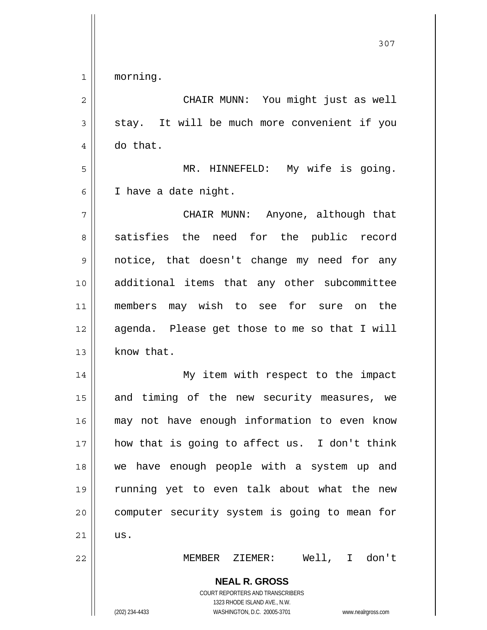1 morning.

| $\overline{2}$ | CHAIR MUNN: You might just as well                                                                                                                              |  |  |  |
|----------------|-----------------------------------------------------------------------------------------------------------------------------------------------------------------|--|--|--|
| 3              | stay. It will be much more convenient if you                                                                                                                    |  |  |  |
| 4              | do that.                                                                                                                                                        |  |  |  |
| 5              | MR. HINNEFELD: My wife is going.                                                                                                                                |  |  |  |
| 6              | I have a date night.                                                                                                                                            |  |  |  |
| 7              | CHAIR MUNN: Anyone, although that                                                                                                                               |  |  |  |
| 8              | satisfies the need for the public record                                                                                                                        |  |  |  |
| 9              | notice, that doesn't change my need for any                                                                                                                     |  |  |  |
| 10             | additional items that any other subcommittee                                                                                                                    |  |  |  |
| 11             | members may wish to see for sure on the                                                                                                                         |  |  |  |
| 12             | agenda. Please get those to me so that I will                                                                                                                   |  |  |  |
| 13             | know that.                                                                                                                                                      |  |  |  |
| 14             | My item with respect to the impact                                                                                                                              |  |  |  |
| 15             | and timing of the new security measures, we                                                                                                                     |  |  |  |
| 16             | may not have enough information to even know                                                                                                                    |  |  |  |
| 17             | how that is going to affect us. I don't think                                                                                                                   |  |  |  |
| 18             | we have enough people with a system up and                                                                                                                      |  |  |  |
| 19             | running yet to even talk about what the<br>new                                                                                                                  |  |  |  |
| 20             | computer security system is going to mean for                                                                                                                   |  |  |  |
| 21             | us.                                                                                                                                                             |  |  |  |
| 22             | Well, I don't<br>MEMBER ZIEMER:                                                                                                                                 |  |  |  |
|                | <b>NEAL R. GROSS</b><br>COURT REPORTERS AND TRANSCRIBERS<br>1323 RHODE ISLAND AVE., N.W.<br>(202) 234-4433<br>WASHINGTON, D.C. 20005-3701<br>www.nealrgross.com |  |  |  |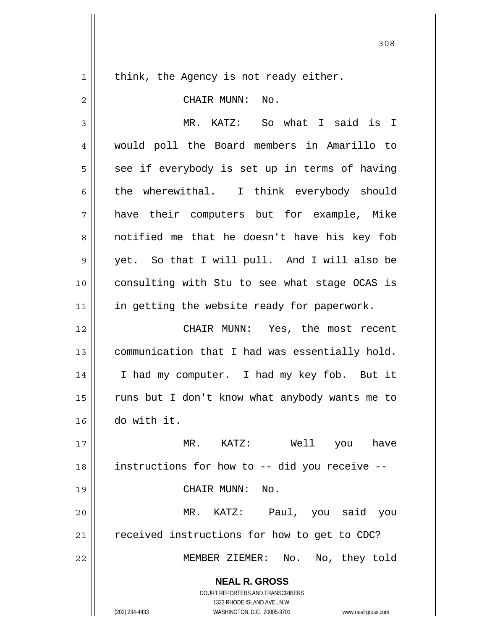$1$ 

think, the Agency is not ready either.

| $\overline{2}$ | CHAIR MUNN: No.                                                                                                                                                 |  |
|----------------|-----------------------------------------------------------------------------------------------------------------------------------------------------------------|--|
| 3              | MR. KATZ: So what I said is I                                                                                                                                   |  |
| $\overline{4}$ | would poll the Board members in Amarillo to                                                                                                                     |  |
| 5              | see if everybody is set up in terms of having                                                                                                                   |  |
| 6              | the wherewithal. I think everybody should                                                                                                                       |  |
| 7              | have their computers but for example, Mike                                                                                                                      |  |
| 8              | notified me that he doesn't have his key fob                                                                                                                    |  |
| $\mathsf 9$    | yet. So that I will pull. And I will also be                                                                                                                    |  |
| 10             | consulting with Stu to see what stage OCAS is                                                                                                                   |  |
| 11             | in getting the website ready for paperwork.                                                                                                                     |  |
| 12             | CHAIR MUNN: Yes, the most recent                                                                                                                                |  |
| 13             | communication that I had was essentially hold.                                                                                                                  |  |
| 14             | I had my computer. I had my key fob. But it                                                                                                                     |  |
| 15             | runs but I don't know what anybody wants me to                                                                                                                  |  |
| 16             | do with it.                                                                                                                                                     |  |
| 17             | MR.<br>KATZ:<br>Well<br>you<br>have                                                                                                                             |  |
| 18             | instructions for how to -- did you receive --                                                                                                                   |  |
| 19             | CHAIR MUNN:<br>No.                                                                                                                                              |  |
| 20             | MR. KATZ:<br>Paul, you said<br>you                                                                                                                              |  |
| 21             | received instructions for how to get to CDC?                                                                                                                    |  |
| 22             | MEMBER ZIEMER: No. No, they told                                                                                                                                |  |
|                | <b>NEAL R. GROSS</b><br>COURT REPORTERS AND TRANSCRIBERS<br>1323 RHODE ISLAND AVE., N.W.<br>(202) 234-4433<br>WASHINGTON, D.C. 20005-3701<br>www.nealrgross.com |  |
|                |                                                                                                                                                                 |  |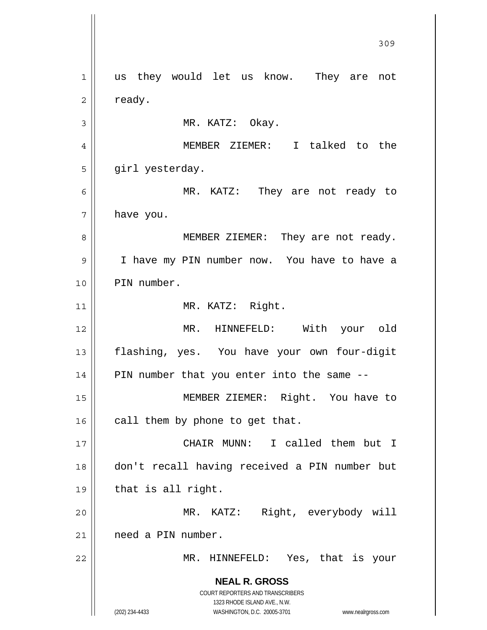**NEAL R. GROSS** COURT REPORTERS AND TRANSCRIBERS 1323 RHODE ISLAND AVE., N.W. (202) 234-4433 WASHINGTON, D.C. 20005-3701 www.nealrgross.com <u>309</u> 1 2 3 4 5 6 7 8 9 10 11 12 13 14 15 16 17 18 19 20 21 22 us they would let us know. They are not ready. MR. KATZ: Okay. MEMBER ZIEMER: I talked to the girl yesterday. MR. KATZ: They are not ready to have you. MEMBER ZIEMER: They are not ready. I have my PIN number now. You have to have a PIN number. MR. KATZ: Right. MR. HINNEFELD: With your old flashing, yes. You have your own four-digit PIN number that you enter into the same -- MEMBER ZIEMER: Right. You have to call them by phone to get that. CHAIR MUNN: I called them but I don't recall having received a PIN number but that is all right. MR. KATZ: Right, everybody will need a PIN number. MR. HINNEFELD: Yes, that is your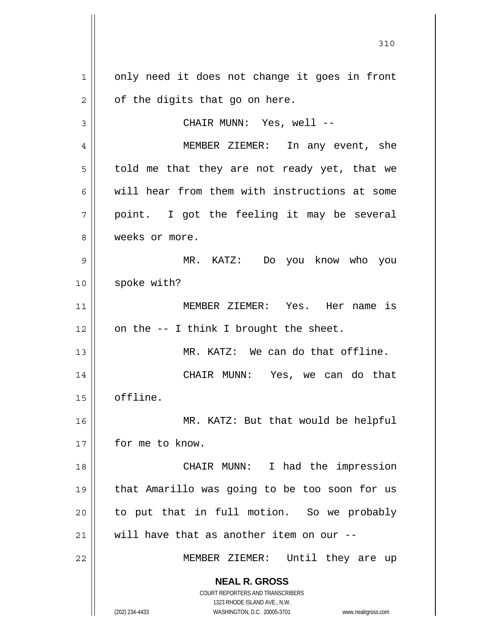**NEAL R. GROSS** COURT REPORTERS AND TRANSCRIBERS 1323 RHODE ISLAND AVE., N.W. (202) 234-4433 WASHINGTON, D.C. 20005-3701 www.nealrgross.com 1 2 3 4 5 6 7 8 9 10 11 12 13 14 15 16 17 18 19 20 21 22 only need it does not change it goes in front of the digits that go on here. CHAIR MUNN: Yes, well -- MEMBER ZIEMER: In any event, she told me that they are not ready yet, that we will hear from them with instructions at some point. I got the feeling it may be several weeks or more. MR. KATZ: Do you know who you spoke with? MEMBER ZIEMER: Yes. Her name is on the -- I think I brought the sheet. MR. KATZ: We can do that offline. CHAIR MUNN: Yes, we can do that offline. MR. KATZ: But that would be helpful for me to know. CHAIR MUNN: I had the impression that Amarillo was going to be too soon for us to put that in full motion. So we probably will have that as another item on our --MEMBER ZIEMER: Until they are up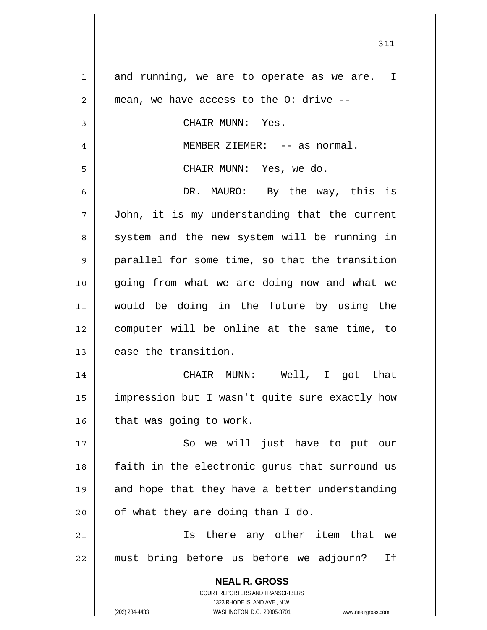**NEAL R. GROSS** COURT REPORTERS AND TRANSCRIBERS 1323 RHODE ISLAND AVE., N.W. (202) 234-4433 WASHINGTON, D.C. 20005-3701 www.nealrgross.com 1 2 3 4 5 6 7 8 9 10 11 12 13 14 15 16 17 18 19 20 21 22 and running, we are to operate as we are. I mean, we have access to the O: drive -- CHAIR MUNN: Yes. MEMBER ZIEMER: -- as normal. CHAIR MUNN: Yes, we do. DR. MAURO: By the way, this is John, it is my understanding that the current system and the new system will be running in parallel for some time, so that the transition going from what we are doing now and what we would be doing in the future by using the computer will be online at the same time, to ease the transition. CHAIR MUNN: Well, I got that impression but I wasn't quite sure exactly how that was going to work. So we will just have to put our faith in the electronic gurus that surround us and hope that they have a better understanding of what they are doing than I do. Is there any other item that we must bring before us before we adjourn? If